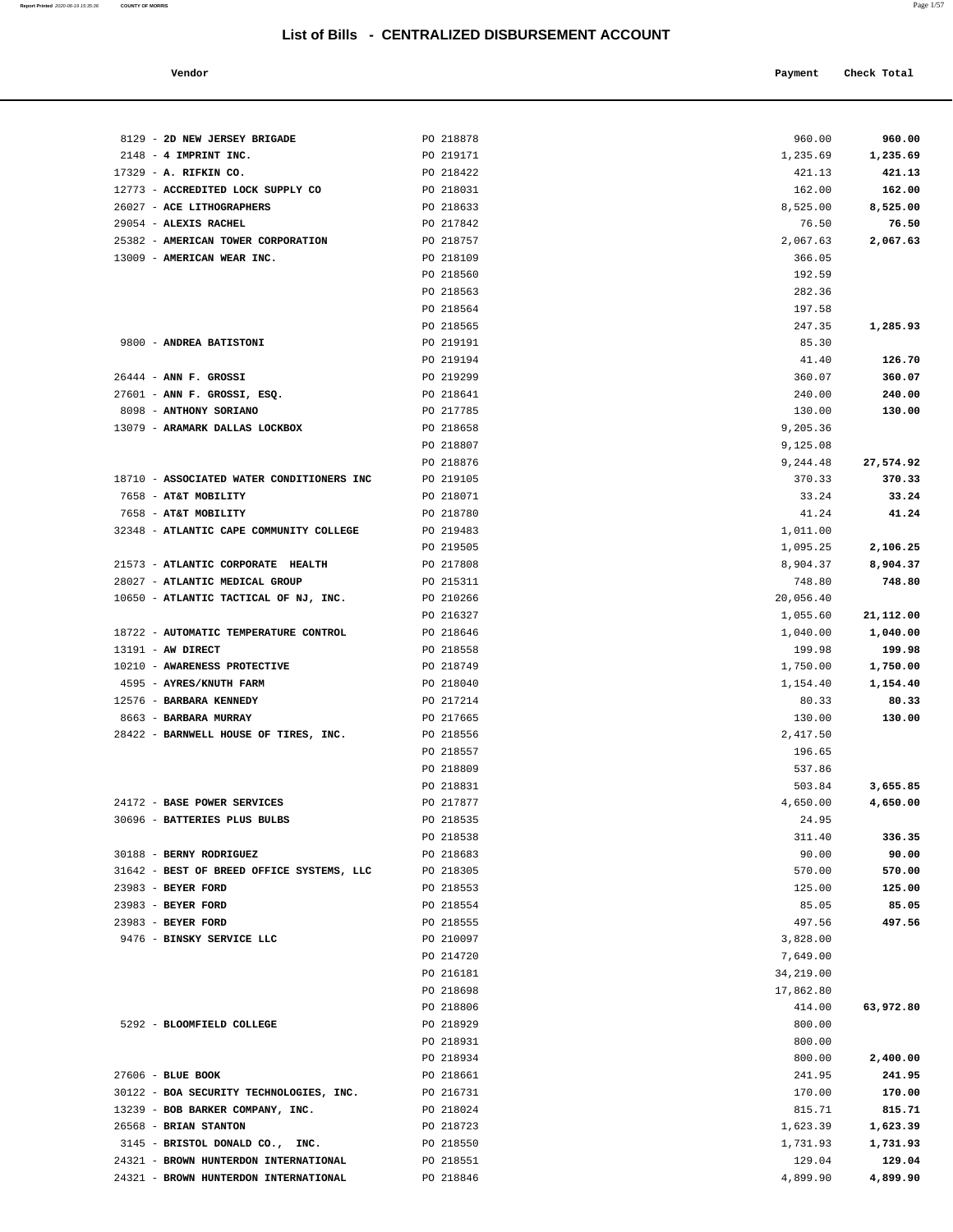| Vendor |  | Payment Check Total |
|--------|--|---------------------|
|--------|--|---------------------|

| 8129 - 2D NEW JERSEY BRIGADE                                            | PO 218878              | 960.00              | 960.00           |
|-------------------------------------------------------------------------|------------------------|---------------------|------------------|
| $2148 - 4$ IMPRINT INC.                                                 | PO 219171              | 1,235.69            | 1,235.69         |
| 17329 - A. RIFKIN CO.                                                   | PO 218422              | 421.13              | 421.13           |
| 12773 - ACCREDITED LOCK SUPPLY CO                                       | PO 218031              | 162.00              | 162.00           |
| 26027 - ACE LITHOGRAPHERS                                               | PO 218633              | 8,525.00            | 8,525.00         |
| 29054 - ALEXIS RACHEL                                                   | PO 217842              | 76.50               | 76.50            |
| 25382 - AMERICAN TOWER CORPORATION                                      | PO 218757              | 2,067.63            | 2,067.63         |
| 13009 - AMERICAN WEAR INC.                                              | PO 218109              | 366.05              |                  |
|                                                                         | PO 218560              | 192.59              |                  |
|                                                                         | PO 218563              | 282.36              |                  |
|                                                                         | PO 218564              | 197.58              |                  |
|                                                                         | PO 218565              | 247.35              | 1,285.93         |
| 9800 - ANDREA BATISTONI                                                 | PO 219191<br>PO 219194 | 85.30<br>41.40      | 126.70           |
| $26444$ - ANN F. GROSSI                                                 | PO 219299              | 360.07              | 360.07           |
| 27601 - ANN F. GROSSI, ESQ.                                             | PO 218641              | 240.00              | 240.00           |
| 8098 - ANTHONY SORIANO                                                  | PO 217785              | 130.00              | 130.00           |
| 13079 - ARAMARK DALLAS LOCKBOX                                          | PO 218658              | 9,205.36            |                  |
|                                                                         | PO 218807              | 9,125.08            |                  |
|                                                                         | PO 218876              | 9,244.48            | 27,574.92        |
| 18710 - ASSOCIATED WATER CONDITIONERS INC                               | PO 219105              | 370.33              | 370.33           |
| 7658 - AT&T MOBILITY                                                    | PO 218071              | 33.24               | 33.24            |
| 7658 - AT&T MOBILITY                                                    | PO 218780              | 41.24               | 41.24            |
| 32348 - ATLANTIC CAPE COMMUNITY COLLEGE                                 | PO 219483              | 1,011.00            |                  |
|                                                                         | PO 219505              | 1,095.25            | 2,106.25         |
| 21573 - ATLANTIC CORPORATE HEALTH                                       | PO 217808              | 8,904.37            | 8,904.37         |
| 28027 - ATLANTIC MEDICAL GROUP<br>10650 - ATLANTIC TACTICAL OF NJ, INC. | PO 215311<br>PO 210266 | 748.80<br>20,056.40 | 748.80           |
|                                                                         | PO 216327              | 1,055.60            | 21,112.00        |
| 18722 - AUTOMATIC TEMPERATURE CONTROL                                   | PO 218646              | 1,040.00            | 1,040.00         |
| $13191$ - AW DIRECT                                                     | PO 218558              | 199.98              | 199.98           |
| 10210 - AWARENESS PROTECTIVE                                            | PO 218749              | 1,750.00            | 1,750.00         |
| 4595 - AYRES/KNUTH FARM                                                 | PO 218040              | 1,154.40            | 1,154.40         |
| 12576 - BARBARA KENNEDY                                                 | PO 217214              | 80.33               | 80.33            |
| 8663 - BARBARA MURRAY                                                   | PO 217665              | 130.00              | 130.00           |
| 28422 - BARNWELL HOUSE OF TIRES, INC.                                   | PO 218556              | 2,417.50            |                  |
|                                                                         | PO 218557              | 196.65              |                  |
|                                                                         | PO 218809              | 537.86              |                  |
|                                                                         | PO 218831              | 503.84              | 3,655.85         |
| 24172 - BASE POWER SERVICES                                             | PO 217877              | 4,650.00            | 4,650.00         |
| 30696 - BATTERIES PLUS BULBS                                            | PO 218535<br>PO 218538 | 24.95<br>311.40     | 336.35           |
| 30188 - BERNY RODRIGUEZ                                                 | PO 218683              | 90.00               | 90.00            |
| 31642 - BEST OF BREED OFFICE SYSTEMS, LLC                               | PO 218305              | 570.00              | 570.00           |
| 23983 - BEYER FORD                                                      | PO 218553              | 125.00              | 125.00           |
| 23983 - BEYER FORD                                                      | PO 218554              | 85.05               | 85.05            |
| 23983 - BEYER FORD                                                      | PO 218555              | 497.56              | 497.56           |
| 9476 - BINSKY SERVICE LLC                                               | PO 210097              | 3,828.00            |                  |
|                                                                         | PO 214720              | 7,649.00            |                  |
|                                                                         | PO 216181              | 34,219.00           |                  |
|                                                                         | PO 218698              | 17,862.80           |                  |
|                                                                         | PO 218806              | 414.00              | 63,972.80        |
| 5292 - BLOOMFIELD COLLEGE                                               | PO 218929              | 800.00              |                  |
|                                                                         | PO 218931              | 800.00              |                  |
|                                                                         | PO 218934              | 800.00              | 2,400.00         |
| 27606 - BLUE BOOK<br>30122 - BOA SECURITY TECHNOLOGIES, INC.            | PO 218661<br>PO 216731 | 241.95<br>170.00    | 241.95<br>170.00 |
| 13239 - BOB BARKER COMPANY, INC.                                        | PO 218024              | 815.71              | 815.71           |
| 26568 - BRIAN STANTON                                                   | PO 218723              | 1,623.39            | 1,623.39         |
| 3145 - BRISTOL DONALD CO., INC.                                         | PO 218550              | 1,731.93            | 1,731.93         |
| 24321 - BROWN HUNTERDON INTERNATIONAL                                   | PO 218551              | 129.04              | 129.04           |
| 24321 - BROWN HUNTERDON INTERNATIONAL                                   | PO 218846              | 4,899.90            | 4,899.90         |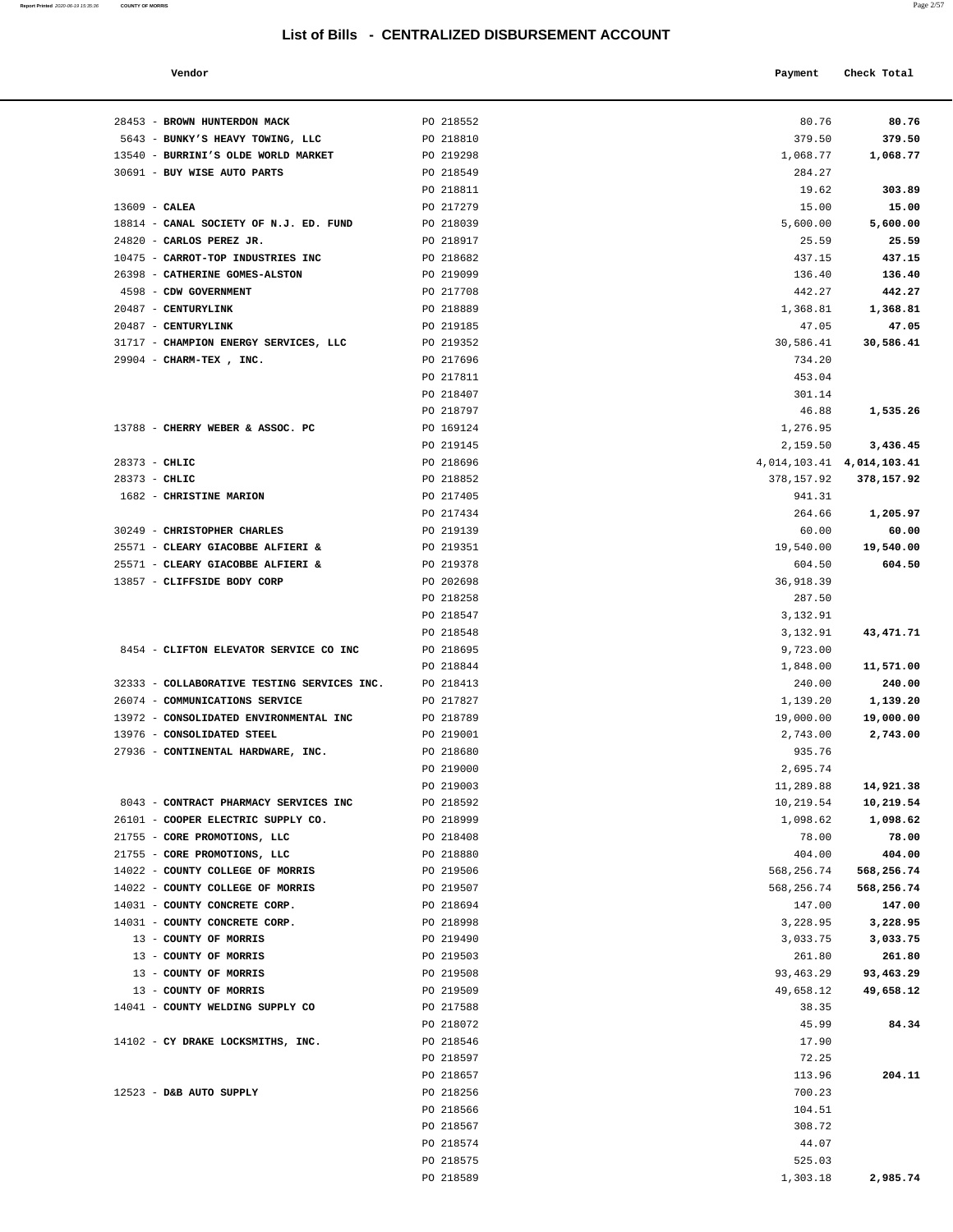28453 - **BROWN HUNTERDON MACK** PO 218552

**Report Printed** 2020-06-19 15:35:36 **COUNTY OF MORRIS** 

| a.<br>o ma | V.<br>$\sim$ |  |
|------------|--------------|--|
|            |              |  |

|                                                    | List of Bills - CENTRALIZED DISBURSEMENT ACCOUNT |                       | Page 2/57                       |
|----------------------------------------------------|--------------------------------------------------|-----------------------|---------------------------------|
| Vendor                                             |                                                  | Payment               | Check Total                     |
|                                                    |                                                  |                       |                                 |
| BROWN HUNTERDON MACK                               | PO 218552                                        | 80.76                 | 80.76                           |
| BUNKY'S HEAVY TOWING, LLC                          | PO 218810                                        | 379.50                | 379.50                          |
| BURRINI'S OLDE WORLD MARKET                        | PO 219298                                        | 1,068.77              | 1,068.77                        |
| <b>BUY WISE AUTO PARTS</b>                         | PO 218549                                        | 284.27                |                                 |
|                                                    | PO 218811                                        | 19.62                 | 303.89                          |
| CALEA                                              | PO 217279                                        | 15.00                 | 15.00                           |
| CANAL SOCIETY OF N.J. ED. FUND                     | PO 218039                                        | 5,600.00              | 5,600.00                        |
| CARLOS PEREZ JR.                                   | PO 218917                                        | 25.59                 | 25.59                           |
| CARROT-TOP INDUSTRIES INC                          | PO 218682                                        | 437.15                | 437.15                          |
| CATHERINE GOMES-ALSTON                             | PO 219099                                        | 136.40                | 136.40                          |
| CDW GOVERNMENT                                     | PO 217708                                        | 442.27                | 442.27                          |
| CENTURYLINK                                        | PO 218889                                        | 1,368.81              | 1,368.81                        |
| CENTURYLINK                                        | PO 219185                                        | 47.05                 | 47.05                           |
| CHAMPION ENERGY SERVICES, LLC                      | PO 219352                                        | 30,586.41             | 30,586.41                       |
| CHARM-TEX, INC.                                    | PO 217696                                        | 734.20                |                                 |
|                                                    | PO 217811                                        | 453.04                |                                 |
|                                                    | PO 218407                                        | 301.14                |                                 |
|                                                    | PO 218797                                        | 46.88                 | 1,535.26                        |
| CHERRY WEBER & ASSOC. PC                           | PO 169124                                        | 1,276.95              |                                 |
|                                                    | PO 219145                                        | 2,159.50              | 3,436.45                        |
| CHLIC                                              | PO 218696                                        |                       | 4, 014, 103. 41 4, 014, 103. 41 |
| CHLIC                                              | PO 218852                                        | 378,157.92            | 378,157.92                      |
| <b>CHRISTINE MARION</b>                            | PO 217405                                        | 941.31                |                                 |
|                                                    | PO 217434                                        | 264.66                | 1,205.97                        |
| <b>CHRISTOPHER CHARLES</b>                         | PO 219139                                        | 60.00                 | 60.00                           |
| <b>CLEARY GIACOBBE ALFIERI &amp;</b>               | PO 219351                                        | 19,540.00             | 19,540.00                       |
| CLEARY GIACOBBE ALFIERI &                          | PO 219378                                        | 604.50                | 604.50                          |
| CLIFFSIDE BODY CORP                                | PO 202698                                        | 36,918.39             |                                 |
|                                                    | PO 218258                                        | 287.50                |                                 |
|                                                    | PO 218547                                        | 3,132.91              |                                 |
|                                                    | PO 218548                                        | 3,132.91              | 43, 471. 71                     |
| CLIFTON ELEVATOR SERVICE CO INC                    | PO 218695                                        | 9,723.00              |                                 |
|                                                    | PO 218844                                        | 1,848.00              | 11,571.00                       |
| COLLABORATIVE TESTING SERVICES INC.                | PO 218413                                        | 240.00                | 240.00                          |
| COMMUNICATIONS SERVICE                             | PO 217827<br>PO 218789                           | 1,139.20              | 1,139.20                        |
| CONSOLIDATED ENVIRONMENTAL INC                     |                                                  | 19,000.00             | 19,000.00                       |
| CONSOLIDATED STEEL<br>CONTINENTAL HARDWARE, INC.   | PO 219001<br>PO 218680                           | 2,743.00<br>935.76    | 2,743.00                        |
|                                                    | PO 219000                                        |                       |                                 |
|                                                    | PO 219003                                        | 2,695.74<br>11,289.88 |                                 |
| CONTRACT PHARMACY SERVICES INC                     | PO 218592                                        | 10,219.54             | 14,921.38<br>10,219.54          |
|                                                    |                                                  | 1,098.62              |                                 |
| COOPER ELECTRIC SUPPLY CO.<br>CORE PROMOTIONS, LLC | PO 218999<br>PO 218408                           | 78.00                 | 1,098.62<br>78.00               |
| CORE PROMOTIONS, LLC                               | PO 218880                                        | 404.00                | 404.00                          |
| COUNTY COLLEGE OF MORRIS                           | PO 219506                                        | 568,256.74            | 568,256.74                      |
| COUNTY COLLEGE OF MORRIS                           | PO 219507                                        | 568,256.74            | 568,256.74                      |
| COUNTY CONCRETE CORP.                              | PO 218694                                        | 147.00                | 147.00                          |
| COUNTY CONCRETE CORP.                              | PO 218998                                        | 3,228.95              | 3,228.95                        |
| COUNTY OF MORRIS                                   | PO 219490                                        | 3,033.75              | 3,033.75                        |
| COUNTY OF MORRIS                                   | PO 219503                                        | 261.80                | 261.80                          |
| COUNTY OF MORRIS                                   | PO 219508                                        | 93, 463. 29           | 93,463.29                       |
| COUNTY OF MORRIS                                   | PO 219509                                        | 49,658.12             | 49,658.12                       |
| COUNTY WELDING SUPPLY CO                           | PO 217588                                        | 38.35                 |                                 |
|                                                    |                                                  |                       |                                 |

| 5643 - BUNKY'S HEAVY TOWING, LLC            | PO 218810 | 379.50                          | 379.50     |
|---------------------------------------------|-----------|---------------------------------|------------|
| 13540 - BURRINI'S OLDE WORLD MARKET         | PO 219298 | 1,068.77                        | 1,068.77   |
| 30691 - BUY WISE AUTO PARTS                 | PO 218549 | 284.27                          |            |
|                                             | PO 218811 | 19.62                           | 303.89     |
| $13609$ - CALEA                             | PO 217279 | 15.00                           | 15.00      |
| 18814 - CANAL SOCIETY OF N.J. ED. FUND      | PO 218039 | 5,600.00                        | 5,600.00   |
| 24820 - CARLOS PEREZ JR.                    | PO 218917 | 25.59                           | 25.59      |
| 10475 - CARROT-TOP INDUSTRIES INC           | PO 218682 | 437.15                          | 437.15     |
| 26398 - CATHERINE GOMES-ALSTON              | PO 219099 | 136.40                          | 136.40     |
| 4598 - CDW GOVERNMENT                       | PO 217708 | 442.27                          | 442.27     |
| 20487 - CENTURYLINK                         | PO 218889 | 1,368.81                        | 1,368.81   |
| 20487 - CENTURYLINK                         | PO 219185 | 47.05                           | 47.05      |
| 31717 - CHAMPION ENERGY SERVICES, LLC       | PO 219352 | 30,586.41                       | 30,586.41  |
| 29904 - CHARM-TEX, INC.                     | PO 217696 | 734.20                          |            |
|                                             | PO 217811 | 453.04                          |            |
|                                             | PO 218407 | 301.14                          |            |
|                                             | PO 218797 | 46.88                           | 1,535.26   |
| 13788 - CHERRY WEBER & ASSOC. PC            | PO 169124 | 1,276.95                        |            |
|                                             | PO 219145 | 2,159.50                        | 3,436.45   |
| 28373 - CHLIC                               | PO 218696 | 4, 014, 103. 41 4, 014, 103. 41 |            |
| $28373 - CHLIC$                             | PO 218852 | 378,157.92                      | 378,157.92 |
| 1682 - CHRISTINE MARION                     | PO 217405 | 941.31                          |            |
|                                             | PO 217434 | 264.66                          | 1,205.97   |
| 30249 - CHRISTOPHER CHARLES                 | PO 219139 | 60.00                           | 60.00      |
| 25571 - CLEARY GIACOBBE ALFIERI &           | PO 219351 | 19,540.00                       | 19,540.00  |
| 25571 - CLEARY GIACOBBE ALFIERI &           | PO 219378 | 604.50                          | 604.50     |
| 13857 - CLIFFSIDE BODY CORP                 | PO 202698 | 36, 918.39                      |            |
|                                             | PO 218258 | 287.50                          |            |
|                                             | PO 218547 | 3,132.91                        |            |
|                                             | PO 218548 | 3,132.91                        | 43, 471.71 |
| 8454 - CLIFTON ELEVATOR SERVICE CO INC      | PO 218695 | 9,723.00                        |            |
|                                             | PO 218844 | 1,848.00                        | 11,571.00  |
| 32333 - COLLABORATIVE TESTING SERVICES INC. | PO 218413 | 240.00                          | 240.00     |
| 26074 - COMMUNICATIONS SERVICE              | PO 217827 | 1,139.20                        | 1,139.20   |
| 13972 - CONSOLIDATED ENVIRONMENTAL INC      | PO 218789 | 19,000.00                       | 19,000.00  |
| 13976 - CONSOLIDATED STEEL                  | PO 219001 | 2,743.00                        | 2,743.00   |
| 27936 - CONTINENTAL HARDWARE, INC.          | PO 218680 | 935.76                          |            |
|                                             | PO 219000 | 2,695.74                        |            |
|                                             | PO 219003 | 11,289.88                       | 14,921.38  |
| 8043 - CONTRACT PHARMACY SERVICES INC       | PO 218592 | 10,219.54                       | 10,219.54  |
| 26101 - COOPER ELECTRIC SUPPLY CO.          | PO 218999 | 1,098.62                        | 1,098.62   |
| 21755 - CORE PROMOTIONS, LLC                | PO 218408 | 78.00                           | 78.00      |
| 21755 - CORE PROMOTIONS, LLC                | PO 218880 | 404.00                          | 404.00     |
| 14022 - COUNTY COLLEGE OF MORRIS            | PO 219506 | 568,256.74                      | 568,256.74 |
| 14022 - COUNTY COLLEGE OF MORRIS            | PO 219507 | 568,256.74                      | 568,256.74 |
| 14031 - COUNTY CONCRETE CORP.               | PO 218694 | 147.00                          | 147.00     |
| 14031 - COUNTY CONCRETE CORP.               | PO 218998 | 3,228.95                        | 3,228.95   |
| 13 - COUNTY OF MORRIS                       | PO 219490 | 3,033.75                        | 3,033.75   |
| 13 - COUNTY OF MORRIS                       | PO 219503 | 261.80                          | 261.80     |
| 13 - COUNTY OF MORRIS                       | PO 219508 | 93,463.29                       | 93,463.29  |
| 13 - COUNTY OF MORRIS                       | PO 219509 | 49,658.12                       | 49,658.12  |
| 14041 - COUNTY WELDING SUPPLY CO            | PO 217588 | 38.35                           |            |
|                                             | PO 218072 | 45.99                           | 84.34      |
| 14102 - CY DRAKE LOCKSMITHS, INC.           | PO 218546 | 17.90                           |            |
|                                             | PO 218597 | 72.25                           |            |
|                                             | PO 218657 | 113.96                          | 204.11     |
| $12523$ - D&B AUTO SUPPLY                   | PO 218256 | 700.23                          |            |
|                                             | PO 218566 | 104.51                          |            |
|                                             | PO 218567 | 308.72                          |            |
|                                             | PO 218574 | 44.07                           |            |
|                                             | PO 218575 | 525.03                          |            |

PO 218589 1,303.18 **2,985.74**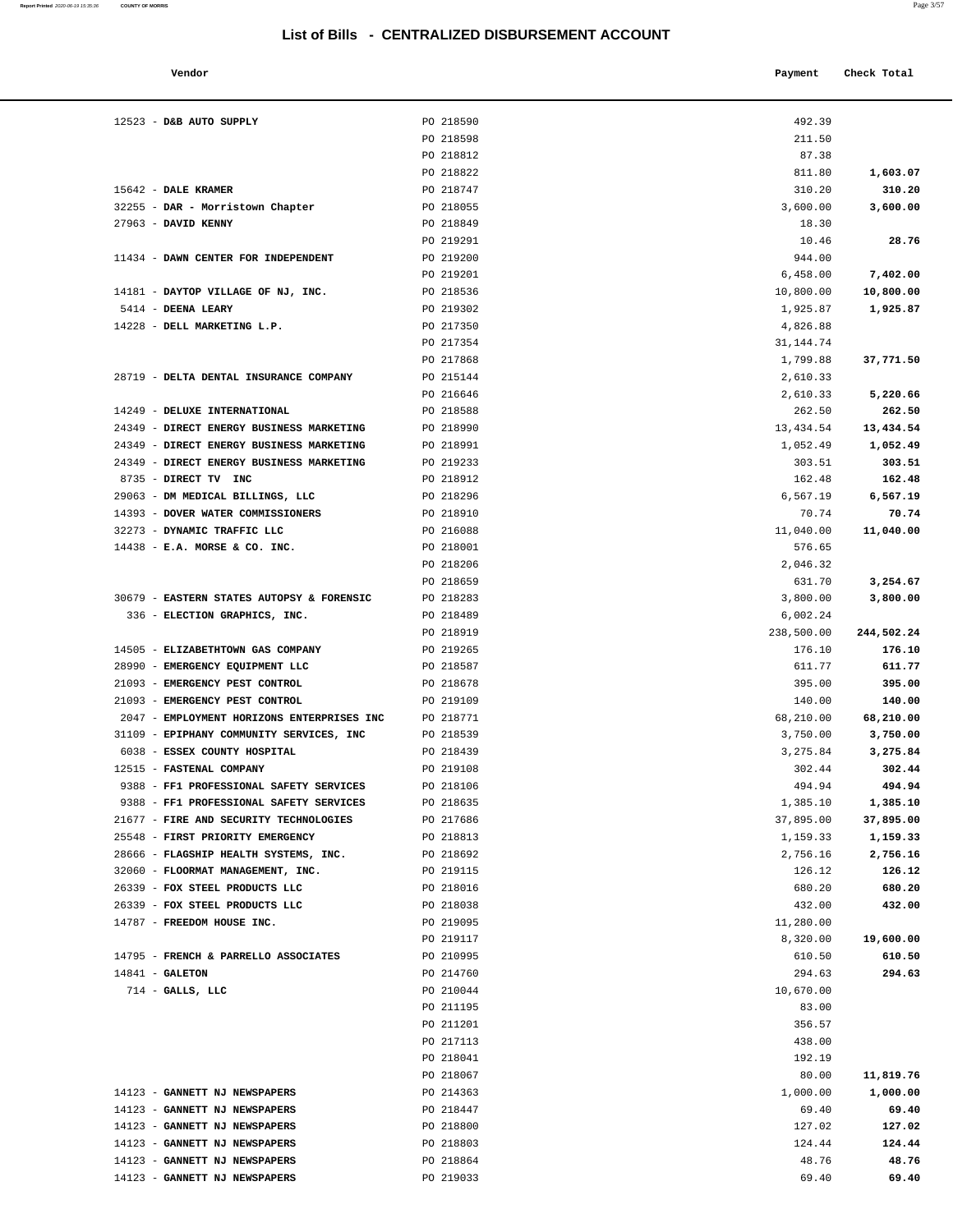| Vendor | Payment | Check Total |
|--------|---------|-------------|
|        |         |             |

| 12523 - D&B AUTO SUPPLY                    | PO 218590              | 492.39     |            |
|--------------------------------------------|------------------------|------------|------------|
|                                            | PO 218598              | 211.50     |            |
|                                            | PO 218812              | 87.38      |            |
|                                            | PO 218822              | 811.80     | 1,603.07   |
| 15642 - DALE KRAMER                        | PO 218747              | 310.20     | 310.20     |
| 32255 - DAR - Morristown Chapter           | PO 218055              | 3,600.00   | 3,600.00   |
| 27963 - DAVID KENNY                        | PO 218849              | 18.30      |            |
|                                            | PO 219291              | 10.46      | 28.76      |
| 11434 - DAWN CENTER FOR INDEPENDENT        | PO 219200              | 944.00     |            |
|                                            | PO 219201              | 6,458.00   | 7,402.00   |
| 14181 - DAYTOP VILLAGE OF NJ, INC.         | PO 218536              | 10,800.00  | 10,800.00  |
| 5414 - DEENA LEARY                         | PO 219302              | 1,925.87   | 1,925.87   |
| 14228 - DELL MARKETING L.P.                | PO 217350              | 4,826.88   |            |
|                                            | PO 217354              | 31,144.74  |            |
|                                            | PO 217868              | 1,799.88   | 37,771.50  |
| 28719 - DELTA DENTAL INSURANCE COMPANY     | PO 215144              | 2,610.33   |            |
|                                            | PO 216646              | 2,610.33   | 5,220.66   |
| 14249 - DELUXE INTERNATIONAL               | PO 218588              | 262.50     | 262.50     |
| 24349 - DIRECT ENERGY BUSINESS MARKETING   | PO 218990              | 13,434.54  | 13,434.54  |
| 24349 - DIRECT ENERGY BUSINESS MARKETING   | PO 218991              | 1,052.49   | 1,052.49   |
| 24349 - DIRECT ENERGY BUSINESS MARKETING   | PO 219233              | 303.51     | 303.51     |
| 8735 - DIRECT TV INC                       | PO 218912              | 162.48     | 162.48     |
| 29063 - DM MEDICAL BILLINGS, LLC           | PO 218296              | 6,567.19   | 6,567.19   |
| 14393 - DOVER WATER COMMISSIONERS          | PO 218910              | 70.74      | 70.74      |
| 32273 - DYNAMIC TRAFFIC LLC                | PO 216088              | 11,040.00  | 11,040.00  |
| 14438 - E.A. MORSE & CO. INC.              | PO 218001              | 576.65     |            |
|                                            | PO 218206              | 2,046.32   |            |
|                                            | PO 218659              | 631.70     | 3,254.67   |
| 30679 - EASTERN STATES AUTOPSY & FORENSIC  | PO 218283              | 3,800.00   | 3,800.00   |
| 336 - ELECTION GRAPHICS, INC.              | PO 218489              | 6,002.24   |            |
|                                            | PO 218919              | 238,500.00 | 244,502.24 |
| 14505 - ELIZABETHTOWN GAS COMPANY          | PO 219265              | 176.10     | 176.10     |
| 28990 - EMERGENCY EQUIPMENT LLC            | PO 218587              | 611.77     | 611.77     |
| 21093 - EMERGENCY PEST CONTROL             | PO 218678              | 395.00     | 395.00     |
| 21093 - EMERGENCY PEST CONTROL             | PO 219109              | 140.00     | 140.00     |
| 2047 - EMPLOYMENT HORIZONS ENTERPRISES INC | PO 218771              | 68,210.00  | 68,210.00  |
| 31109 - EPIPHANY COMMUNITY SERVICES, INC   | PO 218539              | 3,750.00   | 3,750.00   |
| 6038 - ESSEX COUNTY HOSPITAL               | PO 218439              | 3,275.84   | 3,275.84   |
| 12515 - FASTENAL COMPANY                   | PO 219108              | 302.44     | 302.44     |
| 9388 - FF1 PROFESSIONAL SAFETY SERVICES    | PO 218106              | 494.94     | 494.94     |
| 9388 - FF1 PROFESSIONAL SAFETY SERVICES    | PO 218635              | 1,385.10   | 1,385.10   |
| 21677 - FIRE AND SECURITY TECHNOLOGIES     | PO 217686              | 37,895.00  | 37,895.00  |
| 25548 - FIRST PRIORITY EMERGENCY           | PO 218813              | 1,159.33   | 1,159.33   |
| 28666 - FLAGSHIP HEALTH SYSTEMS, INC.      | PO 218692              | 2,756.16   | 2,756.16   |
| 32060 - FLOORMAT MANAGEMENT, INC.          | PO 219115              | 126.12     | 126.12     |
| 26339 - FOX STEEL PRODUCTS LLC             | PO 218016              | 680.20     | 680.20     |
| 26339 - FOX STEEL PRODUCTS LLC             | PO 218038              | 432.00     | 432.00     |
| 14787 - FREEDOM HOUSE INC.                 | PO 219095              | 11,280.00  |            |
|                                            | PO 219117              | 8,320.00   | 19,600.00  |
| 14795 - FRENCH & PARRELLO ASSOCIATES       | PO 210995              | 610.50     | 610.50     |
| $14841$ - GALETON                          | PO 214760              | 294.63     | 294.63     |
| $714$ - GALLS, LLC                         | PO 210044              | 10,670.00  |            |
|                                            | PO 211195              | 83.00      |            |
|                                            | PO 211201              | 356.57     |            |
|                                            | PO 217113              | 438.00     |            |
|                                            | PO 218041              | 192.19     |            |
|                                            | PO 218067              | 80.00      | 11,819.76  |
| 14123 - GANNETT NJ NEWSPAPERS              | PO 214363              | 1,000.00   | 1,000.00   |
| 14123 - GANNETT NJ NEWSPAPERS              | PO 218447              | 69.40      | 69.40      |
| 14123 - GANNETT NJ NEWSPAPERS              | PO 218800              | 127.02     | 127.02     |
| 14123 - GANNETT NJ NEWSPAPERS              | PO 218803              | 124.44     | 124.44     |
| 14123 - GANNETT NJ NEWSPAPERS              |                        | 48.76      | 48.76      |
| 14123 - GANNETT NJ NEWSPAPERS              | PO 218864<br>PO 219033 | 69.40      | 69.40      |
|                                            |                        |            |            |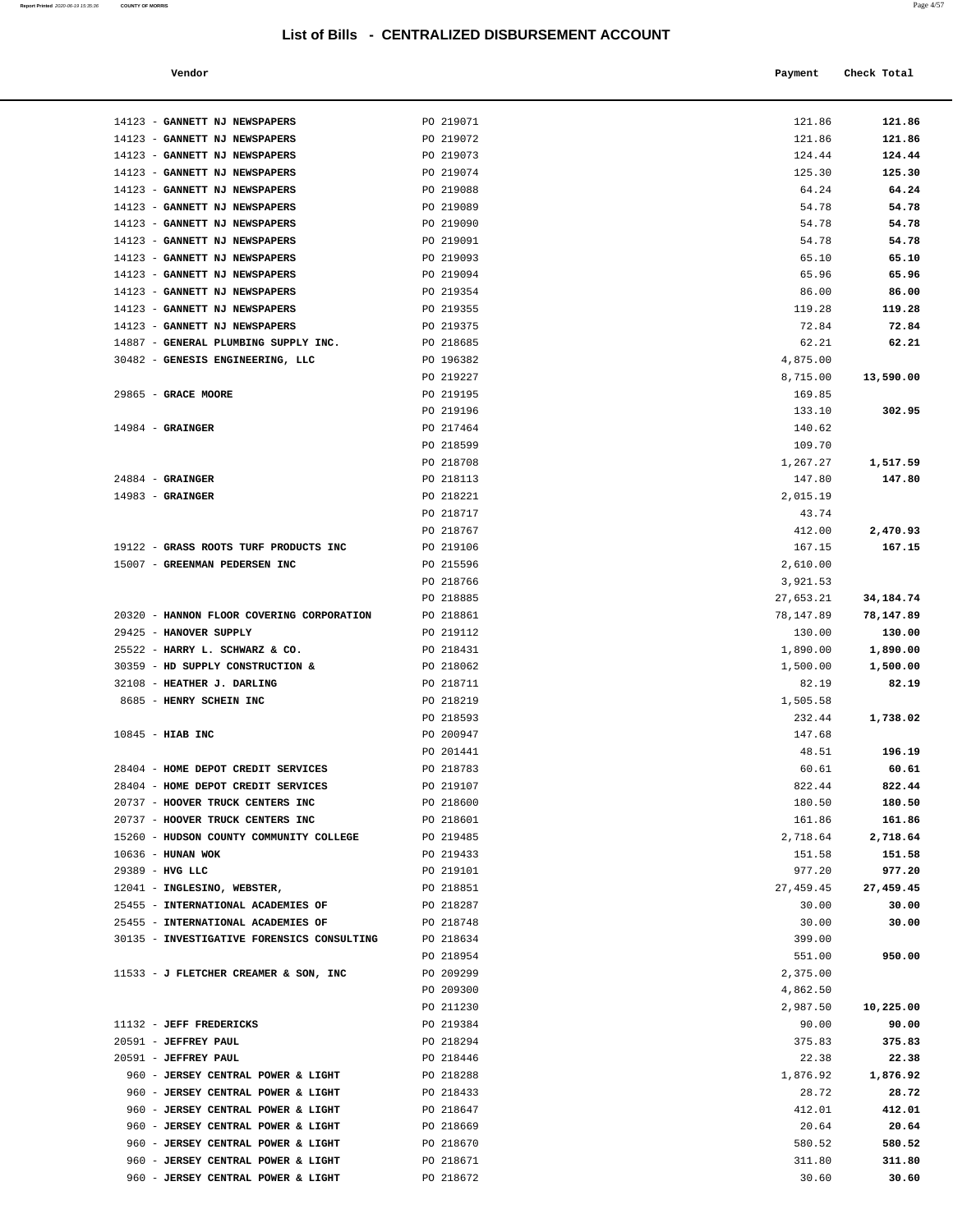| Vendor | Payment | Check Total |
|--------|---------|-------------|
|        |         |             |

| 14123 - GANNETT NJ NEWSPAPERS                                               | PO 219071              | 121.86                | 121.86             |
|-----------------------------------------------------------------------------|------------------------|-----------------------|--------------------|
| 14123 - GANNETT NJ NEWSPAPERS                                               | PO 219072              | 121.86                | 121.86             |
| 14123 - GANNETT NJ NEWSPAPERS                                               | PO 219073              | 124.44                | 124.44             |
| 14123 - GANNETT NJ NEWSPAPERS                                               | PO 219074              | 125.30                | 125.30             |
| 14123 - GANNETT NJ NEWSPAPERS                                               | PO 219088              | 64.24                 | 64.24              |
| 14123 - GANNETT NJ NEWSPAPERS                                               | PO 219089              | 54.78                 | 54.78              |
| 14123 - GANNETT NJ NEWSPAPERS                                               | PO 219090              | 54.78                 | 54.78              |
| 14123 - GANNETT NJ NEWSPAPERS                                               | PO 219091              | 54.78                 | 54.78              |
| 14123 - GANNETT NJ NEWSPAPERS                                               | PO 219093              | 65.10                 | 65.10              |
| 14123 - GANNETT NJ NEWSPAPERS                                               | PO 219094              | 65.96                 | 65.96              |
| 14123 - GANNETT NJ NEWSPAPERS                                               | PO 219354<br>PO 219355 | 86.00<br>119.28       | 86.00<br>119.28    |
| 14123 - GANNETT NJ NEWSPAPERS<br>14123 - GANNETT NJ NEWSPAPERS              | PO 219375              | 72.84                 | 72.84              |
| 14887 - GENERAL PLUMBING SUPPLY INC.                                        | PO 218685              | 62.21                 | 62.21              |
| 30482 - GENESIS ENGINEERING, LLC                                            | PO 196382              | 4,875.00              |                    |
|                                                                             | PO 219227              | 8,715.00              | 13,590.00          |
| 29865 - GRACE MOORE                                                         | PO 219195              | 169.85                |                    |
|                                                                             | PO 219196              | 133.10                | 302.95             |
| $14984$ - GRAINGER                                                          | PO 217464              | 140.62                |                    |
|                                                                             | PO 218599              | 109.70                |                    |
|                                                                             | PO 218708              | 1,267.27              | 1,517.59           |
| $24884$ - GRAINGER                                                          | PO 218113              | 147.80                | 147.80             |
| $14983$ - GRAINGER                                                          | PO 218221              | 2,015.19              |                    |
|                                                                             | PO 218717              | 43.74                 |                    |
|                                                                             | PO 218767              | 412.00                | 2,470.93           |
| 19122 - GRASS ROOTS TURF PRODUCTS INC                                       | PO 219106              | 167.15                | 167.15             |
| 15007 - GREENMAN PEDERSEN INC                                               | PO 215596              | 2,610.00              |                    |
|                                                                             | PO 218766<br>PO 218885 | 3,921.53<br>27,653.21 | 34,184.74          |
| 20320 - HANNON FLOOR COVERING CORPORATION                                   | PO 218861              | 78,147.89             | 78,147.89          |
| 29425 - HANOVER SUPPLY                                                      | PO 219112              | 130.00                | 130.00             |
| 25522 - HARRY L. SCHWARZ & CO.                                              | PO 218431              | 1,890.00              | 1,890.00           |
| 30359 - HD SUPPLY CONSTRUCTION &                                            | PO 218062              | 1,500.00              | 1,500.00           |
| 32108 - HEATHER J. DARLING                                                  | PO 218711              | 82.19                 | 82.19              |
| 8685 - HENRY SCHEIN INC                                                     | PO 218219              | 1,505.58              |                    |
|                                                                             | PO 218593              | 232.44                | 1,738.02           |
| 10845 - HIAB INC                                                            | PO 200947              | 147.68                |                    |
|                                                                             | PO 201441              | 48.51                 | 196.19             |
| 28404 - HOME DEPOT CREDIT SERVICES                                          | PO 218783              | 60.61                 | 60.61              |
| 28404 - HOME DEPOT CREDIT SERVICES                                          | PO 219107              | 822.44                | 822.44             |
| 20737 - HOOVER TRUCK CENTERS INC                                            | PO 218600              | 180.50                | 180.50             |
| 20737 - HOOVER TRUCK CENTERS INC<br>15260 - HUDSON COUNTY COMMUNITY COLLEGE | PO 218601<br>PO 219485 | 161.86<br>2,718.64    | 161.86             |
| 10636 - HUNAN WOK                                                           | PO 219433              | 151.58                | 2,718.64<br>151.58 |
| 29389 - HVG LLC                                                             | PO 219101              | 977.20                | 977.20             |
| 12041 - INGLESINO, WEBSTER,                                                 | PO 218851              | 27, 459.45            | 27,459.45          |
| 25455 - INTERNATIONAL ACADEMIES OF                                          | PO 218287              | 30.00                 | 30.00              |
| 25455 - INTERNATIONAL ACADEMIES OF                                          | PO 218748              | 30.00                 | 30.00              |
| 30135 - INVESTIGATIVE FORENSICS CONSULTING                                  | PO 218634              | 399.00                |                    |
|                                                                             | PO 218954              | 551.00                | 950.00             |
| 11533 - J FLETCHER CREAMER & SON, INC                                       | PO 209299              | 2,375.00              |                    |
|                                                                             | PO 209300              | 4,862.50              |                    |
|                                                                             | PO 211230              | 2,987.50              | 10,225.00          |
| 11132 - JEFF FREDERICKS                                                     | PO 219384              | 90.00                 | 90.00              |
| 20591 - JEFFREY PAUL                                                        | PO 218294              | 375.83                | 375.83             |
| 20591 - JEFFREY PAUL                                                        | PO 218446              | 22.38                 | 22.38              |
| 960 - JERSEY CENTRAL POWER & LIGHT<br>960 - JERSEY CENTRAL POWER & LIGHT    | PO 218288<br>PO 218433 | 1,876.92<br>28.72     | 1,876.92<br>28.72  |
| 960 - JERSEY CENTRAL POWER & LIGHT                                          | PO 218647              | 412.01                | 412.01             |
| 960 - JERSEY CENTRAL POWER & LIGHT                                          | PO 218669              | 20.64                 | 20.64              |
| 960 - JERSEY CENTRAL POWER & LIGHT                                          | PO 218670              | 580.52                | 580.52             |
| 960 - JERSEY CENTRAL POWER & LIGHT                                          | PO 218671              | 311.80                | 311.80             |
| 960 - JERSEY CENTRAL POWER & LIGHT                                          | PO 218672              | 30.60                 | 30.60              |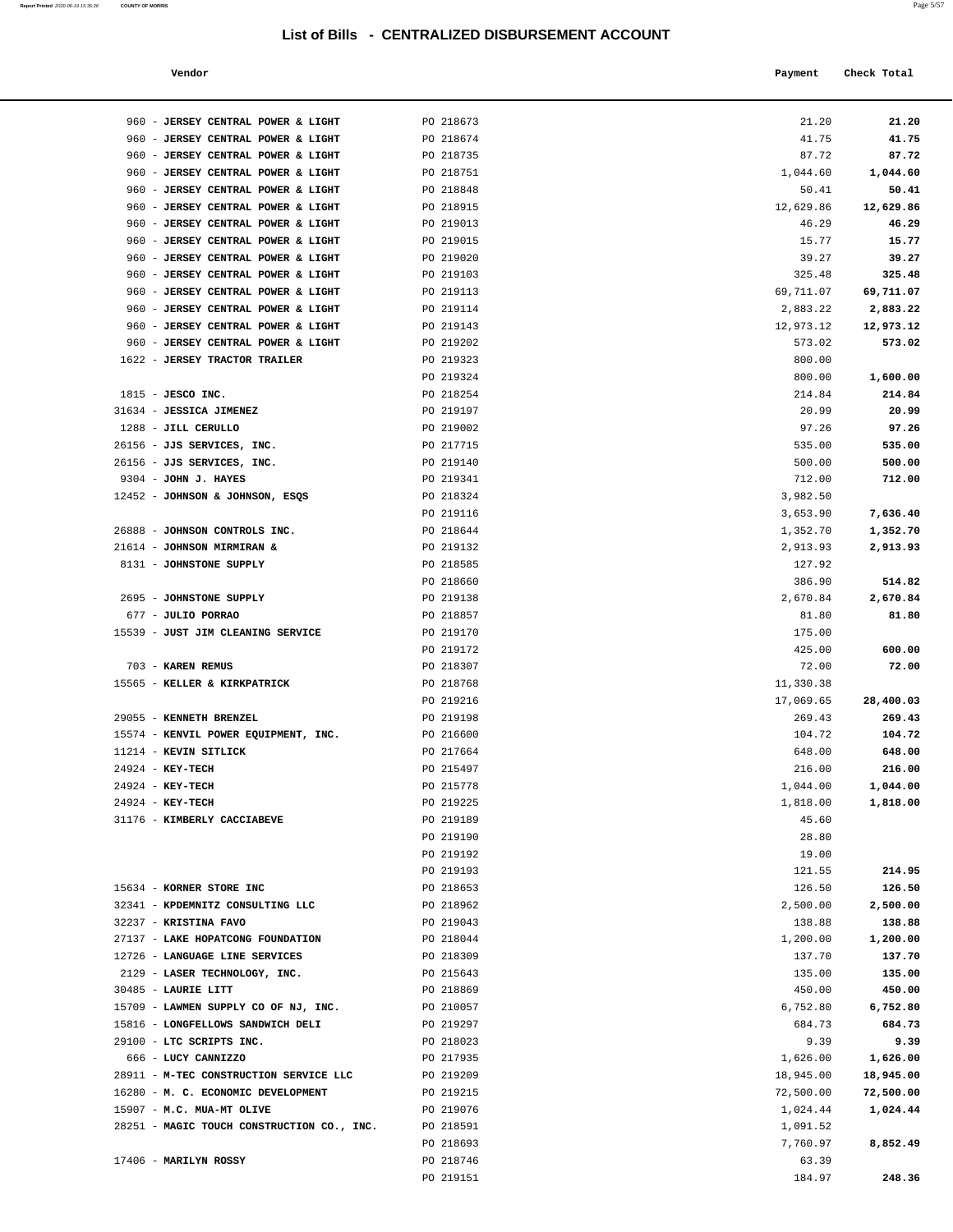| Report Printed 2020-06-19 15:35:36<br>the contract of the contract of the contract of the contract of the contract of the contract of the contract of | <b>COUNTY OF MORRIS</b> |  |  | $-100$<br>Page 5/57 |
|-------------------------------------------------------------------------------------------------------------------------------------------------------|-------------------------|--|--|---------------------|
|                                                                                                                                                       |                         |  |  |                     |

| Vendor |  | Payment Check Total |
|--------|--|---------------------|
|--------|--|---------------------|

| 960 - JERSEY CENTRAL POWER & LIGHT                                       | PO 218673              | 21.20            | 21.20            |
|--------------------------------------------------------------------------|------------------------|------------------|------------------|
| 960 - JERSEY CENTRAL POWER & LIGHT                                       | PO 218674              | 41.75            | 41.75            |
| 960 - JERSEY CENTRAL POWER & LIGHT                                       | PO 218735              | 87.72            | 87.72            |
| 960 - JERSEY CENTRAL POWER & LIGHT                                       | PO 218751              | 1,044.60         | 1,044.60         |
| 960 - JERSEY CENTRAL POWER & LIGHT                                       | PO 218848              | 50.41            | 50.41            |
| 960 - JERSEY CENTRAL POWER & LIGHT                                       | PO 218915              | 12,629.86        | 12,629.86        |
| 960 - JERSEY CENTRAL POWER & LIGHT                                       | PO 219013              | 46.29            | 46.29            |
| 960 - JERSEY CENTRAL POWER & LIGHT                                       | PO 219015              | 15.77<br>39.27   | 15.77            |
| 960 - JERSEY CENTRAL POWER & LIGHT<br>960 - JERSEY CENTRAL POWER & LIGHT | PO 219020<br>PO 219103 | 325.48           | 39.27<br>325.48  |
| 960 - JERSEY CENTRAL POWER & LIGHT                                       | PO 219113              | 69,711.07        | 69,711.07        |
| 960 - JERSEY CENTRAL POWER & LIGHT                                       | PO 219114              | 2,883.22         | 2,883.22         |
| 960 - JERSEY CENTRAL POWER & LIGHT                                       | PO 219143              | 12,973.12        | 12,973.12        |
| 960 - JERSEY CENTRAL POWER & LIGHT                                       | PO 219202              | 573.02           | 573.02           |
| 1622 - JERSEY TRACTOR TRAILER                                            | PO 219323              | 800.00           |                  |
|                                                                          | PO 219324              | 800.00           | 1,600.00         |
| $1815$ - JESCO INC.                                                      | PO 218254              | 214.84           | 214.84           |
| 31634 - JESSICA JIMENEZ                                                  | PO 219197              | 20.99            | 20.99            |
| 1288 - JILL CERULLO                                                      | PO 219002              | 97.26            | 97.26            |
| 26156 - JJS SERVICES, INC.<br>26156 - JJS SERVICES, INC.                 | PO 217715<br>PO 219140 | 535.00<br>500.00 | 535.00<br>500.00 |
| 9304 - JOHN J. HAYES                                                     | PO 219341              | 712.00           | 712.00           |
| 12452 - JOHNSON & JOHNSON, ESQS                                          | PO 218324              | 3,982.50         |                  |
|                                                                          | PO 219116              | 3,653.90         | 7,636.40         |
| 26888 - JOHNSON CONTROLS INC.                                            | PO 218644              | 1,352.70         | 1,352.70         |
| 21614 - JOHNSON MIRMIRAN &                                               | PO 219132              | 2,913.93         | 2,913.93         |
| 8131 - JOHNSTONE SUPPLY                                                  | PO 218585              | 127.92           |                  |
|                                                                          | PO 218660              | 386.90           | 514.82           |
| 2695 - JOHNSTONE SUPPLY                                                  | PO 219138              | 2,670.84         | 2,670.84         |
| 677 - JULIO PORRAO                                                       | PO 218857              | 81.80            | 81.80            |
| 15539 - JUST JIM CLEANING SERVICE                                        | PO 219170              | 175.00           |                  |
| 703 - KAREN REMUS                                                        | PO 219172<br>PO 218307 | 425.00<br>72.00  | 600.00<br>72.00  |
| 15565 - KELLER & KIRKPATRICK                                             | PO 218768              | 11,330.38        |                  |
|                                                                          | PO 219216              | 17,069.65        | 28,400.03        |
| 29055 - KENNETH BRENZEL                                                  | PO 219198              | 269.43           | 269.43           |
| 15574 - KENVIL POWER EQUIPMENT, INC.                                     | PO 216600              | 104.72           | 104.72           |
| 11214 - KEVIN SITLICK                                                    | PO 217664              | 648.00           | 648.00           |
| 24924 - KEY-TECH                                                         | PO 215497              | 216.00           | 216.00           |
| 24924 - KEY-TECH                                                         | PO 215778              | 1,044.00         | 1,044.00         |
| 24924 - KEY-TECH                                                         | PO 219225              | 1,818.00         | 1,818.00         |
| 31176 - KIMBERLY CACCIABEVE                                              | PO 219189              | 45.60            |                  |
|                                                                          | PO 219190<br>PO 219192 | 28.80<br>19.00   |                  |
|                                                                          | PO 219193              | 121.55           | 214.95           |
| 15634 - KORNER STORE INC                                                 | PO 218653              | 126.50           | 126.50           |
| 32341 - KPDEMNITZ CONSULTING LLC                                         | PO 218962              | 2,500.00         | 2,500.00         |
| 32237 - KRISTINA FAVO                                                    | PO 219043              | 138.88           | 138.88           |
| 27137 - LAKE HOPATCONG FOUNDATION                                        | PO 218044              | 1,200.00         | 1,200.00         |
| 12726 - LANGUAGE LINE SERVICES                                           | PO 218309              | 137.70           | 137.70           |
| 2129 - LASER TECHNOLOGY, INC.                                            | PO 215643              | 135.00           | 135.00           |
| 30485 - LAURIE LITT                                                      | PO 218869              | 450.00           | 450.00           |
| 15709 - LAWMEN SUPPLY CO OF NJ, INC.                                     | PO 210057              | 6,752.80         | 6,752.80         |
| 15816 - LONGFELLOWS SANDWICH DELI<br>29100 - LTC SCRIPTS INC.            | PO 219297<br>PO 218023 | 684.73<br>9.39   | 684.73<br>9.39   |
| 666 - LUCY CANNIZZO                                                      | PO 217935              | 1,626.00         | 1,626.00         |
| 28911 - M-TEC CONSTRUCTION SERVICE LLC                                   | PO 219209              | 18,945.00        | 18,945.00        |
| 16280 - M. C. ECONOMIC DEVELOPMENT                                       | PO 219215              | 72,500.00        | 72,500.00        |
| 15907 - M.C. MUA-MT OLIVE                                                | PO 219076              | 1,024.44         | 1,024.44         |
| 28251 - MAGIC TOUCH CONSTRUCTION CO., INC.                               | PO 218591              | 1,091.52         |                  |
|                                                                          | PO 218693              | 7,760.97         | 8,852.49         |
| 17406 - MARILYN ROSSY                                                    | PO 218746              | 63.39            |                  |
|                                                                          | PO 219151              | 184.97           | 248.36           |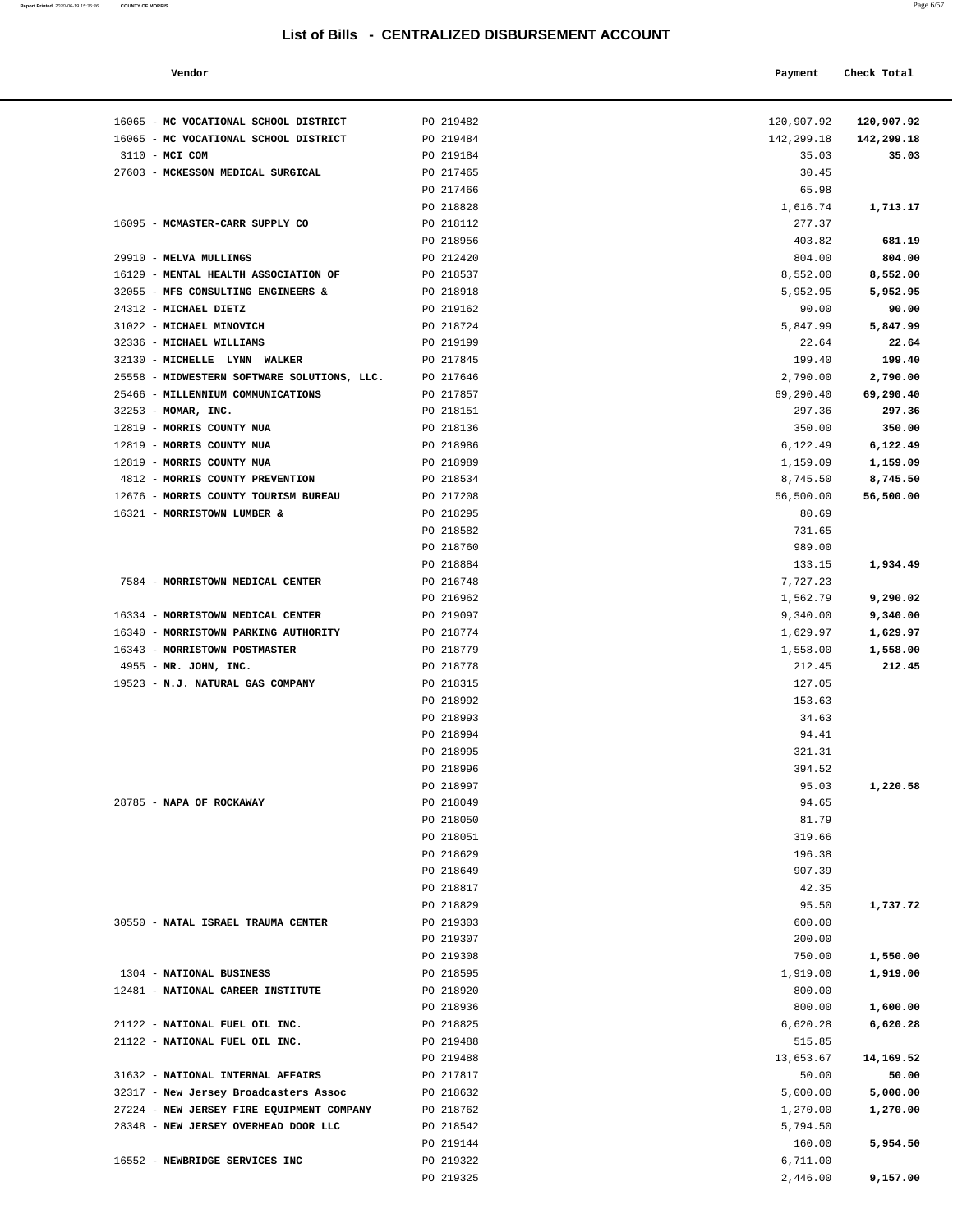| Report Printed 2020-06-19 15:35:36   COUNTY OF MORRIS | Page 6/57 |
|-------------------------------------------------------|-----------|
|                                                       |           |

| Vendor |  | Payment Check Total |
|--------|--|---------------------|
|--------|--|---------------------|

| 16065 - MC VOCATIONAL SCHOOL DISTRICT                                             | PO 219482              | 120,907.92           | 120,907.92          |
|-----------------------------------------------------------------------------------|------------------------|----------------------|---------------------|
| 16065 - MC VOCATIONAL SCHOOL DISTRICT<br>3110 - MCI COM                           | PO 219484<br>PO 219184 | 142,299.18<br>35.03  | 142,299.18<br>35.03 |
| 27603 - MCKESSON MEDICAL SURGICAL                                                 | PO 217465              | 30.45                |                     |
|                                                                                   | PO 217466              | 65.98                |                     |
|                                                                                   | PO 218828              | 1,616.74             | 1,713.17            |
| 16095 - MCMASTER-CARR SUPPLY CO                                                   | PO 218112              | 277.37               |                     |
|                                                                                   | PO 218956              | 403.82               | 681.19              |
| 29910 - MELVA MULLINGS                                                            | PO 212420              | 804.00               | 804.00              |
| 16129 - MENTAL HEALTH ASSOCIATION OF                                              | PO 218537              | 8,552.00             | 8,552.00            |
| 32055 - MFS CONSULTING ENGINEERS &                                                | PO 218918              | 5,952.95             | 5,952.95            |
| 24312 - MICHAEL DIETZ                                                             | PO 219162              | 90.00                | 90.00               |
| 31022 - MICHAEL MINOVICH                                                          | PO 218724              | 5,847.99             | 5,847.99            |
| 32336 - MICHAEL WILLIAMS                                                          | PO 219199              | 22.64                | 22.64               |
| 32130 - MICHELLE LYNN WALKER                                                      | PO 217845              | 199.40               | 199.40              |
| 25558 - MIDWESTERN SOFTWARE SOLUTIONS, LLC.                                       | PO 217646              | 2,790.00             | 2,790.00            |
| 25466 - MILLENNIUM COMMUNICATIONS                                                 | PO 217857<br>PO 218151 | 69,290.40            | 69,290.40           |
| 32253 - MOMAR, INC.<br>12819 - MORRIS COUNTY MUA                                  | PO 218136              | 297.36<br>350.00     | 297.36<br>350.00    |
| 12819 - MORRIS COUNTY MUA                                                         | PO 218986              | 6,122.49             | 6,122.49            |
| 12819 - MORRIS COUNTY MUA                                                         | PO 218989              | 1,159.09             | 1,159.09            |
| 4812 - MORRIS COUNTY PREVENTION                                                   | PO 218534              | 8,745.50             | 8,745.50            |
| 12676 - MORRIS COUNTY TOURISM BUREAU                                              | PO 217208              | 56,500.00            | 56,500.00           |
| 16321 - MORRISTOWN LUMBER &                                                       | PO 218295              | 80.69                |                     |
|                                                                                   | PO 218582              | 731.65               |                     |
|                                                                                   | PO 218760              | 989.00               |                     |
|                                                                                   | PO 218884              | 133.15               | 1,934.49            |
| 7584 - MORRISTOWN MEDICAL CENTER                                                  | PO 216748              | 7,727.23             |                     |
|                                                                                   | PO 216962              | 1,562.79             | 9,290.02            |
| 16334 - MORRISTOWN MEDICAL CENTER                                                 | PO 219097              | 9,340.00             | 9,340.00            |
| 16340 - MORRISTOWN PARKING AUTHORITY                                              | PO 218774              | 1,629.97             | 1,629.97            |
| 16343 - MORRISTOWN POSTMASTER                                                     | PO 218779              | 1,558.00             | 1,558.00            |
| 4955 - MR. JOHN, INC.                                                             | PO 218778              | 212.45               | 212.45              |
| 19523 - N.J. NATURAL GAS COMPANY                                                  | PO 218315              | 127.05               |                     |
|                                                                                   | PO 218992              | 153.63               |                     |
|                                                                                   | PO 218993              | 34.63                |                     |
|                                                                                   | PO 218994<br>PO 218995 | 94.41<br>321.31      |                     |
|                                                                                   | PO 218996              | 394.52               |                     |
|                                                                                   | PO 218997              | 95.03                | 1,220.58            |
| 28785 - NAPA OF ROCKAWAY                                                          | PO 218049              | 94.65                |                     |
|                                                                                   | PO 218050              | 81.79                |                     |
|                                                                                   | PO 218051              | 319.66               |                     |
|                                                                                   | PO 218629              | 196.38               |                     |
|                                                                                   | PO 218649              | 907.39               |                     |
|                                                                                   | PO 218817              | 42.35                |                     |
|                                                                                   | PO 218829              | 95.50                | 1,737.72            |
| 30550 - NATAL ISRAEL TRAUMA CENTER                                                | PO 219303              | 600.00               |                     |
|                                                                                   | PO 219307              | 200.00               |                     |
|                                                                                   | PO 219308              | 750.00               | 1,550.00            |
| 1304 - NATIONAL BUSINESS                                                          | PO 218595              | 1,919.00             | 1,919.00            |
| 12481 - NATIONAL CAREER INSTITUTE                                                 | PO 218920              | 800.00               |                     |
|                                                                                   | PO 218936              | 800.00               | 1,600.00            |
| 21122 - NATIONAL FUEL OIL INC.                                                    | PO 218825              | 6,620.28             | 6,620.28            |
| 21122 - NATIONAL FUEL OIL INC.                                                    | PO 219488              | 515.85               |                     |
|                                                                                   | PO 219488              | 13,653.67            | 14,169.52           |
| 31632 - NATIONAL INTERNAL AFFAIRS                                                 | PO 217817              | 50.00                | 50.00               |
| 32317 - New Jersey Broadcasters Assoc                                             | PO 218632              | 5,000.00             | 5,000.00            |
| 27224 - NEW JERSEY FIRE EQUIPMENT COMPANY<br>28348 - NEW JERSEY OVERHEAD DOOR LLC | PO 218762<br>PO 218542 | 1,270.00<br>5,794.50 | 1,270.00            |
|                                                                                   | PO 219144              | 160.00               | 5,954.50            |
| 16552 - NEWBRIDGE SERVICES INC                                                    | PO 219322              | 6,711.00             |                     |
|                                                                                   | PO 219325              | 2,446.00             | 9,157.00            |
|                                                                                   |                        |                      |                     |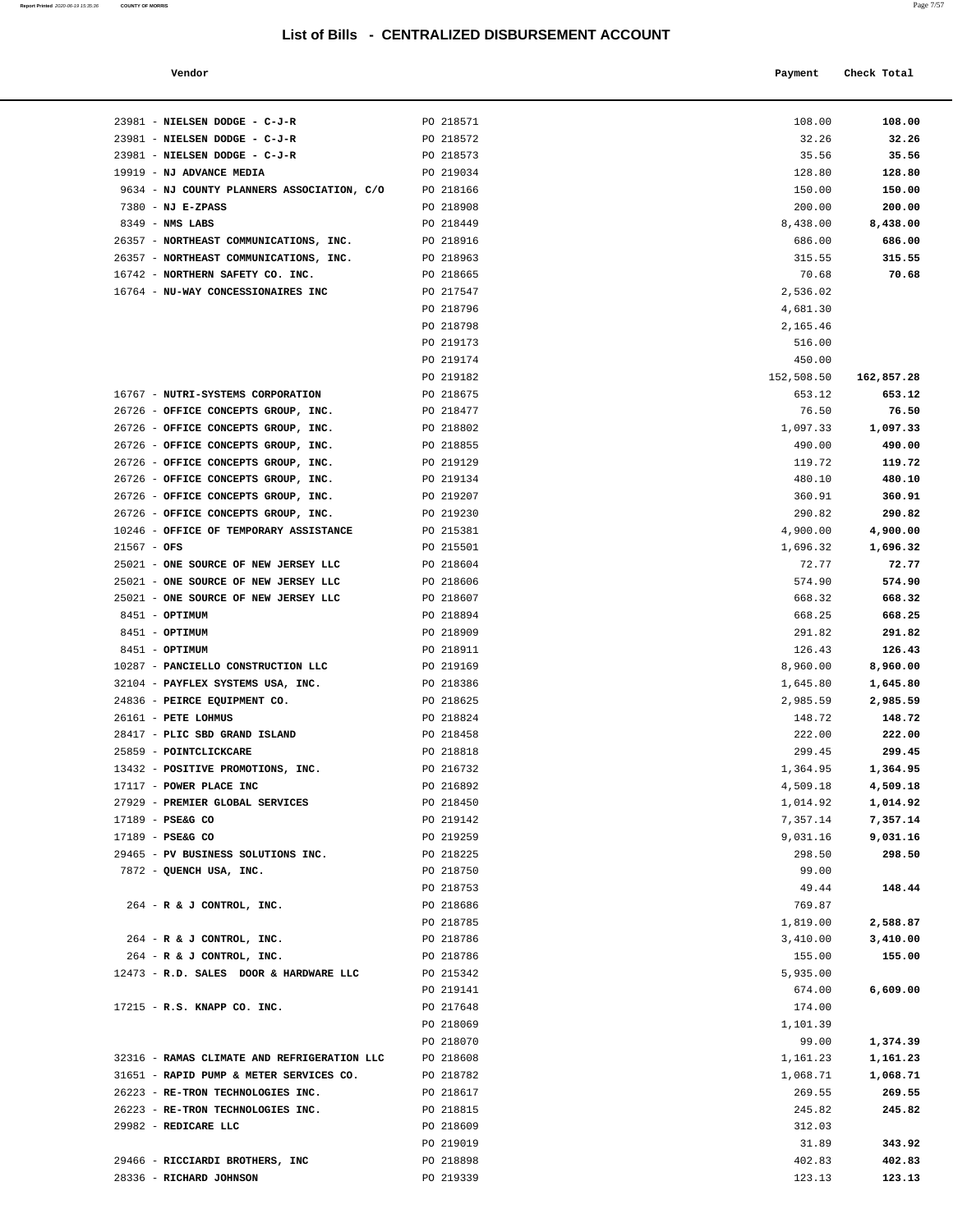| Vendor<br>. | Payment | Check Total |
|-------------|---------|-------------|

| 23981 - NIELSEN DODGE - C-J-R                                                | PO 218571              | 108.00               | 108.00               |
|------------------------------------------------------------------------------|------------------------|----------------------|----------------------|
| 23981 - NIELSEN DODGE - C-J-R                                                | PO 218572              | 32.26                | 32.26                |
| 23981 - NIELSEN DODGE - C-J-R                                                | PO 218573              | 35.56                | 35.56                |
| 19919 - NJ ADVANCE MEDIA                                                     | PO 219034              | 128.80               | 128.80               |
| 9634 - NJ COUNTY PLANNERS ASSOCIATION, C/O                                   | PO 218166              | 150.00               | 150.00               |
| $7380 - NJ E-ZPASS$                                                          | PO 218908              | 200.00               | 200.00               |
| $8349$ - NMS LABS                                                            | PO 218449              | 8,438.00             | 8,438.00             |
| 26357 - NORTHEAST COMMUNICATIONS, INC.                                       | PO 218916              | 686.00               | 686.00               |
| 26357 - NORTHEAST COMMUNICATIONS, INC.                                       | PO 218963              | 315.55               | 315.55               |
| 16742 - NORTHERN SAFETY CO. INC.                                             | PO 218665              | 70.68                | 70.68                |
| 16764 - NU-WAY CONCESSIONAIRES INC                                           | PO 217547              | 2,536.02             |                      |
|                                                                              | PO 218796<br>PO 218798 | 4,681.30<br>2,165.46 |                      |
|                                                                              | PO 219173              | 516.00               |                      |
|                                                                              | PO 219174              | 450.00               |                      |
|                                                                              | PO 219182              | 152,508.50           | 162,857.28           |
| 16767 - NUTRI-SYSTEMS CORPORATION                                            | PO 218675              | 653.12               | 653.12               |
| 26726 - OFFICE CONCEPTS GROUP, INC.                                          | PO 218477              | 76.50                | 76.50                |
| 26726 - OFFICE CONCEPTS GROUP, INC.                                          | PO 218802              | 1,097.33             | 1,097.33             |
| 26726 - OFFICE CONCEPTS GROUP, INC.                                          | PO 218855              | 490.00               | 490.00               |
| 26726 - OFFICE CONCEPTS GROUP, INC.                                          | PO 219129              | 119.72               | 119.72               |
| 26726 - OFFICE CONCEPTS GROUP, INC.                                          | PO 219134              | 480.10               | 480.10               |
| 26726 - OFFICE CONCEPTS GROUP, INC.                                          | PO 219207              | 360.91               | 360.91               |
| 26726 - OFFICE CONCEPTS GROUP, INC.                                          | PO 219230              | 290.82               | 290.82               |
| 10246 - OFFICE OF TEMPORARY ASSISTANCE                                       | PO 215381              | 4,900.00             | 4,900.00             |
| $21567 - OFS$                                                                | PO 215501              | 1,696.32             | 1,696.32             |
| 25021 - ONE SOURCE OF NEW JERSEY LLC<br>25021 - ONE SOURCE OF NEW JERSEY LLC | PO 218604<br>PO 218606 | 72.77<br>574.90      | 72.77<br>574.90      |
| 25021 - ONE SOURCE OF NEW JERSEY LLC                                         | PO 218607              | 668.32               | 668.32               |
| 8451 - OPTIMUM                                                               | PO 218894              | 668.25               | 668.25               |
| 8451 - OPTIMUM                                                               | PO 218909              | 291.82               | 291.82               |
| 8451 - OPTIMUM                                                               | PO 218911              | 126.43               | 126.43               |
| 10287 - PANCIELLO CONSTRUCTION LLC                                           | PO 219169              | 8,960.00             | 8,960.00             |
| 32104 - PAYFLEX SYSTEMS USA, INC.                                            | PO 218386              | 1,645.80             | 1,645.80             |
| 24836 - PEIRCE EQUIPMENT CO.                                                 | PO 218625              | 2,985.59             | 2,985.59             |
| $26161$ - PETE LOHMUS                                                        | PO 218824              | 148.72               | 148.72               |
| 28417 - PLIC SBD GRAND ISLAND                                                | PO 218458              | 222.00               | 222.00               |
| 25859 - POINTCLICKCARE                                                       | PO 218818              | 299.45               | 299.45               |
| 13432 - POSITIVE PROMOTIONS, INC.                                            | PO 216732              | 1,364.95             | 1,364.95             |
| 17117 - POWER PLACE INC<br>27929 - PREMIER GLOBAL SERVICES                   | PO 216892              | 4,509.18<br>1,014.92 | 4,509.18             |
| 17189 - PSE&G CO                                                             | PO 218450<br>PO 219142 | 7,357.14             | 1,014.92<br>7,357.14 |
| 17189 - PSE&G CO                                                             | PO 219259              | 9,031.16             | 9,031.16             |
| 29465 - PV BUSINESS SOLUTIONS INC.                                           | PO 218225              | 298.50               | 298.50               |
| 7872 - QUENCH USA, INC.                                                      | PO 218750              | 99.00                |                      |
|                                                                              | PO 218753              | 49.44                | 148.44               |
| 264 - R & J CONTROL, INC.                                                    | PO 218686              | 769.87               |                      |
|                                                                              | PO 218785              | 1,819.00             | 2,588.87             |
| 264 - R & J CONTROL, INC.                                                    | PO 218786              | 3,410.00             | 3,410.00             |
| 264 - R & J CONTROL, INC.                                                    | PO 218786              | 155.00               | 155.00               |
| 12473 - R.D. SALES DOOR & HARDWARE LLC                                       | PO 215342              | 5,935.00             |                      |
|                                                                              | PO 219141              | 674.00               | 6,609.00             |
| 17215 - R.S. KNAPP CO. INC.                                                  | PO 217648<br>PO 218069 | 174.00<br>1,101.39   |                      |
|                                                                              | PO 218070              | 99.00                | 1,374.39             |
| 32316 - RAMAS CLIMATE AND REFRIGERATION LLC                                  | PO 218608              | 1,161.23             | 1,161.23             |
| 31651 - RAPID PUMP & METER SERVICES CO.                                      | PO 218782              | 1,068.71             | 1,068.71             |
| 26223 - RE-TRON TECHNOLOGIES INC.                                            | PO 218617              | 269.55               | 269.55               |
| 26223 - RE-TRON TECHNOLOGIES INC.                                            | PO 218815              | 245.82               | 245.82               |
| 29982 - REDICARE LLC                                                         | PO 218609              | 312.03               |                      |
|                                                                              | PO 219019              | 31.89                | 343.92               |
| 29466 - RICCIARDI BROTHERS, INC                                              | PO 218898              | 402.83               | 402.83               |
| 28336 - RICHARD JOHNSON                                                      | PO 219339              | 123.13               | 123.13               |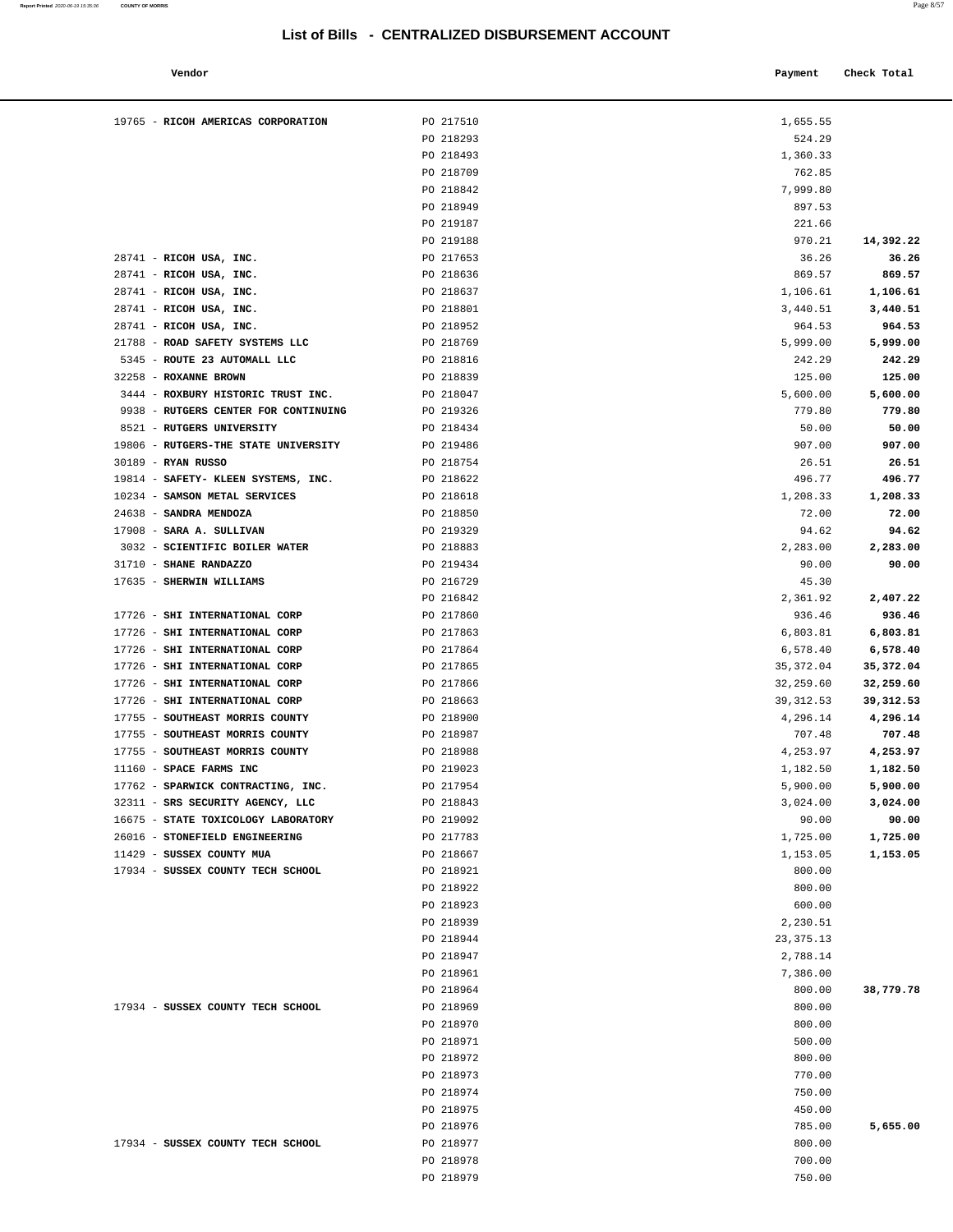#### **Vendor Payment Check Total**   $\blacksquare$  Payment Check Total **Payment** Check Total **Payment**

**Report Printed**  2020-06-19 15:35:36 **COUNTY OF MORRIS** 

| 524.29     |            |
|------------|------------|
| 1,360.33   |            |
| 762.85     |            |
|            |            |
| 7,999.80   |            |
| 897.53     |            |
| 221.66     |            |
| 970.21     | 14,392.22  |
|            |            |
| 36.26      | 36.26      |
| 869.57     | 869.57     |
| 1,106.61   | 1,106.61   |
| 3,440.51   | 3,440.51   |
| 964.53     | 964.53     |
|            |            |
| 5,999.00   | 5,999.00   |
| 242.29     | 242.29     |
| 125.00     | 125.00     |
| 5,600.00   | 5,600.00   |
| 779.80     | 779.80     |
|            |            |
| 50.00      | 50.00      |
| 907.00     | 907.00     |
| 26.51      | 26.51      |
| 496.77     | 496.77     |
| 1,208.33   | 1,208.33   |
|            |            |
| 72.00      | 72.00      |
| 94.62      | 94.62      |
| 2,283.00   | 2,283.00   |
| 90.00      | 90.00      |
| 45.30      |            |
|            |            |
| 2,361.92   | 2,407.22   |
| 936.46     | 936.46     |
| 6,803.81   | 6,803.81   |
| 6,578.40   | 6,578.40   |
| 35, 372.04 | 35,372.04  |
|            |            |
| 32,259.60  | 32,259.60  |
| 39, 312.53 | 39, 312.53 |
| 4,296.14   | 4,296.14   |
| 707.48     | 707.48     |
| 4,253.97   | 4,253.97   |
| 1,182.50   | 1,182.50   |
|            |            |
| 5,900.00   | 5,900.00   |
| 3,024.00   | 3,024.00   |
| 90.00      | 90.00      |
| 1,725.00   | 1,725.00   |
| 1,153.05   | 1,153.05   |
|            |            |
| 800.00     |            |
| 800.00     |            |
| 600.00     |            |
| 2,230.51   |            |
| 23, 375.13 |            |
|            |            |
| 2,788.14   |            |
| 7,386.00   |            |
| 800.00     | 38,779.78  |
| 800.00     |            |
| 800.00     |            |
|            |            |
| 500.00     |            |
| 800.00     |            |
| 770.00     |            |
| 750.00     |            |
| 450.00     |            |
|            |            |
| 785.00     | 5,655.00   |
| 800.00     |            |
| 700.00     |            |
| 750.00     |            |
|            |            |

| 19765 - RICOH AMERICAS CORPORATION   | PO 217510 | 1,655.55    |            |
|--------------------------------------|-----------|-------------|------------|
|                                      | PO 218293 | 524.29      |            |
|                                      | PO 218493 | 1,360.33    |            |
|                                      | PO 218709 | 762.85      |            |
|                                      | PO 218842 | 7,999.80    |            |
|                                      | PO 218949 | 897.53      |            |
|                                      | PO 219187 | 221.66      |            |
|                                      | PO 219188 | 970.21      | 14,392.22  |
| 28741 - RICOH USA, INC.              | PO 217653 | 36.26       | 36.26      |
| 28741 - RICOH USA, INC.              | PO 218636 | 869.57      | 869.57     |
| 28741 - RICOH USA, INC.              | PO 218637 | 1,106.61    | 1,106.61   |
|                                      |           |             |            |
| 28741 - RICOH USA, INC.              | PO 218801 | 3,440.51    | 3,440.51   |
| 28741 - RICOH USA, INC.              | PO 218952 | 964.53      | 964.53     |
| 21788 - ROAD SAFETY SYSTEMS LLC      | PO 218769 | 5,999.00    | 5,999.00   |
| 5345 - ROUTE 23 AUTOMALL LLC         | PO 218816 | 242.29      | 242.29     |
| 32258 - ROXANNE BROWN                | PO 218839 | 125.00      | 125.00     |
| 3444 - ROXBURY HISTORIC TRUST INC.   | PO 218047 | 5,600.00    | 5,600.00   |
| 9938 - RUTGERS CENTER FOR CONTINUING | PO 219326 | 779.80      | 779.80     |
| 8521 - RUTGERS UNIVERSITY            | PO 218434 | 50.00       | 50.00      |
| 19806 - RUTGERS-THE STATE UNIVERSITY | PO 219486 | 907.00      | 907.00     |
| 30189 - RYAN RUSSO                   | PO 218754 | 26.51       | 26.51      |
| 19814 - SAFETY- KLEEN SYSTEMS, INC.  | PO 218622 | 496.77      | 496.77     |
| 10234 - SAMSON METAL SERVICES        | PO 218618 | 1,208.33    | 1,208.33   |
| 24638 - SANDRA MENDOZA               | PO 218850 | 72.00       | 72.00      |
| 17908 - SARA A. SULLIVAN             | PO 219329 | 94.62       | 94.62      |
| 3032 - SCIENTIFIC BOILER WATER       | PO 218883 | 2,283.00    | 2,283.00   |
|                                      |           |             |            |
| 31710 - SHANE RANDAZZO               | PO 219434 | 90.00       | 90.00      |
| 17635 - SHERWIN WILLIAMS             | PO 216729 | 45.30       |            |
|                                      | PO 216842 | 2,361.92    | 2,407.22   |
| 17726 - SHI INTERNATIONAL CORP       | PO 217860 | 936.46      | 936.46     |
| 17726 - SHI INTERNATIONAL CORP       | PO 217863 | 6,803.81    | 6,803.81   |
| 17726 - SHI INTERNATIONAL CORP       | PO 217864 | 6,578.40    | 6,578.40   |
| 17726 - SHI INTERNATIONAL CORP       | PO 217865 | 35, 372.04  | 35,372.04  |
| 17726 - SHI INTERNATIONAL CORP       | PO 217866 | 32,259.60   | 32,259.60  |
| 17726 - SHI INTERNATIONAL CORP       | PO 218663 | 39, 312.53  | 39, 312.53 |
| 17755 - SOUTHEAST MORRIS COUNTY      | PO 218900 | 4,296.14    | 4,296.14   |
| 17755 - SOUTHEAST MORRIS COUNTY      | PO 218987 | 707.48      | 707.48     |
| 17755 - SOUTHEAST MORRIS COUNTY      | PO 218988 | 4,253.97    | 4,253.97   |
| 11160 - SPACE FARMS INC              | PO 219023 | 1,182.50    | 1,182.50   |
| 17762 - SPARWICK CONTRACTING, INC.   | PO 217954 | 5,900.00    | 5,900.00   |
| 32311 - SRS SECURITY AGENCY, LLC     | PO 218843 | 3,024.00    | 3,024.00   |
| 16675 - STATE TOXICOLOGY LABORATORY  | PO 219092 | 90.00       | 90.00      |
| 26016 - STONEFIELD ENGINEERING       | PO 217783 | 1,725.00    | 1,725.00   |
| 11429 - SUSSEX COUNTY MUA            | PO 218667 | 1,153.05    | 1,153.05   |
| 17934 - SUSSEX COUNTY TECH SCHOOL    | PO 218921 | 800.00      |            |
|                                      | PO 218922 | 800.00      |            |
|                                      |           |             |            |
|                                      | PO 218923 | 600.00      |            |
|                                      | PO 218939 | 2,230.51    |            |
|                                      | PO 218944 | 23, 375. 13 |            |
|                                      | PO 218947 | 2,788.14    |            |
|                                      | PO 218961 | 7,386.00    |            |
|                                      | PO 218964 | 800.00      | 38,779.78  |
| 17934 - SUSSEX COUNTY TECH SCHOOL    | PO 218969 | 800.00      |            |
|                                      | PO 218970 | 800.00      |            |
|                                      | PO 218971 | 500.00      |            |
|                                      | PO 218972 | 800.00      |            |
|                                      | PO 218973 | 770.00      |            |
|                                      | PO 218974 | 750.00      |            |
|                                      | PO 218975 | 450.00      |            |
|                                      | PO 218976 | 785.00      | 5,655.00   |
| 17934 - SUSSEX COUNTY TECH SCHOOL    | PO 218977 | 800.00      |            |
|                                      | PO 218978 | 700.00      |            |
|                                      | PO 218979 | 750.00      |            |
|                                      |           |             |            |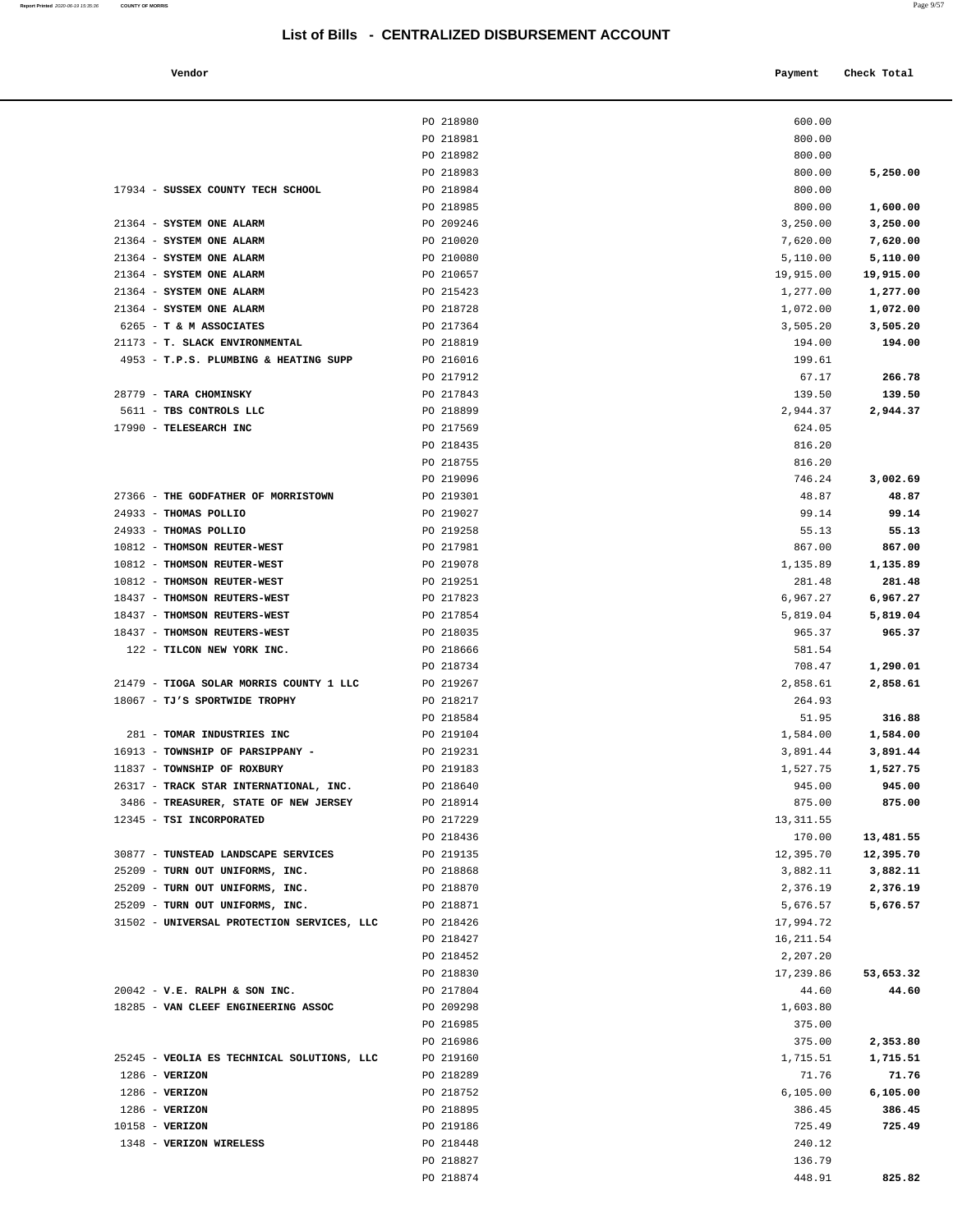| Vendor |  | Payment Check Total |
|--------|--|---------------------|
|--------|--|---------------------|

|                                                                          | PO 218980              | 600.00             |                    |
|--------------------------------------------------------------------------|------------------------|--------------------|--------------------|
|                                                                          | PO 218981              | 800.00             |                    |
|                                                                          | PO 218982              | 800.00             |                    |
|                                                                          | PO 218983              | 800.00             | 5,250.00           |
| 17934 - SUSSEX COUNTY TECH SCHOOL                                        | PO 218984              | 800.00             |                    |
|                                                                          | PO 218985              | 800.00             | 1,600.00           |
| 21364 - SYSTEM ONE ALARM                                                 | PO 209246              | 3,250.00           | 3,250.00           |
| 21364 - SYSTEM ONE ALARM                                                 | PO 210020              | 7,620.00           | 7,620.00           |
| 21364 - SYSTEM ONE ALARM                                                 | PO 210080              | 5,110.00           | 5,110.00           |
| 21364 - SYSTEM ONE ALARM                                                 | PO 210657              | 19,915.00          | 19,915.00          |
| 21364 - SYSTEM ONE ALARM                                                 | PO 215423              | 1,277.00           | 1,277.00           |
| 21364 - SYSTEM ONE ALARM                                                 | PO 218728              | 1,072.00           | 1,072.00           |
| 6265 - T & M ASSOCIATES<br>21173 - T. SLACK ENVIRONMENTAL                | PO 217364<br>PO 218819 | 3,505.20<br>194.00 | 3,505.20<br>194.00 |
| 4953 - T.P.S. PLUMBING & HEATING SUPP                                    | PO 216016              | 199.61             |                    |
|                                                                          | PO 217912              | 67.17              | 266.78             |
| 28779 - TARA CHOMINSKY                                                   | PO 217843              | 139.50             | 139.50             |
| 5611 - TBS CONTROLS LLC                                                  | PO 218899              | 2,944.37           | 2,944.37           |
| 17990 - TELESEARCH INC                                                   | PO 217569              | 624.05             |                    |
|                                                                          | PO 218435              | 816.20             |                    |
|                                                                          | PO 218755              | 816.20             |                    |
|                                                                          | PO 219096              | 746.24             | 3,002.69           |
| 27366 - THE GODFATHER OF MORRISTOWN                                      | PO 219301              | 48.87              | 48.87              |
| 24933 - THOMAS POLLIO                                                    | PO 219027              | 99.14              | 99.14              |
| 24933 - THOMAS POLLIO                                                    | PO 219258              | 55.13              | 55.13              |
| 10812 - THOMSON REUTER-WEST                                              | PO 217981              | 867.00             | 867.00             |
| 10812 - THOMSON REUTER-WEST                                              | PO 219078              | 1,135.89           | 1,135.89           |
| 10812 - THOMSON REUTER-WEST                                              | PO 219251              | 281.48             | 281.48             |
| 18437 - THOMSON REUTERS-WEST                                             | PO 217823              | 6,967.27           | 6,967.27           |
| 18437 - THOMSON REUTERS-WEST                                             | PO 217854              | 5,819.04           | 5,819.04           |
| 18437 - THOMSON REUTERS-WEST                                             | PO 218035              | 965.37             | 965.37             |
| 122 - TILCON NEW YORK INC.                                               | PO 218666              | 581.54             |                    |
|                                                                          | PO 218734              | 708.47             | 1,290.01           |
| 21479 - TIOGA SOLAR MORRIS COUNTY 1 LLC<br>18067 - TJ'S SPORTWIDE TROPHY | PO 219267<br>PO 218217 | 2,858.61<br>264.93 | 2,858.61           |
|                                                                          | PO 218584              | 51.95              | 316.88             |
| 281 - TOMAR INDUSTRIES INC                                               | PO 219104              | 1,584.00           | 1,584.00           |
| 16913 - TOWNSHIP OF PARSIPPANY -                                         | PO 219231              | 3,891.44           | 3,891.44           |
| 11837 - TOWNSHIP OF ROXBURY                                              | PO 219183              | 1,527.75           | 1,527.75           |
| 26317 - TRACK STAR INTERNATIONAL, INC.                                   | PO 218640              | 945.00             | 945.00             |
| 3486 - TREASURER, STATE OF NEW JERSEY                                    | PO 218914              | 875.00             | 875.00             |
| 12345 - TSI INCORPORATED                                                 | PO 217229              | 13, 311.55         |                    |
|                                                                          | PO 218436              | 170.00             | 13,481.55          |
| 30877 - TUNSTEAD LANDSCAPE SERVICES                                      | PO 219135              | 12,395.70          | 12,395.70          |
| 25209 - TURN OUT UNIFORMS, INC.                                          | PO 218868              | 3,882.11           | 3,882.11           |
| 25209 - TURN OUT UNIFORMS, INC.                                          | PO 218870              | 2,376.19           | 2,376.19           |
| 25209 - TURN OUT UNIFORMS, INC.                                          | PO 218871              | 5,676.57           | 5,676.57           |
| 31502 - UNIVERSAL PROTECTION SERVICES, LLC                               | PO 218426              | 17,994.72          |                    |
|                                                                          | PO 218427              | 16, 211.54         |                    |
|                                                                          | PO 218452              | 2,207.20           |                    |
|                                                                          | PO 218830              | 17,239.86          | 53,653.32          |
| $20042$ - V.E. RALPH & SON INC.<br>18285 - VAN CLEEF ENGINEERING ASSOC   | PO 217804<br>PO 209298 | 44.60              | 44.60              |
|                                                                          | PO 216985              | 1,603.80<br>375.00 |                    |
|                                                                          | PO 216986              | 375.00             | 2,353.80           |
| 25245 - VEOLIA ES TECHNICAL SOLUTIONS, LLC                               | PO 219160              | 1,715.51           | 1,715.51           |
| $1286$ - VERIZON                                                         | PO 218289              | 71.76              | 71.76              |
| $1286$ - VERIZON                                                         | PO 218752              | 6, 105.00          | 6,105.00           |
| $1286$ - VERIZON                                                         | PO 218895              | 386.45             | 386.45             |
| $10158 - VERIZON$                                                        | PO 219186              | 725.49             | 725.49             |
| 1348 - VERIZON WIRELESS                                                  | PO 218448              | 240.12             |                    |
|                                                                          | PO 218827              | 136.79             |                    |
|                                                                          | PO 218874              | 448.91             | 825.82             |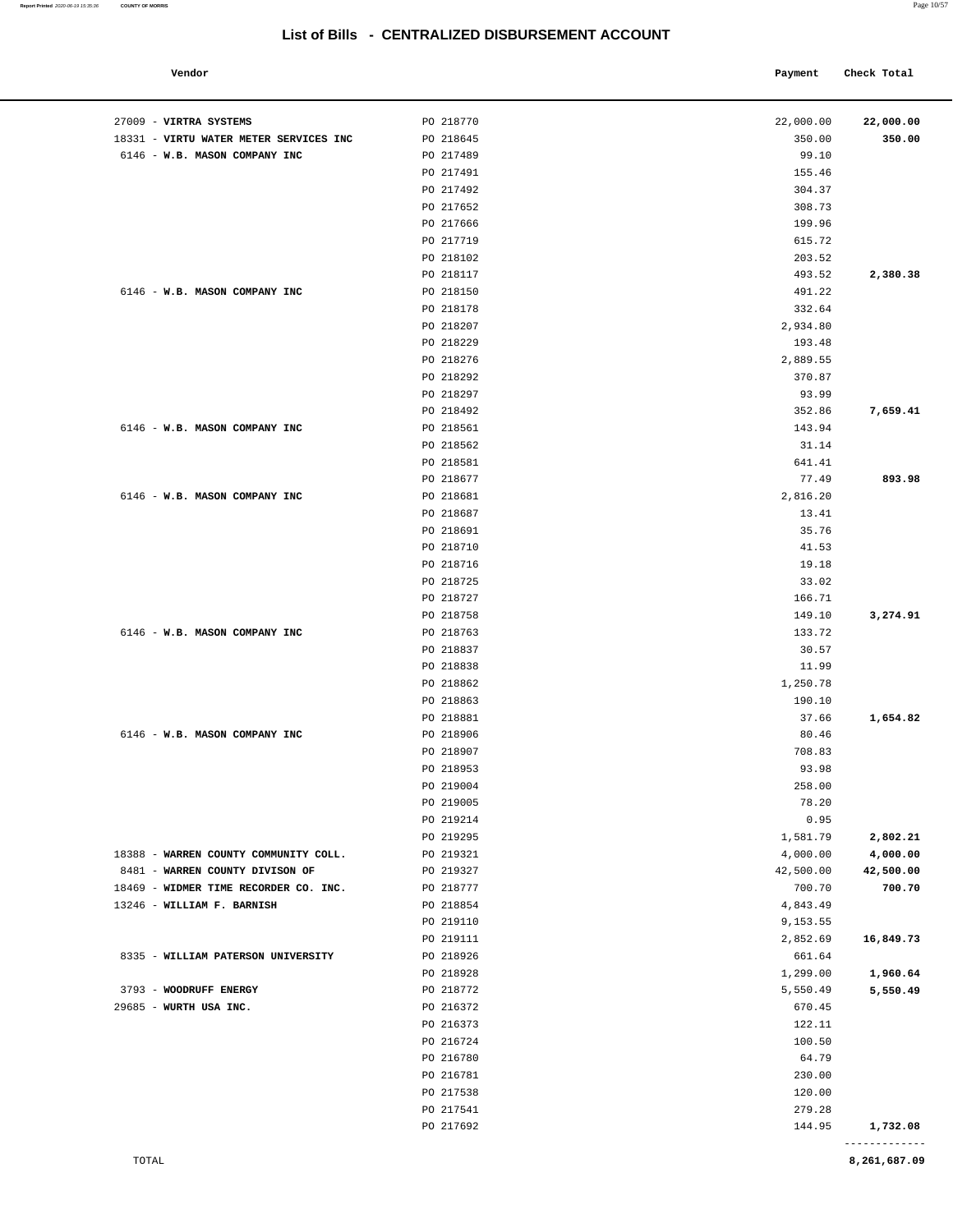#### **Vendor Check Total**   $\blacksquare$  **Payment** Check Total **Payment** Check Total **Payment**

| 27009 - VIRTRA SYSTEMS                 | PO 218770              | 22,000.00          | 22,000.00            |
|----------------------------------------|------------------------|--------------------|----------------------|
| 18331 - VIRTU WATER METER SERVICES INC | PO 218645              | 350.00             | 350.00               |
| 6146 - W.B. MASON COMPANY INC          | PO 217489              | 99.10              |                      |
|                                        | PO 217491<br>PO 217492 | 155.46<br>304.37   |                      |
|                                        | PO 217652              | 308.73             |                      |
|                                        | PO 217666              | 199.96             |                      |
|                                        | PO 217719              | 615.72             |                      |
|                                        | PO 218102              | 203.52             |                      |
|                                        | PO 218117              | 493.52             | 2,380.38             |
| 6146 - W.B. MASON COMPANY INC          | PO 218150              | 491.22             |                      |
|                                        | PO 218178              | 332.64             |                      |
|                                        | PO 218207              | 2,934.80           |                      |
|                                        | PO 218229              | 193.48             |                      |
|                                        | PO 218276              | 2,889.55           |                      |
|                                        | PO 218292              | 370.87             |                      |
|                                        | PO 218297              | 93.99              |                      |
|                                        | PO 218492              | 352.86             | 7,659.41             |
| 6146 - W.B. MASON COMPANY INC          | PO 218561              | 143.94             |                      |
|                                        | PO 218562              | 31.14              |                      |
|                                        | PO 218581              | 641.41             |                      |
|                                        | PO 218677              | 77.49              | 893.98               |
| 6146 - W.B. MASON COMPANY INC          | PO 218681              | 2,816.20           |                      |
|                                        | PO 218687              | 13.41              |                      |
|                                        | PO 218691              | 35.76              |                      |
|                                        | PO 218710              | 41.53              |                      |
|                                        | PO 218716              | 19.18              |                      |
|                                        | PO 218725              | 33.02              |                      |
|                                        | PO 218727              | 166.71             |                      |
|                                        | PO 218758              | 149.10             | 3,274.91             |
| 6146 - W.B. MASON COMPANY INC          | PO 218763              | 133.72             |                      |
|                                        | PO 218837              | 30.57              |                      |
|                                        | PO 218838              | 11.99              |                      |
|                                        | PO 218862              | 1,250.78           |                      |
|                                        | PO 218863              | 190.10             |                      |
|                                        | PO 218881              | 37.66              | 1,654.82             |
| 6146 - W.B. MASON COMPANY INC          | PO 218906              | 80.46              |                      |
|                                        | PO 218907              | 708.83             |                      |
|                                        | PO 218953              | 93.98              |                      |
|                                        | PO 219004              | 258.00             |                      |
|                                        | PO 219005              | 78.20              |                      |
|                                        | PO 219214              | 0.95               |                      |
|                                        | PO 219295              | 1,581.79           | 2,802.21             |
| 18388 - WARREN COUNTY COMMUNITY COLL.  | PO 219321              | 4,000.00           | 4,000.00             |
| 8481 - WARREN COUNTY DIVISON OF        | PO 219327              | 42,500.00          | 42,500.00            |
| 18469 - WIDMER TIME RECORDER CO. INC.  | PO 218777              | 700.70             | 700.70               |
| 13246 - WILLIAM F. BARNISH             | PO 218854<br>PO 219110 | 4,843.49           |                      |
|                                        |                        | 9,153.55           |                      |
| 8335 - WILLIAM PATERSON UNIVERSITY     | PO 219111<br>PO 218926 | 2,852.69<br>661.64 | 16,849.73            |
|                                        | PO 218928              | 1,299.00           |                      |
| 3793 - WOODRUFF ENERGY                 | PO 218772              | 5,550.49           | 1,960.64<br>5,550.49 |
| 29685 - WURTH USA INC.                 | PO 216372              | 670.45             |                      |
|                                        | PO 216373              | 122.11             |                      |
|                                        | PO 216724              | 100.50             |                      |
|                                        | PO 216780              | 64.79              |                      |
|                                        | PO 216781              | 230.00             |                      |
|                                        | PO 217538              | 120.00             |                      |
|                                        | PO 217541              | 279.28             |                      |
|                                        | PO 217692              | 144.95             | 1,732.08             |
|                                        |                        |                    |                      |

-------------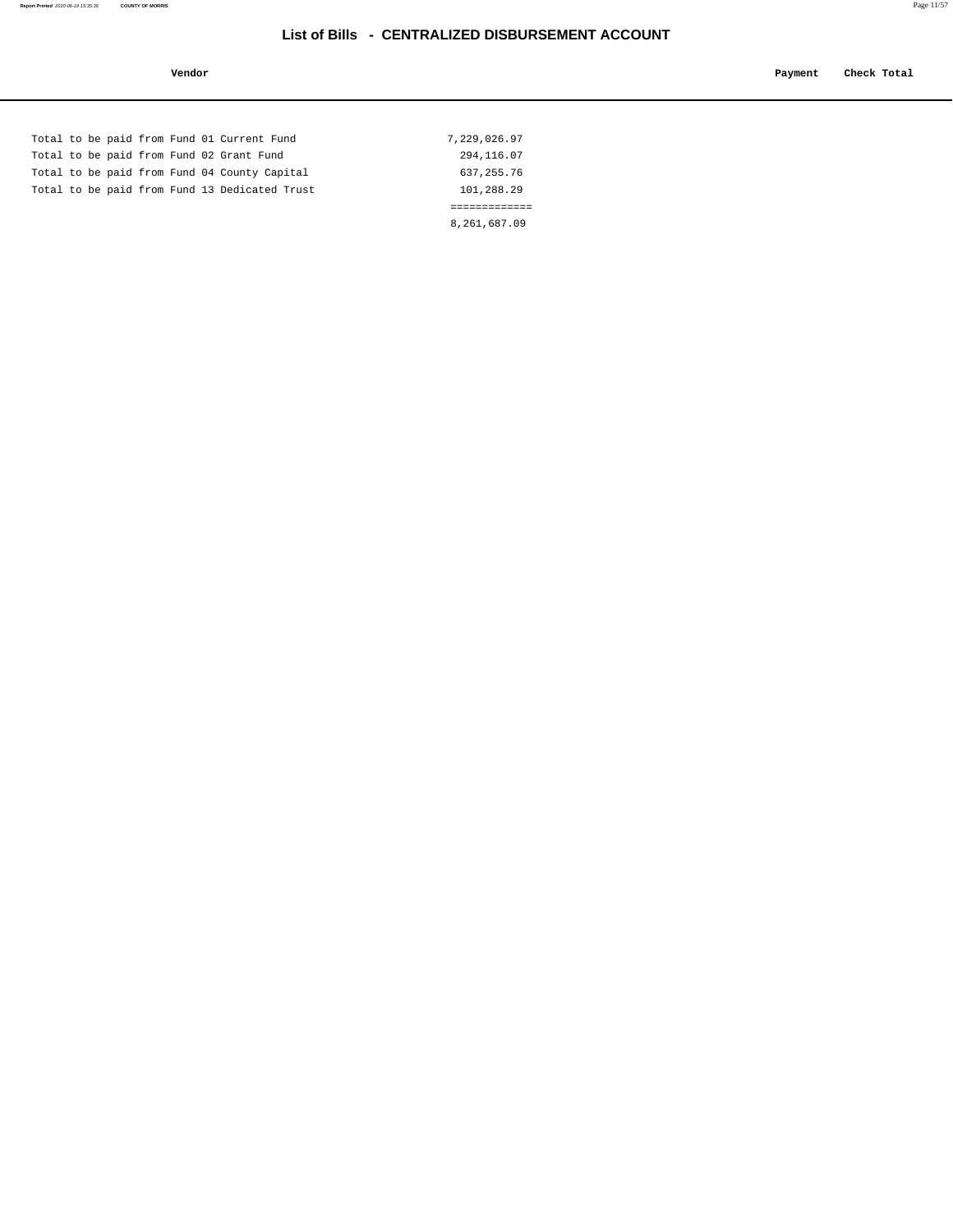**Report Printed** 2020-06-19 15:35:36 **COUNTY OF MORRIS** Page 11/57

|  |  |  | Total to be paid from Fund 01 Current Fund    | 7,229,026.97 |  |
|--|--|--|-----------------------------------------------|--------------|--|
|  |  |  | Total to be paid from Fund 02 Grant Fund      | 294,116.07   |  |
|  |  |  | Total to be paid from Fund 04 County Capital  | 637, 255.76  |  |
|  |  |  | Total to be paid from Fund 13 Dedicated Trust | 101,288.29   |  |
|  |  |  |                                               |              |  |
|  |  |  |                                               | 8,261,687.09 |  |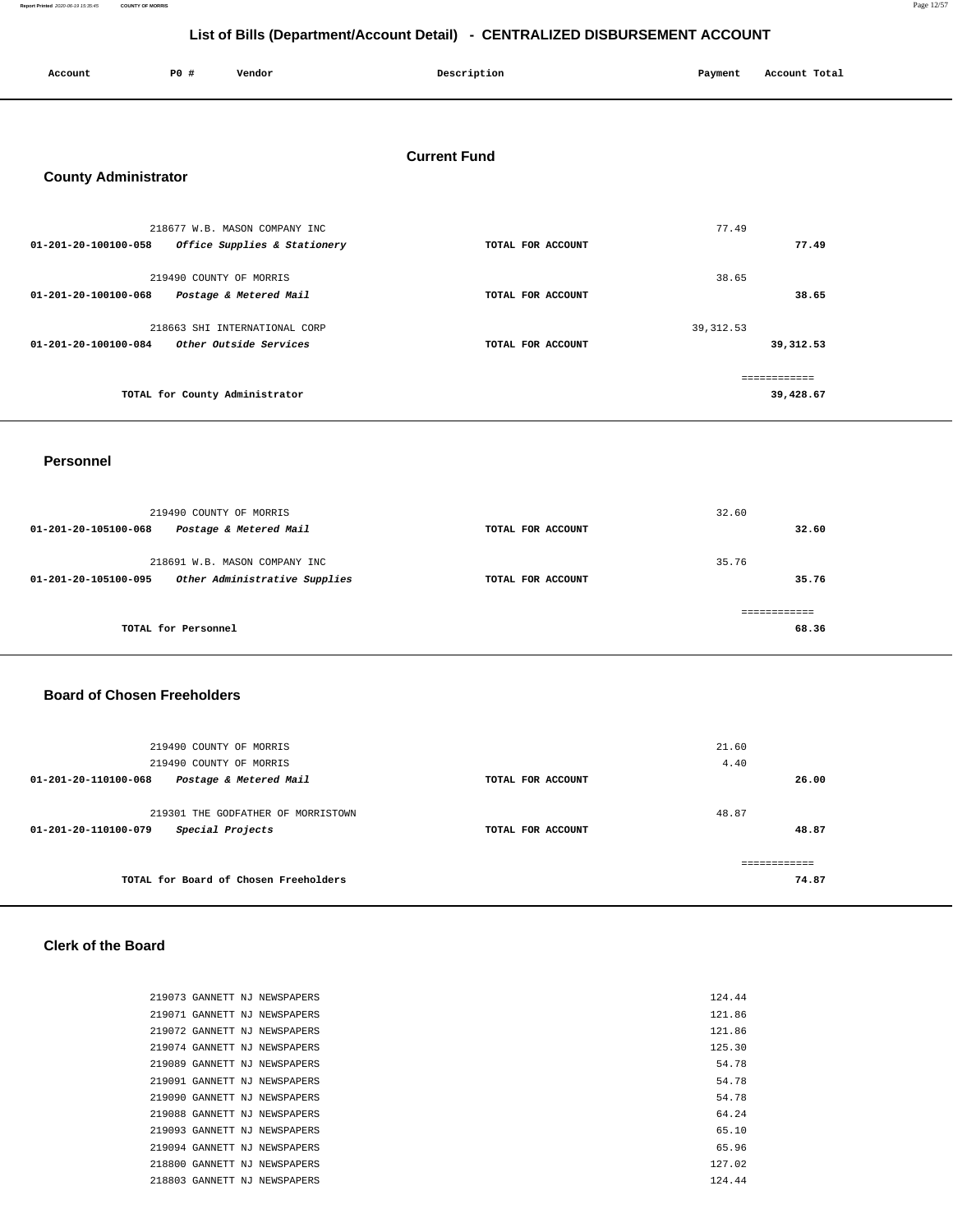**Report Printed** 2020-06-19 15:35:45 **COUNTY OF MORRIS** Page 12/57

# **List of Bills (Department/Account Detail) - CENTRALIZED DISBURSEMENT ACCOUNT**

| Electric principal distribution because of the contribution of the property in the cooling |                         |                                |                     |            |               |
|--------------------------------------------------------------------------------------------|-------------------------|--------------------------------|---------------------|------------|---------------|
| Account                                                                                    | P0 #                    | Vendor                         | Description         | Payment    | Account Total |
|                                                                                            |                         |                                |                     |            |               |
| <b>County Administrator</b>                                                                |                         |                                | <b>Current Fund</b> |            |               |
|                                                                                            |                         | 218677 W.B. MASON COMPANY INC  |                     | 77.49      |               |
| 01-201-20-100100-058 Office Supplies & Stationery                                          |                         |                                | TOTAL FOR ACCOUNT   |            | 77.49         |
|                                                                                            | 219490 COUNTY OF MORRIS |                                |                     | 38.65      |               |
| 01-201-20-100100-068                                                                       |                         | Postage & Metered Mail         | TOTAL FOR ACCOUNT   |            | 38.65         |
|                                                                                            |                         | 218663 SHI INTERNATIONAL CORP  |                     | 39, 312.53 |               |
| 01-201-20-100100-084                                                                       |                         | Other Outside Services         | TOTAL FOR ACCOUNT   |            | 39, 312.53    |
|                                                                                            |                         |                                |                     |            | ============  |
|                                                                                            |                         | TOTAL for County Administrator |                     |            | 39,428.67     |
|                                                                                            |                         |                                |                     |            |               |

#### **Personnel**

| 219490 COUNTY OF MORRIS<br>01-201-20-105100-068<br>Postage & Metered Mail              | TOTAL FOR ACCOUNT | 32.60 | 32.60 |
|----------------------------------------------------------------------------------------|-------------------|-------|-------|
| 218691 W.B. MASON COMPANY INC<br>Other Administrative Supplies<br>01-201-20-105100-095 | TOTAL FOR ACCOUNT | 35.76 | 35.76 |
| TOTAL for Personnel                                                                    |                   |       | 68.36 |

### **Board of Chosen Freeholders**

| 219490 COUNTY OF MORRIS<br>219490 COUNTY OF MORRIS                             |                   | 21.60<br>4.40         |
|--------------------------------------------------------------------------------|-------------------|-----------------------|
| 01-201-20-110100-068<br>Postage & Metered Mail                                 | TOTAL FOR ACCOUNT | 26.00                 |
| 219301 THE GODFATHER OF MORRISTOWN<br>Special Projects<br>01-201-20-110100-079 | TOTAL FOR ACCOUNT | 48.87<br>48.87        |
| TOTAL for Board of Chosen Freeholders                                          |                   | ------------<br>74.87 |

### **Clerk of the Board**

| 219073 GANNETT NJ NEWSPAPERS | 124.44 |
|------------------------------|--------|
| 219071 GANNETT NJ NEWSPAPERS | 121.86 |
| 219072 GANNETT NJ NEWSPAPERS | 121.86 |
| 219074 GANNETT NJ NEWSPAPERS | 125.30 |
| 219089 GANNETT NJ NEWSPAPERS | 54.78  |
| 219091 GANNETT NJ NEWSPAPERS | 54.78  |
| 219090 GANNETT NJ NEWSPAPERS | 54.78  |
| 219088 GANNETT NJ NEWSPAPERS | 64.24  |
| 219093 GANNETT NJ NEWSPAPERS | 65.10  |
| 219094 GANNETT NJ NEWSPAPERS | 65.96  |
| 218800 GANNETT NJ NEWSPAPERS | 127.02 |
| 218803 GANNETT NJ NEWSPAPERS | 124.44 |
|                              |        |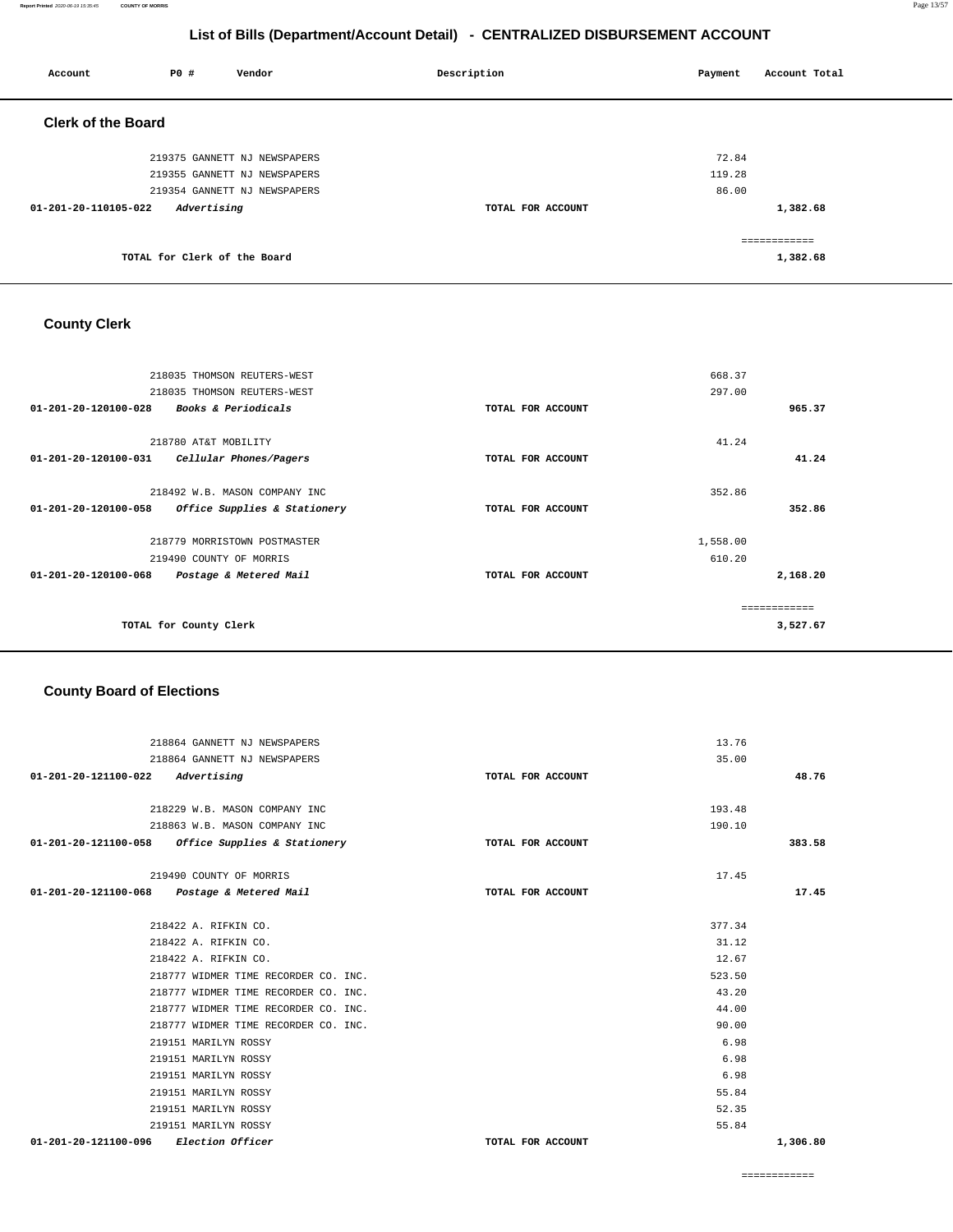#### **Report Printed** 2020-06-19 15:35:45 **COUNTY OF MORRIS** Page 13/57

## **List of Bills (Department/Account Detail) - CENTRALIZED DISBURSEMENT ACCOUNT**

| Account                   | P0 #                         | Vendor                       | Description       | Payment | Account Total            |
|---------------------------|------------------------------|------------------------------|-------------------|---------|--------------------------|
| <b>Clerk of the Board</b> |                              |                              |                   |         |                          |
|                           |                              | 219375 GANNETT NJ NEWSPAPERS |                   | 72.84   |                          |
|                           |                              | 219355 GANNETT NJ NEWSPAPERS |                   | 119.28  |                          |
|                           |                              | 219354 GANNETT NJ NEWSPAPERS |                   | 86.00   |                          |
| 01-201-20-110105-022      | Advertising                  |                              | TOTAL FOR ACCOUNT |         | 1,382.68                 |
|                           | TOTAL for Clerk of the Board |                              |                   |         | ============<br>1,382.68 |

## **County Clerk**

| 218035 THOMSON REUTERS-WEST                          |                   | 668.37       |
|------------------------------------------------------|-------------------|--------------|
| 218035 THOMSON REUTERS-WEST                          |                   | 297.00       |
| Books & Periodicals<br>01-201-20-120100-028          | TOTAL FOR ACCOUNT | 965.37       |
| 218780 AT&T MOBILITY                                 |                   | 41.24        |
| 01-201-20-120100-031<br>Cellular Phones/Pagers       | TOTAL FOR ACCOUNT | 41.24        |
| 218492 W.B. MASON COMPANY INC                        |                   | 352.86       |
| 01-201-20-120100-058<br>Office Supplies & Stationery | TOTAL FOR ACCOUNT | 352.86       |
| 218779 MORRISTOWN POSTMASTER                         |                   | 1,558.00     |
| 219490 COUNTY OF MORRIS                              |                   | 610.20       |
| 01-201-20-120100-068<br>Postage & Metered Mail       | TOTAL FOR ACCOUNT | 2,168.20     |
|                                                      |                   | ============ |
| TOTAL for County Clerk                               |                   | 3,527.67     |
|                                                      |                   |              |

## **County Board of Elections**

| 218864 GANNETT NJ NEWSPAPERS                      |                   | 13.76  |          |
|---------------------------------------------------|-------------------|--------|----------|
| 218864 GANNETT NJ NEWSPAPERS                      |                   | 35.00  |          |
| $01 - 201 - 20 - 121100 - 022$ Advertising        | TOTAL FOR ACCOUNT |        | 48.76    |
|                                                   |                   |        |          |
| 218229 W.B. MASON COMPANY INC                     |                   | 193.48 |          |
| 218863 W.B. MASON COMPANY INC                     |                   | 190.10 |          |
| 01-201-20-121100-058 Office Supplies & Stationery | TOTAL FOR ACCOUNT |        | 383.58   |
|                                                   |                   |        |          |
| 219490 COUNTY OF MORRIS                           |                   | 17.45  |          |
| 01-201-20-121100-068 Postage & Metered Mail       | TOTAL FOR ACCOUNT |        | 17.45    |
|                                                   |                   |        |          |
| 218422 A. RIFKIN CO.                              |                   | 377.34 |          |
| 218422 A. RIFKIN CO.                              |                   | 31.12  |          |
| 218422 A. RIFKIN CO.                              |                   | 12.67  |          |
| 218777 WIDMER TIME RECORDER CO. INC.              |                   | 523.50 |          |
| 218777 WIDMER TIME RECORDER CO. INC.              |                   | 43.20  |          |
| 218777 WIDMER TIME RECORDER CO. INC.              |                   | 44.00  |          |
| 218777 WIDMER TIME RECORDER CO. INC.              |                   | 90.00  |          |
| 219151 MARILYN ROSSY                              |                   | 6.98   |          |
| 219151 MARILYN ROSSY                              |                   | 6.98   |          |
| 219151 MARILYN ROSSY                              |                   | 6.98   |          |
| 219151 MARILYN ROSSY                              |                   | 55.84  |          |
| 219151 MARILYN ROSSY                              |                   | 52.35  |          |
| 219151 MARILYN ROSSY                              |                   | 55.84  |          |
| Election Officer<br>01-201-20-121100-096          | TOTAL FOR ACCOUNT |        | 1,306.80 |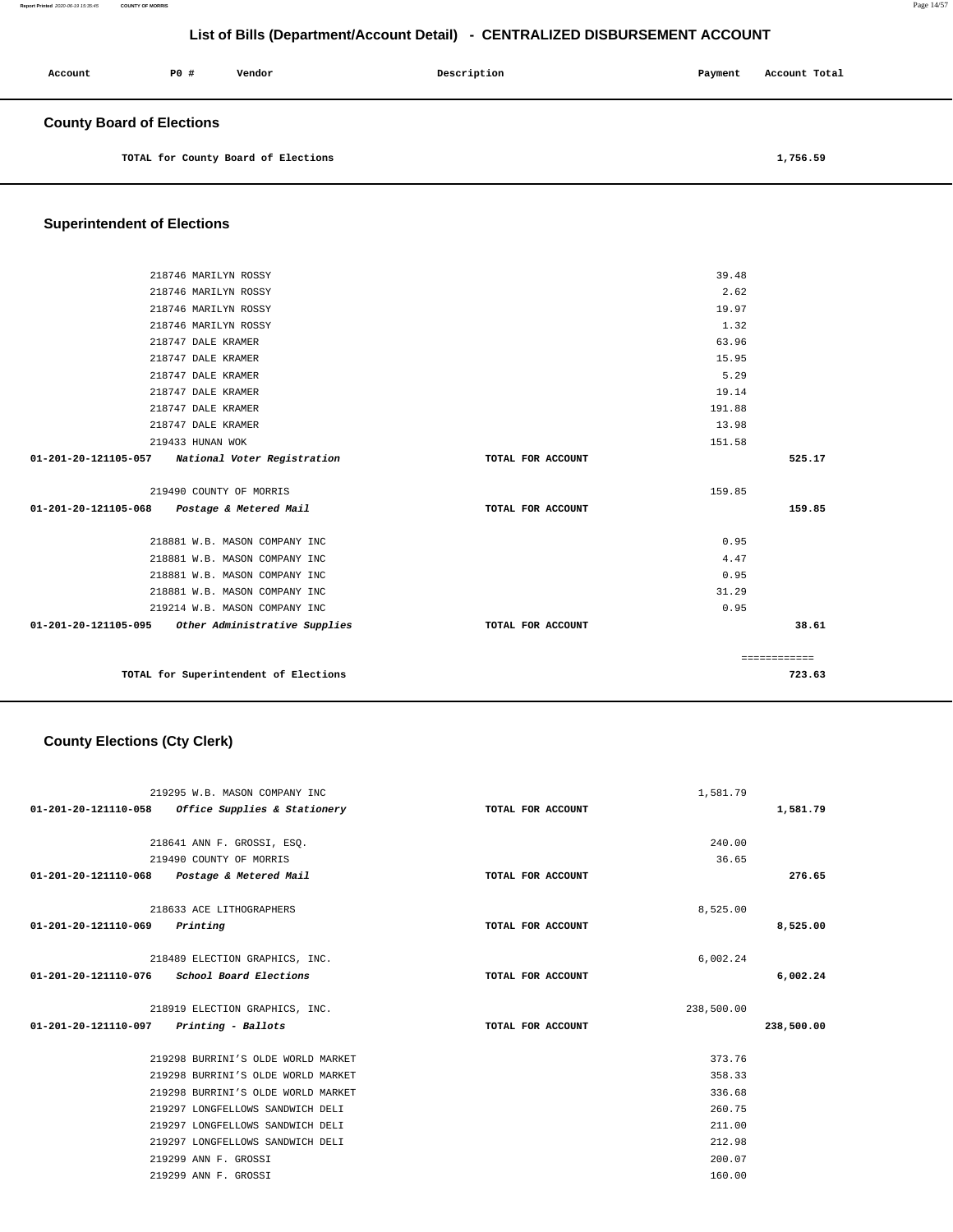| Account                          | PO# | Vendor | Description | Payment | Account Total |
|----------------------------------|-----|--------|-------------|---------|---------------|
| <b>County Board of Elections</b> |     |        |             |         |               |

**TOTAL for County Board of Elections [1,756.59](https://1,756.59)** 

## **Superintendent of Elections**

| 218746 MARILYN ROSSY                               |                   | 39.48  |              |
|----------------------------------------------------|-------------------|--------|--------------|
| 218746 MARILYN ROSSY                               |                   | 2.62   |              |
| 218746 MARILYN ROSSY                               |                   | 19.97  |              |
| 218746 MARILYN ROSSY                               |                   | 1.32   |              |
| 218747 DALE KRAMER                                 |                   | 63.96  |              |
| 218747 DALE KRAMER                                 |                   | 15.95  |              |
| 218747 DALE KRAMER                                 |                   | 5.29   |              |
| 218747 DALE KRAMER                                 |                   | 19.14  |              |
| 218747 DALE KRAMER                                 |                   | 191.88 |              |
| 218747 DALE KRAMER                                 |                   | 13.98  |              |
| 219433 HUNAN WOK                                   |                   | 151.58 |              |
| 01-201-20-121105-057 National Voter Registration   | TOTAL FOR ACCOUNT |        | 525.17       |
| 219490 COUNTY OF MORRIS                            |                   | 159.85 |              |
| 01-201-20-121105-068 Postage & Metered Mail        | TOTAL FOR ACCOUNT |        | 159.85       |
| 218881 W.B. MASON COMPANY INC                      |                   | 0.95   |              |
| 218881 W.B. MASON COMPANY INC                      |                   | 4.47   |              |
| 218881 W.B. MASON COMPANY INC                      |                   | 0.95   |              |
| 218881 W.B. MASON COMPANY INC                      |                   | 31.29  |              |
| 219214 W.B. MASON COMPANY INC                      |                   | 0.95   |              |
| 01-201-20-121105-095 Other Administrative Supplies | TOTAL FOR ACCOUNT |        | 38.61        |
|                                                    |                   |        | ============ |
| TOTAL for Superintendent of Elections              |                   |        | 723.63       |

## **County Elections (Cty Clerk)**

| 219295 W.B. MASON COMPANY INC                        |                   | 1,581.79   |            |
|------------------------------------------------------|-------------------|------------|------------|
| Office Supplies & Stationery<br>01-201-20-121110-058 | TOTAL FOR ACCOUNT |            | 1,581.79   |
| 218641 ANN F. GROSSI, ESO.                           |                   | 240.00     |            |
| 219490 COUNTY OF MORRIS                              |                   | 36.65      |            |
| 01-201-20-121110-068<br>Postage & Metered Mail       | TOTAL FOR ACCOUNT |            | 276.65     |
| 218633 ACE LITHOGRAPHERS                             |                   | 8,525.00   |            |
| 01-201-20-121110-069<br>Printing                     | TOTAL FOR ACCOUNT |            | 8,525.00   |
| 218489 ELECTION GRAPHICS, INC.                       |                   | 6,002.24   |            |
| 01-201-20-121110-076 School Board Elections          | TOTAL FOR ACCOUNT |            | 6,002.24   |
| 218919 ELECTION GRAPHICS, INC.                       |                   | 238,500.00 |            |
| 01-201-20-121110-097 Printing - Ballots              | TOTAL FOR ACCOUNT |            | 238,500.00 |
| 219298 BURRINI'S OLDE WORLD MARKET                   |                   | 373.76     |            |
| 219298 BURRINI'S OLDE WORLD MARKET                   |                   | 358.33     |            |
| 219298 BURRINI'S OLDE WORLD MARKET                   |                   | 336.68     |            |
| 219297 LONGFELLOWS SANDWICH DELI                     |                   | 260.75     |            |
| 219297 LONGFELLOWS SANDWICH DELI                     |                   | 211.00     |            |
| 219297 LONGFELLOWS SANDWICH DELI                     |                   | 212.98     |            |
| 219299 ANN F. GROSSI                                 |                   | 200.07     |            |
| 219299 ANN F. GROSSI                                 |                   | 160.00     |            |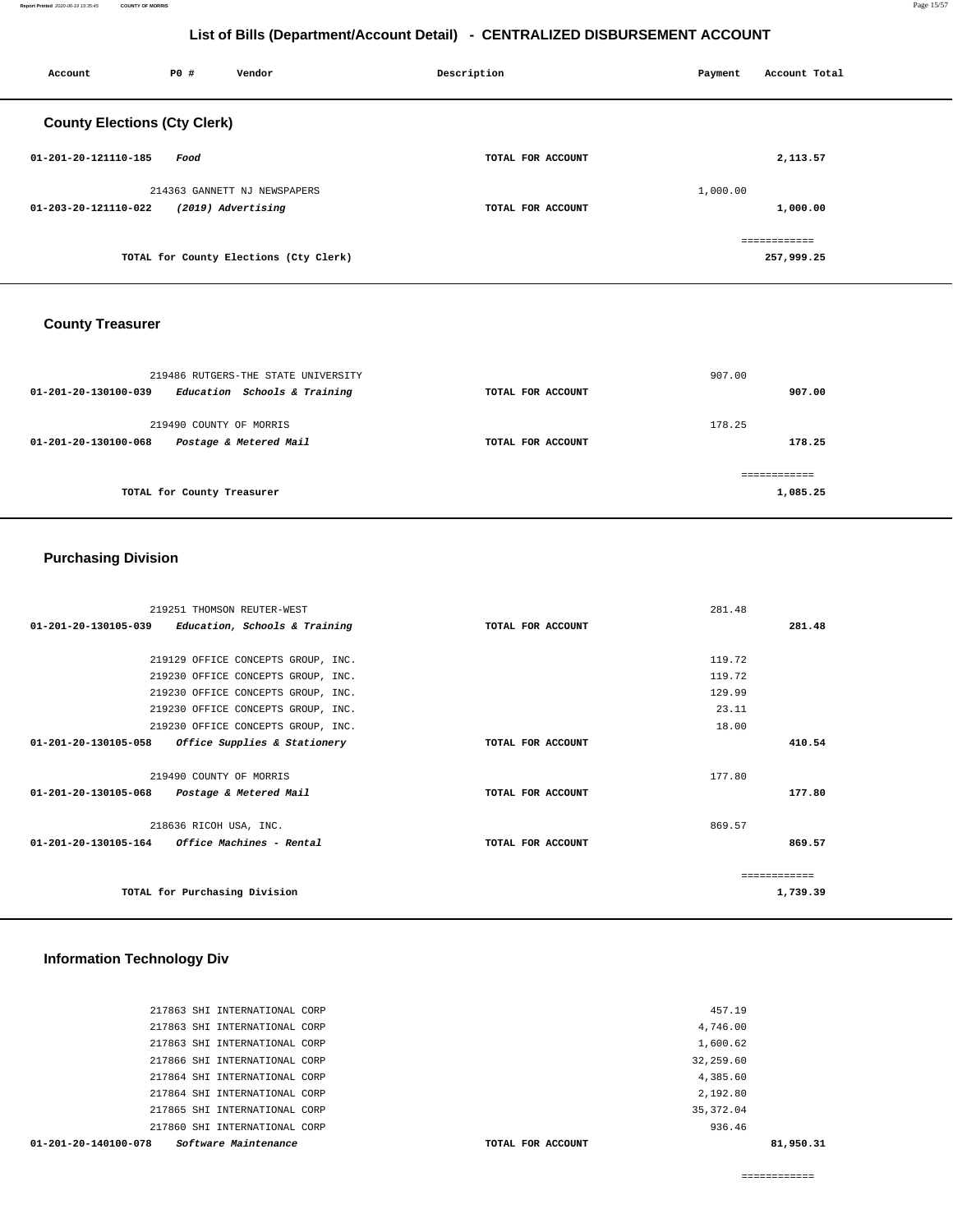| Account                             | P0 # | Vendor                                             | Description       | Payment  | Account Total |
|-------------------------------------|------|----------------------------------------------------|-------------------|----------|---------------|
| <b>County Elections (Cty Clerk)</b> |      |                                                    |                   |          |               |
| 01-201-20-121110-185                | Food |                                                    | TOTAL FOR ACCOUNT |          | 2,113.57      |
| 01-203-20-121110-022                |      | 214363 GANNETT NJ NEWSPAPERS<br>(2019) Advertising | TOTAL FOR ACCOUNT | 1,000.00 | 1,000.00      |
|                                     |      | TOTAL for County Elections (Cty Clerk)             |                   |          | 257,999.25    |

## **County Treasurer**

| 219486 RUTGERS-THE STATE UNIVERSITY                  |                   | 907.00   |
|------------------------------------------------------|-------------------|----------|
| Education Schools & Training<br>01-201-20-130100-039 | TOTAL FOR ACCOUNT | 907.00   |
| 219490 COUNTY OF MORRIS                              |                   | 178.25   |
| Postage & Metered Mail<br>01-201-20-130100-068       | TOTAL FOR ACCOUNT | 178.25   |
|                                                      |                   |          |
| TOTAL for County Treasurer                           |                   | 1,085.25 |

## **Purchasing Division**

| 01-201-20-130105-039<br>Education, Schools & Training   | TOTAL FOR ACCOUNT | 281.48   |
|---------------------------------------------------------|-------------------|----------|
|                                                         |                   |          |
|                                                         |                   |          |
| 219129 OFFICE CONCEPTS GROUP, INC.                      |                   | 119.72   |
| 219230 OFFICE CONCEPTS GROUP, INC.                      |                   | 119.72   |
| 219230 OFFICE CONCEPTS GROUP, INC.                      |                   | 129.99   |
| 219230 OFFICE CONCEPTS GROUP, INC.                      |                   | 23.11    |
| 219230 OFFICE CONCEPTS GROUP, INC.                      |                   | 18.00    |
| Office Supplies & Stationery<br>01-201-20-130105-058    | TOTAL FOR ACCOUNT | 410.54   |
|                                                         |                   |          |
| 219490 COUNTY OF MORRIS                                 |                   | 177.80   |
| 01-201-20-130105-068<br>Postage & Metered Mail          | TOTAL FOR ACCOUNT | 177.80   |
|                                                         |                   |          |
| 218636 RICOH USA, INC.                                  |                   | 869.57   |
| $01 - 201 - 20 - 130105 - 164$ Office Machines - Rental | TOTAL FOR ACCOUNT | 869.57   |
|                                                         |                   |          |
|                                                         |                   |          |
| TOTAL for Purchasing Division                           |                   | 1,739.39 |
|                                                         |                   |          |

## **Information Technology Div**

| $01 - 201 - 20 - 140100 - 078$ | Software Maintenance          | TOTAL FOR ACCOUNT | 81,950.31 |
|--------------------------------|-------------------------------|-------------------|-----------|
|                                | 217860 SHI INTERNATIONAL CORP |                   | 936.46    |
|                                | 217865 SHI INTERNATIONAL CORP | 35, 372.04        |           |
|                                | 217864 SHI INTERNATIONAL CORP | 2,192.80          |           |
|                                | 217864 SHI INTERNATIONAL CORP | 4,385.60          |           |
|                                | 217866 SHI INTERNATIONAL CORP | 32,259.60         |           |
|                                | 217863 SHI INTERNATIONAL CORP | 1,600.62          |           |
|                                | 217863 SHI INTERNATIONAL CORP | 4,746.00          |           |
|                                | 217863 SHI INTERNATIONAL CORP |                   | 457.19    |
|                                |                               |                   |           |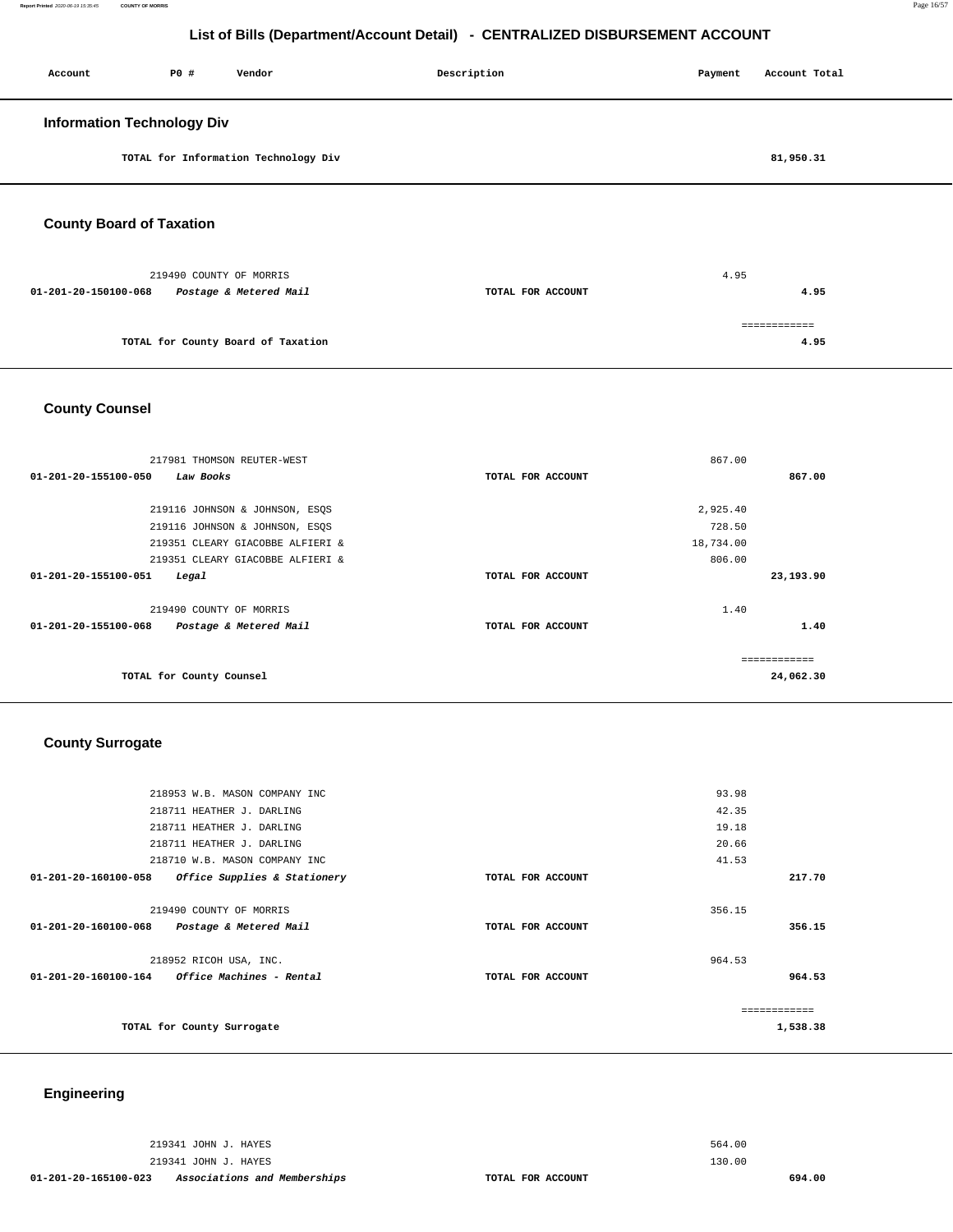| Account                           | P0# | Vendor                               | Description | Payment | Account Total |
|-----------------------------------|-----|--------------------------------------|-------------|---------|---------------|
| <b>Information Technology Div</b> |     |                                      |             |         |               |
|                                   |     | TOTAL for Information Technology Div |             |         | 81,950.31     |
|                                   |     |                                      |             |         |               |

**County Board of Taxation** 

| 219490 COUNTY OF MORRIS                        |                   | 4.95 |  |
|------------------------------------------------|-------------------|------|--|
| 01-201-20-150100-068<br>Postage & Metered Mail | TOTAL FOR ACCOUNT | 4.95 |  |
|                                                |                   |      |  |
| TOTAL for County Board of Taxation             |                   | 4.95 |  |
|                                                |                   |      |  |

**County Counsel** 

| 217981 THOMSON REUTER-WEST                     |                   | 867.00    |
|------------------------------------------------|-------------------|-----------|
| 01-201-20-155100-050<br>Law Books              | TOTAL FOR ACCOUNT | 867.00    |
|                                                |                   |           |
| 219116 JOHNSON & JOHNSON, ESQS                 |                   | 2,925.40  |
| 219116 JOHNSON & JOHNSON, ESQS                 |                   | 728.50    |
| 219351 CLEARY GIACOBBE ALFIERI &               |                   | 18,734.00 |
| 219351 CLEARY GIACOBBE ALFIERI &               |                   | 806.00    |
| 01-201-20-155100-051<br>Legal                  | TOTAL FOR ACCOUNT | 23,193.90 |
| 219490 COUNTY OF MORRIS                        |                   | 1.40      |
| 01-201-20-155100-068<br>Postage & Metered Mail | TOTAL FOR ACCOUNT | 1.40      |
|                                                |                   |           |
| TOTAL for County Counsel                       |                   | 24,062.30 |

## **County Surrogate**

|                      | 218953 W.B. MASON COMPANY INC                   |                   | 93.98  |          |
|----------------------|-------------------------------------------------|-------------------|--------|----------|
|                      | 218711 HEATHER J. DARLING                       |                   | 42.35  |          |
|                      | 218711 HEATHER J. DARLING                       |                   | 19.18  |          |
|                      | 218711 HEATHER J. DARLING                       |                   | 20.66  |          |
|                      | 218710 W.B. MASON COMPANY INC                   |                   | 41.53  |          |
| 01-201-20-160100-058 | Office Supplies & Stationery                    | TOTAL FOR ACCOUNT |        | 217.70   |
|                      | 219490 COUNTY OF MORRIS                         |                   | 356.15 |          |
| 01-201-20-160100-068 | Postage & Metered Mail                          | TOTAL FOR ACCOUNT |        | 356.15   |
|                      | 218952 RICOH USA, INC.                          |                   | 964.53 |          |
|                      | $01-201-20-160100-164$ Office Machines - Rental | TOTAL FOR ACCOUNT |        | 964.53   |
|                      |                                                 |                   |        |          |
|                      | TOTAL for County Surrogate                      |                   |        | 1,538.38 |
|                      |                                                 |                   |        |          |

## **Engineering**

219341 JOHN J. HAYES 219341 JOHN J. HAYES

**01-201-20-165100-023 Associations and Memberships TOTAL FOR ACCOUNT** 

564.00 130.00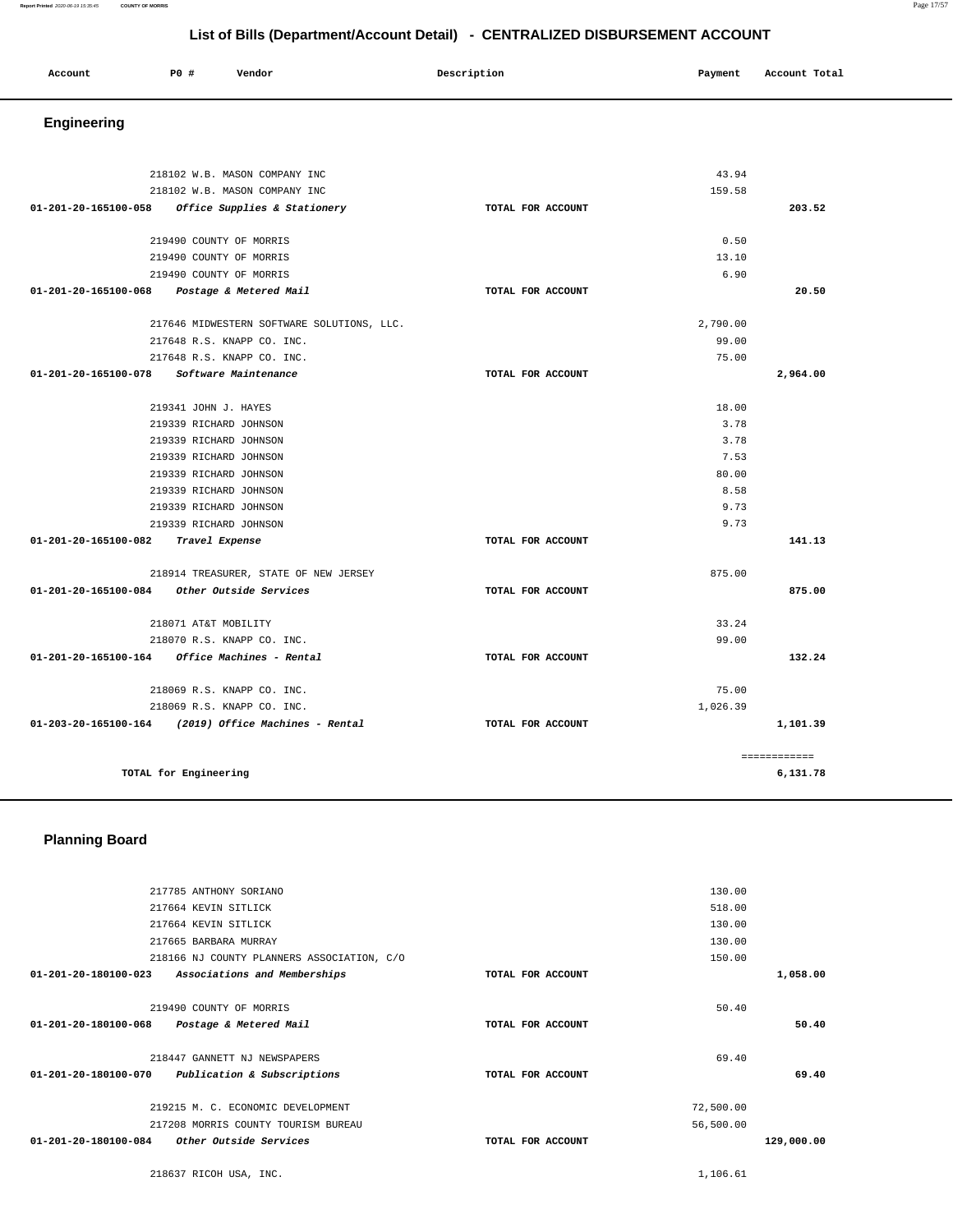#### **Report Printed** 2020-06-19 15:35:45 **COUNTY OF MORRIS** Page 17/57

## **List of Bills (Department/Account Detail) - CENTRALIZED DISBURSEMENT ACCOUNT**

| Account | P0 # | Vendor | Description | Payment | Account Total |
|---------|------|--------|-------------|---------|---------------|
| .       |      |        |             |         |               |
|         |      |        |             |         |               |

# **Engineering**

| 218102 W.B. MASON COMPANY INC                           |                   | 43.94        |
|---------------------------------------------------------|-------------------|--------------|
| 218102 W.B. MASON COMPANY INC                           | 159.58            |              |
| 01-201-20-165100-058 Office Supplies & Stationery       | TOTAL FOR ACCOUNT | 203.52       |
| 219490 COUNTY OF MORRIS                                 |                   | 0.50         |
| 219490 COUNTY OF MORRIS                                 |                   | 13.10        |
| 219490 COUNTY OF MORRIS                                 |                   | 6.90         |
| 01-201-20-165100-068 Postage & Metered Mail             | TOTAL FOR ACCOUNT | 20.50        |
|                                                         |                   |              |
| 217646 MIDWESTERN SOFTWARE SOLUTIONS, LLC.              | 2,790.00          | 99.00        |
| 217648 R.S. KNAPP CO. INC.                              |                   | 75.00        |
| 217648 R.S. KNAPP CO. INC.                              |                   |              |
| 01-201-20-165100-078 Software Maintenance               | TOTAL FOR ACCOUNT | 2,964.00     |
| 219341 JOHN J. HAYES                                    |                   | 18.00        |
| 219339 RICHARD JOHNSON                                  |                   | 3.78         |
| 219339 RICHARD JOHNSON                                  |                   | 3.78         |
| 219339 RICHARD JOHNSON                                  |                   | 7.53         |
| 219339 RICHARD JOHNSON                                  |                   | 80.00        |
| 219339 RICHARD JOHNSON                                  |                   | 8.58         |
| 219339 RICHARD JOHNSON                                  |                   | 9.73         |
| 219339 RICHARD JOHNSON                                  |                   | 9.73         |
| 01-201-20-165100-082 Travel Expense                     | TOTAL FOR ACCOUNT | 141.13       |
| 218914 TREASURER, STATE OF NEW JERSEY                   | 875.00            |              |
| 01-201-20-165100-084 Other Outside Services             | TOTAL FOR ACCOUNT | 875.00       |
| 218071 AT&T MOBILITY                                    |                   | 33.24        |
| 218070 R.S. KNAPP CO. INC.                              |                   | 99.00        |
| $01 - 201 - 20 - 165100 - 164$ Office Machines - Rental | TOTAL FOR ACCOUNT | 132.24       |
| 218069 R.S. KNAPP CO. INC.                              |                   | 75.00        |
| 218069 R.S. KNAPP CO. INC.                              | 1,026.39          |              |
| $01-203-20-165100-164$ (2019) Office Machines - Rental  | TOTAL FOR ACCOUNT | 1,101.39     |
|                                                         |                   | ============ |
| TOTAL for Engineering                                   |                   | 6,131.78     |

## **Planning Board**

| 217785 ANTHONY SORIANO         |                                            |                   | 130.00    |            |
|--------------------------------|--------------------------------------------|-------------------|-----------|------------|
| 217664 KEVIN SITLICK           |                                            |                   | 518.00    |            |
| 217664 KEVIN SITLICK           |                                            |                   | 130.00    |            |
| 217665 BARBARA MURRAY          |                                            |                   | 130.00    |            |
|                                | 218166 NJ COUNTY PLANNERS ASSOCIATION, C/O |                   | 150.00    |            |
| $01 - 201 - 20 - 180100 - 023$ | Associations and Memberships               | TOTAL FOR ACCOUNT |           | 1,058.00   |
| 219490 COUNTY OF MORRIS        |                                            |                   | 50.40     |            |
| 01-201-20-180100-068           | Postage & Metered Mail                     | TOTAL FOR ACCOUNT |           | 50.40      |
| 218447 GANNETT NJ NEWSPAPERS   |                                            |                   | 69.40     |            |
| 01-201-20-180100-070           | Publication & Subscriptions                | TOTAL FOR ACCOUNT |           | 69.40      |
|                                | 219215 M. C. ECONOMIC DEVELOPMENT          |                   | 72,500.00 |            |
|                                | 217208 MORRIS COUNTY TOURISM BUREAU        |                   | 56,500.00 |            |
| 01-201-20-180100-084           | Other Outside Services                     | TOTAL FOR ACCOUNT |           | 129,000.00 |
|                                |                                            |                   |           |            |
|                                |                                            |                   |           |            |

218637 RICOH USA, INC. [1,106.61](https://1,106.61)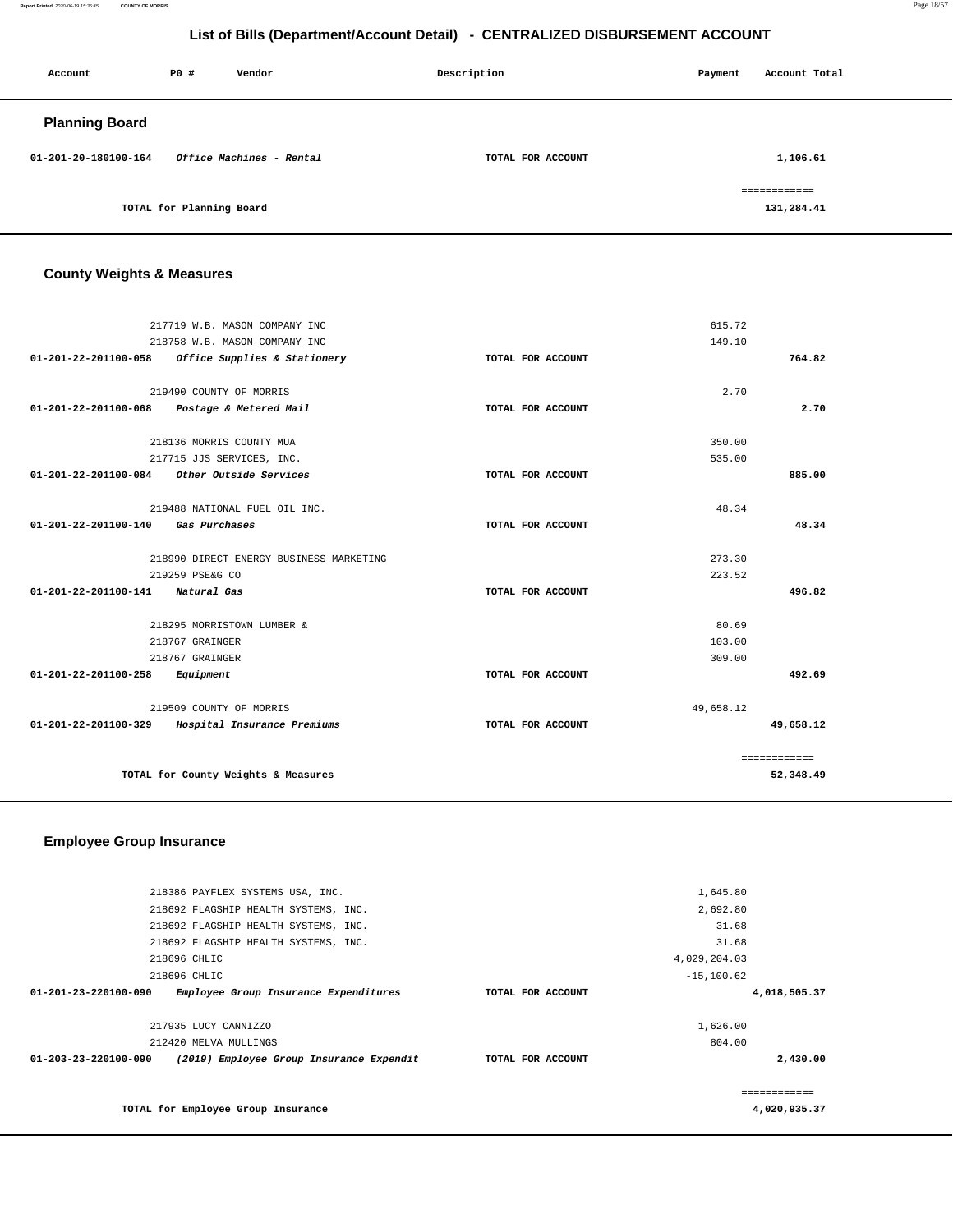**Report Printed** 2020-06-19 15:35:45 **COUNTY OF MORRIS** Page 18/57

## **List of Bills (Department/Account Detail) - CENTRALIZED DISBURSEMENT ACCOUNT**

| Account               | P0 #                     | Vendor                   | Description       | Payment | Account Total              |
|-----------------------|--------------------------|--------------------------|-------------------|---------|----------------------------|
| <b>Planning Board</b> |                          |                          |                   |         |                            |
| 01-201-20-180100-164  |                          | Office Machines - Rental | TOTAL FOR ACCOUNT |         | 1,106.61                   |
|                       | TOTAL for Planning Board |                          |                   |         | ============<br>131,284.41 |

## **County Weights & Measures**

| 217719 W.B. MASON COMPANY INC                     |                   | 615.72    |              |
|---------------------------------------------------|-------------------|-----------|--------------|
| 218758 W.B. MASON COMPANY INC                     |                   | 149.10    |              |
| 01-201-22-201100-058 Office Supplies & Stationery | TOTAL FOR ACCOUNT |           | 764.82       |
| 219490 COUNTY OF MORRIS                           |                   | 2.70      |              |
| 01-201-22-201100-068<br>Postage & Metered Mail    | TOTAL FOR ACCOUNT |           | 2.70         |
| 218136 MORRIS COUNTY MUA                          |                   | 350.00    |              |
| 217715 JJS SERVICES, INC.                         |                   | 535.00    |              |
| Other Outside Services<br>01-201-22-201100-084    | TOTAL FOR ACCOUNT |           | 885.00       |
| 219488 NATIONAL FUEL OIL INC.                     |                   | 48.34     |              |
| 01-201-22-201100-140<br>Gas Purchases             | TOTAL FOR ACCOUNT |           | 48.34        |
| 218990 DIRECT ENERGY BUSINESS MARKETING           |                   | 273.30    |              |
| 219259 PSE&G CO                                   |                   | 223.52    |              |
| 01-201-22-201100-141 Natural Gas                  | TOTAL FOR ACCOUNT |           | 496.82       |
| 218295 MORRISTOWN LUMBER &                        |                   | 80.69     |              |
| 218767 GRAINGER                                   |                   | 103.00    |              |
| 218767 GRAINGER                                   |                   | 309.00    |              |
| 01-201-22-201100-258<br>Equipment                 | TOTAL FOR ACCOUNT |           | 492.69       |
| 219509 COUNTY OF MORRIS                           |                   | 49,658.12 |              |
| 01-201-22-201100-329 Hospital Insurance Premiums  | TOTAL FOR ACCOUNT |           | 49,658.12    |
|                                                   |                   |           | ============ |
| TOTAL for County Weights & Measures               |                   |           | 52,348.49    |

## **Employee Group Insurance**

| 218386 PAYFLEX SYSTEMS USA, INC.                                 |                   | 1,645.80      |              |
|------------------------------------------------------------------|-------------------|---------------|--------------|
| 218692 FLAGSHIP HEALTH SYSTEMS, INC.                             |                   | 2,692.80      |              |
| 218692 FLAGSHIP HEALTH SYSTEMS, INC.                             |                   | 31.68         |              |
| 218692 FLAGSHIP HEALTH SYSTEMS, INC.                             |                   | 31.68         |              |
| 218696 CHLIC                                                     |                   | 4,029,204.03  |              |
| 218696 CHLIC                                                     |                   | $-15, 100.62$ |              |
| 01-201-23-220100-090<br>Employee Group Insurance Expenditures    | TOTAL FOR ACCOUNT |               | 4,018,505.37 |
|                                                                  |                   |               |              |
| 217935 LUCY CANNIZZO                                             |                   | 1,626.00      |              |
| 212420 MELVA MULLINGS                                            |                   | 804.00        |              |
| (2019) Employee Group Insurance Expendit<br>01-203-23-220100-090 | TOTAL FOR ACCOUNT |               | 2,430.00     |
|                                                                  |                   |               |              |
|                                                                  |                   |               |              |
| TOTAL for Employee Group Insurance                               |                   |               | 4,020,935.37 |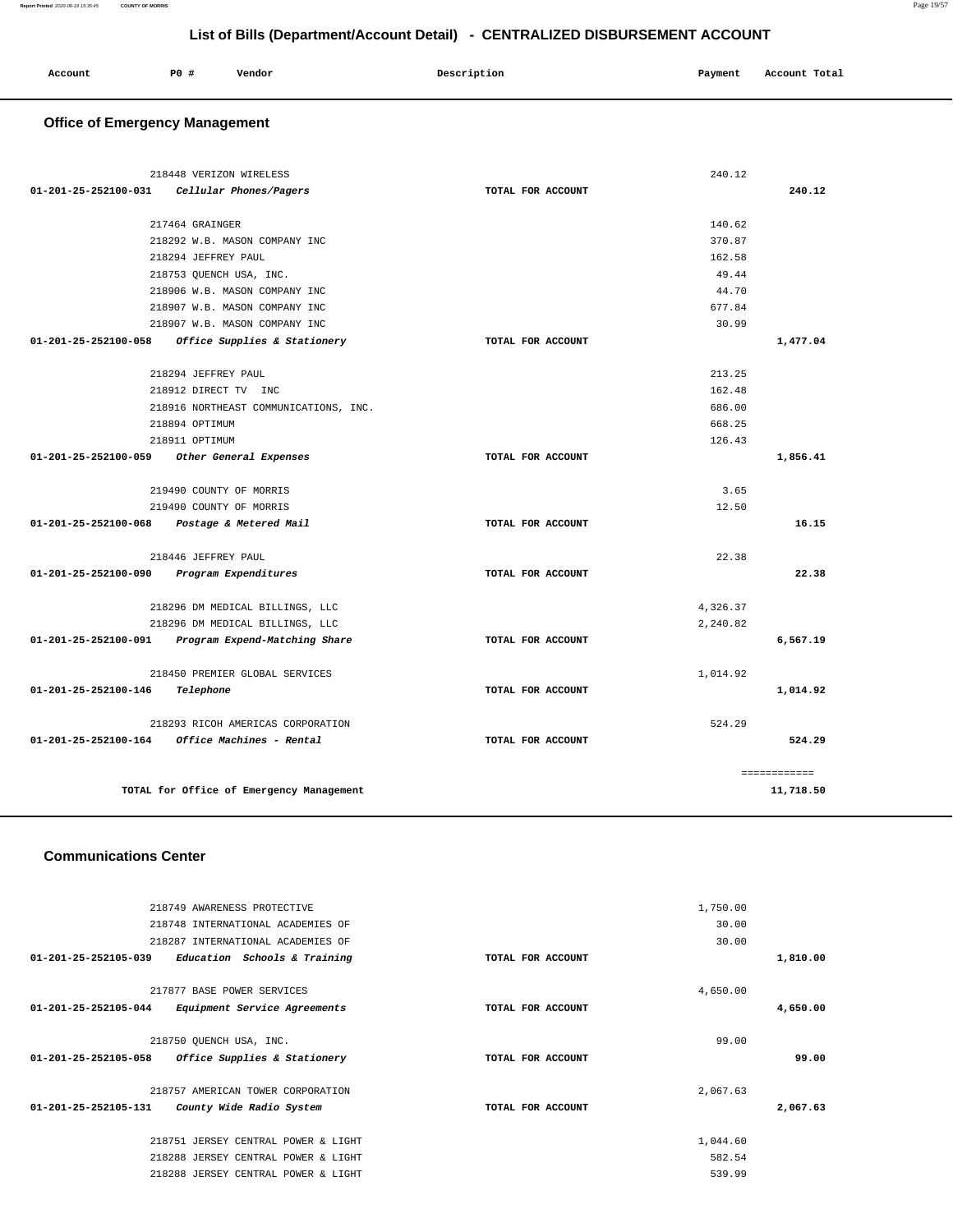| Account | P0 # | Vendor | Description | Payment | Account Total |  |
|---------|------|--------|-------------|---------|---------------|--|
|         |      |        |             |         |               |  |

# **Office of Emergency Management**

| 218448 VERIZON WIRELESS                            |                   | 240.12       |
|----------------------------------------------------|-------------------|--------------|
| 01-201-25-252100-031<br>Cellular Phones/Pagers     | TOTAL FOR ACCOUNT | 240.12       |
| 217464 GRAINGER                                    |                   | 140.62       |
| 218292 W.B. MASON COMPANY INC                      |                   | 370.87       |
| 218294 JEFFREY PAUL                                |                   | 162.58       |
| 218753 QUENCH USA, INC.                            |                   | 49.44        |
| 218906 W.B. MASON COMPANY INC                      |                   | 44.70        |
| 218907 W.B. MASON COMPANY INC                      |                   | 677.84       |
| 218907 W.B. MASON COMPANY INC                      |                   | 30.99        |
| 01-201-25-252100-058 Office Supplies & Stationery  | TOTAL FOR ACCOUNT | 1,477.04     |
| 218294 JEFFREY PAUL                                |                   | 213.25       |
| 218912 DIRECT TV INC                               |                   | 162.48       |
| 218916 NORTHEAST COMMUNICATIONS, INC.              |                   | 686.00       |
| 218894 OPTIMUM                                     |                   | 668.25       |
| 218911 OPTIMUM                                     |                   | 126.43       |
| 01-201-25-252100-059 Other General Expenses        | TOTAL FOR ACCOUNT | 1,856.41     |
| 219490 COUNTY OF MORRIS                            |                   | 3.65         |
| 219490 COUNTY OF MORRIS                            |                   | 12.50        |
| 01-201-25-252100-068 Postage & Metered Mail        | TOTAL FOR ACCOUNT | 16.15        |
| 218446 JEFFREY PAUL                                |                   | 22.38        |
| 01-201-25-252100-090 Program Expenditures          | TOTAL FOR ACCOUNT | 22.38        |
| 218296 DM MEDICAL BILLINGS, LLC                    |                   | 4,326.37     |
| 218296 DM MEDICAL BILLINGS, LLC                    |                   | 2,240.82     |
| 01-201-25-252100-091 Program Expend-Matching Share | TOTAL FOR ACCOUNT | 6,567.19     |
| 218450 PREMIER GLOBAL SERVICES                     |                   | 1,014.92     |
| 01-201-25-252100-146<br>Telephone                  | TOTAL FOR ACCOUNT | 1,014.92     |
| 218293 RICOH AMERICAS CORPORATION                  |                   | 524.29       |
| 01-201-25-252100-164 Office Machines - Rental      | TOTAL FOR ACCOUNT | 524.29       |
|                                                    |                   | ============ |
| TOTAL for Office of Emergency Management           |                   | 11,718.50    |

### **Communications Center**

|          | 1,750.00 |                   | 218749 AWARENESS PROTECTIVE         |                                |
|----------|----------|-------------------|-------------------------------------|--------------------------------|
|          | 30.00    |                   | 218748 INTERNATIONAL ACADEMIES OF   |                                |
|          | 30.00    |                   | 218287 INTERNATIONAL ACADEMIES OF   |                                |
| 1,810.00 |          | TOTAL FOR ACCOUNT | Education Schools & Training        | $01 - 201 - 25 - 252105 - 039$ |
|          |          |                   |                                     |                                |
|          | 4,650.00 |                   | 217877 BASE POWER SERVICES          |                                |
| 4,650.00 |          | TOTAL FOR ACCOUNT | Equipment Service Agreements        | $01 - 201 - 25 - 252105 - 044$ |
|          |          |                   |                                     |                                |
|          | 99.00    |                   | 218750 OUENCH USA, INC.             |                                |
| 99.00    |          | TOTAL FOR ACCOUNT | Office Supplies & Stationery        | $01 - 201 - 25 - 252105 - 058$ |
|          |          |                   |                                     |                                |
|          | 2,067.63 |                   | 218757 AMERICAN TOWER CORPORATION   |                                |
| 2,067.63 |          | TOTAL FOR ACCOUNT | County Wide Radio System            | 01-201-25-252105-131           |
|          |          |                   |                                     |                                |
|          | 1,044.60 |                   | 218751 JERSEY CENTRAL POWER & LIGHT |                                |
|          | 582.54   |                   | 218288 JERSEY CENTRAL POWER & LIGHT |                                |
|          | 539.99   |                   | 218288 JERSEY CENTRAL POWER & LIGHT |                                |
|          |          |                   |                                     |                                |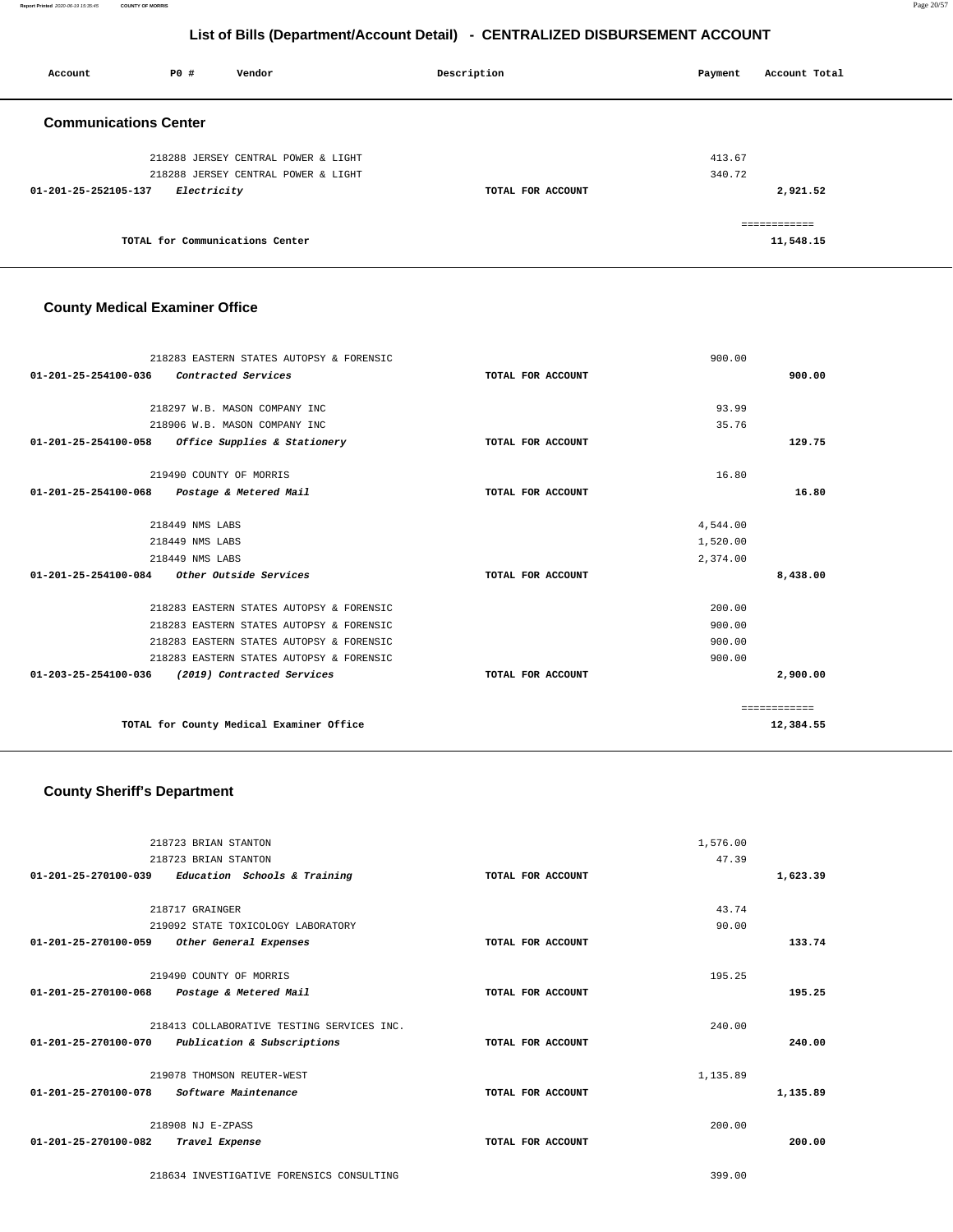**Report Printed** 2020-06-19 15:35:45 **COUNTY OF MORRIS** Page 20/57

## **List of Bills (Department/Account Detail) - CENTRALIZED DISBURSEMENT ACCOUNT**

| Account                      | P0#                             | Vendor                              | Description       | Payment | Account Total |
|------------------------------|---------------------------------|-------------------------------------|-------------------|---------|---------------|
| <b>Communications Center</b> |                                 |                                     |                   |         |               |
|                              |                                 | 218288 JERSEY CENTRAL POWER & LIGHT |                   | 413.67  |               |
|                              |                                 | 218288 JERSEY CENTRAL POWER & LIGHT |                   | 340.72  |               |
| 01-201-25-252105-137         | <i>Electricity</i>              |                                     | TOTAL FOR ACCOUNT |         | 2,921.52      |
|                              |                                 |                                     |                   |         | ============  |
|                              | TOTAL for Communications Center |                                     |                   |         | 11,548.15     |

## **County Medical Examiner Office**

|                      | 218283 EASTERN STATES AUTOPSY & FORENSIC    |                   | 900.00   |              |
|----------------------|---------------------------------------------|-------------------|----------|--------------|
| 01-201-25-254100-036 | Contracted Services                         | TOTAL FOR ACCOUNT |          | 900.00       |
|                      |                                             |                   |          |              |
|                      | 218297 W.B. MASON COMPANY INC               |                   | 93.99    |              |
|                      | 218906 W.B. MASON COMPANY INC               |                   | 35.76    |              |
| 01-201-25-254100-058 | Office Supplies & Stationery                | TOTAL FOR ACCOUNT |          | 129.75       |
|                      | 219490 COUNTY OF MORRIS                     |                   | 16.80    |              |
|                      | 01-201-25-254100-068 Postage & Metered Mail | TOTAL FOR ACCOUNT |          | 16.80        |
|                      | 218449 NMS LABS                             |                   | 4,544.00 |              |
|                      | 218449 NMS LABS                             |                   | 1,520.00 |              |
|                      | 218449 NMS LABS                             |                   | 2,374.00 |              |
|                      | 01-201-25-254100-084 Other Outside Services | TOTAL FOR ACCOUNT |          | 8,438.00     |
|                      | 218283 EASTERN STATES AUTOPSY & FORENSIC    |                   | 200.00   |              |
|                      | 218283 EASTERN STATES AUTOPSY & FORENSIC    |                   | 900.00   |              |
|                      | 218283 EASTERN STATES AUTOPSY & FORENSIC    |                   | 900.00   |              |
|                      | 218283 EASTERN STATES AUTOPSY & FORENSIC    |                   | 900.00   |              |
| 01-203-25-254100-036 | (2019) Contracted Services                  | TOTAL FOR ACCOUNT |          | 2,900.00     |
|                      |                                             |                   |          | ------------ |
|                      | TOTAL for County Medical Examiner Office    |                   |          | 12,384.55    |

## **County Sheriff's Department**

|                                | 218723 BRIAN STANTON                       |                   | 1,576.00 |          |
|--------------------------------|--------------------------------------------|-------------------|----------|----------|
|                                | 218723 BRIAN STANTON                       |                   | 47.39    |          |
| 01-201-25-270100-039           | Education Schools & Training               | TOTAL FOR ACCOUNT |          | 1,623.39 |
|                                |                                            |                   |          |          |
|                                | 218717 GRAINGER                            |                   | 43.74    |          |
|                                | 219092 STATE TOXICOLOGY LABORATORY         |                   | 90.00    |          |
| 01-201-25-270100-059           | Other General Expenses                     | TOTAL FOR ACCOUNT |          | 133.74   |
|                                |                                            |                   |          |          |
|                                | 219490 COUNTY OF MORRIS                    |                   | 195.25   |          |
| $01 - 201 - 25 - 270100 - 068$ | Postage & Metered Mail                     | TOTAL FOR ACCOUNT |          | 195.25   |
|                                |                                            |                   |          |          |
|                                | 218413 COLLABORATIVE TESTING SERVICES INC. |                   | 240.00   |          |
| 01-201-25-270100-070           | Publication & Subscriptions                | TOTAL FOR ACCOUNT |          | 240.00   |
|                                |                                            |                   |          |          |
|                                | 219078 THOMSON REUTER-WEST                 |                   | 1,135.89 |          |
| 01-201-25-270100-078           | Software Maintenance                       | TOTAL FOR ACCOUNT |          | 1,135.89 |
|                                |                                            |                   |          |          |
|                                | 218908 NJ E-ZPASS                          |                   | 200.00   |          |
| 01-201-25-270100-082           | Travel Expense                             | TOTAL FOR ACCOUNT |          | 200.00   |
|                                |                                            |                   |          |          |
|                                | 218634 INVESTIGATIVE FORENSICS CONSULTING  |                   | 399.00   |          |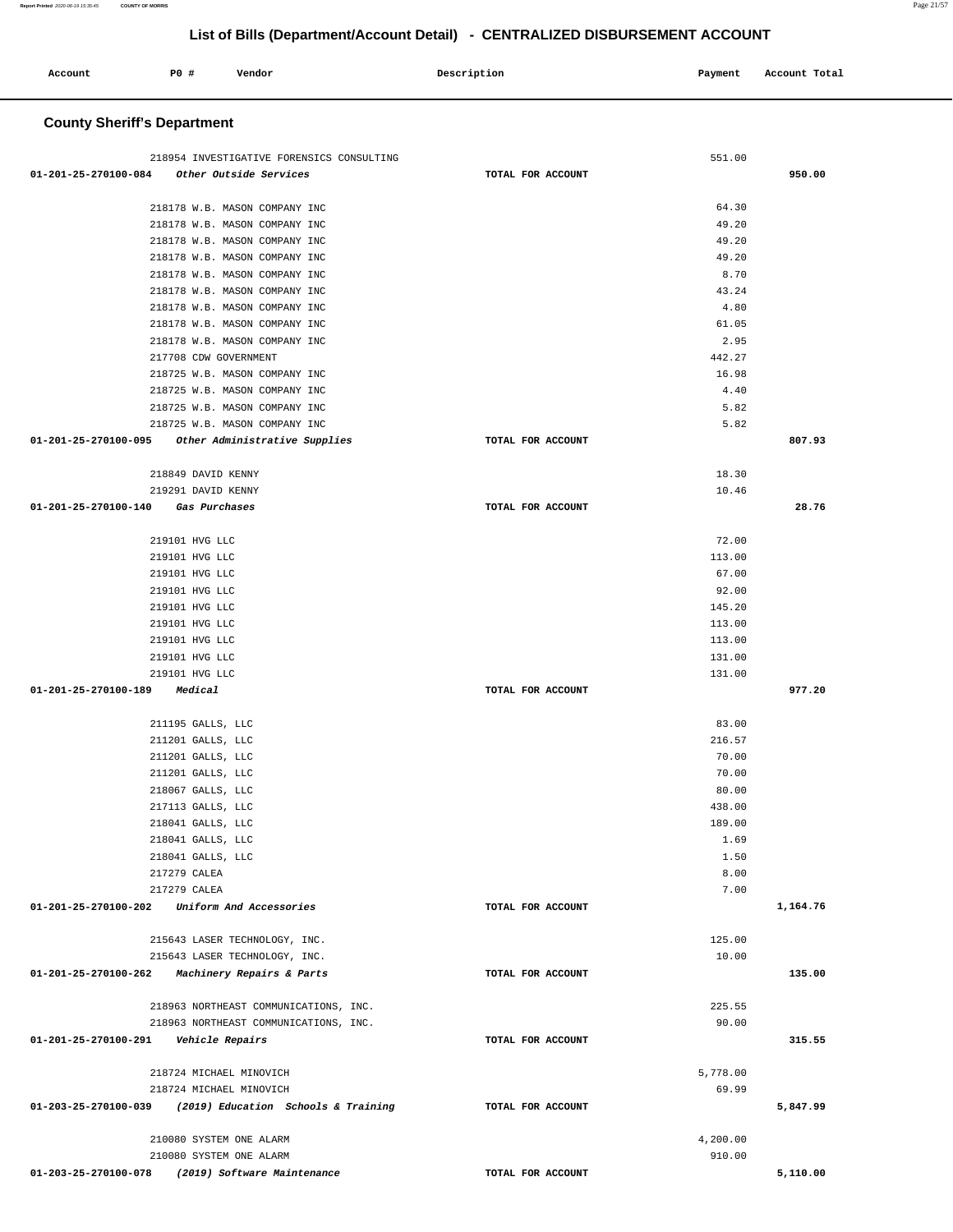| Account                                 | <b>PO #</b>  | Vendor                                                         | Description       | Payment         | Account Total |
|-----------------------------------------|--------------|----------------------------------------------------------------|-------------------|-----------------|---------------|
|                                         |              |                                                                |                   |                 |               |
| <b>County Sheriff's Department</b>      |              |                                                                |                   |                 |               |
|                                         |              |                                                                |                   |                 |               |
|                                         |              | 218954 INVESTIGATIVE FORENSICS CONSULTING                      |                   | 551.00          |               |
| 01-201-25-270100-084                    |              | Other Outside Services                                         | TOTAL FOR ACCOUNT |                 | 950.00        |
|                                         |              |                                                                |                   |                 |               |
|                                         |              | 218178 W.B. MASON COMPANY INC                                  |                   | 64.30           |               |
|                                         |              | 218178 W.B. MASON COMPANY INC                                  |                   | 49.20           |               |
|                                         |              | 218178 W.B. MASON COMPANY INC                                  |                   | 49.20           |               |
|                                         |              | 218178 W.B. MASON COMPANY INC                                  |                   | 49.20           |               |
|                                         |              | 218178 W.B. MASON COMPANY INC                                  |                   | 8.70<br>43.24   |               |
|                                         |              | 218178 W.B. MASON COMPANY INC<br>218178 W.B. MASON COMPANY INC |                   | 4.80            |               |
|                                         |              | 218178 W.B. MASON COMPANY INC                                  |                   | 61.05           |               |
|                                         |              | 218178 W.B. MASON COMPANY INC                                  |                   | 2.95            |               |
|                                         |              | 217708 CDW GOVERNMENT                                          |                   | 442.27          |               |
|                                         |              | 218725 W.B. MASON COMPANY INC                                  |                   | 16.98           |               |
|                                         |              | 218725 W.B. MASON COMPANY INC                                  |                   | 4.40            |               |
|                                         |              | 218725 W.B. MASON COMPANY INC                                  |                   | 5.82            |               |
|                                         |              | 218725 W.B. MASON COMPANY INC                                  |                   | 5.82            |               |
| 01-201-25-270100-095                    |              | Other Administrative Supplies                                  | TOTAL FOR ACCOUNT |                 | 807.93        |
|                                         |              | 218849 DAVID KENNY                                             |                   | 18.30           |               |
|                                         |              | 219291 DAVID KENNY                                             |                   | 10.46           |               |
| 01-201-25-270100-140                    |              | Gas Purchases                                                  | TOTAL FOR ACCOUNT |                 | 28.76         |
|                                         |              |                                                                |                   |                 |               |
|                                         |              | 219101 HVG LLC                                                 |                   | 72.00           |               |
|                                         |              | 219101 HVG LLC                                                 |                   | 113.00          |               |
|                                         |              | 219101 HVG LLC                                                 |                   | 67.00           |               |
|                                         |              | 219101 HVG LLC<br>219101 HVG LLC                               |                   | 92.00<br>145.20 |               |
|                                         |              | 219101 HVG LLC                                                 |                   | 113.00          |               |
|                                         |              | 219101 HVG LLC                                                 |                   | 113.00          |               |
|                                         |              | 219101 HVG LLC                                                 |                   | 131.00          |               |
|                                         |              | 219101 HVG LLC                                                 |                   | 131.00          |               |
| 01-201-25-270100-189                    |              | Medical                                                        | TOTAL FOR ACCOUNT |                 | 977.20        |
|                                         |              |                                                                |                   |                 |               |
|                                         |              | 211195 GALLS, LLC                                              |                   | 83.00           |               |
|                                         |              | 211201 GALLS, LLC<br>211201 GALLS, LLC                         |                   | 216.57<br>70.00 |               |
|                                         |              | 211201 GALLS, LLC                                              |                   | 70.00           |               |
|                                         |              | 218067 GALLS, LLC                                              |                   | 80.00           |               |
|                                         |              | 217113 GALLS, LLC                                              |                   | 438.00          |               |
|                                         |              | 218041 GALLS, LLC                                              |                   | 189.00          |               |
|                                         |              | 218041 GALLS, LLC                                              |                   | 1.69            |               |
|                                         |              | 218041 GALLS, LLC                                              |                   | 1.50            |               |
|                                         | 217279 CALEA |                                                                |                   | 8.00            |               |
|                                         | 217279 CALEA | 01-201-25-270100-202 Uniform And Accessories                   | TOTAL FOR ACCOUNT | 7.00            | 1,164.76      |
|                                         |              |                                                                |                   |                 |               |
|                                         |              | 215643 LASER TECHNOLOGY, INC.                                  |                   | 125.00          |               |
|                                         |              | 215643 LASER TECHNOLOGY, INC.                                  |                   | 10.00           |               |
|                                         |              | 01-201-25-270100-262 Machinery Repairs & Parts                 | TOTAL FOR ACCOUNT |                 | 135.00        |
|                                         |              |                                                                |                   |                 |               |
|                                         |              | 218963 NORTHEAST COMMUNICATIONS, INC.                          |                   | 225.55          |               |
|                                         |              | 218963 NORTHEAST COMMUNICATIONS, INC.                          |                   | 90.00           |               |
| 01-201-25-270100-291    Vehicle Repairs |              |                                                                | TOTAL FOR ACCOUNT |                 | 315.55        |
|                                         |              | 218724 MICHAEL MINOVICH                                        |                   | 5,778.00        |               |
|                                         |              | 218724 MICHAEL MINOVICH                                        |                   | 69.99           |               |
|                                         |              | 01-203-25-270100-039 (2019) Education Schools & Training       | TOTAL FOR ACCOUNT |                 | 5,847.99      |
|                                         |              |                                                                |                   |                 |               |
|                                         |              | 210080 SYSTEM ONE ALARM                                        |                   | 4,200.00        |               |
|                                         |              | 210080 SYSTEM ONE ALARM                                        |                   | 910.00          |               |

**01-203-25-270100-078 (2019) Software Maintenance TOTAL FOR ACCOUNT** 

**5,110.00** 

**Report Printed** 2020-06-19 15:35:45 **COUNTY OF MORRIS** Page 21/57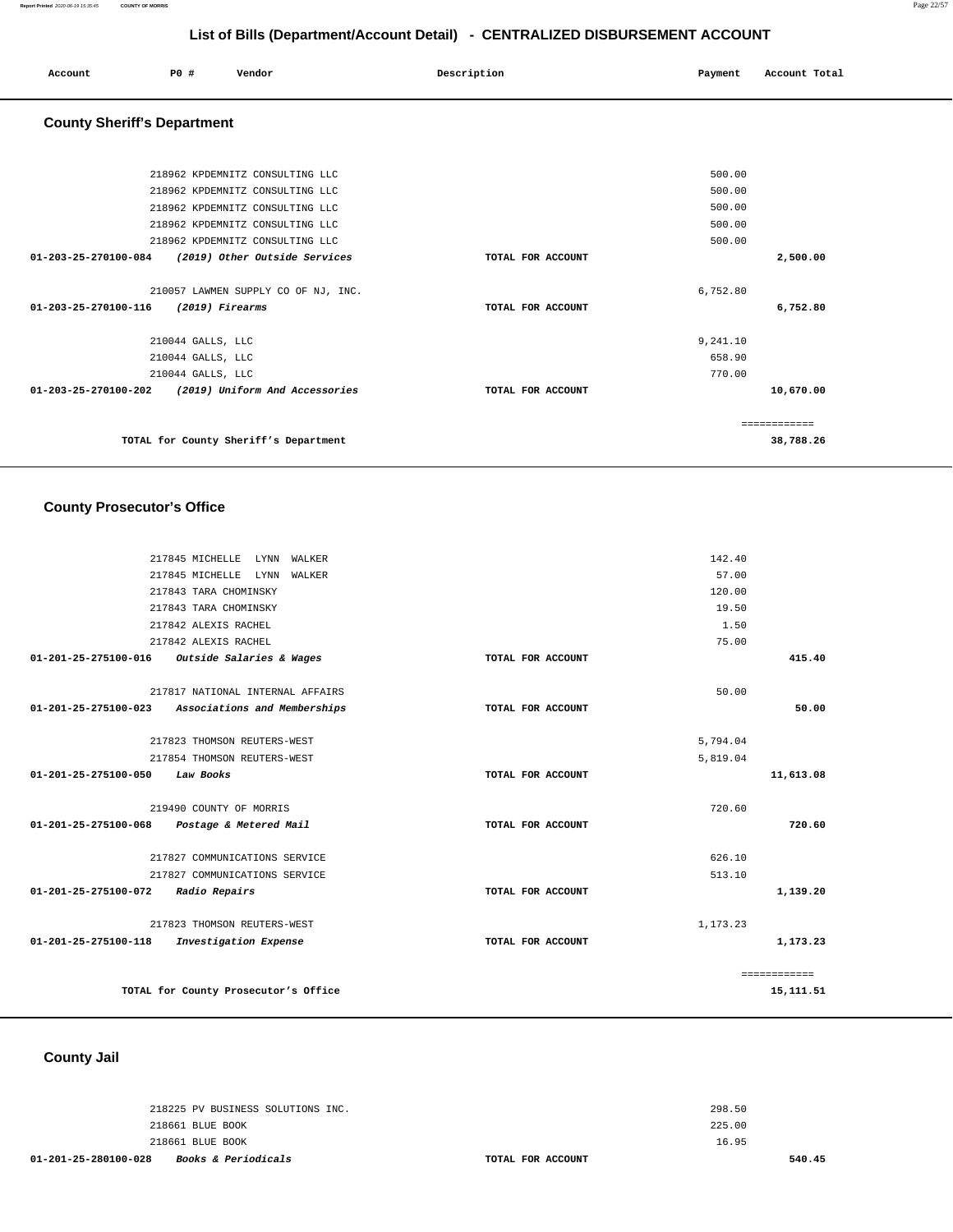| Account<br>. | <b>PO #</b> | Vendor | Description | Payment | Account Total |
|--------------|-------------|--------|-------------|---------|---------------|
|              |             |        |             |         |               |

## **County Sheriff's Department**

| 218962 KPDEMNITZ CONSULTING LLC                                  |                   | 500.00        |
|------------------------------------------------------------------|-------------------|---------------|
| 218962 KPDEMNITZ CONSULTING LLC                                  |                   | 500.00        |
| 218962 KPDEMNITZ CONSULTING LLC                                  |                   | 500.00        |
| 218962 KPDEMNITZ CONSULTING LLC                                  |                   | 500.00        |
| 218962 KPDEMNITZ CONSULTING LLC                                  |                   | 500.00        |
| 01-203-25-270100-084<br>(2019) Other Outside Services            | TOTAL FOR ACCOUNT | 2,500.00      |
|                                                                  |                   |               |
| 210057 LAWMEN SUPPLY CO OF NJ, INC.                              |                   | 6,752.80      |
| (2019) Firearms<br>$01 - 203 - 25 - 270100 - 116$                | TOTAL FOR ACCOUNT | 6,752.80      |
|                                                                  |                   |               |
| 210044 GALLS, LLC                                                |                   | 9,241.10      |
| 210044 GALLS, LLC                                                |                   | 658.90        |
| 210044 GALLS, LLC                                                |                   | 770.00        |
| $01 - 203 - 25 - 270100 - 202$<br>(2019) Uniform And Accessories | TOTAL FOR ACCOUNT | 10,670.00     |
|                                                                  |                   |               |
|                                                                  |                   | ------------- |
| TOTAL for County Sheriff's Department                            |                   | 38,788.26     |
|                                                                  |                   |               |

## **County Prosecutor's Office**

|                      | 217845 MICHELLE<br>LYNN WALKER       |                   | 142.40   |              |
|----------------------|--------------------------------------|-------------------|----------|--------------|
|                      | 217845 MICHELLE<br>LYNN<br>WALKER    |                   | 57.00    |              |
|                      | 217843 TARA CHOMINSKY                |                   | 120.00   |              |
|                      | 217843 TARA CHOMINSKY                |                   | 19.50    |              |
|                      | 217842 ALEXIS RACHEL                 |                   | 1.50     |              |
|                      | 217842 ALEXIS RACHEL                 |                   | 75.00    |              |
| 01-201-25-275100-016 | Outside Salaries & Wages             | TOTAL FOR ACCOUNT |          | 415.40       |
|                      |                                      |                   |          |              |
|                      | 217817 NATIONAL INTERNAL AFFAIRS     |                   | 50.00    |              |
| 01-201-25-275100-023 | Associations and Memberships         | TOTAL FOR ACCOUNT |          | 50.00        |
|                      |                                      |                   |          |              |
|                      | 217823 THOMSON REUTERS-WEST          |                   | 5,794.04 |              |
|                      | 217854 THOMSON REUTERS-WEST          |                   | 5,819.04 |              |
| 01-201-25-275100-050 | Law Books                            | TOTAL FOR ACCOUNT |          | 11,613.08    |
|                      |                                      |                   |          |              |
|                      | 219490 COUNTY OF MORRIS              |                   | 720.60   |              |
| 01-201-25-275100-068 | Postage & Metered Mail               | TOTAL FOR ACCOUNT |          | 720.60       |
|                      |                                      |                   |          |              |
|                      | 217827 COMMUNICATIONS SERVICE        |                   | 626.10   |              |
|                      | 217827 COMMUNICATIONS SERVICE        |                   | 513.10   |              |
| 01-201-25-275100-072 | Radio Repairs                        | TOTAL FOR ACCOUNT |          | 1,139.20     |
|                      |                                      |                   |          |              |
|                      | 217823 THOMSON REUTERS-WEST          |                   | 1,173.23 |              |
| 01-201-25-275100-118 | Investigation Expense                | TOTAL FOR ACCOUNT |          | 1,173.23     |
|                      |                                      |                   |          |              |
|                      |                                      |                   |          | ============ |
|                      | TOTAL for County Prosecutor's Office |                   |          | 15, 111.51   |
|                      |                                      |                   |          |              |

## **County Jail**

| 01-201-25-280100-028 | <i>Books &amp; Periodicals</i>    | TOTAL FOR ACCOUNT |        | 540.45 |
|----------------------|-----------------------------------|-------------------|--------|--------|
|                      | 218661 BLUE BOOK                  |                   | 16.95  |        |
|                      | 218661 BLUE BOOK                  |                   | 225.00 |        |
|                      | 218225 PV BUSINESS SOLUTIONS INC. |                   | 298.50 |        |
|                      |                                   |                   |        |        |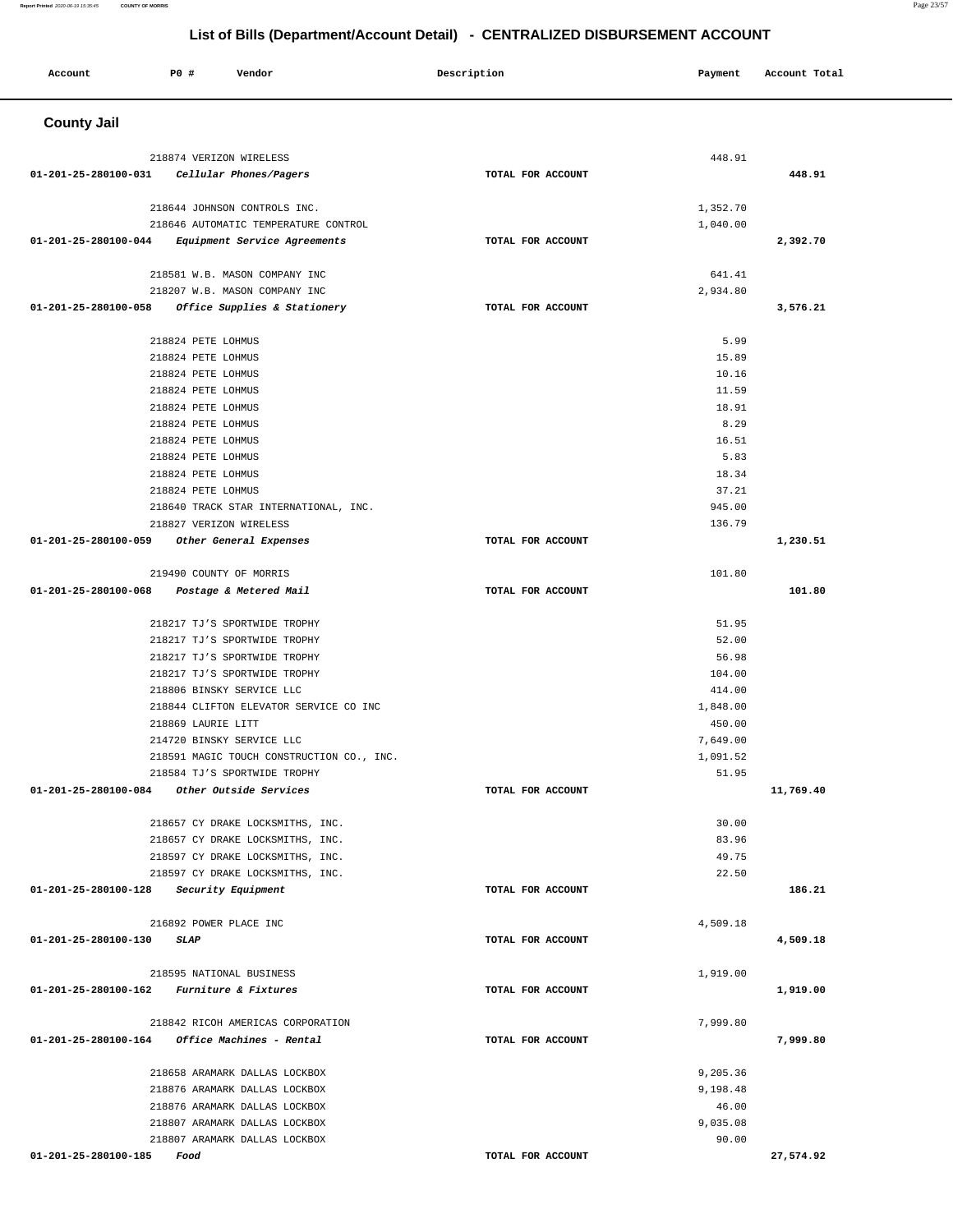| Account                   | P0 #<br>Vendor                                                       | Description       | Payment              | Account Total |
|---------------------------|----------------------------------------------------------------------|-------------------|----------------------|---------------|
|                           |                                                                      |                   |                      |               |
| <b>County Jail</b>        |                                                                      |                   |                      |               |
|                           | 218874 VERIZON WIRELESS                                              |                   | 448.91               |               |
| 01-201-25-280100-031      | Cellular Phones/Pagers                                               | TOTAL FOR ACCOUNT |                      | 448.91        |
|                           |                                                                      |                   |                      |               |
|                           | 218644 JOHNSON CONTROLS INC.<br>218646 AUTOMATIC TEMPERATURE CONTROL |                   | 1,352.70<br>1,040.00 |               |
| 01-201-25-280100-044      | Equipment Service Agreements                                         | TOTAL FOR ACCOUNT |                      | 2,392.70      |
|                           |                                                                      |                   |                      |               |
|                           | 218581 W.B. MASON COMPANY INC<br>218207 W.B. MASON COMPANY INC       |                   | 641.41<br>2,934.80   |               |
| 01-201-25-280100-058      | Office Supplies & Stationery                                         | TOTAL FOR ACCOUNT |                      | 3,576.21      |
|                           |                                                                      |                   |                      |               |
|                           | 218824 PETE LOHMUS                                                   |                   | 5.99                 |               |
|                           | 218824 PETE LOHMUS                                                   |                   | 15.89                |               |
|                           | 218824 PETE LOHMUS                                                   |                   | 10.16                |               |
|                           | 218824 PETE LOHMUS<br>218824 PETE LOHMUS                             |                   | 11.59<br>18.91       |               |
|                           | 218824 PETE LOHMUS                                                   |                   |                      |               |
|                           |                                                                      |                   | 8.29                 |               |
|                           | 218824 PETE LOHMUS                                                   |                   | 16.51                |               |
|                           | 218824 PETE LOHMUS<br>218824 PETE LOHMUS                             |                   | 5.83<br>18.34        |               |
|                           |                                                                      |                   | 37.21                |               |
|                           | 218824 PETE LOHMUS<br>218640 TRACK STAR INTERNATIONAL, INC.          |                   | 945.00               |               |
|                           | 218827 VERIZON WIRELESS                                              |                   | 136.79               |               |
| 01-201-25-280100-059      | Other General Expenses                                               | TOTAL FOR ACCOUNT |                      | 1,230.51      |
|                           |                                                                      |                   |                      |               |
|                           | 219490 COUNTY OF MORRIS                                              |                   | 101.80               |               |
| 01-201-25-280100-068      | Postage & Metered Mail                                               | TOTAL FOR ACCOUNT |                      | 101.80        |
|                           |                                                                      |                   |                      |               |
|                           | 218217 TJ'S SPORTWIDE TROPHY                                         |                   | 51.95                |               |
|                           | 218217 TJ'S SPORTWIDE TROPHY                                         |                   | 52.00                |               |
|                           | 218217 TJ'S SPORTWIDE TROPHY                                         |                   | 56.98                |               |
|                           | 218217 TJ'S SPORTWIDE TROPHY                                         |                   | 104.00               |               |
|                           | 218806 BINSKY SERVICE LLC                                            |                   | 414.00               |               |
|                           | 218844 CLIFTON ELEVATOR SERVICE CO INC                               |                   | 1,848.00             |               |
|                           | 218869 LAURIE LITT                                                   |                   | 450.00               |               |
|                           | 214720 BINSKY SERVICE LLC                                            |                   | 7,649.00             |               |
|                           | 218591 MAGIC TOUCH CONSTRUCTION CO., INC.                            |                   | 1,091.52             |               |
|                           | 218584 TJ'S SPORTWIDE TROPHY                                         |                   | 51.95                |               |
| 01-201-25-280100-084      | Other Outside Services                                               | TOTAL FOR ACCOUNT |                      | 11,769.40     |
|                           | 218657 CY DRAKE LOCKSMITHS, INC.                                     |                   | 30.00                |               |
|                           | 218657 CY DRAKE LOCKSMITHS, INC.                                     |                   | 83.96                |               |
|                           | 218597 CY DRAKE LOCKSMITHS, INC.                                     |                   | 49.75                |               |
|                           | 218597 CY DRAKE LOCKSMITHS, INC.                                     |                   | 22.50                |               |
|                           | 01-201-25-280100-128 Security Equipment                              | TOTAL FOR ACCOUNT |                      | 186.21        |
|                           | 216892 POWER PLACE INC                                               |                   | 4,509.18             |               |
| 01-201-25-280100-130      | <b>SLAP</b>                                                          | TOTAL FOR ACCOUNT |                      | 4,509.18      |
|                           |                                                                      |                   |                      |               |
|                           | 218595 NATIONAL BUSINESS                                             |                   | 1,919.00             |               |
| 01-201-25-280100-162      | <i>Furniture &amp; Fixtures</i>                                      | TOTAL FOR ACCOUNT |                      | 1,919.00      |
|                           | 218842 RICOH AMERICAS CORPORATION                                    |                   | 7,999.80             |               |
|                           | $01 - 201 - 25 - 280100 - 164$ Office Machines - Rental              | TOTAL FOR ACCOUNT |                      | 7,999.80      |
|                           | 218658 ARAMARK DALLAS LOCKBOX                                        |                   | 9,205.36             |               |
|                           | 218876 ARAMARK DALLAS LOCKBOX                                        |                   | 9,198.48             |               |
|                           | 218876 ARAMARK DALLAS LOCKBOX                                        |                   | 46.00                |               |
|                           | 218807 ARAMARK DALLAS LOCKBOX                                        |                   | 9,035.08             |               |
|                           | 218807 ARAMARK DALLAS LOCKBOX                                        |                   | 90.00                |               |
| 01-201-25-280100-185 Food |                                                                      | TOTAL FOR ACCOUNT |                      | 27,574.92     |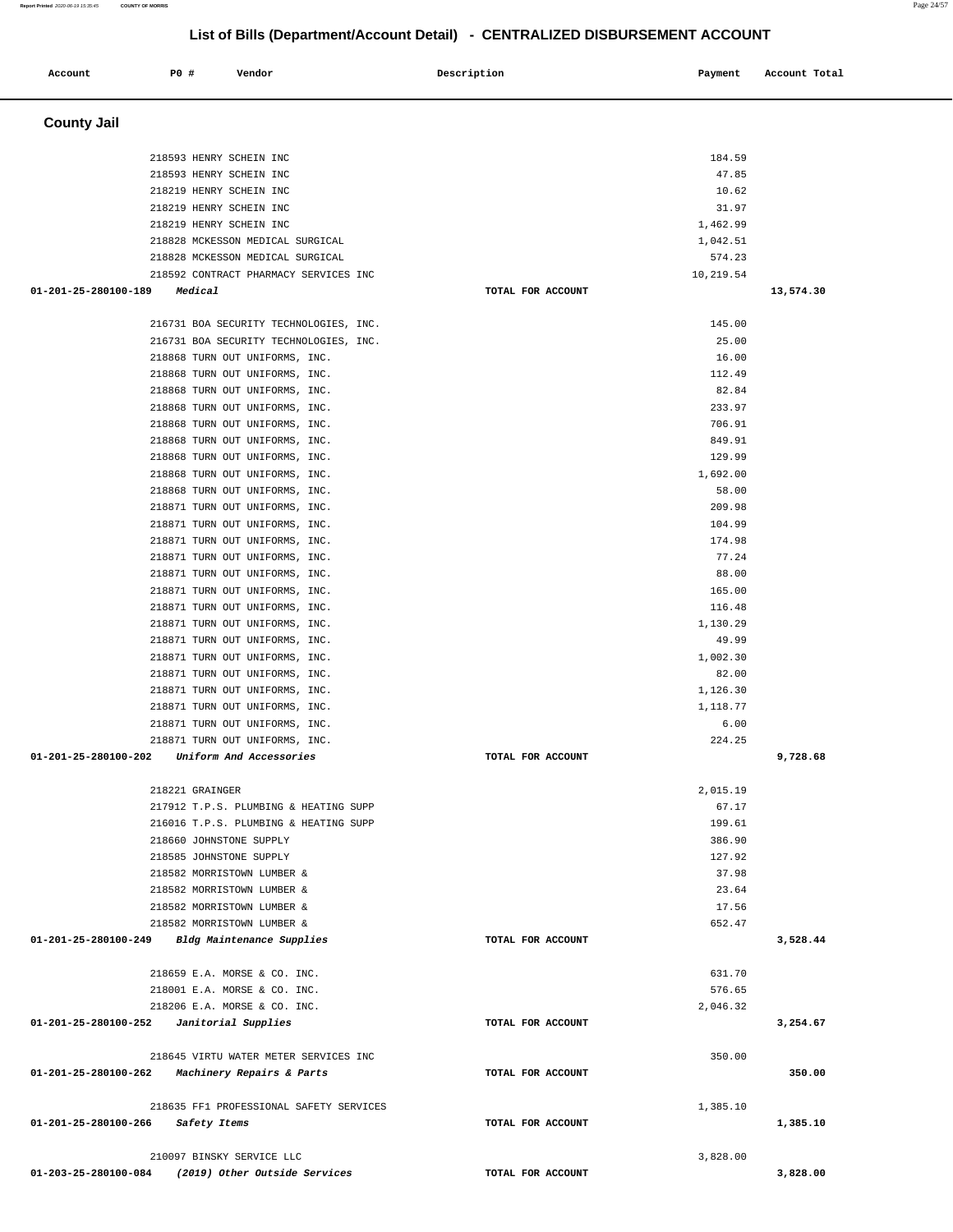| <b>County Jail</b>                                               |                   |                   |           |
|------------------------------------------------------------------|-------------------|-------------------|-----------|
|                                                                  |                   |                   |           |
| 218593 HENRY SCHEIN INC                                          |                   | 184.59            |           |
| 218593 HENRY SCHEIN INC                                          |                   | 47.85             |           |
| 218219 HENRY SCHEIN INC                                          |                   | 10.62             |           |
| 218219 HENRY SCHEIN INC<br>218219 HENRY SCHEIN INC               |                   | 31.97<br>1,462.99 |           |
| 218828 MCKESSON MEDICAL SURGICAL                                 |                   | 1,042.51          |           |
| 218828 MCKESSON MEDICAL SURGICAL                                 |                   | 574.23            |           |
| 218592 CONTRACT PHARMACY SERVICES INC                            |                   | 10,219.54         |           |
| 01-201-25-280100-189<br>Medical                                  | TOTAL FOR ACCOUNT |                   | 13,574.30 |
| 216731 BOA SECURITY TECHNOLOGIES, INC.                           |                   | 145.00            |           |
| 216731 BOA SECURITY TECHNOLOGIES, INC.                           |                   | 25.00             |           |
| 218868 TURN OUT UNIFORMS, INC.                                   |                   | 16.00             |           |
| 218868 TURN OUT UNIFORMS, INC.                                   |                   | 112.49            |           |
| 218868 TURN OUT UNIFORMS, INC.                                   |                   | 82.84             |           |
| 218868 TURN OUT UNIFORMS, INC.<br>218868 TURN OUT UNIFORMS, INC. |                   | 233.97<br>706.91  |           |
| 218868 TURN OUT UNIFORMS, INC.                                   |                   | 849.91            |           |
| 218868 TURN OUT UNIFORMS, INC.                                   |                   | 129.99            |           |
| 218868 TURN OUT UNIFORMS, INC.                                   |                   | 1,692.00          |           |
| 218868 TURN OUT UNIFORMS, INC.                                   |                   | 58.00             |           |
| 218871 TURN OUT UNIFORMS, INC.                                   |                   | 209.98            |           |
| 218871 TURN OUT UNIFORMS, INC.<br>218871 TURN OUT UNIFORMS, INC. |                   | 104.99<br>174.98  |           |
| 218871 TURN OUT UNIFORMS, INC.                                   |                   | 77.24             |           |
| 218871 TURN OUT UNIFORMS, INC.                                   |                   | 88.00             |           |
| 218871 TURN OUT UNIFORMS, INC.                                   |                   | 165.00            |           |
| 218871 TURN OUT UNIFORMS, INC.                                   |                   | 116.48            |           |
| 218871 TURN OUT UNIFORMS, INC.                                   |                   | 1,130.29          |           |
| 218871 TURN OUT UNIFORMS, INC.<br>218871 TURN OUT UNIFORMS, INC. |                   | 49.99<br>1,002.30 |           |
| 218871 TURN OUT UNIFORMS, INC.                                   |                   | 82.00             |           |
| 218871 TURN OUT UNIFORMS, INC.                                   |                   | 1,126.30          |           |
| 218871 TURN OUT UNIFORMS, INC.                                   |                   | 1,118.77          |           |
| 218871 TURN OUT UNIFORMS, INC.                                   |                   | 6.00              |           |
| 218871 TURN OUT UNIFORMS, INC.                                   | TOTAL FOR ACCOUNT | 224.25            |           |
| 01-201-25-280100-202<br>Uniform And Accessories                  |                   |                   | 9,728.68  |
| 218221 GRAINGER                                                  |                   | 2.015.19          |           |
| 217912 T.P.S. PLUMBING & HEATING SUPP                            |                   | 67.17             |           |
| 216016 T.P.S. PLUMBING & HEATING SUPP                            |                   | 199.61            |           |
| 218660 JOHNSTONE SUPPLY<br>218585 JOHNSTONE SUPPLY               |                   | 386.90<br>127.92  |           |
| 218582 MORRISTOWN LUMBER &                                       |                   | 37.98             |           |
| 218582 MORRISTOWN LUMBER &                                       |                   | 23.64             |           |
| 218582 MORRISTOWN LUMBER &                                       |                   | 17.56             |           |
| 218582 MORRISTOWN LUMBER &                                       |                   | 652.47            |           |
| 01-201-25-280100-249<br>Bldg Maintenance Supplies                | TOTAL FOR ACCOUNT |                   | 3,528.44  |
| 218659 E.A. MORSE & CO. INC.                                     |                   | 631.70            |           |
| 218001 E.A. MORSE & CO. INC.                                     |                   | 576.65            |           |
| 218206 E.A. MORSE & CO. INC.                                     |                   | 2,046.32          |           |
| 01-201-25-280100-252<br>Janitorial Supplies                      | TOTAL FOR ACCOUNT |                   | 3,254.67  |
| 218645 VIRTU WATER METER SERVICES INC                            |                   | 350.00            |           |
| 01-201-25-280100-262<br>Machinery Repairs & Parts                | TOTAL FOR ACCOUNT |                   | 350.00    |
|                                                                  |                   |                   |           |
| 218635 FF1 PROFESSIONAL SAFETY SERVICES                          |                   | 1,385.10          |           |
| 01-201-25-280100-266<br>Safety Items                             | TOTAL FOR ACCOUNT |                   | 1,385.10  |
| 210097 BINSKY SERVICE LLC                                        |                   | 3,828.00          |           |
| 01-203-25-280100-084<br>(2019) Other Outside Services            | TOTAL FOR ACCOUNT |                   | 3,828.00  |

**Account** 20 **P P**  $\bullet$  **P P P Vendor Payment Payment Payment Payment Payment Payment Payment Payment Payment**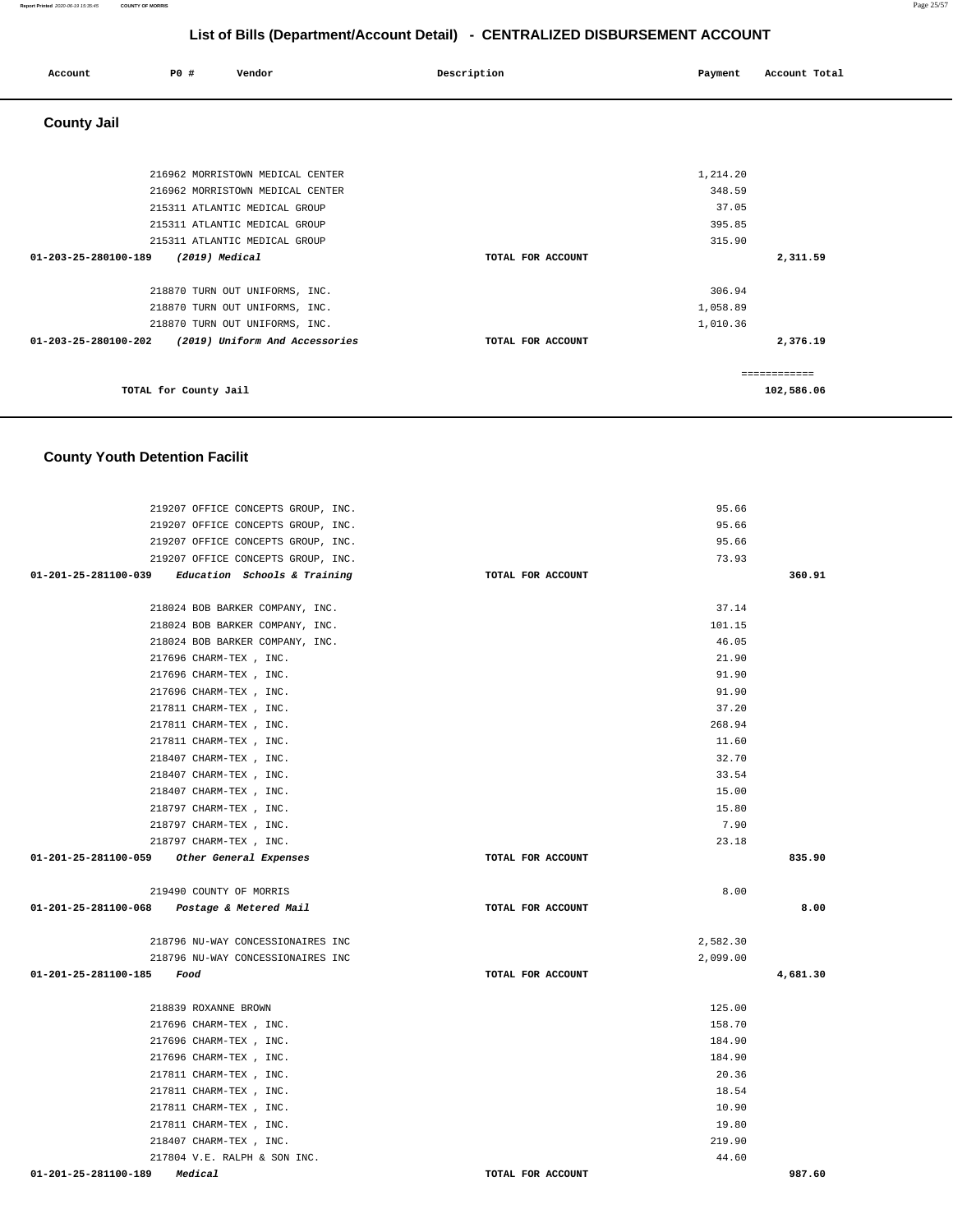| Account              | P0 #                  | Vendor                           | Description       | Payment  | Account Total |
|----------------------|-----------------------|----------------------------------|-------------------|----------|---------------|
| <b>County Jail</b>   |                       |                                  |                   |          |               |
|                      |                       |                                  |                   |          |               |
|                      |                       | 216962 MORRISTOWN MEDICAL CENTER |                   | 1,214.20 |               |
|                      |                       | 216962 MORRISTOWN MEDICAL CENTER |                   | 348.59   |               |
|                      |                       | 215311 ATLANTIC MEDICAL GROUP    |                   | 37.05    |               |
|                      |                       | 215311 ATLANTIC MEDICAL GROUP    |                   | 395.85   |               |
|                      |                       | 215311 ATLANTIC MEDICAL GROUP    |                   | 315.90   |               |
| 01-203-25-280100-189 |                       | $(2019)$ Medical                 | TOTAL FOR ACCOUNT |          | 2,311.59      |
|                      |                       | 218870 TURN OUT UNIFORMS, INC.   |                   | 306.94   |               |
|                      |                       | 218870 TURN OUT UNIFORMS, INC.   |                   | 1,058.89 |               |
|                      |                       | 218870 TURN OUT UNIFORMS, INC.   |                   | 1,010.36 |               |
| 01-203-25-280100-202 |                       | (2019) Uniform And Accessories   | TOTAL FOR ACCOUNT |          | 2,376.19      |
|                      |                       |                                  |                   |          | ============  |
|                      | TOTAL for County Jail |                                  |                   |          | 102,586.06    |

## **County Youth Detention Facilit**

| 219207 OFFICE CONCEPTS GROUP, INC.                |                   | 95.66    |          |
|---------------------------------------------------|-------------------|----------|----------|
| 219207 OFFICE CONCEPTS GROUP, INC.                |                   | 95.66    |          |
| 219207 OFFICE CONCEPTS GROUP, INC.                |                   | 95.66    |          |
| 219207 OFFICE CONCEPTS GROUP, INC.                |                   | 73.93    |          |
| 01-201-25-281100-039 Education Schools & Training | TOTAL FOR ACCOUNT |          | 360.91   |
|                                                   |                   |          |          |
| 218024 BOB BARKER COMPANY, INC.                   |                   | 37.14    |          |
| 218024 BOB BARKER COMPANY, INC.                   |                   | 101.15   |          |
| 218024 BOB BARKER COMPANY, INC.                   |                   | 46.05    |          |
| 217696 CHARM-TEX, INC.                            |                   | 21.90    |          |
| 217696 CHARM-TEX, INC.                            |                   | 91.90    |          |
| 217696 CHARM-TEX, INC.                            |                   | 91.90    |          |
| 217811 CHARM-TEX, INC.                            |                   | 37.20    |          |
| 217811 CHARM-TEX, INC.                            |                   | 268.94   |          |
| 217811 CHARM-TEX, INC.                            |                   | 11.60    |          |
| 218407 CHARM-TEX, INC.                            |                   | 32.70    |          |
| 218407 CHARM-TEX, INC.                            |                   | 33.54    |          |
| 218407 CHARM-TEX, INC.                            |                   | 15.00    |          |
| 218797 CHARM-TEX, INC.                            |                   | 15.80    |          |
| 218797 CHARM-TEX, INC.                            |                   | 7.90     |          |
| 218797 CHARM-TEX , INC.                           |                   | 23.18    |          |
| 01-201-25-281100-059 Other General Expenses       | TOTAL FOR ACCOUNT |          | 835.90   |
| 219490 COUNTY OF MORRIS                           |                   | 8.00     |          |
| 01-201-25-281100-068 Postage & Metered Mail       | TOTAL FOR ACCOUNT |          | 8.00     |
| 218796 NU-WAY CONCESSIONAIRES INC                 |                   | 2,582.30 |          |
| 218796 NU-WAY CONCESSIONAIRES INC                 |                   | 2,099.00 |          |
| 01-201-25-281100-185 Food                         | TOTAL FOR ACCOUNT |          | 4,681.30 |
| 218839 ROXANNE BROWN                              |                   | 125.00   |          |
| 217696 CHARM-TEX, INC.                            |                   | 158.70   |          |
| 217696 CHARM-TEX, INC.                            |                   | 184.90   |          |
| 217696 CHARM-TEX, INC.                            |                   | 184.90   |          |
| 217811 CHARM-TEX, INC.                            |                   | 20.36    |          |
| 217811 CHARM-TEX, INC.                            |                   | 18.54    |          |
|                                                   |                   |          |          |
| 217811 CHARM-TEX, INC.                            |                   | 10.90    |          |
| 217811 CHARM-TEX, INC.                            |                   | 19.80    |          |
| 218407 CHARM-TEX, INC.                            |                   | 219.90   |          |
| 217804 V.E. RALPH & SON INC.                      |                   | 44.60    |          |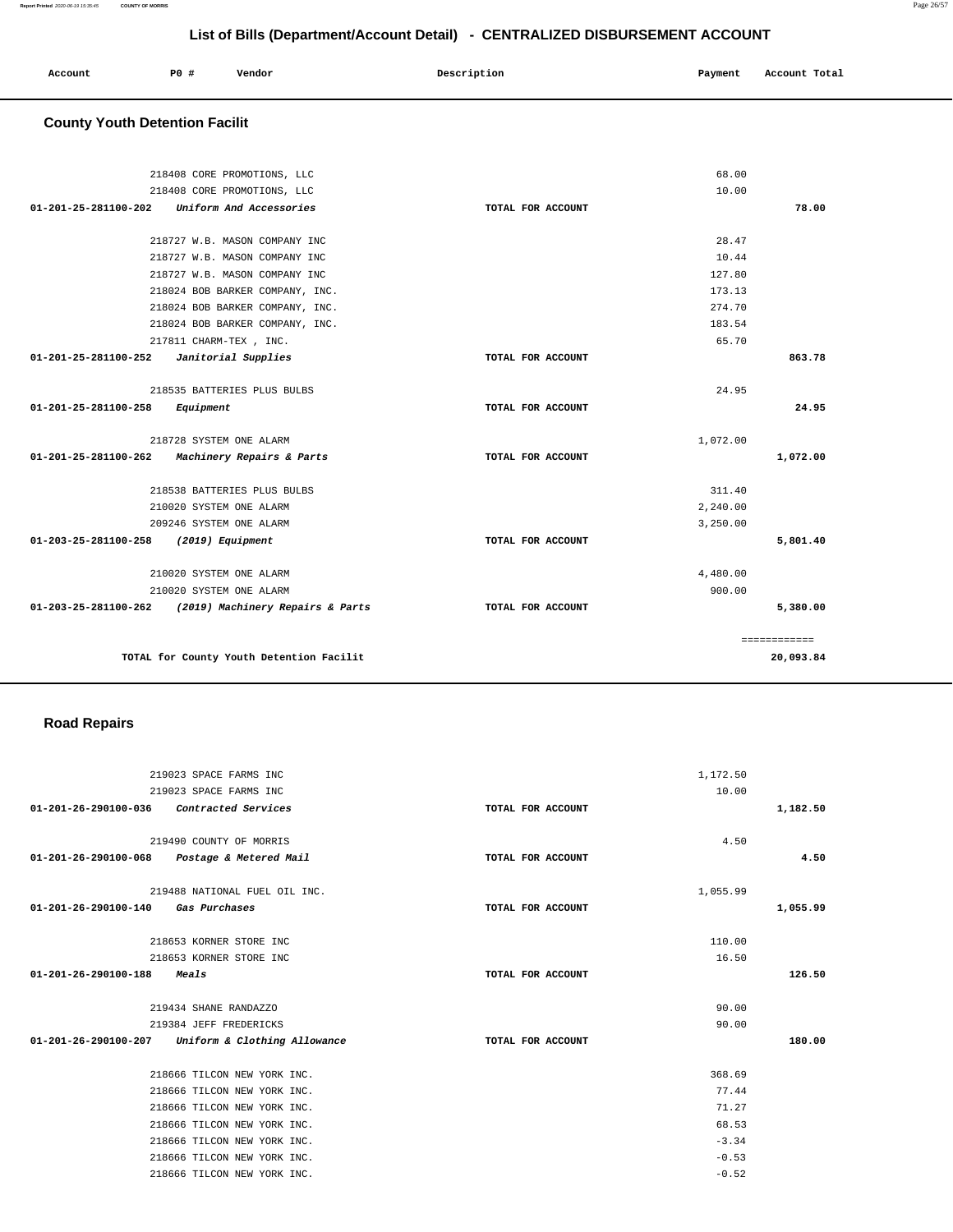219490 COUNTY OF MORRIS **01-201-26-290100-068 Postage & Metered Mail TOTAL FOR ACCOUNT**  4.50 **4.50** 219488 NATIONAL FUEL OIL INC. **01-201-26-290100-140 Gas Purchases TOTAL FOR ACCOUNT**  1,055.99 **1,055.99** 218653 KORNER STORE INC 218653 KORNER STORE INC **01-201-26-290100-188 Meals TOTAL FOR ACCOUNT**  110.00 16.50 **126.50** 219434 SHANE RANDAZZO 219384 JEFF FREDERICKS **01-201-26-290100-207 Uniform & Clothing Allowance TOTAL FOR ACCOUNT**  90.00 90.00 **180.00** 218666 TILCON NEW YORK INC. 218666 TILCON NEW YORK INC. 218666 TILCON NEW YORK INC. 218666 TILCON NEW YORK INC. 218666 TILCON NEW YORK INC. 218666 TILCON NEW YORK INC. 218666 TILCON NEW YORK INC. 368.69 77.44 71.27 68.53 -3.34 -0.53 -0.52

#### **Road Repairs**

**TOTAL for County Youth Detention Facilit** 

**01-201-26-290100-036 Contracted Services TOTAL FOR ACCOUNT** 

219023 SPACE FARMS INC 219023 SPACE FARMS INC

 **County Youth Detention Facilit**

|                      | 218024 BOB BARKER COMPANY, INC.  |                   | 173.13   |          |
|----------------------|----------------------------------|-------------------|----------|----------|
|                      | 218024 BOB BARKER COMPANY, INC.  |                   | 274.70   |          |
|                      | 218024 BOB BARKER COMPANY, INC.  |                   | 183.54   |          |
|                      | 217811 CHARM-TEX, INC.           |                   | 65.70    |          |
| 01-201-25-281100-252 | Janitorial Supplies              | TOTAL FOR ACCOUNT |          | 863.78   |
|                      | 218535 BATTERIES PLUS BULBS      |                   | 24.95    |          |
| 01-201-25-281100-258 | Equipment                        | TOTAL FOR ACCOUNT |          | 24.95    |
|                      | 218728 SYSTEM ONE ALARM          |                   | 1,072.00 |          |
| 01-201-25-281100-262 | Machinery Repairs & Parts        | TOTAL FOR ACCOUNT |          | 1,072.00 |
|                      | 218538 BATTERIES PLUS BULBS      |                   | 311.40   |          |
|                      | 210020 SYSTEM ONE ALARM          |                   | 2,240.00 |          |
|                      | 209246 SYSTEM ONE ALARM          |                   | 3,250.00 |          |
| 01-203-25-281100-258 | $(2019)$ Equipment               | TOTAL FOR ACCOUNT |          | 5,801.40 |
|                      | 210020 SYSTEM ONE ALARM          |                   | 4,480.00 |          |
|                      | 210020 SYSTEM ONE ALARM          |                   | 900.00   |          |
| 01-203-25-281100-262 | (2019) Machinery Repairs & Parts | TOTAL FOR ACCOUNT |          | 5,380.00 |

|                                                              |                   | 68.00    |  |
|--------------------------------------------------------------|-------------------|----------|--|
| 218408 CORE PROMOTIONS, LLC                                  |                   |          |  |
| 218408 CORE PROMOTIONS, LLC                                  |                   | 10.00    |  |
| 01-201-25-281100-202<br>Uniform And Accessories              | TOTAL FOR ACCOUNT |          |  |
| 218727 W.B. MASON COMPANY INC                                |                   | 28.47    |  |
| 218727 W.B. MASON COMPANY INC                                |                   | 10.44    |  |
|                                                              |                   |          |  |
| 218727 W.B. MASON COMPANY INC                                |                   | 127.80   |  |
| 218024 BOB BARKER COMPANY, INC.                              |                   | 173.13   |  |
| 218024 BOB BARKER COMPANY, INC.                              |                   | 274.70   |  |
| 218024 BOB BARKER COMPANY, INC.                              |                   | 183.54   |  |
| 217811 CHARM-TEX, INC.                                       |                   | 65.70    |  |
| $01 - 201 - 25 - 281100 - 252$<br>Janitorial Supplies        | TOTAL FOR ACCOUNT |          |  |
| 218535 BATTERIES PLUS BULBS                                  |                   | 24.95    |  |
| $01 - 201 - 25 - 281100 - 258$<br>Equipment                  | TOTAL FOR ACCOUNT |          |  |
| 218728 SYSTEM ONE ALARM                                      |                   | 1,072.00 |  |
| 01-201-25-281100-262<br><i>Machinery Repairs &amp; Parts</i> | TOTAL FOR ACCOUNT |          |  |

 **Account P0 # Vendor Description Payment Account Total**

**78.00**

============ **20,093.84**

**1,182.50**

1,172.50 10.00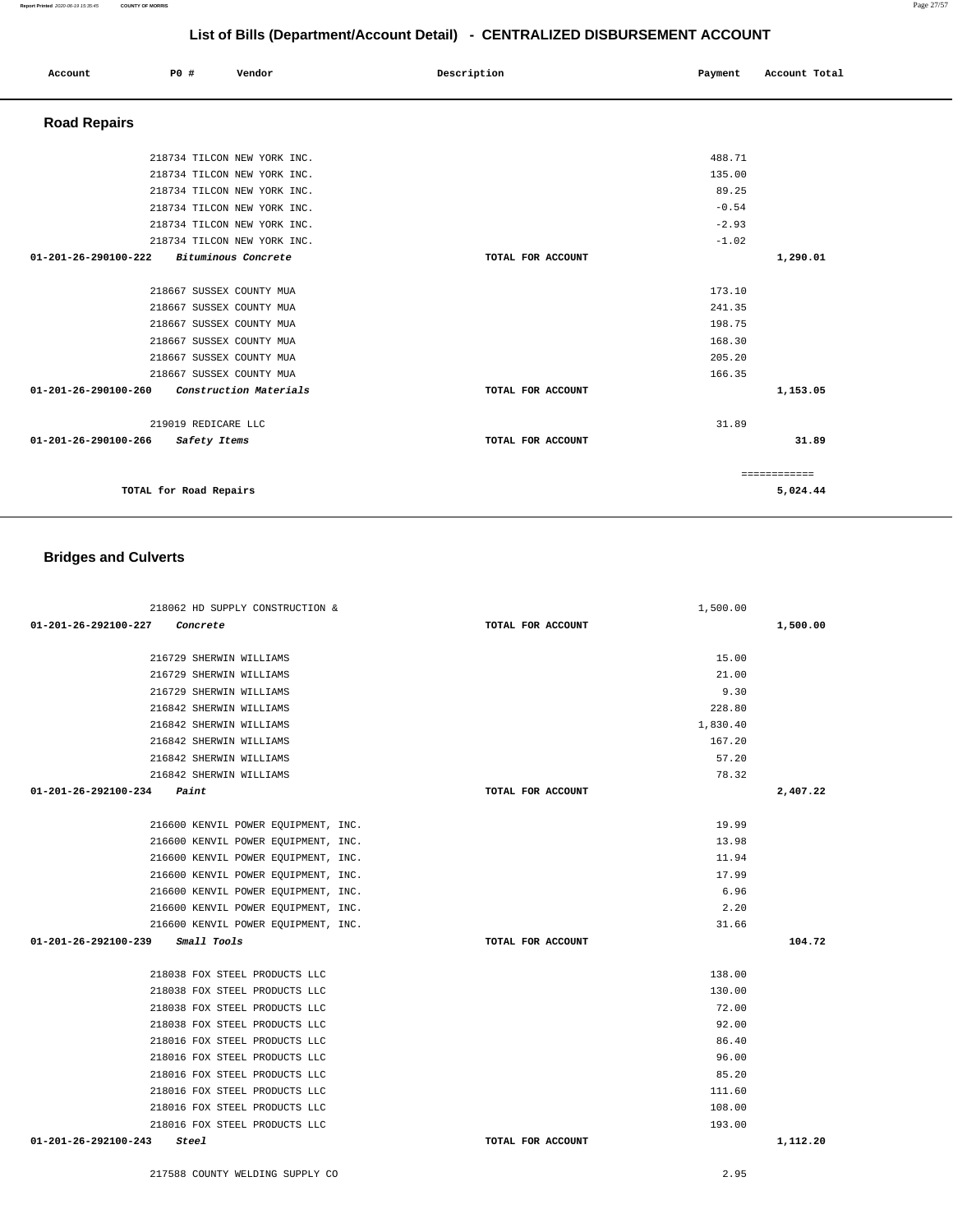| Account              | P0 #                     | Vendor                      | Description       | Payment | Account Total |
|----------------------|--------------------------|-----------------------------|-------------------|---------|---------------|
| <b>Road Repairs</b>  |                          |                             |                   |         |               |
|                      |                          | 218734 TILCON NEW YORK INC. |                   | 488.71  |               |
|                      |                          | 218734 TILCON NEW YORK INC. |                   | 135.00  |               |
|                      |                          | 218734 TILCON NEW YORK INC. |                   | 89.25   |               |
|                      |                          | 218734 TILCON NEW YORK INC. |                   | $-0.54$ |               |
|                      |                          | 218734 TILCON NEW YORK INC. |                   | $-2.93$ |               |
|                      |                          | 218734 TILCON NEW YORK INC. |                   | $-1.02$ |               |
| 01-201-26-290100-222 |                          | Bituminous Concrete         | TOTAL FOR ACCOUNT |         | 1,290.01      |
|                      | 218667 SUSSEX COUNTY MUA |                             |                   | 173.10  |               |
|                      | 218667 SUSSEX COUNTY MUA |                             |                   | 241.35  |               |
|                      | 218667 SUSSEX COUNTY MUA |                             |                   | 198.75  |               |
|                      | 218667 SUSSEX COUNTY MUA |                             |                   | 168.30  |               |
|                      | 218667 SUSSEX COUNTY MUA |                             |                   | 205.20  |               |
|                      | 218667 SUSSEX COUNTY MUA |                             |                   | 166.35  |               |
| 01-201-26-290100-260 |                          | Construction Materials      | TOTAL FOR ACCOUNT |         | 1,153.05      |
|                      | 219019 REDICARE LLC      |                             |                   | 31.89   |               |
| 01-201-26-290100-266 | Safety Items             |                             | TOTAL FOR ACCOUNT |         | 31.89         |
|                      |                          |                             |                   |         | ============  |
|                      | TOTAL for Road Repairs   |                             |                   |         | 5,024.44      |

## **Bridges and Culverts**

| 218062 HD SUPPLY CONSTRUCTION &         | 1,500.00          |          |
|-----------------------------------------|-------------------|----------|
| 01-201-26-292100-227<br>Concrete        | TOTAL FOR ACCOUNT | 1,500.00 |
|                                         |                   |          |
| 216729 SHERWIN WILLIAMS                 | 15.00             |          |
| 216729 SHERWIN WILLIAMS                 | 21.00             |          |
| 216729 SHERWIN WILLIAMS                 | 9.30              |          |
| 216842 SHERWIN WILLIAMS                 | 228.80            |          |
| 216842 SHERWIN WILLIAMS                 | 1,830.40          |          |
| 216842 SHERWIN WILLIAMS                 | 167.20            |          |
| 216842 SHERWIN WILLIAMS                 | 57.20             |          |
| 216842 SHERWIN WILLIAMS                 | 78.32             |          |
| 01-201-26-292100-234<br>Paint           | TOTAL FOR ACCOUNT | 2,407.22 |
|                                         |                   |          |
| 216600 KENVIL POWER EQUIPMENT, INC.     | 19.99             |          |
| 216600 KENVIL POWER EQUIPMENT, INC.     | 13.98             |          |
| 216600 KENVIL POWER EOUIPMENT, INC.     | 11.94             |          |
| 216600 KENVIL POWER EQUIPMENT, INC.     | 17.99             |          |
| 216600 KENVIL POWER EQUIPMENT, INC.     | 6.96              |          |
| 216600 KENVIL POWER EQUIPMENT, INC.     | 2.20              |          |
| 216600 KENVIL POWER EQUIPMENT, INC.     | 31.66             |          |
| 01-201-26-292100-239<br>Small Tools     | TOTAL FOR ACCOUNT | 104.72   |
|                                         |                   |          |
| 218038 FOX STEEL PRODUCTS LLC           | 138.00            |          |
| 218038 FOX STEEL PRODUCTS LLC           | 130.00            |          |
| 218038 FOX STEEL PRODUCTS LLC           | 72.00             |          |
| 218038 FOX STEEL PRODUCTS LLC           | 92.00             |          |
| 218016 FOX STEEL PRODUCTS LLC           | 86.40             |          |
| 218016 FOX STEEL PRODUCTS LLC           | 96.00             |          |
| 218016 FOX STEEL PRODUCTS LLC           | 85.20             |          |
| 218016 FOX STEEL PRODUCTS LLC           | 111.60            |          |
| 218016 FOX STEEL PRODUCTS LLC           | 108.00            |          |
| 218016 FOX STEEL PRODUCTS LLC           | 193.00            |          |
| $01 - 201 - 26 - 292100 - 243$<br>Steel | TOTAL FOR ACCOUNT | 1,112.20 |

217588 COUNTY WELDING SUPPLY CO 2.95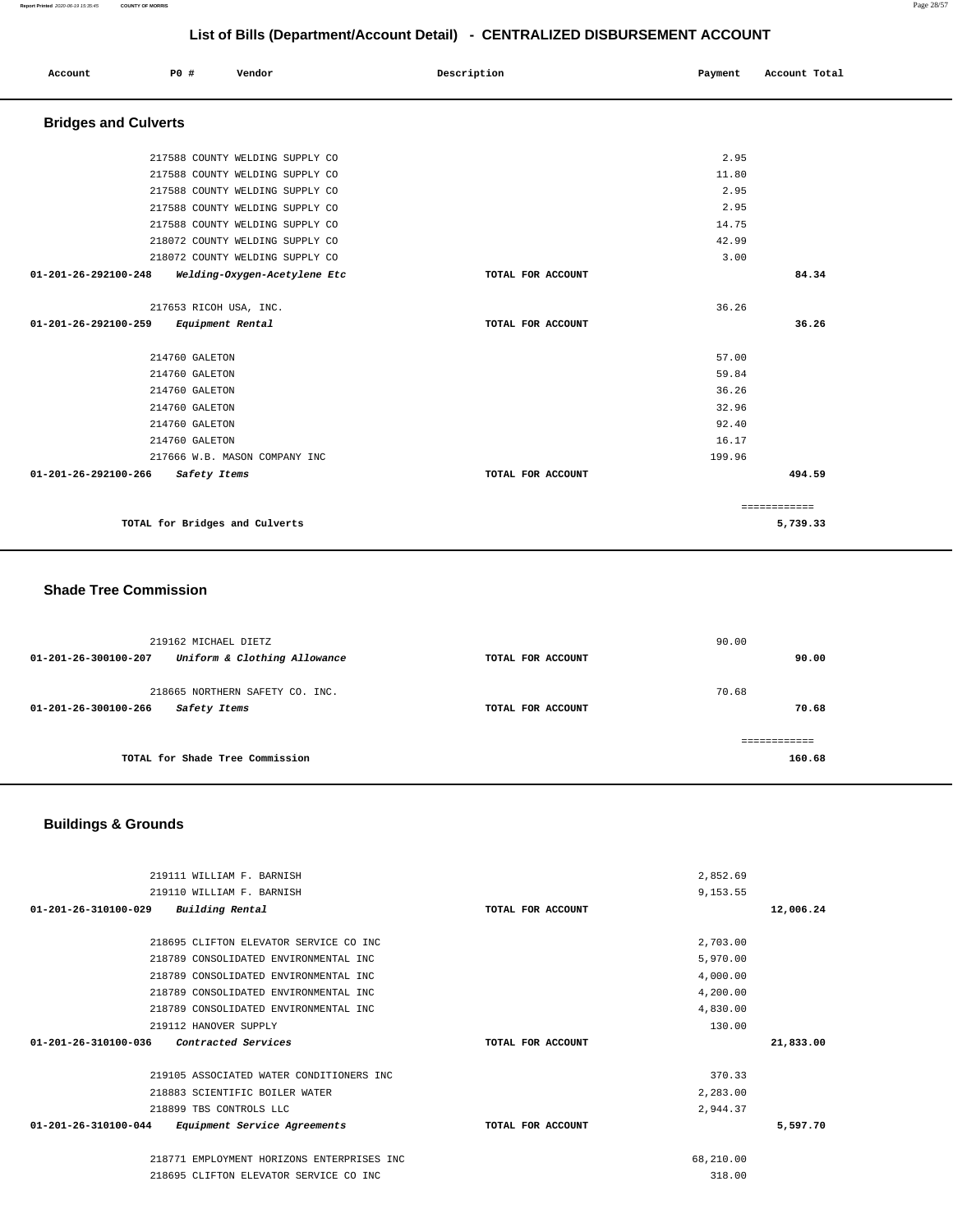| Account                        | P0 #                           | Vendor                          | Description       | Payment | Account Total |  |
|--------------------------------|--------------------------------|---------------------------------|-------------------|---------|---------------|--|
| <b>Bridges and Culverts</b>    |                                |                                 |                   |         |               |  |
|                                |                                | 217588 COUNTY WELDING SUPPLY CO |                   | 2.95    |               |  |
|                                |                                | 217588 COUNTY WELDING SUPPLY CO |                   | 11.80   |               |  |
|                                |                                | 217588 COUNTY WELDING SUPPLY CO |                   | 2.95    |               |  |
|                                |                                | 217588 COUNTY WELDING SUPPLY CO |                   | 2.95    |               |  |
|                                |                                | 217588 COUNTY WELDING SUPPLY CO |                   | 14.75   |               |  |
|                                |                                | 218072 COUNTY WELDING SUPPLY CO |                   | 42.99   |               |  |
|                                |                                | 218072 COUNTY WELDING SUPPLY CO |                   | 3.00    |               |  |
| $01 - 201 - 26 - 292100 - 248$ |                                | Welding-Oxygen-Acetylene Etc    | TOTAL FOR ACCOUNT |         | 84.34         |  |
|                                | 217653 RICOH USA, INC.         |                                 |                   | 36.26   |               |  |
| 01-201-26-292100-259           | Equipment Rental               |                                 | TOTAL FOR ACCOUNT |         | 36.26         |  |
|                                | 214760 GALETON                 |                                 |                   | 57.00   |               |  |
|                                | 214760 GALETON                 |                                 |                   | 59.84   |               |  |
|                                | 214760 GALETON                 |                                 |                   | 36.26   |               |  |
|                                | 214760 GALETON                 |                                 |                   | 32.96   |               |  |
|                                | 214760 GALETON                 |                                 |                   | 92.40   |               |  |
|                                | 214760 GALETON                 |                                 |                   | 16.17   |               |  |
|                                |                                | 217666 W.B. MASON COMPANY INC   |                   | 199.96  |               |  |
| 01-201-26-292100-266           | Safety Items                   |                                 | TOTAL FOR ACCOUNT |         | 494.59        |  |
|                                |                                |                                 |                   |         | ============  |  |
|                                | TOTAL for Bridges and Culverts |                                 |                   |         | 5,739.33      |  |

## **Shade Tree Commission**

| 219162 MICHAEL DIETZ<br>Uniform & Clothing Allowance<br>01-201-26-300100-207 | TOTAL FOR ACCOUNT | 90.00<br>90.00 |
|------------------------------------------------------------------------------|-------------------|----------------|
| 218665 NORTHERN SAFETY CO. INC.<br>01-201-26-300100-266<br>Safety Items      | TOTAL FOR ACCOUNT | 70.68<br>70.68 |
| TOTAL for Shade Tree Commission                                              |                   | 160.68         |

# **Buildings & Grounds**

| 219111 WILLIAM F. BARNISH                                      |                   | 2,852.69  |           |
|----------------------------------------------------------------|-------------------|-----------|-----------|
| 219110 WILLIAM F. BARNISH                                      |                   | 9,153.55  |           |
| Building Rental<br>01-201-26-310100-029                        | TOTAL FOR ACCOUNT |           | 12,006.24 |
|                                                                |                   |           |           |
| 218695 CLIFTON ELEVATOR SERVICE CO INC                         |                   | 2,703.00  |           |
| 218789 CONSOLIDATED ENVIRONMENTAL INC                          |                   | 5,970.00  |           |
| 218789 CONSOLIDATED ENVIRONMENTAL INC                          |                   | 4,000.00  |           |
| 218789 CONSOLIDATED ENVIRONMENTAL INC                          |                   | 4,200.00  |           |
| 218789 CONSOLIDATED ENVIRONMENTAL INC                          |                   | 4,830.00  |           |
| 219112 HANOVER SUPPLY                                          |                   | 130.00    |           |
| $01 - 201 - 26 - 310100 - 036$<br>Contracted Services          | TOTAL FOR ACCOUNT |           | 21,833.00 |
|                                                                |                   |           |           |
| 219105 ASSOCIATED WATER CONDITIONERS INC                       |                   | 370.33    |           |
| 218883 SCIENTIFIC BOILER WATER                                 |                   | 2,283.00  |           |
| 218899 TBS CONTROLS LLC                                        |                   | 2,944.37  |           |
| $01 - 201 - 26 - 310100 - 044$<br>Equipment Service Agreements | TOTAL FOR ACCOUNT |           | 5,597.70  |
|                                                                |                   |           |           |
| 218771 EMPLOYMENT HORIZONS ENTERPRISES INC                     |                   | 68,210.00 |           |
|                                                                |                   |           |           |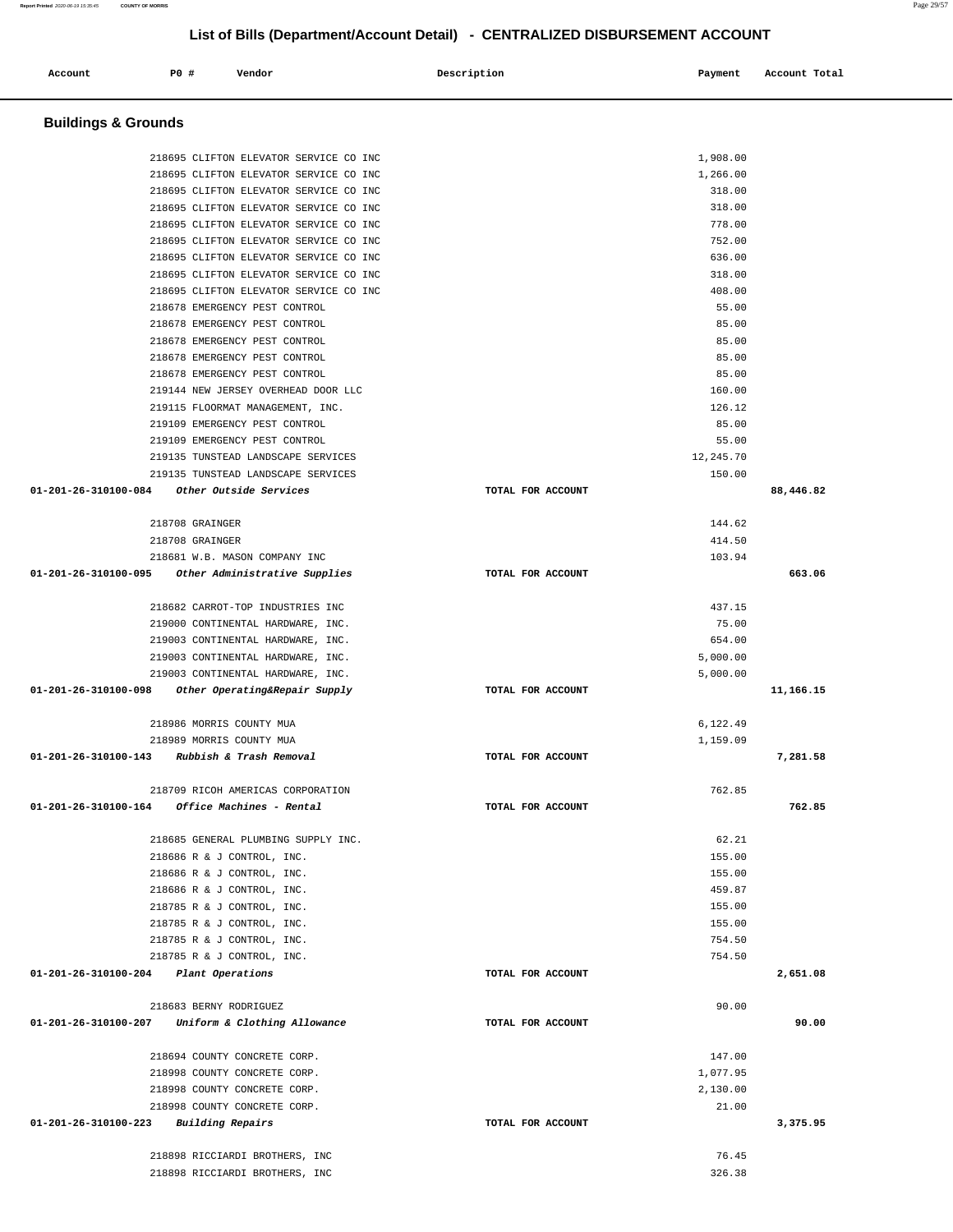| <b>Buildings &amp; Grounds</b>                                                    |                   |                     |
|-----------------------------------------------------------------------------------|-------------------|---------------------|
| 218695 CLIFTON ELEVATOR SERVICE CO INC                                            |                   | 1,908.00            |
| 218695 CLIFTON ELEVATOR SERVICE CO INC                                            |                   | 1,266.00            |
| 218695 CLIFTON ELEVATOR SERVICE CO INC                                            |                   | 318.00              |
| 218695 CLIFTON ELEVATOR SERVICE CO INC                                            |                   | 318.00              |
| 218695 CLIFTON ELEVATOR SERVICE CO INC                                            |                   | 778.00              |
| 218695 CLIFTON ELEVATOR SERVICE CO INC                                            |                   | 752.00              |
| 218695 CLIFTON ELEVATOR SERVICE CO INC                                            |                   | 636.00              |
| 218695 CLIFTON ELEVATOR SERVICE CO INC                                            |                   | 318.00              |
| 218695 CLIFTON ELEVATOR SERVICE CO INC                                            |                   | 408.00              |
| 218678 EMERGENCY PEST CONTROL                                                     |                   | 55.00               |
| 218678 EMERGENCY PEST CONTROL                                                     |                   | 85.00               |
| 218678 EMERGENCY PEST CONTROL                                                     |                   | 85.00               |
| 218678 EMERGENCY PEST CONTROL                                                     |                   | 85.00               |
| 218678 EMERGENCY PEST CONTROL                                                     |                   | 85.00               |
| 219144 NEW JERSEY OVERHEAD DOOR LLC                                               |                   | 160.00              |
| 219115 FLOORMAT MANAGEMENT, INC.                                                  |                   | 126.12              |
| 219109 EMERGENCY PEST CONTROL                                                     |                   | 85.00               |
| 219109 EMERGENCY PEST CONTROL                                                     |                   | 55.00               |
| 219135 TUNSTEAD LANDSCAPE SERVICES                                                |                   | 12,245.70           |
| 219135 TUNSTEAD LANDSCAPE SERVICES<br>01-201-26-310100-084 Other Outside Services | TOTAL FOR ACCOUNT | 150.00<br>88,446.82 |
| 218708 GRAINGER                                                                   |                   | 144.62              |
| 218708 GRAINGER                                                                   |                   | 414.50              |
| 218681 W.B. MASON COMPANY INC                                                     |                   | 103.94              |
| 01-201-26-310100-095 Other Administrative Supplies                                | TOTAL FOR ACCOUNT | 663.06              |
| 218682 CARROT-TOP INDUSTRIES INC                                                  |                   | 437.15              |
| 219000 CONTINENTAL HARDWARE, INC.                                                 |                   | 75.00               |
|                                                                                   |                   |                     |
| 219003 CONTINENTAL HARDWARE, INC.<br>219003 CONTINENTAL HARDWARE, INC.            |                   | 654.00<br>5,000.00  |
| 219003 CONTINENTAL HARDWARE, INC.                                                 |                   | 5,000.00            |
| 01-201-26-310100-098<br>Other Operating&Repair Supply                             | TOTAL FOR ACCOUNT | 11,166.15           |
| 218986 MORRIS COUNTY MUA                                                          |                   | 6,122.49            |
| 218989 MORRIS COUNTY MUA                                                          |                   | 1,159.09            |
| 01-201-26-310100-143<br>Rubbish & Trash Removal                                   | TOTAL FOR ACCOUNT | 7,281.58            |
|                                                                                   |                   |                     |
| 218709 RICOH AMERICAS CORPORATION                                                 |                   | 762.85              |
| $01 - 201 - 26 - 310100 - 164$ Office Machines - Rental                           | TOTAL FOR ACCOUNT | 762.85              |
| 218685 GENERAL PLUMBING SUPPLY INC.                                               |                   | 62.21               |
| 218686 R & J CONTROL, INC.                                                        |                   | 155.00              |
| 218686 R & J CONTROL, INC.                                                        |                   | 155.00              |
| 218686 R & J CONTROL, INC.                                                        |                   | 459.87              |
| 218785 R & J CONTROL, INC.                                                        |                   | 155.00              |
| 218785 R & J CONTROL, INC.                                                        |                   | 155.00              |
| 218785 R & J CONTROL, INC.                                                        |                   | 754.50              |
| 218785 R & J CONTROL, INC.                                                        |                   | 754.50              |
| 01-201-26-310100-204 Plant Operations                                             | TOTAL FOR ACCOUNT | 2,651.08            |
| 218683 BERNY RODRIGUEZ                                                            |                   | 90.00               |
| 01-201-26-310100-207 Uniform & Clothing Allowance                                 | TOTAL FOR ACCOUNT | 90.00               |
| 218694 COUNTY CONCRETE CORP.                                                      |                   | 147.00              |
| 218998 COUNTY CONCRETE CORP.                                                      |                   | 1,077.95            |
| 218998 COUNTY CONCRETE CORP.                                                      |                   | 2,130.00            |
| 218998 COUNTY CONCRETE CORP.                                                      |                   | 21.00               |
| 01-201-26-310100-223<br>Building Repairs                                          | TOTAL FOR ACCOUNT | 3,375.95            |
| 218898 RICCIARDI BROTHERS, INC                                                    |                   | 76.45               |
| 218898 RICCIARDI BROTHERS, INC                                                    |                   | 326.38              |

Account P<sub>0</sub> **P**  $\uparrow$  Pendor Payment Account Potal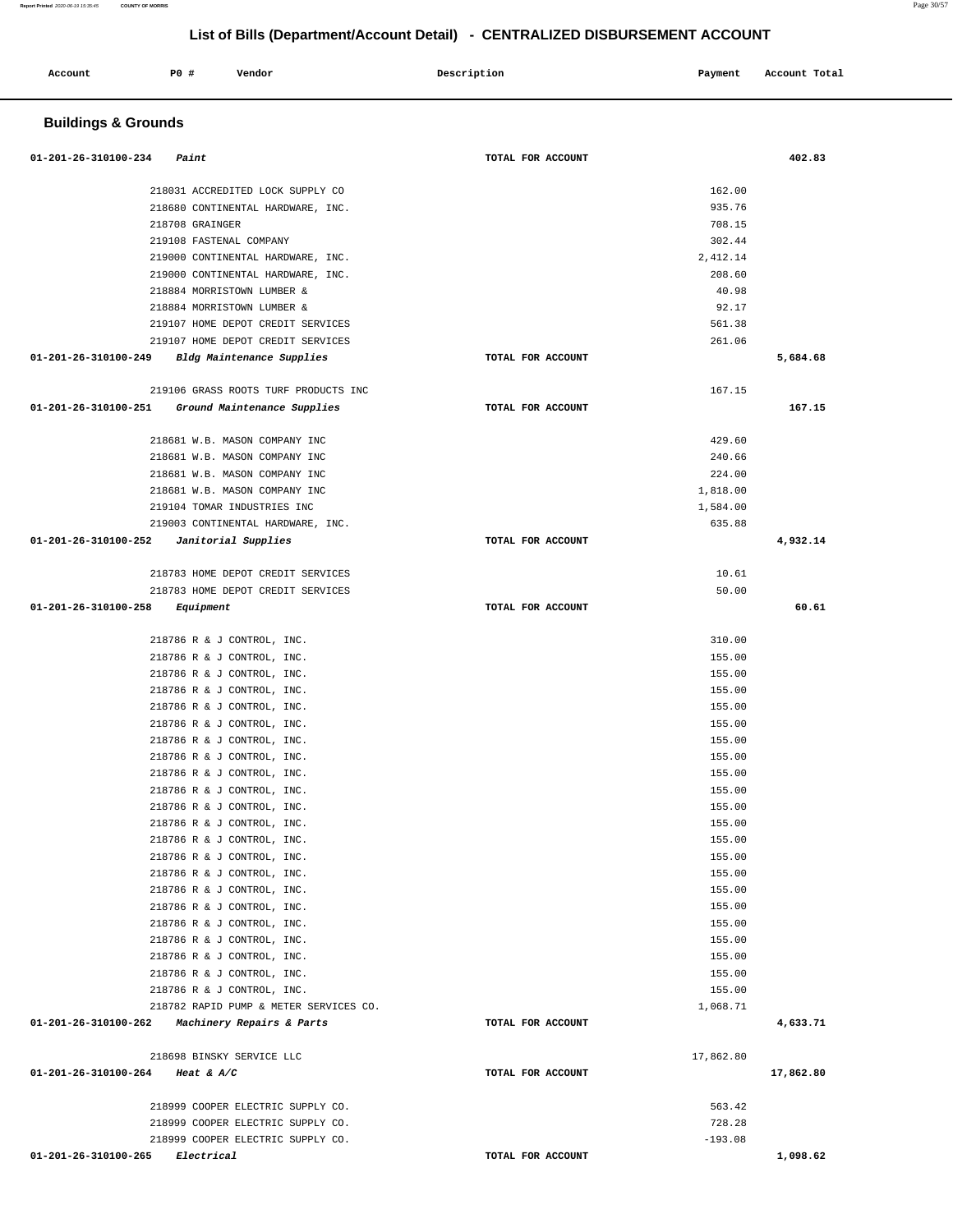| Account              | <b>PO #</b>                               | Vendor                                                                | Description       | Payment            | Account Total |
|----------------------|-------------------------------------------|-----------------------------------------------------------------------|-------------------|--------------------|---------------|
|                      | <b>Buildings &amp; Grounds</b>            |                                                                       |                   |                    |               |
| 01-201-26-310100-234 | Paint                                     |                                                                       | TOTAL FOR ACCOUNT |                    | 402.83        |
|                      |                                           |                                                                       |                   |                    |               |
|                      |                                           | 218031 ACCREDITED LOCK SUPPLY CO<br>218680 CONTINENTAL HARDWARE, INC. |                   | 162.00<br>935.76   |               |
|                      |                                           | 218708 GRAINGER                                                       |                   | 708.15             |               |
|                      |                                           | 219108 FASTENAL COMPANY                                               |                   | 302.44             |               |
|                      |                                           | 219000 CONTINENTAL HARDWARE, INC.                                     |                   | 2,412.14           |               |
|                      |                                           | 219000 CONTINENTAL HARDWARE, INC.                                     |                   | 208.60             |               |
|                      |                                           | 218884 MORRISTOWN LUMBER &                                            |                   | 40.98              |               |
|                      |                                           | 218884 MORRISTOWN LUMBER &                                            |                   | 92.17              |               |
|                      |                                           | 219107 HOME DEPOT CREDIT SERVICES                                     |                   | 561.38             |               |
| 01-201-26-310100-249 |                                           | 219107 HOME DEPOT CREDIT SERVICES<br>Bldg Maintenance Supplies        | TOTAL FOR ACCOUNT | 261.06             | 5,684.68      |
|                      |                                           |                                                                       |                   |                    |               |
|                      |                                           | 219106 GRASS ROOTS TURF PRODUCTS INC                                  |                   | 167.15             |               |
| 01-201-26-310100-251 |                                           | Ground Maintenance Supplies                                           | TOTAL FOR ACCOUNT |                    | 167.15        |
|                      |                                           |                                                                       |                   |                    |               |
|                      |                                           | 218681 W.B. MASON COMPANY INC                                         |                   | 429.60             |               |
|                      |                                           | 218681 W.B. MASON COMPANY INC                                         |                   | 240.66             |               |
|                      |                                           | 218681 W.B. MASON COMPANY INC                                         |                   | 224.00             |               |
|                      |                                           | 218681 W.B. MASON COMPANY INC                                         |                   | 1,818.00           |               |
|                      |                                           | 219104 TOMAR INDUSTRIES INC<br>219003 CONTINENTAL HARDWARE, INC.      |                   | 1,584.00<br>635.88 |               |
| 01-201-26-310100-252 |                                           | Janitorial Supplies                                                   | TOTAL FOR ACCOUNT |                    | 4,932.14      |
|                      |                                           |                                                                       |                   |                    |               |
|                      |                                           | 218783 HOME DEPOT CREDIT SERVICES                                     |                   | 10.61              |               |
|                      |                                           | 218783 HOME DEPOT CREDIT SERVICES                                     |                   | 50.00              |               |
| 01-201-26-310100-258 |                                           | Equipment                                                             | TOTAL FOR ACCOUNT |                    | 60.61         |
|                      |                                           |                                                                       |                   |                    |               |
|                      |                                           | 218786 R & J CONTROL, INC.                                            |                   | 310.00             |               |
|                      |                                           | 218786 R & J CONTROL, INC.                                            |                   | 155.00<br>155.00   |               |
|                      |                                           | 218786 R & J CONTROL, INC.<br>218786 R & J CONTROL, INC.              |                   | 155.00             |               |
|                      |                                           | 218786 R & J CONTROL, INC.                                            |                   | 155.00             |               |
|                      |                                           | 218786 R & J CONTROL, INC.                                            |                   | 155.00             |               |
|                      |                                           | 218786 R & J CONTROL, INC.                                            |                   | 155.00             |               |
|                      |                                           | 218786 R & J CONTROL, INC.                                            |                   | 155.00             |               |
|                      |                                           | 218786 R & J CONTROL, INC.                                            |                   | 155.00             |               |
|                      |                                           | 218786 R & J CONTROL, INC.                                            |                   | 155.00             |               |
|                      |                                           | 218786 R & J CONTROL, INC.                                            |                   | 155.00             |               |
|                      |                                           | 218786 R & J CONTROL, INC.                                            |                   | 155.00             |               |
|                      |                                           | 218786 R & J CONTROL, INC.<br>218786 R & J CONTROL, INC.              |                   | 155.00<br>155.00   |               |
|                      |                                           | 218786 R & J CONTROL, INC.                                            |                   | 155.00             |               |
|                      |                                           | 218786 R & J CONTROL, INC.                                            |                   | 155.00             |               |
|                      |                                           | 218786 R & J CONTROL, INC.                                            |                   | 155.00             |               |
|                      |                                           | 218786 R & J CONTROL, INC.                                            |                   | 155.00             |               |
|                      |                                           | 218786 R & J CONTROL, INC.                                            |                   | 155.00             |               |
|                      |                                           | 218786 R & J CONTROL, INC.                                            |                   | 155.00             |               |
|                      |                                           | 218786 R & J CONTROL, INC.                                            |                   | 155.00             |               |
|                      |                                           | 218786 R & J CONTROL, INC.                                            |                   | 155.00             |               |
|                      |                                           | 218782 RAPID PUMP & METER SERVICES CO.                                |                   | 1,068.71           |               |
|                      |                                           | 01-201-26-310100-262 Machinery Repairs & Parts                        | TOTAL FOR ACCOUNT |                    | 4,633.71      |
|                      |                                           | 218698 BINSKY SERVICE LLC                                             |                   | 17,862.80          |               |
|                      | 01-201-26-310100-264 Heat & A/C           |                                                                       | TOTAL FOR ACCOUNT |                    | 17,862.80     |
|                      |                                           |                                                                       |                   |                    |               |
|                      |                                           | 218999 COOPER ELECTRIC SUPPLY CO.                                     |                   | 563.42             |               |
|                      |                                           | 218999 COOPER ELECTRIC SUPPLY CO.                                     |                   | 728.28             |               |
|                      |                                           | 218999 COOPER ELECTRIC SUPPLY CO.                                     |                   | $-193.08$          |               |
|                      | $01 - 201 - 26 - 310100 - 265$ Electrical |                                                                       | TOTAL FOR ACCOUNT |                    | 1,098.62      |

**Report Printed** 2020-06-19 15:35:45 **COUNTY OF MORRIS** Page 30/57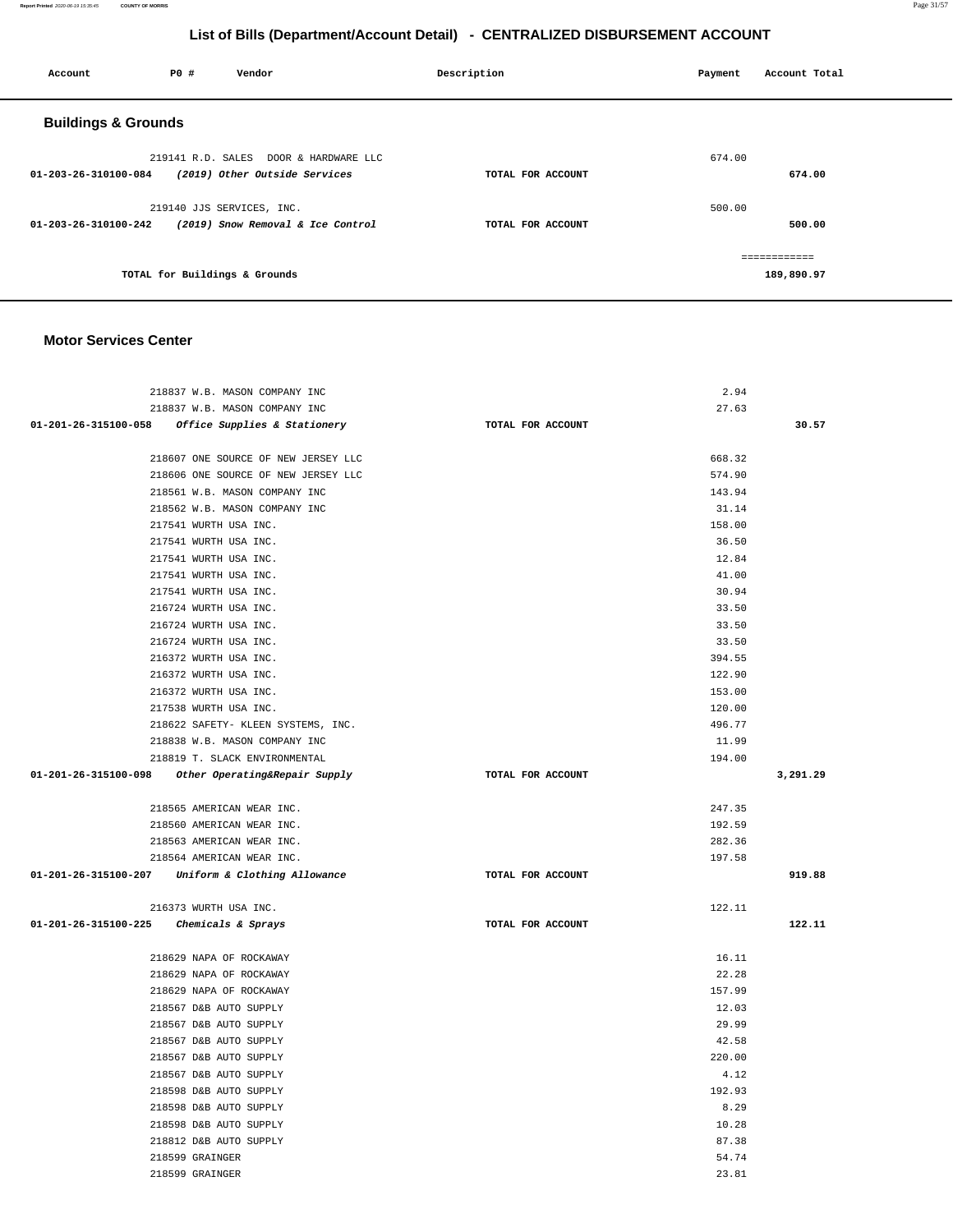**Report Printed** 2020-06-19 15:35:45 **COUNTY OF MORRIS** Page 31/57

## **List of Bills (Department/Account Detail) - CENTRALIZED DISBURSEMENT ACCOUNT**

| Account                        | P0 # | Vendor                                | Description       | Payment | Account Total |
|--------------------------------|------|---------------------------------------|-------------------|---------|---------------|
| <b>Buildings &amp; Grounds</b> |      |                                       |                   |         |               |
|                                |      | 219141 R.D. SALES DOOR & HARDWARE LLC |                   | 674.00  |               |
| 01-203-26-310100-084           |      | (2019) Other Outside Services         | TOTAL FOR ACCOUNT |         | 674.00        |
|                                |      | 219140 JJS SERVICES, INC.             |                   | 500.00  |               |
| 01-203-26-310100-242           |      | (2019) Snow Removal & Ice Control     | TOTAL FOR ACCOUNT |         | 500.00        |
|                                |      |                                       |                   |         |               |
|                                |      | TOTAL for Buildings & Grounds         |                   |         | 189,890.97    |
|                                |      |                                       |                   |         |               |

### **Motor Services Center**

| 218837 W.B. MASON COMPANY INC                      |                   | 2.94   |          |
|----------------------------------------------------|-------------------|--------|----------|
| 218837 W.B. MASON COMPANY INC                      |                   | 27.63  |          |
| 01-201-26-315100-058 Office Supplies & Stationery  | TOTAL FOR ACCOUNT |        | 30.57    |
|                                                    |                   |        |          |
| 218607 ONE SOURCE OF NEW JERSEY LLC                |                   | 668.32 |          |
| 218606 ONE SOURCE OF NEW JERSEY LLC                |                   | 574.90 |          |
| 218561 W.B. MASON COMPANY INC                      |                   | 143.94 |          |
| 218562 W.B. MASON COMPANY INC                      |                   | 31.14  |          |
| 217541 WURTH USA INC.                              |                   | 158.00 |          |
| 217541 WURTH USA INC.                              |                   | 36.50  |          |
| 217541 WURTH USA INC.                              |                   | 12.84  |          |
| 217541 WURTH USA INC.                              |                   | 41.00  |          |
| 217541 WURTH USA INC.                              |                   | 30.94  |          |
| 216724 WURTH USA INC.                              |                   | 33.50  |          |
| 216724 WURTH USA INC.                              |                   | 33.50  |          |
| 216724 WURTH USA INC.                              |                   | 33.50  |          |
| 216372 WURTH USA INC.                              |                   | 394.55 |          |
| 216372 WURTH USA INC.                              |                   | 122.90 |          |
| 216372 WURTH USA INC.                              |                   | 153.00 |          |
| 217538 WURTH USA INC.                              |                   | 120.00 |          |
| 218622 SAFETY- KLEEN SYSTEMS, INC.                 |                   | 496.77 |          |
| 218838 W.B. MASON COMPANY INC                      |                   | 11.99  |          |
| 218819 T. SLACK ENVIRONMENTAL                      |                   | 194.00 |          |
| 01-201-26-315100-098 Other Operating&Repair Supply | TOTAL FOR ACCOUNT |        | 3,291.29 |
|                                                    |                   |        |          |
| 218565 AMERICAN WEAR INC.                          |                   | 247.35 |          |
| 218560 AMERICAN WEAR INC.                          |                   | 192.59 |          |
| 218563 AMERICAN WEAR INC.                          |                   | 282.36 |          |
| 218564 AMERICAN WEAR INC.                          |                   | 197.58 |          |
| 01-201-26-315100-207 Uniform & Clothing Allowance  | TOTAL FOR ACCOUNT |        | 919.88   |
|                                                    |                   |        |          |
| 216373 WURTH USA INC.                              |                   | 122.11 |          |
| 01-201-26-315100-225 Chemicals & Sprays            | TOTAL FOR ACCOUNT |        | 122.11   |
|                                                    |                   |        |          |
| 218629 NAPA OF ROCKAWAY                            |                   | 16.11  |          |
| 218629 NAPA OF ROCKAWAY                            |                   | 22.28  |          |
| 218629 NAPA OF ROCKAWAY                            |                   | 157.99 |          |
| 218567 D&B AUTO SUPPLY                             |                   | 12.03  |          |
| 218567 D&B AUTO SUPPLY                             |                   | 29.99  |          |
| 218567 D&B AUTO SUPPLY                             |                   | 42.58  |          |
| 218567 D&B AUTO SUPPLY                             |                   | 220.00 |          |
| 218567 D&B AUTO SUPPLY                             |                   | 4.12   |          |
| 218598 D&B AUTO SUPPLY                             |                   | 192.93 |          |
| 218598 D&B AUTO SUPPLY                             |                   | 8.29   |          |
| 218598 D&B AUTO SUPPLY                             |                   | 10.28  |          |
| 218812 D&B AUTO SUPPLY                             |                   | 87.38  |          |
| 218599 GRAINGER                                    |                   | 54.74  |          |
| 218599 GRAINGER                                    |                   | 23.81  |          |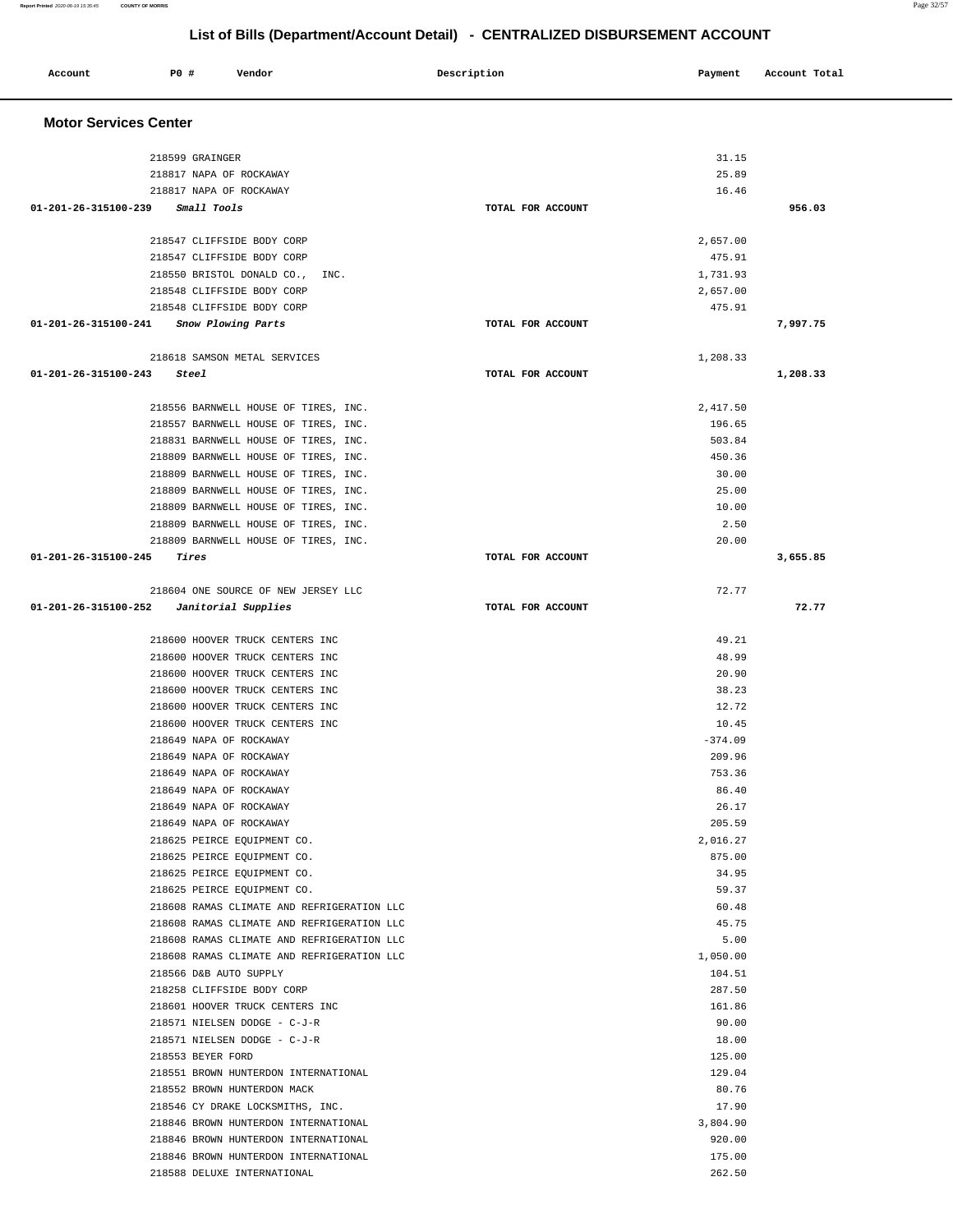#### **Report Printed** 2020-06-19 15:35:45 **COUNTY OF MORRIS** Page 32/57

## **List of Bills (Department/Account Detail) - CENTRALIZED DISBURSEMENT ACCOUNT**

| Account              | <b>PO #</b><br>Vendor                                                        | Description       | Payment            | Account Total |  |  |  |
|----------------------|------------------------------------------------------------------------------|-------------------|--------------------|---------------|--|--|--|
|                      | <b>Motor Services Center</b>                                                 |                   |                    |               |  |  |  |
|                      | 218599 GRAINGER                                                              |                   | 31.15              |               |  |  |  |
|                      | 218817 NAPA OF ROCKAWAY                                                      |                   | 25.89              |               |  |  |  |
| 01-201-26-315100-239 | 218817 NAPA OF ROCKAWAY<br><i>Small Tools</i>                                | TOTAL FOR ACCOUNT | 16.46              | 956.03        |  |  |  |
|                      |                                                                              |                   |                    |               |  |  |  |
|                      | 218547 CLIFFSIDE BODY CORP                                                   |                   | 2,657.00           |               |  |  |  |
|                      | 218547 CLIFFSIDE BODY CORP                                                   |                   | 475.91             |               |  |  |  |
|                      | 218550 BRISTOL DONALD CO.,<br>INC.                                           |                   | 1,731.93           |               |  |  |  |
|                      | 218548 CLIFFSIDE BODY CORP                                                   |                   | 2,657.00           |               |  |  |  |
|                      | 218548 CLIFFSIDE BODY CORP<br>01-201-26-315100-241 Snow Plowing Parts        | TOTAL FOR ACCOUNT | 475.91             | 7,997.75      |  |  |  |
|                      |                                                                              |                   |                    |               |  |  |  |
|                      | 218618 SAMSON METAL SERVICES                                                 |                   | 1,208.33           |               |  |  |  |
| 01-201-26-315100-243 | Steel                                                                        | TOTAL FOR ACCOUNT |                    | 1,208.33      |  |  |  |
|                      |                                                                              |                   |                    |               |  |  |  |
|                      | 218556 BARNWELL HOUSE OF TIRES, INC.                                         |                   | 2,417.50           |               |  |  |  |
|                      | 218557 BARNWELL HOUSE OF TIRES, INC.                                         |                   | 196.65             |               |  |  |  |
|                      | 218831 BARNWELL HOUSE OF TIRES, INC.                                         |                   | 503.84             |               |  |  |  |
|                      | 218809 BARNWELL HOUSE OF TIRES, INC.<br>218809 BARNWELL HOUSE OF TIRES, INC. |                   | 450.36<br>30.00    |               |  |  |  |
|                      | 218809 BARNWELL HOUSE OF TIRES, INC.                                         |                   | 25.00              |               |  |  |  |
|                      | 218809 BARNWELL HOUSE OF TIRES, INC.                                         |                   | 10.00              |               |  |  |  |
|                      | 218809 BARNWELL HOUSE OF TIRES, INC.                                         |                   | 2.50               |               |  |  |  |
|                      | 218809 BARNWELL HOUSE OF TIRES, INC.                                         |                   | 20.00              |               |  |  |  |
| 01-201-26-315100-245 | Tires                                                                        | TOTAL FOR ACCOUNT |                    | 3,655.85      |  |  |  |
|                      | 218604 ONE SOURCE OF NEW JERSEY LLC                                          |                   | 72.77              |               |  |  |  |
| 01-201-26-315100-252 | Janitorial Supplies                                                          | TOTAL FOR ACCOUNT |                    | 72.77         |  |  |  |
|                      |                                                                              |                   |                    |               |  |  |  |
|                      | 218600 HOOVER TRUCK CENTERS INC                                              |                   | 49.21              |               |  |  |  |
|                      | 218600 HOOVER TRUCK CENTERS INC<br>218600 HOOVER TRUCK CENTERS INC           |                   | 48.99<br>20.90     |               |  |  |  |
|                      | 218600 HOOVER TRUCK CENTERS INC                                              |                   | 38.23              |               |  |  |  |
|                      | 218600 HOOVER TRUCK CENTERS INC                                              |                   | 12.72              |               |  |  |  |
|                      | 218600 HOOVER TRUCK CENTERS INC                                              |                   | 10.45              |               |  |  |  |
|                      | 218649 NAPA OF ROCKAWAY                                                      |                   | $-374.09$          |               |  |  |  |
|                      | 218649 NAPA OF ROCKAWAY                                                      |                   | 209.96             |               |  |  |  |
|                      | 218649 NAPA OF ROCKAWAY                                                      |                   | 753.36             |               |  |  |  |
|                      | 218649 NAPA OF ROCKAWAY                                                      |                   | 86.40              |               |  |  |  |
|                      | 218649 NAPA OF ROCKAWAY                                                      |                   | 26.17              |               |  |  |  |
|                      | 218649 NAPA OF ROCKAWAY<br>218625 PEIRCE EQUIPMENT CO.                       |                   | 205.59<br>2,016.27 |               |  |  |  |
|                      | 218625 PEIRCE EQUIPMENT CO.                                                  |                   | 875.00             |               |  |  |  |
|                      | 218625 PEIRCE EQUIPMENT CO.                                                  |                   | 34.95              |               |  |  |  |
|                      | 218625 PEIRCE EQUIPMENT CO.                                                  |                   | 59.37              |               |  |  |  |
|                      | 218608 RAMAS CLIMATE AND REFRIGERATION LLC                                   |                   | 60.48              |               |  |  |  |
|                      | 218608 RAMAS CLIMATE AND REFRIGERATION LLC                                   |                   | 45.75              |               |  |  |  |
|                      | 218608 RAMAS CLIMATE AND REFRIGERATION LLC                                   |                   | 5.00               |               |  |  |  |
|                      | 218608 RAMAS CLIMATE AND REFRIGERATION LLC                                   |                   | 1,050.00           |               |  |  |  |
|                      | 218566 D&B AUTO SUPPLY                                                       |                   | 104.51             |               |  |  |  |
|                      | 218258 CLIFFSIDE BODY CORP<br>218601 HOOVER TRUCK CENTERS INC                |                   | 287.50<br>161.86   |               |  |  |  |
|                      | 218571 NIELSEN DODGE - C-J-R                                                 |                   | 90.00              |               |  |  |  |
|                      | 218571 NIELSEN DODGE - C-J-R                                                 |                   | 18.00              |               |  |  |  |
|                      | 218553 BEYER FORD                                                            |                   | 125.00             |               |  |  |  |
|                      | 218551 BROWN HUNTERDON INTERNATIONAL                                         |                   | 129.04             |               |  |  |  |
|                      | 218552 BROWN HUNTERDON MACK                                                  |                   | 80.76              |               |  |  |  |
|                      | 218546 CY DRAKE LOCKSMITHS, INC.                                             |                   | 17.90              |               |  |  |  |
|                      | 218846 BROWN HUNTERDON INTERNATIONAL                                         |                   | 3,804.90           |               |  |  |  |
|                      | 218846 BROWN HUNTERDON INTERNATIONAL                                         |                   | 920.00             |               |  |  |  |
|                      | 218846 BROWN HUNTERDON INTERNATIONAL                                         |                   | 175.00             |               |  |  |  |
|                      | 218588 DELUXE INTERNATIONAL                                                  |                   | 262.50             |               |  |  |  |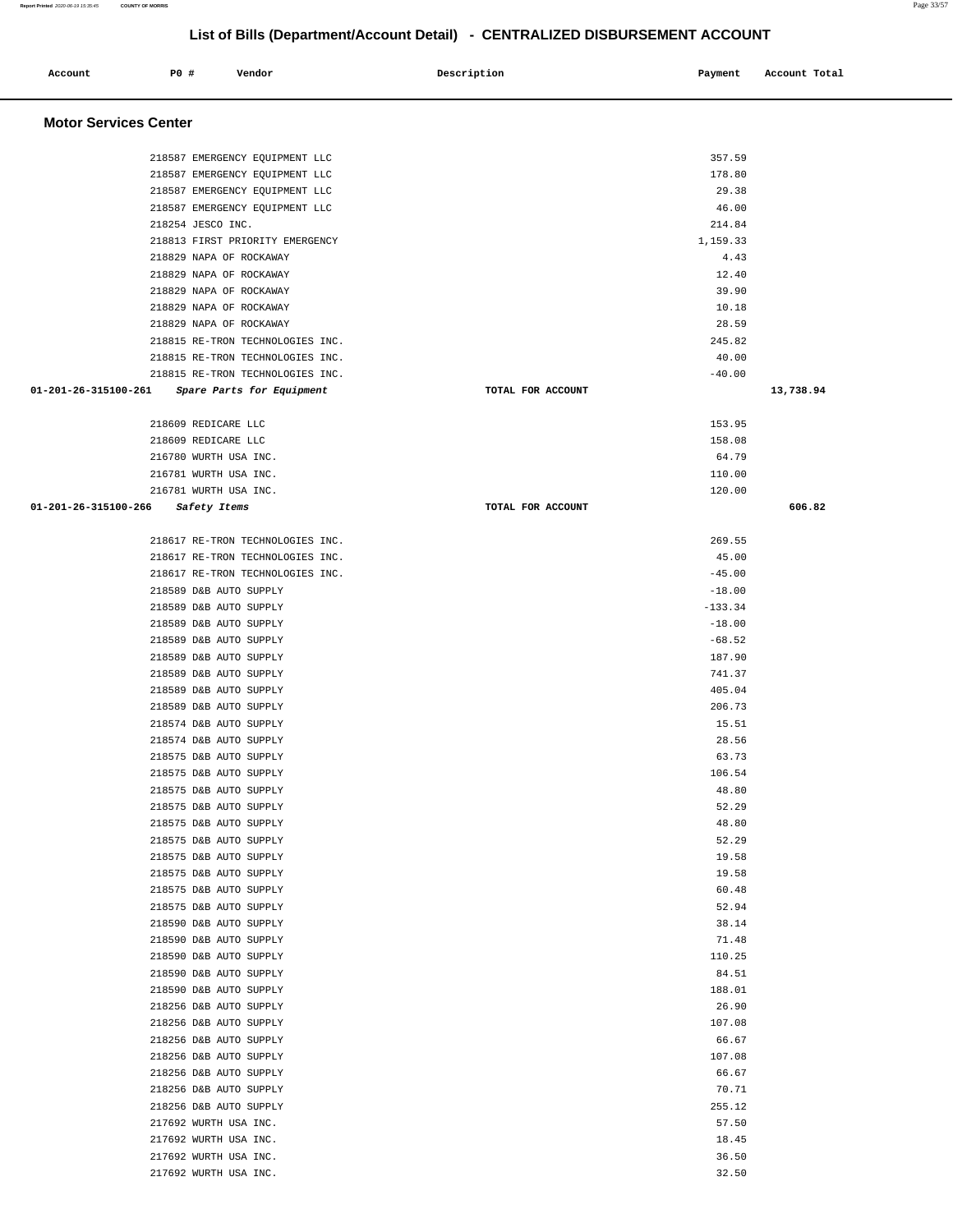۳

## **List of Bills (Department/Account Detail) - CENTRALIZED DISBURSEMENT ACCOUNT**

| Account                      | P0 # | Vendor                                                               | Description       | Payment           | Account Total |
|------------------------------|------|----------------------------------------------------------------------|-------------------|-------------------|---------------|
| <b>Motor Services Center</b> |      |                                                                      |                   |                   |               |
|                              |      | 218587 EMERGENCY EQUIPMENT LLC                                       |                   | 357.59            |               |
|                              |      | 218587 EMERGENCY EQUIPMENT LLC                                       |                   | 178.80            |               |
|                              |      | 218587 EMERGENCY EQUIPMENT LLC                                       |                   | 29.38             |               |
|                              |      | 218587 EMERGENCY EQUIPMENT LLC                                       |                   | 46.00             |               |
|                              |      | 218254 JESCO INC.                                                    |                   | 214.84            |               |
|                              |      | 218813 FIRST PRIORITY EMERGENCY                                      |                   | 1,159.33          |               |
|                              |      | 218829 NAPA OF ROCKAWAY                                              |                   | 4.43              |               |
|                              |      | 218829 NAPA OF ROCKAWAY                                              |                   | 12.40             |               |
|                              |      | 218829 NAPA OF ROCKAWAY                                              |                   | 39.90             |               |
|                              |      | 218829 NAPA OF ROCKAWAY                                              |                   | 10.18             |               |
|                              |      | 218829 NAPA OF ROCKAWAY                                              |                   | 28.59             |               |
|                              |      | 218815 RE-TRON TECHNOLOGIES INC.                                     |                   | 245.82            |               |
|                              |      | 218815 RE-TRON TECHNOLOGIES INC.<br>218815 RE-TRON TECHNOLOGIES INC. |                   | 40.00<br>$-40.00$ |               |
| 01-201-26-315100-261         |      | Spare Parts for Equipment                                            | TOTAL FOR ACCOUNT |                   | 13,738.94     |
|                              |      |                                                                      |                   |                   |               |
|                              |      | 218609 REDICARE LLC                                                  |                   | 153.95            |               |
|                              |      | 218609 REDICARE LLC                                                  |                   | 158.08            |               |
|                              |      | 216780 WURTH USA INC.                                                |                   | 64.79             |               |
|                              |      | 216781 WURTH USA INC.                                                |                   | 110.00            |               |
|                              |      | 216781 WURTH USA INC.                                                |                   | 120.00            |               |
| 01-201-26-315100-266         |      | Safety Items                                                         | TOTAL FOR ACCOUNT |                   | 606.82        |
|                              |      | 218617 RE-TRON TECHNOLOGIES INC.                                     |                   | 269.55            |               |
|                              |      | 218617 RE-TRON TECHNOLOGIES INC.                                     |                   | 45.00             |               |
|                              |      | 218617 RE-TRON TECHNOLOGIES INC.                                     |                   | $-45.00$          |               |
|                              |      | 218589 D&B AUTO SUPPLY                                               |                   | $-18.00$          |               |
|                              |      | 218589 D&B AUTO SUPPLY                                               |                   | $-133.34$         |               |
|                              |      | 218589 D&B AUTO SUPPLY                                               |                   | $-18.00$          |               |
|                              |      | 218589 D&B AUTO SUPPLY                                               |                   | $-68.52$          |               |
|                              |      | 218589 D&B AUTO SUPPLY                                               |                   | 187.90            |               |
|                              |      | 218589 D&B AUTO SUPPLY<br>218589 D&B AUTO SUPPLY                     |                   | 741.37<br>405.04  |               |
|                              |      | 218589 D&B AUTO SUPPLY                                               |                   | 206.73            |               |
|                              |      | 218574 D&B AUTO SUPPLY                                               |                   | 15.51             |               |
|                              |      | 218574 D&B AUTO SUPPLY                                               |                   | 28.56             |               |
|                              |      | 218575 D&B AUTO SUPPLY                                               |                   | 63.73             |               |
|                              |      | 218575 D&B AUTO SUPPLY                                               |                   | 106.54            |               |
|                              |      | 218575 D&B AUTO SUPPLY                                               |                   | 48.80             |               |
|                              |      | 218575 D&B AUTO SUPPLY                                               |                   | 52.29             |               |
|                              |      | 218575 D&B AUTO SUPPLY                                               |                   | 48.80             |               |
|                              |      | 218575 D&B AUTO SUPPLY                                               |                   | 52.29             |               |
|                              |      | 218575 D&B AUTO SUPPLY                                               |                   | 19.58             |               |
|                              |      | 218575 D&B AUTO SUPPLY<br>218575 D&B AUTO SUPPLY                     |                   | 19.58<br>60.48    |               |
|                              |      | 218575 D&B AUTO SUPPLY                                               |                   | 52.94             |               |
|                              |      | 218590 D&B AUTO SUPPLY                                               |                   | 38.14             |               |
|                              |      | 218590 D&B AUTO SUPPLY                                               |                   | 71.48             |               |
|                              |      | 218590 D&B AUTO SUPPLY                                               |                   | 110.25            |               |
|                              |      | 218590 D&B AUTO SUPPLY                                               |                   | 84.51             |               |
|                              |      | 218590 D&B AUTO SUPPLY                                               |                   | 188.01            |               |
|                              |      | 218256 D&B AUTO SUPPLY                                               |                   | 26.90             |               |
|                              |      | 218256 D&B AUTO SUPPLY                                               |                   | 107.08            |               |
|                              |      | 218256 D&B AUTO SUPPLY                                               |                   | 66.67             |               |
|                              |      | 218256 D&B AUTO SUPPLY                                               |                   | 107.08            |               |
|                              |      | 218256 D&B AUTO SUPPLY                                               |                   | 66.67             |               |
|                              |      | 218256 D&B AUTO SUPPLY<br>218256 D&B AUTO SUPPLY                     |                   | 70.71<br>255.12   |               |
|                              |      | 217692 WURTH USA INC.                                                |                   | 57.50             |               |
|                              |      | 217692 WURTH USA INC.                                                |                   | 18.45             |               |
|                              |      | 217692 WURTH USA INC.                                                |                   | 36.50             |               |
|                              |      | 217692 WURTH USA INC.                                                |                   | 32.50             |               |
|                              |      |                                                                      |                   |                   |               |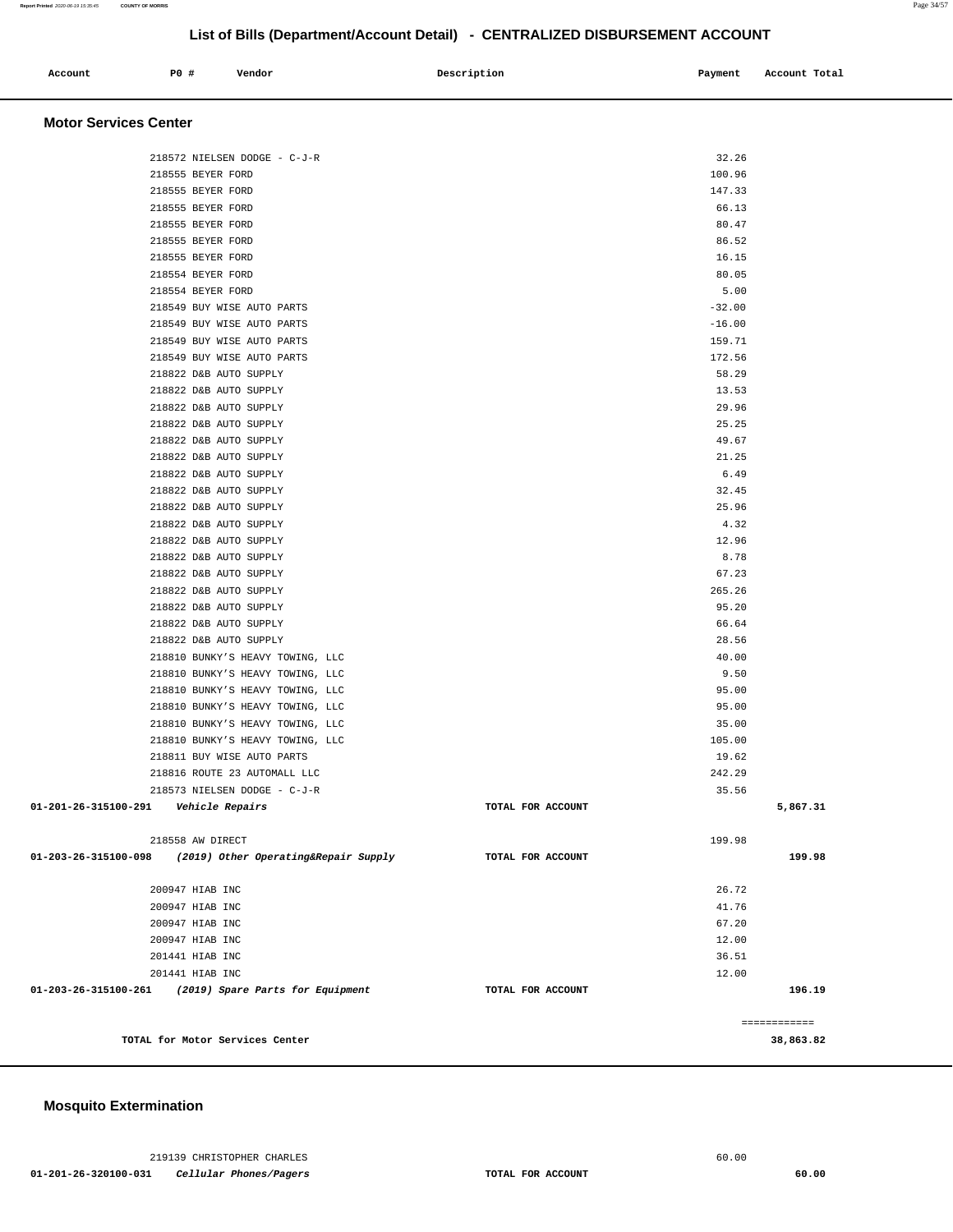## **Mosquito Extermination**

| <b>Motor Services Center</b>                                 |                   |                |              |
|--------------------------------------------------------------|-------------------|----------------|--------------|
| 218572 NIELSEN DODGE - C-J-R                                 |                   | 32.26          |              |
| 218555 BEYER FORD                                            |                   | 100.96         |              |
| 218555 BEYER FORD                                            |                   | 147.33         |              |
| 218555 BEYER FORD                                            |                   | 66.13          |              |
| 218555 BEYER FORD                                            |                   | 80.47          |              |
| 218555 BEYER FORD                                            |                   | 86.52          |              |
| 218555 BEYER FORD                                            |                   | 16.15          |              |
| 218554 BEYER FORD                                            |                   | 80.05          |              |
| 218554 BEYER FORD                                            |                   | 5.00           |              |
| 218549 BUY WISE AUTO PARTS                                   |                   | $-32.00$       |              |
| 218549 BUY WISE AUTO PARTS                                   |                   | $-16.00$       |              |
| 218549 BUY WISE AUTO PARTS                                   |                   | 159.71         |              |
| 218549 BUY WISE AUTO PARTS                                   |                   | 172.56         |              |
| 218822 D&B AUTO SUPPLY                                       |                   | 58.29          |              |
| 218822 D&B AUTO SUPPLY                                       |                   | 13.53          |              |
| 218822 D&B AUTO SUPPLY                                       |                   | 29.96          |              |
|                                                              |                   |                |              |
| 218822 D&B AUTO SUPPLY                                       |                   | 25.25<br>49.67 |              |
| 218822 D&B AUTO SUPPLY<br>218822 D&B AUTO SUPPLY             |                   | 21.25          |              |
| 218822 D&B AUTO SUPPLY                                       |                   | 6.49           |              |
|                                                              |                   |                |              |
| 218822 D&B AUTO SUPPLY                                       |                   | 32.45          |              |
| 218822 D&B AUTO SUPPLY                                       |                   | 25.96          |              |
| 218822 D&B AUTO SUPPLY<br>218822 D&B AUTO SUPPLY             |                   | 4.32           |              |
|                                                              |                   | 12.96          |              |
| 218822 D&B AUTO SUPPLY                                       |                   | 8.78           |              |
| 218822 D&B AUTO SUPPLY                                       |                   | 67.23          |              |
| 218822 D&B AUTO SUPPLY                                       |                   | 265.26         |              |
| 218822 D&B AUTO SUPPLY                                       |                   | 95.20          |              |
| 218822 D&B AUTO SUPPLY                                       |                   | 66.64          |              |
| 218822 D&B AUTO SUPPLY                                       |                   | 28.56          |              |
| 218810 BUNKY'S HEAVY TOWING, LLC                             |                   | 40.00          |              |
| 218810 BUNKY'S HEAVY TOWING, LLC                             |                   | 9.50           |              |
| 218810 BUNKY'S HEAVY TOWING, LLC                             |                   | 95.00          |              |
| 218810 BUNKY'S HEAVY TOWING, LLC                             |                   | 95.00          |              |
| 218810 BUNKY'S HEAVY TOWING, LLC                             |                   | 35.00          |              |
| 218810 BUNKY'S HEAVY TOWING, LLC                             |                   | 105.00         |              |
| 218811 BUY WISE AUTO PARTS                                   |                   | 19.62          |              |
| 218816 ROUTE 23 AUTOMALL LLC                                 |                   | 242.29         |              |
| 218573 NIELSEN DODGE - C-J-R                                 |                   | 35.56          |              |
| 01-201-26-315100-291<br>Vehicle Repairs                      | TOTAL FOR ACCOUNT |                | 5,867.31     |
|                                                              |                   |                |              |
| 218558 AW DIRECT                                             |                   | 199.98         |              |
| 01-203-26-315100-098<br>(2019) Other Operating&Repair Supply | TOTAL FOR ACCOUNT |                | 199.98       |
| 200947 HIAB INC                                              |                   | 26.72          |              |
| 200947 HIAB INC                                              |                   | 41.76          |              |
| 200947 HIAB INC                                              |                   | 67.20          |              |
| 200947 HIAB INC                                              |                   | 12.00          |              |
| 201441 HIAB INC                                              |                   | 36.51          |              |
| 201441 HIAB INC                                              |                   | 12.00          |              |
| 01-203-26-315100-261<br>(2019) Spare Parts for Equipment     | TOTAL FOR ACCOUNT |                | 196.19       |
|                                                              |                   |                |              |
|                                                              |                   |                | ============ |
| TOTAL for Motor Services Center                              |                   |                | 38,863.82    |

**List of Bills (Department/Account Detail) - CENTRALIZED DISBURSEMENT ACCOUNT**

 **Account** 20 **P P**  $\uparrow$  **Payment** Payment Account Total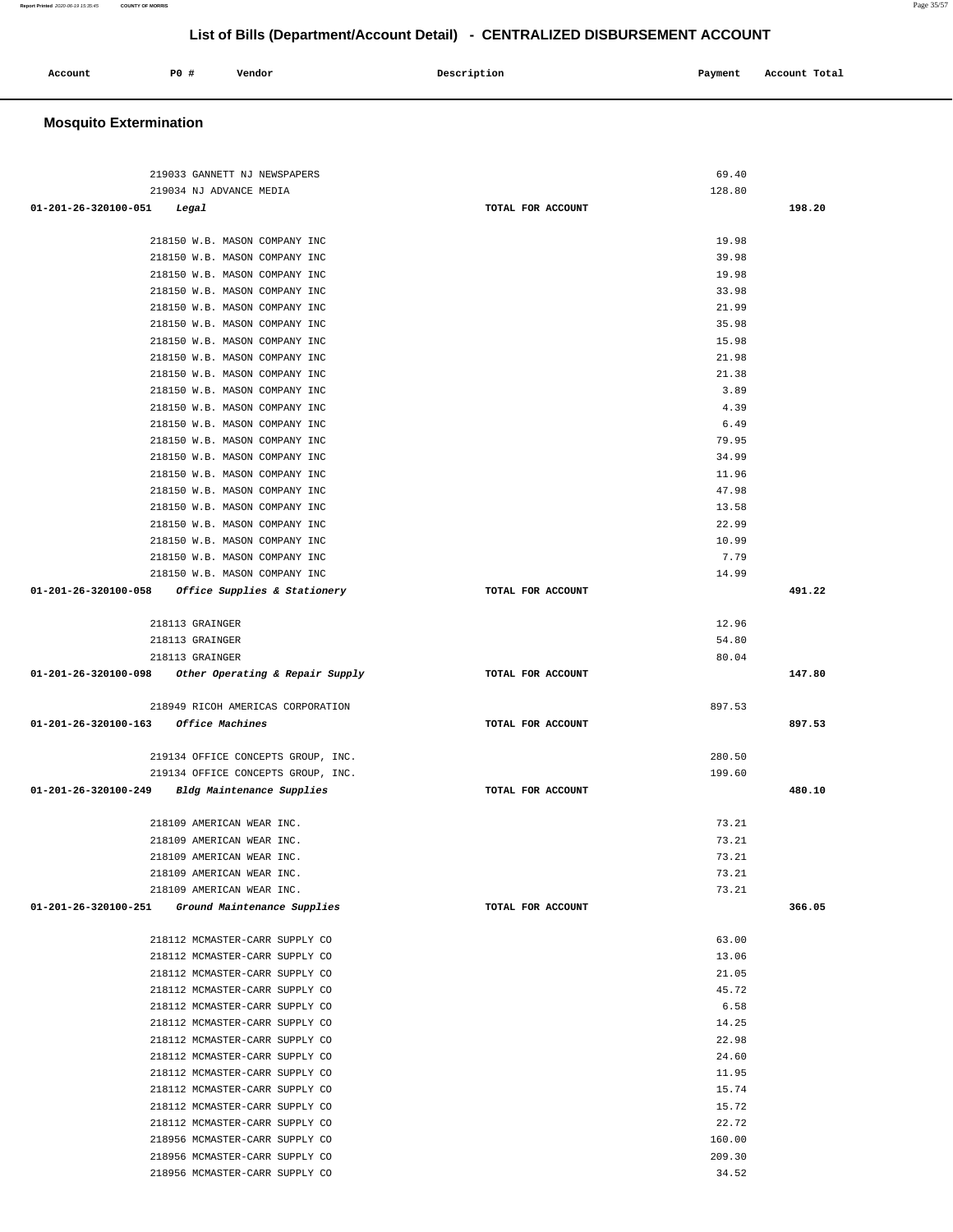| Account<br>. | P0 | Vendor | Description | Payment<br>$\sim$ $\sim$ | Account Total<br>. |
|--------------|----|--------|-------------|--------------------------|--------------------|
|              |    |        |             |                          |                    |

## **Mosquito Extermination**

| 219033 GANNETT NJ NEWSPAPERS                           |                   | 69.40  |        |
|--------------------------------------------------------|-------------------|--------|--------|
| 219034 NJ ADVANCE MEDIA                                |                   | 128.80 |        |
| 01-201-26-320100-051 Legal                             | TOTAL FOR ACCOUNT |        | 198.20 |
|                                                        |                   |        |        |
| 218150 W.B. MASON COMPANY INC                          |                   | 19.98  |        |
| 218150 W.B. MASON COMPANY INC                          |                   | 39.98  |        |
| 218150 W.B. MASON COMPANY INC                          |                   | 19.98  |        |
| 218150 W.B. MASON COMPANY INC                          |                   | 33.98  |        |
| 218150 W.B. MASON COMPANY INC                          |                   | 21.99  |        |
| 218150 W.B. MASON COMPANY INC                          |                   | 35.98  |        |
| 218150 W.B. MASON COMPANY INC                          |                   | 15.98  |        |
| 218150 W.B. MASON COMPANY INC                          |                   | 21.98  |        |
| 218150 W.B. MASON COMPANY INC                          |                   | 21.38  |        |
| 218150 W.B. MASON COMPANY INC                          |                   | 3.89   |        |
| 218150 W.B. MASON COMPANY INC                          |                   | 4.39   |        |
| 218150 W.B. MASON COMPANY INC                          |                   | 6.49   |        |
| 218150 W.B. MASON COMPANY INC                          |                   | 79.95  |        |
| 218150 W.B. MASON COMPANY INC                          |                   | 34.99  |        |
| 218150 W.B. MASON COMPANY INC                          |                   | 11.96  |        |
| 218150 W.B. MASON COMPANY INC                          |                   | 47.98  |        |
| 218150 W.B. MASON COMPANY INC                          |                   | 13.58  |        |
| 218150 W.B. MASON COMPANY INC                          |                   | 22.99  |        |
| 218150 W.B. MASON COMPANY INC                          |                   | 10.99  |        |
| 218150 W.B. MASON COMPANY INC                          |                   | 7.79   |        |
| 218150 W.B. MASON COMPANY INC                          |                   | 14.99  |        |
| 01-201-26-320100-058 Office Supplies & Stationery      | TOTAL FOR ACCOUNT |        | 491.22 |
|                                                        |                   |        |        |
| 218113 GRAINGER                                        |                   | 12.96  |        |
| 218113 GRAINGER                                        |                   | 54.80  |        |
| 218113 GRAINGER                                        |                   | 80.04  |        |
|                                                        |                   |        |        |
| $01-201-26-320100-098$ Other Operating & Repair Supply | TOTAL FOR ACCOUNT |        | 147.80 |
|                                                        |                   |        |        |
| 218949 RICOH AMERICAS CORPORATION                      |                   | 897.53 |        |
| 01-201-26-320100-163 Office Machines                   | TOTAL FOR ACCOUNT |        | 897.53 |
|                                                        |                   |        |        |
| 219134 OFFICE CONCEPTS GROUP, INC.                     |                   | 280.50 |        |
| 219134 OFFICE CONCEPTS GROUP, INC.                     |                   | 199.60 |        |
| 01-201-26-320100-249 Bldg Maintenance Supplies         | TOTAL FOR ACCOUNT |        | 480.10 |
|                                                        |                   |        |        |
| 218109 AMERICAN WEAR INC.                              |                   | 73.21  |        |
| 218109 AMERICAN WEAR INC.                              |                   | 73.21  |        |
| 218109 AMERICAN WEAR INC.                              |                   | 73.21  |        |
| 218109 AMERICAN WEAR INC.                              |                   | 73.21  |        |
| 218109 AMERICAN WEAR INC.                              |                   | 73.21  |        |
| 01-201-26-320100-251 Ground Maintenance Supplies       | TOTAL FOR ACCOUNT |        | 366.05 |
|                                                        |                   |        |        |
| 218112 MCMASTER-CARR SUPPLY CO                         |                   | 63.00  |        |
| 218112 MCMASTER-CARR SUPPLY CO                         |                   | 13.06  |        |
| 218112 MCMASTER-CARR SUPPLY CO                         |                   | 21.05  |        |
| 218112 MCMASTER-CARR SUPPLY CO                         |                   | 45.72  |        |
| 218112 MCMASTER-CARR SUPPLY CO                         |                   | 6.58   |        |
| 218112 MCMASTER-CARR SUPPLY CO                         |                   | 14.25  |        |
| 218112 MCMASTER-CARR SUPPLY CO                         |                   | 22.98  |        |
| 218112 MCMASTER-CARR SUPPLY CO                         |                   | 24.60  |        |
| 218112 MCMASTER-CARR SUPPLY CO                         |                   | 11.95  |        |
| 218112 MCMASTER-CARR SUPPLY CO                         |                   | 15.74  |        |
| 218112 MCMASTER-CARR SUPPLY CO                         |                   | 15.72  |        |
| 218112 MCMASTER-CARR SUPPLY CO                         |                   | 22.72  |        |
| 218956 MCMASTER-CARR SUPPLY CO                         |                   | 160.00 |        |
| 218956 MCMASTER-CARR SUPPLY CO                         |                   | 209.30 |        |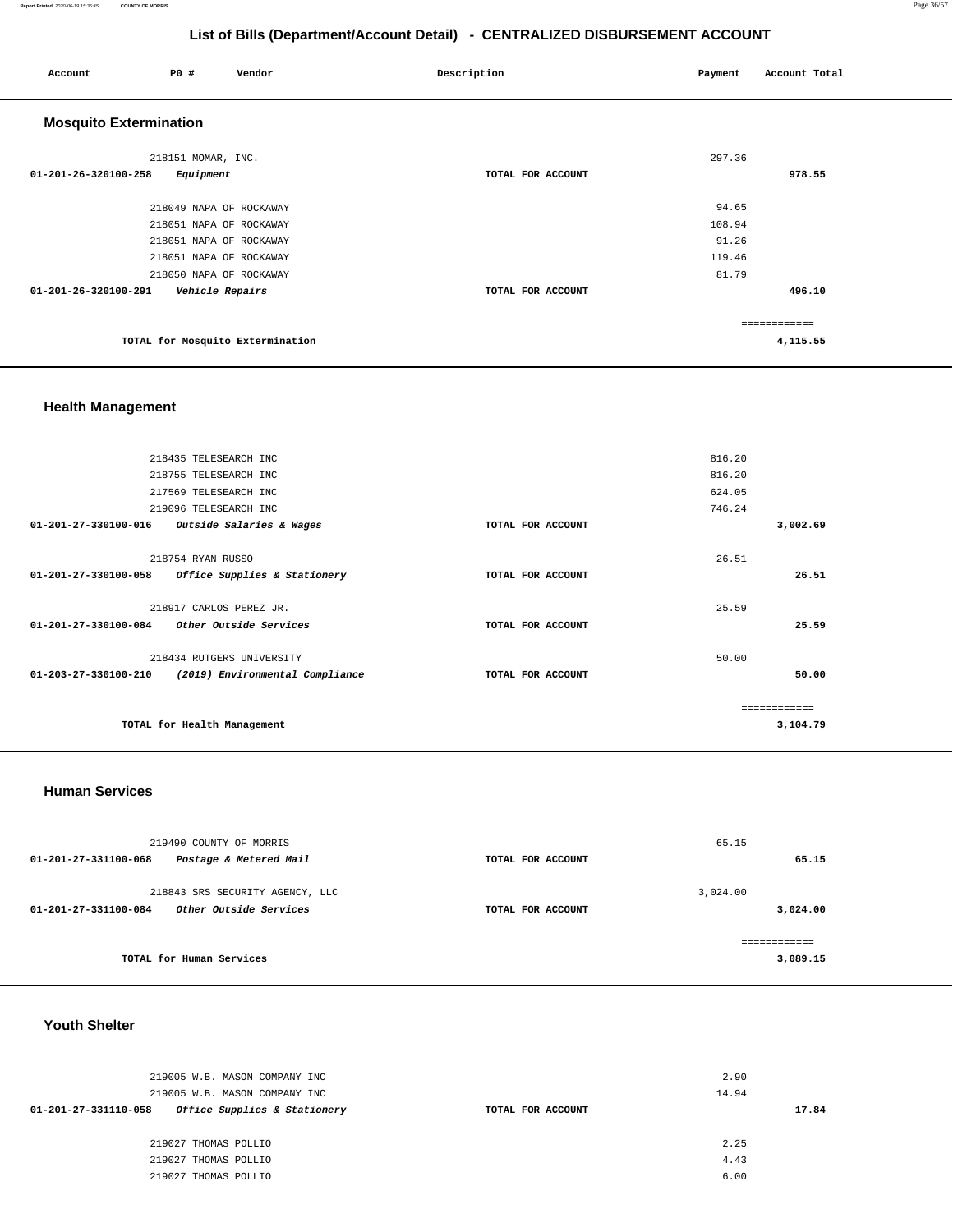#### **Report Printed** 2020-06-19 15:35:45 **COUNTY OF MORRIS** Page 36/57

## **List of Bills (Department/Account Detail) - CENTRALIZED DISBURSEMENT ACCOUNT**

| Account                       | P0 #                    | Vendor                           | Description       | Payment | Account Total |
|-------------------------------|-------------------------|----------------------------------|-------------------|---------|---------------|
| <b>Mosquito Extermination</b> |                         |                                  |                   |         |               |
|                               | 218151 MOMAR, INC.      |                                  |                   | 297.36  |               |
| 01-201-26-320100-258          | Equipment               |                                  | TOTAL FOR ACCOUNT |         | 978.55        |
|                               | 218049 NAPA OF ROCKAWAY |                                  |                   | 94.65   |               |
|                               | 218051 NAPA OF ROCKAWAY |                                  |                   | 108.94  |               |
|                               | 218051 NAPA OF ROCKAWAY |                                  |                   | 91.26   |               |
|                               | 218051 NAPA OF ROCKAWAY |                                  |                   | 119.46  |               |
|                               | 218050 NAPA OF ROCKAWAY |                                  |                   | 81.79   |               |
| 01-201-26-320100-291          | Vehicle Repairs         |                                  | TOTAL FOR ACCOUNT |         | 496.10        |
|                               |                         |                                  |                   |         | ============  |
|                               |                         | TOTAL for Mosquito Extermination |                   |         | 4,115.55      |
|                               |                         |                                  |                   |         |               |

## **Health Management**

|                      | 218435 TELESEARCH INC           |                   | 816.20       |
|----------------------|---------------------------------|-------------------|--------------|
|                      | 218755 TELESEARCH INC           |                   | 816.20       |
|                      | 217569 TELESEARCH INC           |                   | 624.05       |
|                      | 219096 TELESEARCH INC           |                   | 746.24       |
| 01-201-27-330100-016 | Outside Salaries & Wages        | TOTAL FOR ACCOUNT | 3,002.69     |
|                      | 218754 RYAN RUSSO               |                   | 26.51        |
| 01-201-27-330100-058 | Office Supplies & Stationery    | TOTAL FOR ACCOUNT | 26.51        |
|                      | 218917 CARLOS PEREZ JR.         |                   | 25.59        |
| 01-201-27-330100-084 | Other Outside Services          | TOTAL FOR ACCOUNT | 25.59        |
|                      | 218434 RUTGERS UNIVERSITY       |                   | 50.00        |
| 01-203-27-330100-210 | (2019) Environmental Compliance | TOTAL FOR ACCOUNT | 50.00        |
|                      |                                 |                   | ------------ |
|                      | TOTAL for Health Management     |                   | 3,104.79     |
|                      |                                 |                   |              |

### **Human Services**

| 219490 COUNTY OF MORRIS<br>Postage & Metered Mail<br>01-201-27-331100-068 | TOTAL FOR ACCOUNT | 65.15<br>65.15 |
|---------------------------------------------------------------------------|-------------------|----------------|
|                                                                           |                   |                |
| 218843 SRS SECURITY AGENCY, LLC                                           |                   | 3,024.00       |
| <i><b>Other Outside Services</b></i><br>01-201-27-331100-084              | TOTAL FOR ACCOUNT | 3,024.00       |
|                                                                           |                   | ============   |
| TOTAL for Human Services                                                  |                   | 3,089.15       |
|                                                                           |                   |                |

## **Youth Shelter**

| 219005 W.B. MASON COMPANY INC                        |                   | 2.90  |
|------------------------------------------------------|-------------------|-------|
| 219005 W.B. MASON COMPANY INC                        |                   | 14.94 |
| Office Supplies & Stationery<br>01-201-27-331110-058 | TOTAL FOR ACCOUNT | 17.84 |
|                                                      |                   |       |
| 219027 THOMAS POLLIO                                 |                   | 2.25  |
| 219027 THOMAS POLLIO                                 |                   | 4.43  |
| 219027 THOMAS POLLIO                                 |                   | 6.00  |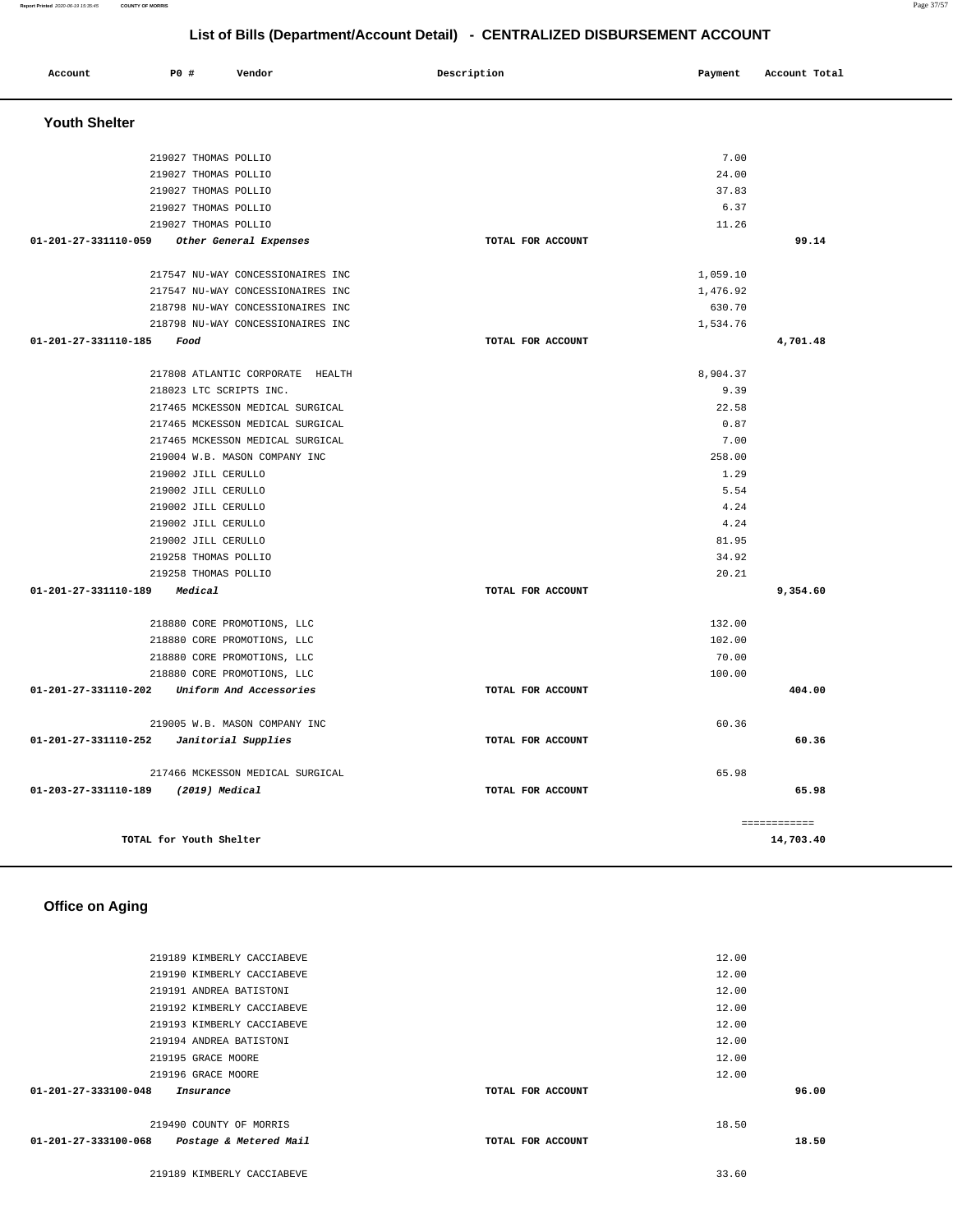| Account                                      | P0 #                                        | Vendor                            | Description       | Payment        | Account Total |
|----------------------------------------------|---------------------------------------------|-----------------------------------|-------------------|----------------|---------------|
| <b>Youth Shelter</b>                         |                                             |                                   |                   |                |               |
|                                              | 219027 THOMAS POLLIO                        |                                   |                   | 7.00           |               |
|                                              | 219027 THOMAS POLLIO                        |                                   |                   | 24.00          |               |
|                                              | 219027 THOMAS POLLIO                        |                                   |                   | 37.83          |               |
|                                              | 219027 THOMAS POLLIO                        |                                   |                   | 6.37           |               |
|                                              | 219027 THOMAS POLLIO                        |                                   |                   | 11.26          |               |
| 01-201-27-331110-059 Other General Expenses  |                                             |                                   | TOTAL FOR ACCOUNT |                | 99.14         |
|                                              |                                             | 217547 NU-WAY CONCESSIONAIRES INC |                   | 1,059.10       |               |
|                                              |                                             | 217547 NU-WAY CONCESSIONAIRES INC |                   | 1,476.92       |               |
|                                              |                                             | 218798 NU-WAY CONCESSIONAIRES INC |                   | 630.70         |               |
|                                              |                                             | 218798 NU-WAY CONCESSIONAIRES INC |                   | 1,534.76       |               |
| 01-201-27-331110-185                         | Food                                        |                                   | TOTAL FOR ACCOUNT |                | 4,701.48      |
|                                              |                                             | 217808 ATLANTIC CORPORATE HEALTH  |                   | 8,904.37       |               |
|                                              | 218023 LTC SCRIPTS INC.                     |                                   |                   | 9.39           |               |
|                                              |                                             | 217465 MCKESSON MEDICAL SURGICAL  |                   | 22.58          |               |
|                                              |                                             | 217465 MCKESSON MEDICAL SURGICAL  |                   | 0.87           |               |
|                                              |                                             | 217465 MCKESSON MEDICAL SURGICAL  |                   | 7.00           |               |
|                                              |                                             | 219004 W.B. MASON COMPANY INC     |                   | 258.00         |               |
|                                              | 219002 JILL CERULLO                         |                                   |                   | 1.29           |               |
|                                              | 219002 JILL CERULLO                         |                                   |                   | 5.54           |               |
|                                              | 219002 JILL CERULLO                         |                                   |                   | 4.24           |               |
|                                              | 219002 JILL CERULLO                         |                                   |                   | 4.24           |               |
|                                              | 219002 JILL CERULLO<br>219258 THOMAS POLLIO |                                   |                   | 81.95<br>34.92 |               |
|                                              | 219258 THOMAS POLLIO                        |                                   |                   | 20.21          |               |
| 01-201-27-331110-189                         | Medical                                     |                                   | TOTAL FOR ACCOUNT |                | 9,354.60      |
|                                              |                                             |                                   |                   |                |               |
|                                              |                                             | 218880 CORE PROMOTIONS, LLC       |                   | 132.00         |               |
|                                              |                                             | 218880 CORE PROMOTIONS, LLC       |                   | 102.00         |               |
|                                              |                                             | 218880 CORE PROMOTIONS, LLC       |                   | 70.00          |               |
|                                              |                                             | 218880 CORE PROMOTIONS, LLC       |                   | 100.00         |               |
| 01-201-27-331110-202 Uniform And Accessories |                                             |                                   | TOTAL FOR ACCOUNT |                | 404.00        |
|                                              |                                             | 219005 W.B. MASON COMPANY INC     |                   | 60.36          |               |
| 01-201-27-331110-252    Janitorial Supplies  |                                             |                                   | TOTAL FOR ACCOUNT |                | 60.36         |
|                                              |                                             | 217466 MCKESSON MEDICAL SURGICAL  |                   | 65.98          |               |
| 01-203-27-331110-189                         | (2019) Medical                              |                                   | TOTAL FOR ACCOUNT |                | 65.98         |
|                                              |                                             |                                   |                   |                | ============  |
|                                              | TOTAL for Youth Shelter                     |                                   |                   |                | 14,703.40     |

### **Office on Aging**

| $01 - 201 - 27 - 333100 - 048$<br>01-201-27-333100-068 | Insurance<br>219490 COUNTY OF MORRIS<br>Postage & Metered Mail | TOTAL FOR ACCOUNT<br>TOTAL FOR ACCOUNT | 18.50 | 96.00<br>18.50 |
|--------------------------------------------------------|----------------------------------------------------------------|----------------------------------------|-------|----------------|
|                                                        | 219196 GRACE MOORE                                             |                                        | 12.00 |                |
|                                                        | 219195 GRACE MOORE                                             |                                        | 12.00 |                |
|                                                        | 219194 ANDREA BATISTONI                                        |                                        | 12.00 |                |
|                                                        | 219193 KIMBERLY CACCIABEVE                                     |                                        | 12.00 |                |
|                                                        | 219192 KIMBERLY CACCIABEVE                                     |                                        | 12.00 |                |
|                                                        | 219191 ANDREA BATISTONI                                        |                                        | 12.00 |                |
|                                                        | 219190 KIMBERLY CACCIABEVE                                     |                                        | 12.00 |                |
|                                                        | 219189 KIMBERLY CACCIABEVE                                     |                                        | 12.00 |                |
|                                                        |                                                                |                                        |       |                |

219189 KIMBERLY CACCIABEVE 33.60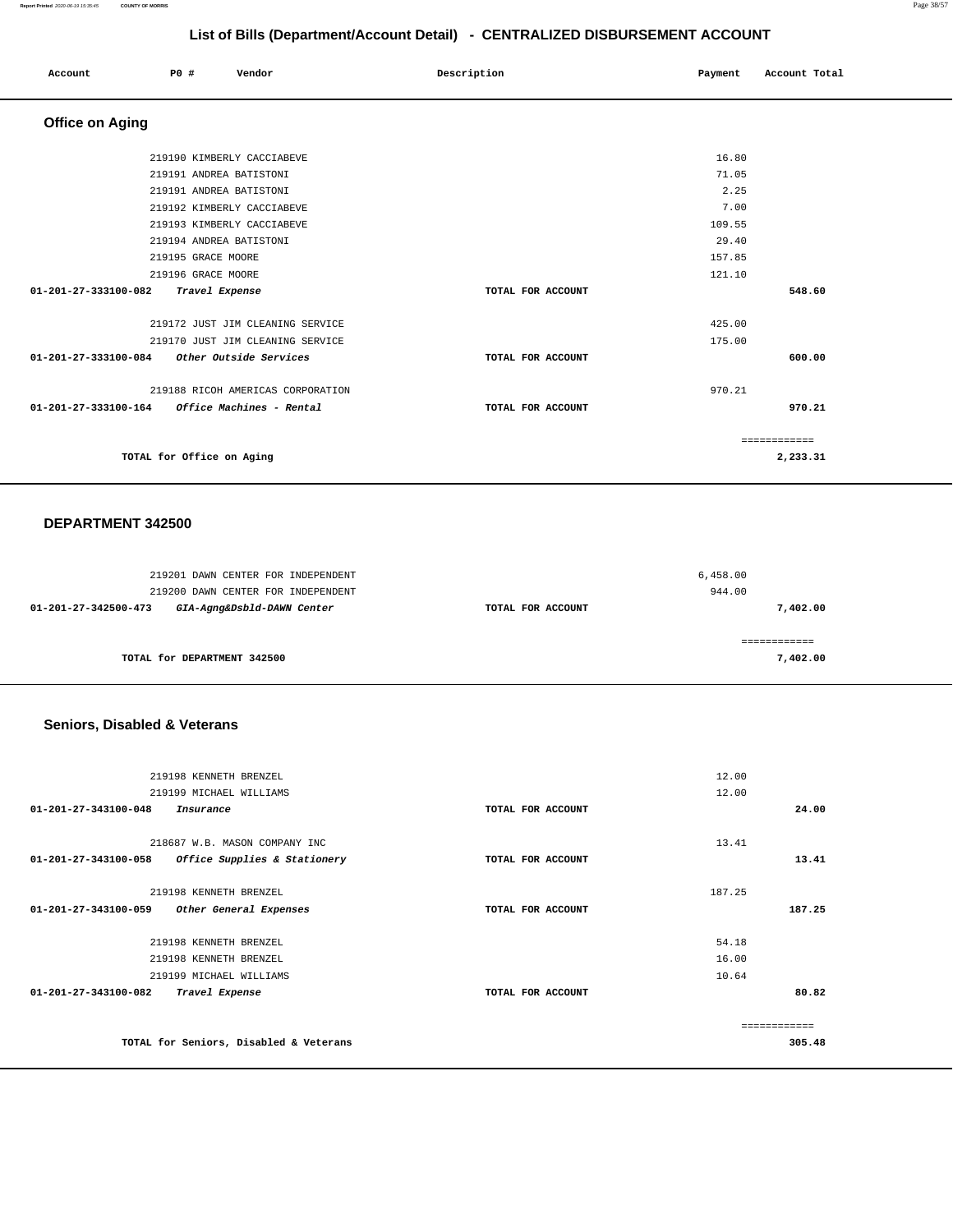#### **Report Printed** 2020-06-19 15:35:45 **COUNTY OF MORRIS** Page 38/57

## **List of Bills (Department/Account Detail) - CENTRALIZED DISBURSEMENT ACCOUNT**

| Account                                       | P0 # |                           | Vendor                            | Description |                   | Payment | Account Total |  |
|-----------------------------------------------|------|---------------------------|-----------------------------------|-------------|-------------------|---------|---------------|--|
| <b>Office on Aging</b>                        |      |                           |                                   |             |                   |         |               |  |
|                                               |      |                           | 219190 KIMBERLY CACCIABEVE        |             |                   | 16.80   |               |  |
|                                               |      |                           | 219191 ANDREA BATISTONI           |             |                   | 71.05   |               |  |
|                                               |      |                           | 219191 ANDREA BATISTONI           |             |                   | 2.25    |               |  |
|                                               |      |                           | 219192 KIMBERLY CACCIABEVE        |             |                   | 7.00    |               |  |
|                                               |      |                           | 219193 KIMBERLY CACCIABEVE        |             |                   | 109.55  |               |  |
|                                               |      |                           | 219194 ANDREA BATISTONI           |             |                   | 29.40   |               |  |
|                                               |      | 219195 GRACE MOORE        |                                   |             |                   | 157.85  |               |  |
|                                               |      | 219196 GRACE MOORE        |                                   |             |                   | 121.10  |               |  |
| 01-201-27-333100-082                          |      | Travel Expense            |                                   |             | TOTAL FOR ACCOUNT |         | 548.60        |  |
|                                               |      |                           | 219172 JUST JIM CLEANING SERVICE  |             |                   | 425.00  |               |  |
|                                               |      |                           | 219170 JUST JIM CLEANING SERVICE  |             |                   | 175.00  |               |  |
| 01-201-27-333100-084                          |      |                           | Other Outside Services            |             | TOTAL FOR ACCOUNT |         | 600.00        |  |
|                                               |      |                           | 219188 RICOH AMERICAS CORPORATION |             |                   | 970.21  |               |  |
| 01-201-27-333100-164 Office Machines - Rental |      |                           |                                   |             | TOTAL FOR ACCOUNT |         | 970.21        |  |
|                                               |      |                           |                                   |             |                   |         | ============  |  |
|                                               |      | TOTAL for Office on Aging |                                   |             |                   |         | 2,233.31      |  |

### **DEPARTMENT 342500**

| 219201 DAWN CENTER FOR INDEPENDENT<br>219200 DAWN CENTER FOR INDEPENDENT |                   | 6,458.00<br>944.00 |
|--------------------------------------------------------------------------|-------------------|--------------------|
| GIA-Agng&Dsbld-DAWN Center<br>01-201-27-342500-473                       | TOTAL FOR ACCOUNT | 7,402.00           |
| TOTAL for DEPARTMENT 342500                                              |                   | 7,402.00           |

## **Seniors, Disabled & Veterans**

| 219198 KENNETH BRENZEL                               |                   | 12.00  |
|------------------------------------------------------|-------------------|--------|
| 219199 MICHAEL WILLIAMS                              |                   | 12.00  |
| $01 - 201 - 27 - 343100 - 048$<br>Insurance          | TOTAL FOR ACCOUNT | 24.00  |
| 218687 W.B. MASON COMPANY INC                        |                   | 13.41  |
| 01-201-27-343100-058<br>Office Supplies & Stationery | TOTAL FOR ACCOUNT | 13.41  |
|                                                      |                   |        |
| 219198 KENNETH BRENZEL                               |                   | 187.25 |
| 01-201-27-343100-059<br>Other General Expenses       | TOTAL FOR ACCOUNT | 187.25 |
|                                                      |                   |        |
| 219198 KENNETH BRENZEL                               |                   | 54.18  |
| 219198 KENNETH BRENZEL                               |                   | 16.00  |
| 219199 MICHAEL WILLIAMS                              |                   | 10.64  |
| 01-201-27-343100-082<br>Travel Expense               | TOTAL FOR ACCOUNT | 80.82  |
|                                                      |                   |        |
|                                                      |                   |        |
| TOTAL for Seniors, Disabled & Veterans               |                   | 305.48 |
|                                                      |                   |        |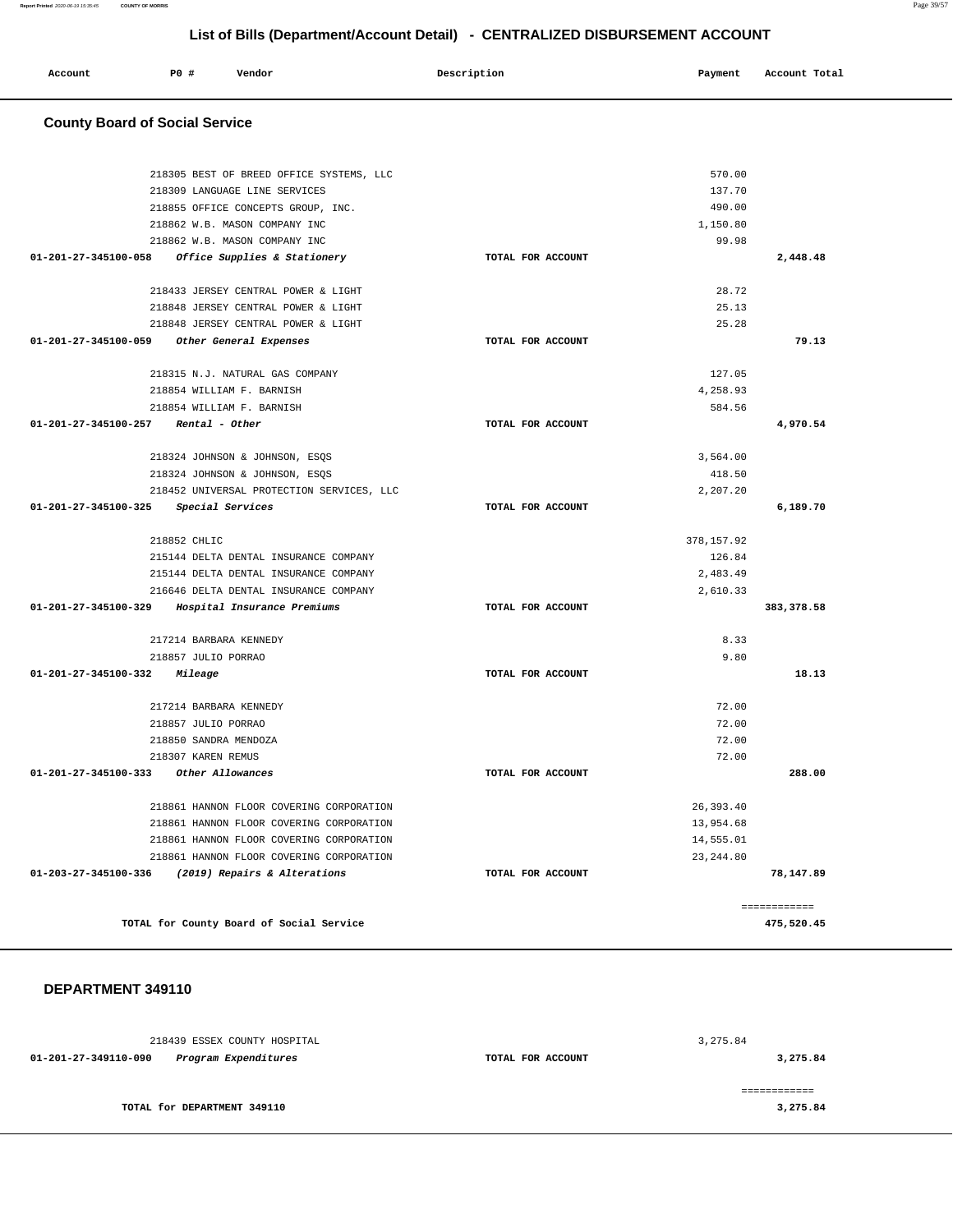| Description<br><b>PO #</b><br>Vendor<br>Payment<br>Account | Account Total |
|------------------------------------------------------------|---------------|
|                                                            |               |

## **County Board of Social Service**

| 218305 BEST OF BREED OFFICE SYSTEMS, LLC             |                   | 570.00      |              |
|------------------------------------------------------|-------------------|-------------|--------------|
| 218309 LANGUAGE LINE SERVICES                        |                   | 137.70      |              |
| 218855 OFFICE CONCEPTS GROUP, INC.                   |                   | 490.00      |              |
| 218862 W.B. MASON COMPANY INC                        |                   | 1,150.80    |              |
| 218862 W.B. MASON COMPANY INC                        |                   | 99.98       |              |
| 01-201-27-345100-058<br>Office Supplies & Stationery | TOTAL FOR ACCOUNT |             | 2,448.48     |
|                                                      |                   |             |              |
| 218433 JERSEY CENTRAL POWER & LIGHT                  |                   | 28.72       |              |
| 218848 JERSEY CENTRAL POWER & LIGHT                  |                   | 25.13       |              |
| 218848 JERSEY CENTRAL POWER & LIGHT                  |                   | 25.28       |              |
| 01-201-27-345100-059<br>Other General Expenses       | TOTAL FOR ACCOUNT |             | 79.13        |
| 218315 N.J. NATURAL GAS COMPANY                      |                   | 127.05      |              |
| 218854 WILLIAM F. BARNISH                            |                   | 4,258.93    |              |
| 218854 WILLIAM F. BARNISH                            |                   | 584.56      |              |
| $01-201-27-345100-257$ Rental - Other                | TOTAL FOR ACCOUNT |             | 4,970.54     |
| 218324 JOHNSON & JOHNSON, ESOS                       |                   | 3,564.00    |              |
| 218324 JOHNSON & JOHNSON, ESQS                       |                   | 418.50      |              |
| 218452 UNIVERSAL PROTECTION SERVICES, LLC            |                   | 2,207.20    |              |
| 01-201-27-345100-325<br>Special Services             | TOTAL FOR ACCOUNT |             | 6,189.70     |
| 218852 CHLIC                                         |                   | 378, 157.92 |              |
| 215144 DELTA DENTAL INSURANCE COMPANY                |                   | 126.84      |              |
| 215144 DELTA DENTAL INSURANCE COMPANY                |                   | 2,483.49    |              |
| 216646 DELTA DENTAL INSURANCE COMPANY                |                   | 2,610.33    |              |
| 01-201-27-345100-329<br>Hospital Insurance Premiums  | TOTAL FOR ACCOUNT |             | 383, 378.58  |
| 217214 BARBARA KENNEDY                               |                   | 8.33        |              |
| 218857 JULIO PORRAO                                  |                   | 9.80        |              |
| 01-201-27-345100-332<br>Mileage                      | TOTAL FOR ACCOUNT |             | 18.13        |
| 217214 BARBARA KENNEDY                               |                   | 72.00       |              |
| 218857 JULIO PORRAO                                  |                   | 72.00       |              |
| 218850 SANDRA MENDOZA                                |                   | 72.00       |              |
| 218307 KAREN REMUS                                   |                   | 72.00       |              |
| 01-201-27-345100-333 Other Allowances                | TOTAL FOR ACCOUNT |             | 288.00       |
| 218861 HANNON FLOOR COVERING CORPORATION             |                   | 26, 393.40  |              |
| 218861 HANNON FLOOR COVERING CORPORATION             |                   | 13,954.68   |              |
| 218861 HANNON FLOOR COVERING CORPORATION             |                   | 14,555.01   |              |
| 218861 HANNON FLOOR COVERING CORPORATION             |                   | 23, 244, 80 |              |
| 01-203-27-345100-336 (2019) Repairs & Alterations    | TOTAL FOR ACCOUNT |             | 78,147.89    |
|                                                      |                   |             | ============ |
| TOTAL for County Board of Social Service             |                   |             | 475,520.45   |

|                      | 218439 ESSEX COUNTY HOSPITAL |                   | 3,275.84 |
|----------------------|------------------------------|-------------------|----------|
| 01-201-27-349110-090 | Program Expenditures         | TOTAL FOR ACCOUNT | 3,275.84 |
|                      |                              |                   |          |
|                      | TOTAL for DEPARTMENT 349110  |                   | 3,275.84 |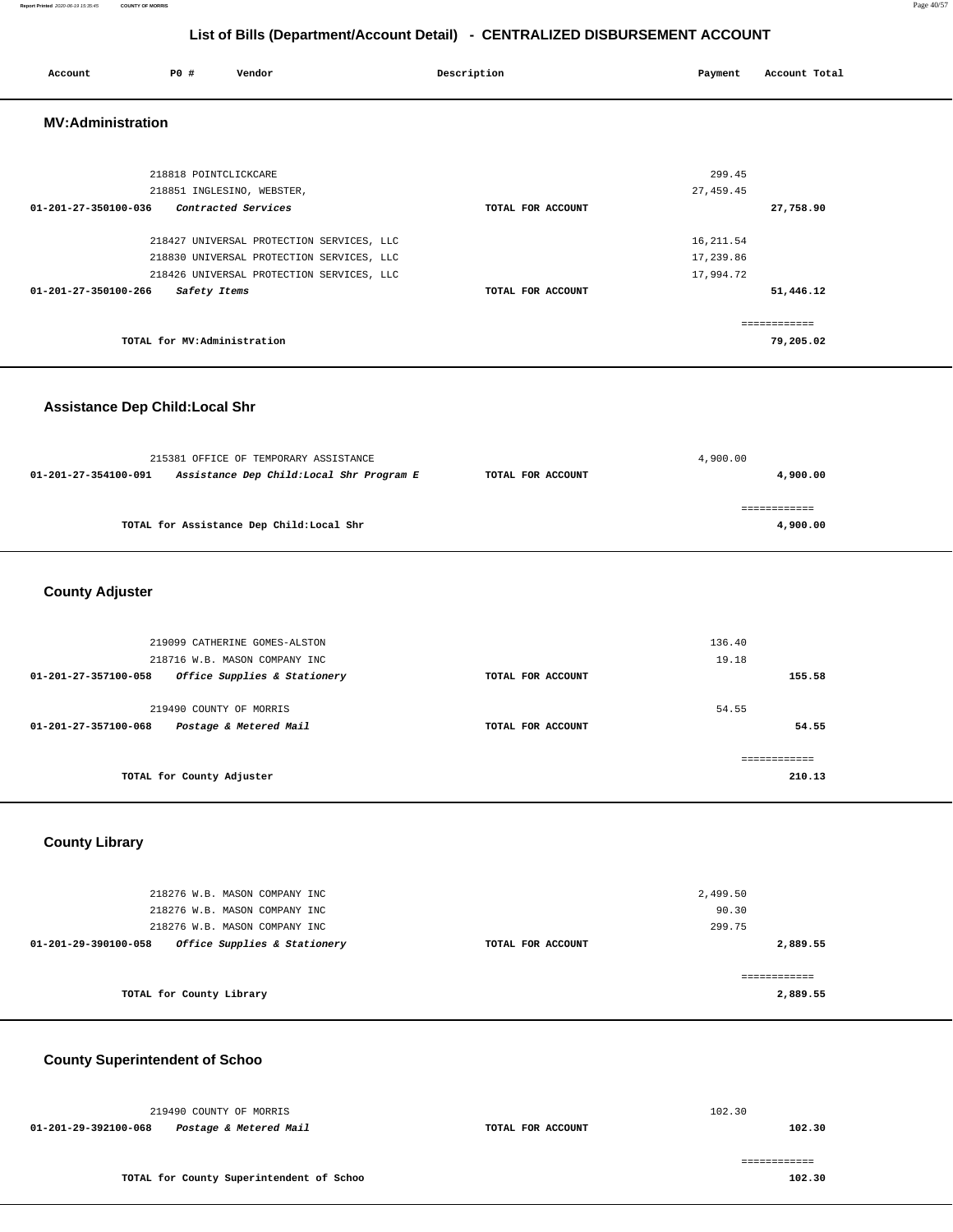#### **Report Printed** 2020-06-19 15:35:45 **COUNTY OF MORRIS** Page 40/57

## **List of Bills (Department/Account Detail) - CENTRALIZED DISBURSEMENT ACCOUNT**

| Account                  | <b>PO #</b>                 | Vendor                                                                                                                              | Description       | Payment                              | Account Total             |
|--------------------------|-----------------------------|-------------------------------------------------------------------------------------------------------------------------------------|-------------------|--------------------------------------|---------------------------|
| <b>MV:Administration</b> |                             |                                                                                                                                     |                   |                                      |                           |
| 01-201-27-350100-036     | 218818 POINTCLICKCARE       | 218851 INGLESINO, WEBSTER,<br>Contracted Services                                                                                   | TOTAL FOR ACCOUNT | 299.45<br>27, 459.45                 | 27,758.90                 |
| 01-201-27-350100-266     | Safety Items                | 218427 UNIVERSAL PROTECTION SERVICES, LLC<br>218830 UNIVERSAL PROTECTION SERVICES, LLC<br>218426 UNIVERSAL PROTECTION SERVICES, LLC | TOTAL FOR ACCOUNT | 16, 211.54<br>17,239.86<br>17,994.72 | 51,446.12                 |
|                          | TOTAL for MV:Administration |                                                                                                                                     |                   |                                      | ============<br>79,205.02 |
|                          |                             |                                                                                                                                     |                   |                                      |                           |

## **Assistance Dep Child:Local Shr**

|                      | 215381 OFFICE OF TEMPORARY ASSISTANCE    |                   | 4,900.00 |
|----------------------|------------------------------------------|-------------------|----------|
| 01-201-27-354100-091 | Assistance Dep Child:Local Shr Program E | TOTAL FOR ACCOUNT | 4,900,00 |
|                      |                                          |                   |          |
|                      | TOTAL for Assistance Dep Child:Local Shr |                   | 4,900,00 |
|                      |                                          |                   |          |

## **County Adjuster**

| 219099 CATHERINE GOMES-ALSTON                        |                   | 136.40 |
|------------------------------------------------------|-------------------|--------|
| 218716 W.B. MASON COMPANY INC                        |                   | 19.18  |
| Office Supplies & Stationery<br>01-201-27-357100-058 | TOTAL FOR ACCOUNT | 155.58 |
|                                                      |                   |        |
| 219490 COUNTY OF MORRIS                              |                   | 54.55  |
| Postage & Metered Mail<br>01-201-27-357100-068       | TOTAL FOR ACCOUNT | 54.55  |
|                                                      |                   |        |
|                                                      |                   |        |
| TOTAL for County Adjuster                            |                   | 210.13 |
|                                                      |                   |        |

## **County Library**

| 218276 W.B. MASON COMPANY INC                        |                   | 2,499.50 |
|------------------------------------------------------|-------------------|----------|
| 218276 W.B. MASON COMPANY INC                        |                   | 90.30    |
| 218276 W.B. MASON COMPANY INC                        |                   | 299.75   |
| Office Supplies & Stationery<br>01-201-29-390100-058 | TOTAL FOR ACCOUNT | 2,889.55 |
|                                                      |                   |          |
| TOTAL for County Library                             |                   | 2,889.55 |

## **County Superintendent of Schoo**

|                      | 219490 COUNTY OF MORRIS                  |                   | 102.30 |
|----------------------|------------------------------------------|-------------------|--------|
| 01-201-29-392100-068 | Postage & Metered Mail                   | TOTAL FOR ACCOUNT | 102.30 |
|                      |                                          |                   |        |
|                      |                                          |                   |        |
|                      | TOTAL for County Superintendent of Schoo |                   | 102.30 |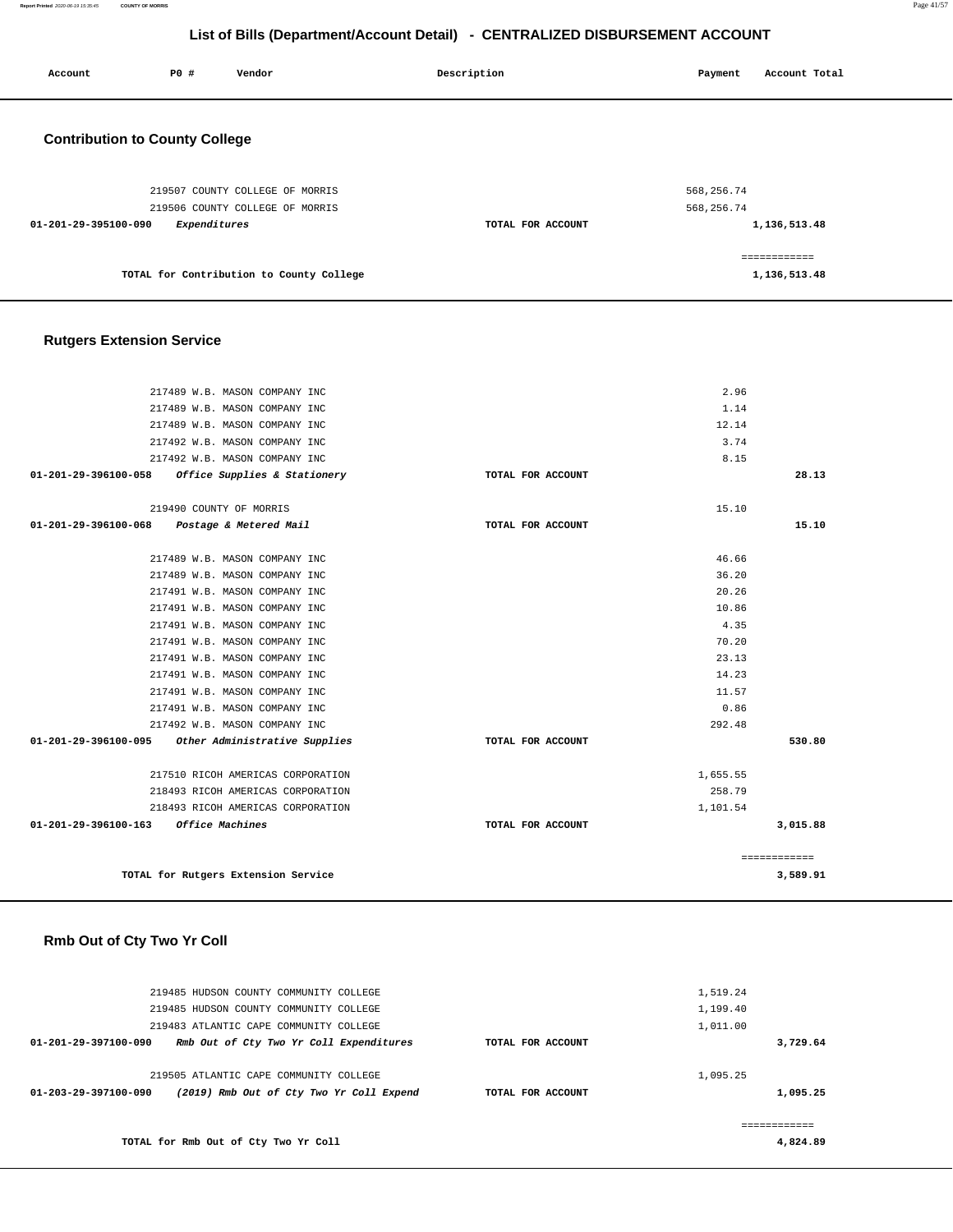**Report Printed** 2020-06-19 15:35:45 **COUNTY OF MORRIS** Page 41/57

## **List of Bills (Department/Account Detail) - CENTRALIZED DISBURSEMENT ACCOUNT**

| Account                               | P0 #         | Vendor                          | Description       | Payment    | Account Total |
|---------------------------------------|--------------|---------------------------------|-------------------|------------|---------------|
| <b>Contribution to County College</b> |              |                                 |                   |            |               |
|                                       |              | 219507 COUNTY COLLEGE OF MORRIS |                   | 568,256.74 |               |
|                                       |              | 219506 COUNTY COLLEGE OF MORRIS |                   | 568,256.74 |               |
| 01-201-29-395100-090                  | Expenditures |                                 | TOTAL FOR ACCOUNT |            | 1,136,513.48  |
|                                       |              |                                 |                   |            |               |

**TOTAL for Contribution to County College** 

## **Rutgers Extension Service**

| 217489 W.B. MASON COMPANY INC                      |                   | 2.96         |
|----------------------------------------------------|-------------------|--------------|
| 217489 W.B. MASON COMPANY INC                      |                   | 1.14         |
| 217489 W.B. MASON COMPANY INC                      |                   | 12.14        |
| 217492 W.B. MASON COMPANY INC                      |                   | 3.74         |
| 217492 W.B. MASON COMPANY INC                      |                   | 8.15         |
| 01-201-29-396100-058 Office Supplies & Stationery  | TOTAL FOR ACCOUNT | 28.13        |
|                                                    |                   |              |
| 219490 COUNTY OF MORRIS                            |                   | 15.10        |
| 01-201-29-396100-068<br>Postage & Metered Mail     | TOTAL FOR ACCOUNT | 15.10        |
|                                                    |                   |              |
| 217489 W.B. MASON COMPANY INC                      |                   | 46.66        |
| 217489 W.B. MASON COMPANY INC                      |                   | 36.20        |
| 217491 W.B. MASON COMPANY INC                      |                   | 20.26        |
| 217491 W.B. MASON COMPANY INC                      |                   | 10.86        |
| 217491 W.B. MASON COMPANY INC                      |                   | 4.35         |
| 217491 W.B. MASON COMPANY INC                      |                   | 70.20        |
| 217491 W.B. MASON COMPANY INC                      |                   | 23.13        |
| 217491 W.B. MASON COMPANY INC                      |                   | 14.23        |
| 217491 W.B. MASON COMPANY INC                      |                   | 11.57        |
| 217491 W.B. MASON COMPANY INC                      |                   | 0.86         |
| 217492 W.B. MASON COMPANY INC                      |                   | 292.48       |
| 01-201-29-396100-095 Other Administrative Supplies | TOTAL FOR ACCOUNT | 530.80       |
|                                                    |                   |              |
| 217510 RICOH AMERICAS CORPORATION                  |                   | 1,655.55     |
| 218493 RICOH AMERICAS CORPORATION                  |                   | 258.79       |
| 218493 RICOH AMERICAS CORPORATION                  |                   | 1,101.54     |
| 01-201-29-396100-163 Office Machines               | TOTAL FOR ACCOUNT | 3,015.88     |
|                                                    |                   |              |
|                                                    |                   | ============ |
| TOTAL for Rutgers Extension Service                |                   | 3,589.91     |
|                                                    |                   |              |

## **Rmb Out of Cty Two Yr Coll**

| 219485 HUDSON COUNTY COMMUNITY COLLEGE<br>219485 HUDSON COUNTY COMMUNITY COLLEGE                           |                   | 1,519.24<br>1,199.40 |
|------------------------------------------------------------------------------------------------------------|-------------------|----------------------|
| 219483 ATLANTIC CAPE COMMUNITY COLLEGE<br>Rmb Out of Cty Two Yr Coll Expenditures<br>01-201-29-397100-090  | TOTAL FOR ACCOUNT | 1,011.00<br>3,729.64 |
| 219505 ATLANTIC CAPE COMMUNITY COLLEGE<br>01-203-29-397100-090<br>(2019) Rmb Out of Cty Two Yr Coll Expend | TOTAL FOR ACCOUNT | 1,095.25<br>1,095.25 |
| TOTAL for Rmb Out of Cty Two Yr Coll                                                                       |                   | 4,824.89             |

**1,136,513.48**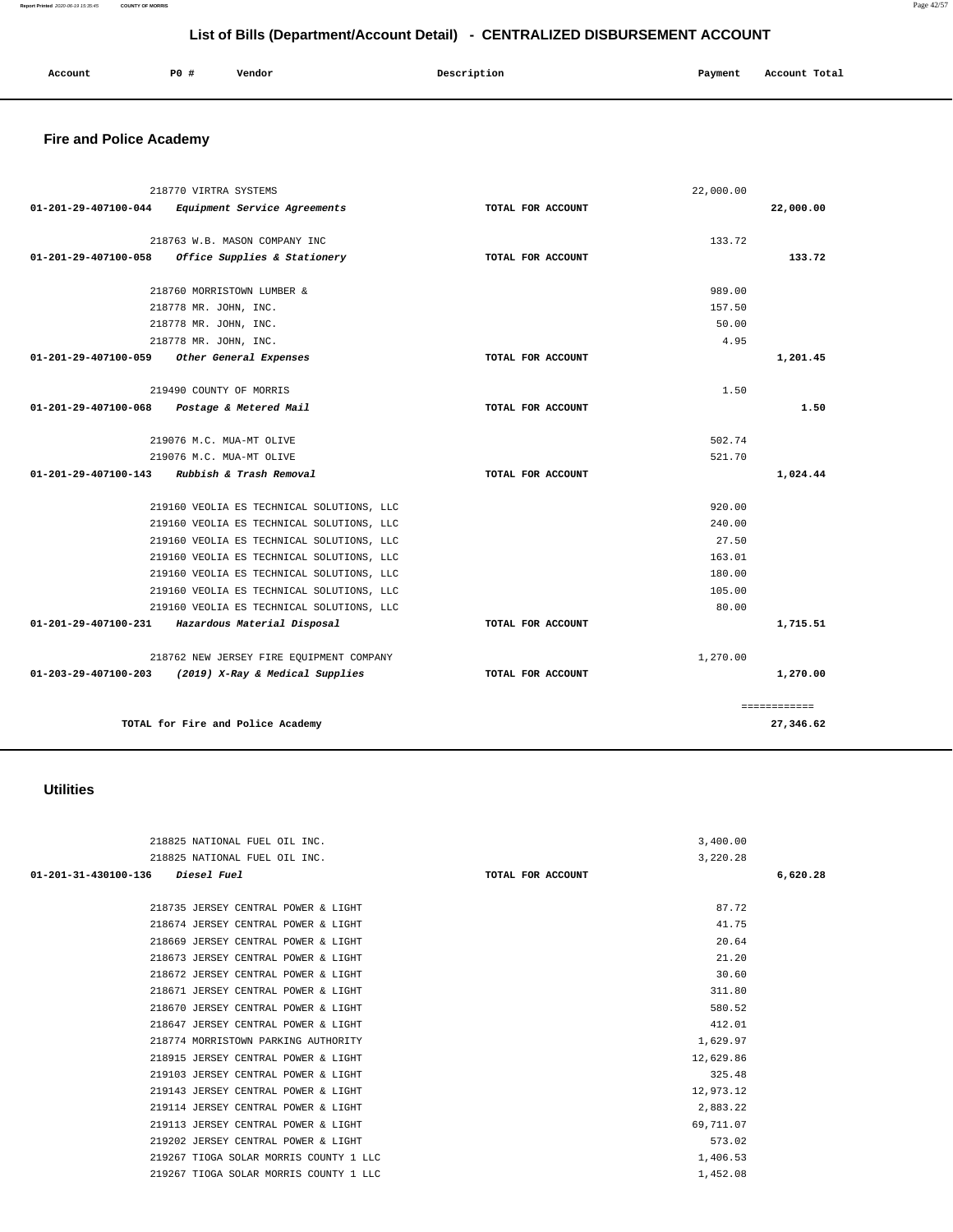#### **Report Printed** 2020-06-19 15:35:45 **COUNTY OF MORRIS** Page 42/57

## **List of Bills (Department/Account Detail) - CENTRALIZED DISBURSEMENT ACCOUNT**

| Account | <b>PO #</b> | Vendor<br>____ | Description | Payment | Account Total |
|---------|-------------|----------------|-------------|---------|---------------|
|         |             |                |             |         |               |

# **Fire and Police Academy**

|                                | 218770 VIRTRA SYSTEMS                                         |                   | 22,000.00 |              |
|--------------------------------|---------------------------------------------------------------|-------------------|-----------|--------------|
| 01-201-29-407100-044           | Equipment Service Agreements                                  | TOTAL FOR ACCOUNT |           | 22,000.00    |
|                                |                                                               |                   | 133.72    |              |
| 01-201-29-407100-058           | 218763 W.B. MASON COMPANY INC<br>Office Supplies & Stationery | TOTAL FOR ACCOUNT |           | 133.72       |
|                                |                                                               |                   |           |              |
|                                | 218760 MORRISTOWN LUMBER &                                    |                   | 989.00    |              |
|                                | 218778 MR. JOHN, INC.                                         |                   | 157.50    |              |
|                                | 218778 MR. JOHN, INC.                                         |                   | 50.00     |              |
|                                | 218778 MR. JOHN, INC.                                         |                   | 4.95      |              |
| 01-201-29-407100-059           | Other General Expenses                                        | TOTAL FOR ACCOUNT |           | 1,201.45     |
|                                | 219490 COUNTY OF MORRIS                                       |                   |           |              |
| 01-201-29-407100-068           |                                                               | TOTAL FOR ACCOUNT | 1.50      | 1.50         |
|                                | Postage & Metered Mail                                        |                   |           |              |
|                                | 219076 M.C. MUA-MT OLIVE                                      |                   | 502.74    |              |
|                                | 219076 M.C. MUA-MT OLIVE                                      |                   | 521.70    |              |
| 01-201-29-407100-143           | Rubbish & Trash Removal                                       | TOTAL FOR ACCOUNT |           | 1,024.44     |
|                                | 219160 VEOLIA ES TECHNICAL SOLUTIONS, LLC                     |                   | 920.00    |              |
|                                | 219160 VEOLIA ES TECHNICAL SOLUTIONS, LLC                     |                   | 240.00    |              |
|                                | 219160 VEOLIA ES TECHNICAL SOLUTIONS, LLC                     |                   | 27.50     |              |
|                                | 219160 VEOLIA ES TECHNICAL SOLUTIONS, LLC                     |                   | 163.01    |              |
|                                | 219160 VEOLIA ES TECHNICAL SOLUTIONS, LLC                     |                   | 180.00    |              |
|                                | 219160 VEOLIA ES TECHNICAL SOLUTIONS, LLC                     |                   | 105.00    |              |
|                                | 219160 VEOLIA ES TECHNICAL SOLUTIONS, LLC                     |                   | 80.00     |              |
|                                | 01-201-29-407100-231 Hazardous Material Disposal              | TOTAL FOR ACCOUNT |           | 1,715.51     |
|                                |                                                               |                   |           |              |
| $01 - 203 - 29 - 407100 - 203$ | 218762 NEW JERSEY FIRE EQUIPMENT COMPANY                      | TOTAL FOR ACCOUNT | 1,270.00  |              |
|                                | (2019) X-Ray & Medical Supplies                               |                   |           | 1,270.00     |
|                                |                                                               |                   |           | ============ |
|                                | TOTAL for Fire and Police Academy                             |                   |           | 27,346.62    |

### **Utilities**

| 218825 NATIONAL FUEL OIL INC.              |                   | 3,400.00  |          |
|--------------------------------------------|-------------------|-----------|----------|
| 218825 NATIONAL FUEL OIL INC.              |                   | 3,220.28  |          |
| 01-201-31-430100-136<br><i>Diesel Fuel</i> | TOTAL FOR ACCOUNT |           | 6,620.28 |
|                                            |                   |           |          |
| 218735 JERSEY CENTRAL POWER & LIGHT        |                   | 87.72     |          |
| 218674 JERSEY CENTRAL POWER & LIGHT        |                   | 41.75     |          |
| 218669 JERSEY CENTRAL POWER & LIGHT        |                   | 20.64     |          |
| 218673 JERSEY CENTRAL POWER & LIGHT        |                   | 21.20     |          |
| 218672 JERSEY CENTRAL POWER & LIGHT        |                   | 30.60     |          |
| 218671 JERSEY CENTRAL POWER & LIGHT        |                   | 311.80    |          |
| 218670 JERSEY CENTRAL POWER & LIGHT        |                   | 580.52    |          |
| 218647 JERSEY CENTRAL POWER & LIGHT        |                   | 412.01    |          |
| 218774 MORRISTOWN PARKING AUTHORITY        |                   | 1,629.97  |          |
| 218915 JERSEY CENTRAL POWER & LIGHT        |                   | 12,629.86 |          |
| 219103 JERSEY CENTRAL POWER & LIGHT        |                   | 325.48    |          |
| 219143 JERSEY CENTRAL POWER & LIGHT        |                   | 12,973.12 |          |
| 219114 JERSEY CENTRAL POWER & LIGHT        |                   | 2,883.22  |          |
| 219113 JERSEY CENTRAL POWER & LIGHT        |                   | 69,711.07 |          |
| 219202 JERSEY CENTRAL POWER & LIGHT        |                   | 573.02    |          |
| 219267 TIOGA SOLAR MORRIS COUNTY 1 LLC     |                   | 1,406.53  |          |
| 219267 TIOGA SOLAR MORRIS COUNTY 1 LLC     |                   | 1,452.08  |          |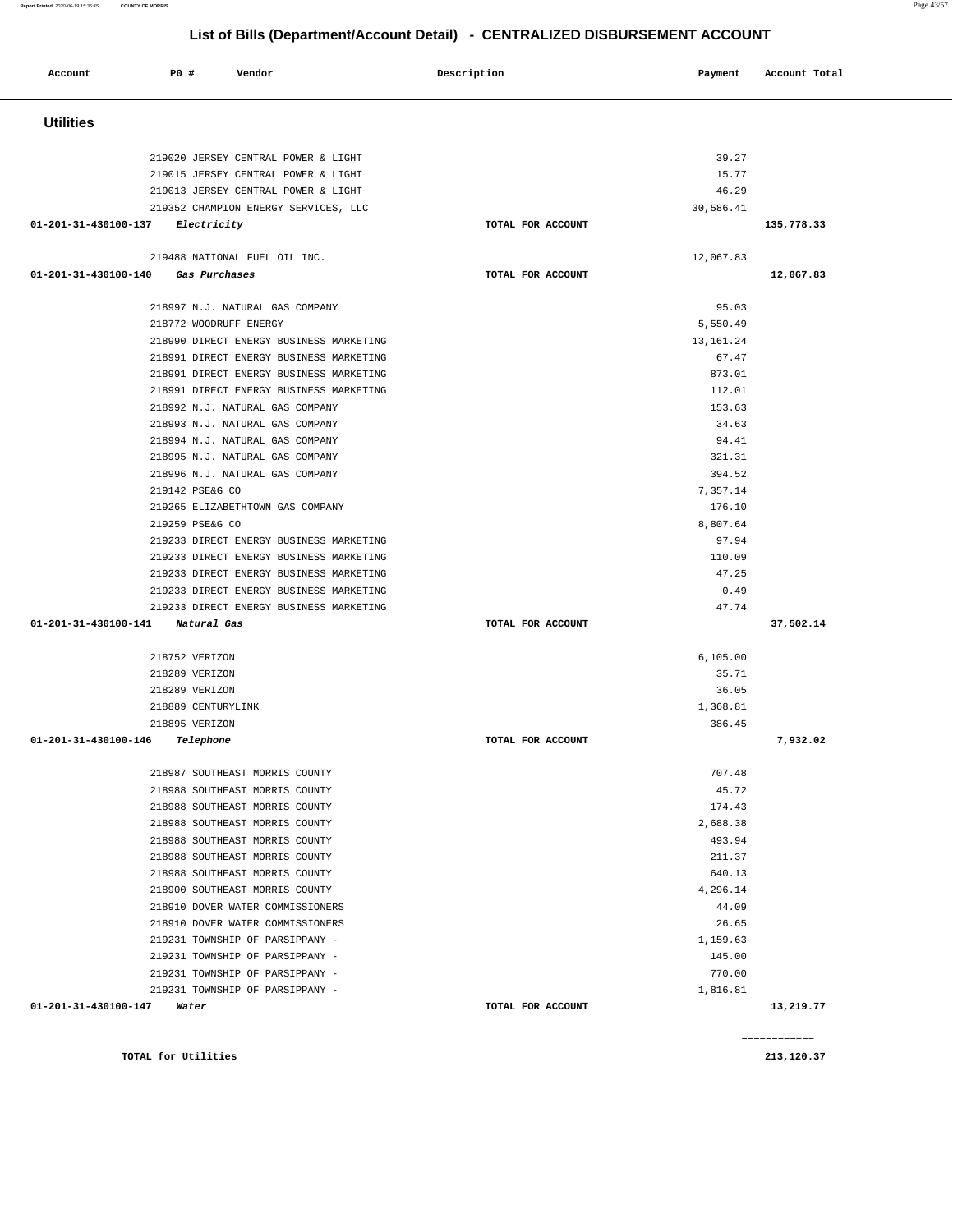**Account P0 # Vendor Description Payment Account Total Utilities**  219020 JERSEY CENTRAL POWER & LIGHT 39.27 219015 JERSEY CENTRAL POWER & LIGHT 15.77 219013 JERSEY CENTRAL POWER & LIGHT 46.29 219352 CHAMPION ENERGY SERVICES, LLC 30,586.41  **01-201-31-430100-137 Electricity TOTAL FOR ACCOUNT 135,778.33** 219488 NATIONAL FUEL OIL INC. 12,067.83  **01-201-31-430100-140 Gas Purchases TOTAL FOR ACCOUNT 12,067.83** 218997 N.J. NATURAL GAS COMPANY 95.03 218772 WOODRUFF ENERGY 5,550.49 218990 DIRECT ENERGY BUSINESS MARKETING 13,161.24 218991 DIRECT ENERGY BUSINESS MARKETING 67.47 218991 DIRECT ENERGY BUSINESS MARKETING 873.01 218991 DIRECT ENERGY BUSINESS MARKETING 112.01 218992 N.J. NATURAL GAS COMPANY 153.63 218993 N.J. NATURAL GAS COMPANY 34.63 218994 N.J. NATURAL GAS COMPANY 94.41 218995 N.J. NATURAL GAS COMPANY 321.31 218996 N.J. NATURAL GAS COMPANY 394.52 219142 PSE&G CO 7,357.14 219265 ELIZABETHTOWN GAS COMPANY 176.10 219259 PSE&G CO 8,807.64 219233 DIRECT ENERGY BUSINESS MARKETING 87.94 219233 DIRECT ENERGY BUSINESS MARKETING 110.09 219233 DIRECT ENERGY BUSINESS MARKETING 47.25 219233 DIRECT ENERGY BUSINESS MARKETING 0.49 219233 DIRECT ENERGY BUSINESS MARKETING 47.74  **01-201-31-430100-141 Natural Gas TOTAL FOR ACCOUNT 37,502.14** 218752 VERIZON 6,105.00 218289 VERIZON 35.71 218289 VERIZON 36.05 218889 CENTURYLINK 1,368.81 218895 VERIZON 386.45  **01-201-31-430100-146 Telephone TOTAL FOR ACCOUNT 7,932.02** 218987 SOUTHEAST MORRIS COUNTY 707.48 218988 SOUTHEAST MORRIS COUNTY 45.72 218988 SOUTHEAST MORRIS COUNTY 174.43 218988 SOUTHEAST MORRIS COUNTY 2,688.38 218988 SOUTHEAST MORRIS COUNTY 493.94 218988 SOUTHEAST MORRIS COUNTY 211.37 218988 SOUTHEAST MORRIS COUNTY 640.13 218900 SOUTHEAST MORRIS COUNTY 4,296.14 218910 DOVER WATER COMMISSIONERS 44.09 218910 DOVER WATER COMMISSIONERS 26.65 219231 TOWNSHIP OF PARSIPPANY - 1,159.63 219231 TOWNSHIP OF PARSIPPANY - 145.00 219231 TOWNSHIP OF PARSIPPANY - 770.00 219231 TOWNSHIP OF PARSIPPANY - 1,816.81  **01-201-31-430100-147 Water TOTAL FOR ACCOUNT 13,219.77** ============ **TOTAL for Utilities 213,120.37** 

**Report Printed** 2020-06-19 15:35:45 **COUNTY OF MORRIS** Page 43/57

### **List of Bills (Department/Account Detail) - CENTRALIZED DISBURSEMENT ACCOUNT**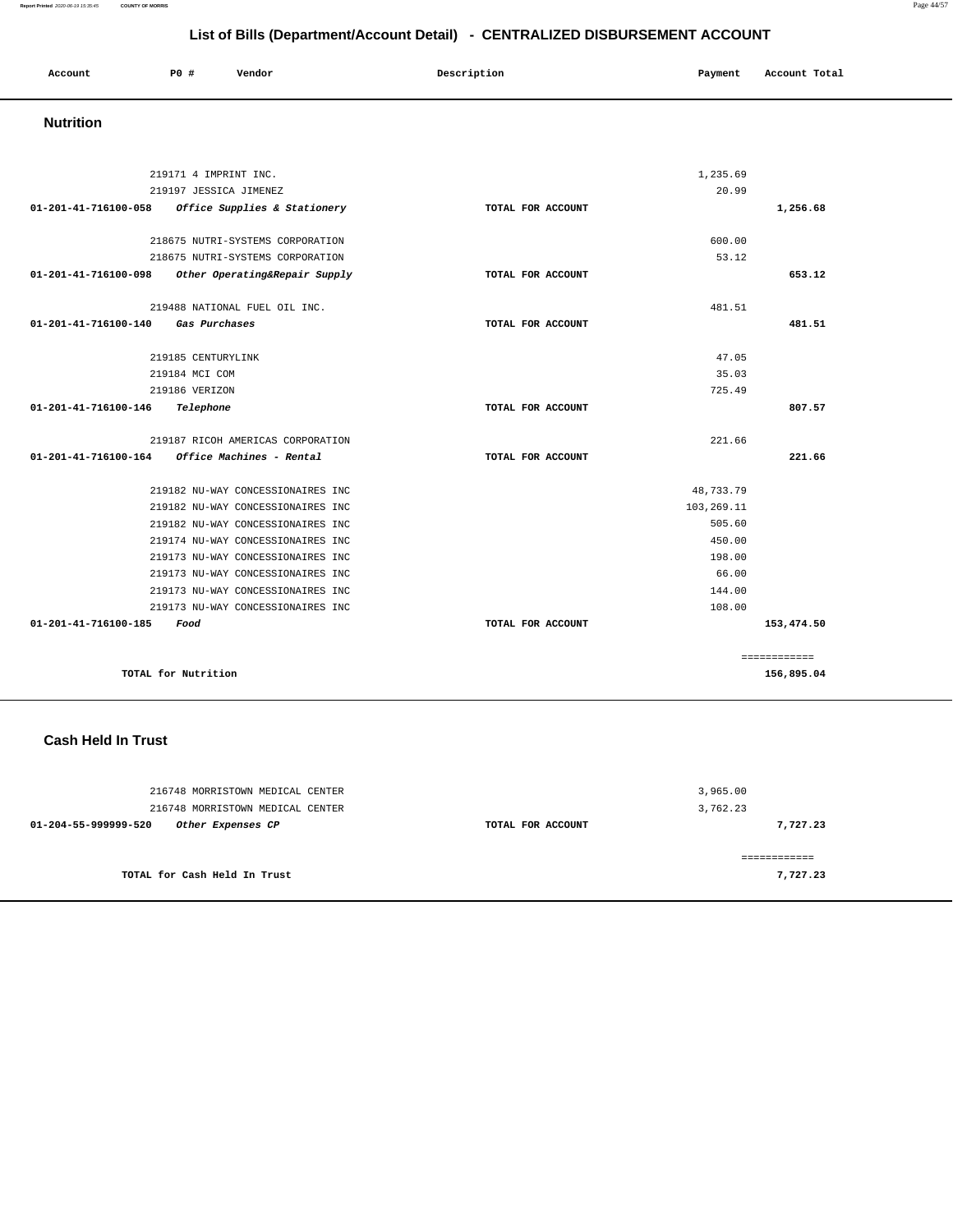#### **Report Printed** 2020-06-19 15:35:45 **COUNTY OF MORRIS** Page 44/57

# **List of Bills (Department/Account Detail) - CENTRALIZED DISBURSEMENT ACCOUNT**

| Account | PO# | Vendor | Description | Payment | Account Total |
|---------|-----|--------|-------------|---------|---------------|
|         |     |        |             |         |               |

## **Nutrition**

|                      | 219171 4 IMPRINT INC.             | 1,235.69          |              |
|----------------------|-----------------------------------|-------------------|--------------|
|                      | 219197 JESSICA JIMENEZ            | 20.99             |              |
| 01-201-41-716100-058 | Office Supplies & Stationery      | TOTAL FOR ACCOUNT | 1,256.68     |
|                      | 218675 NUTRI-SYSTEMS CORPORATION  | 600.00            |              |
|                      | 218675 NUTRI-SYSTEMS CORPORATION  | 53.12             |              |
| 01-201-41-716100-098 | Other Operating&Repair Supply     | TOTAL FOR ACCOUNT | 653.12       |
|                      | 219488 NATIONAL FUEL OIL INC.     | 481.51            |              |
| 01-201-41-716100-140 | Gas Purchases                     | TOTAL FOR ACCOUNT | 481.51       |
|                      | 219185 CENTURYLINK                | 47.05             |              |
|                      | 219184 MCI COM                    | 35.03             |              |
|                      | 219186 VERIZON                    | 725.49            |              |
| 01-201-41-716100-146 | Telephone                         | TOTAL FOR ACCOUNT | 807.57       |
|                      | 219187 RICOH AMERICAS CORPORATION | 221.66            |              |
| 01-201-41-716100-164 | Office Machines - Rental          | TOTAL FOR ACCOUNT | 221.66       |
|                      | 219182 NU-WAY CONCESSIONAIRES INC | 48,733.79         |              |
|                      | 219182 NU-WAY CONCESSIONAIRES INC | 103,269.11        |              |
|                      | 219182 NU-WAY CONCESSIONAIRES INC | 505.60            |              |
|                      | 219174 NU-WAY CONCESSIONAIRES INC | 450.00            |              |
|                      | 219173 NU-WAY CONCESSIONAIRES INC | 198.00            |              |
|                      | 219173 NU-WAY CONCESSIONAIRES INC | 66.00             |              |
|                      | 219173 NU-WAY CONCESSIONAIRES INC | 144.00            |              |
|                      | 219173 NU-WAY CONCESSIONAIRES INC | 108.00            |              |
| 01-201-41-716100-185 | Food                              | TOTAL FOR ACCOUNT | 153,474.50   |
|                      |                                   |                   | ============ |
|                      | TOTAL for Nutrition               |                   | 156,895.04   |

### **Cash Held In Trust**

| 216748 MORRISTOWN MEDICAL CENTER<br>216748 MORRISTOWN MEDICAL CENTER |                   | 3,965.00<br>3,762.23 |
|----------------------------------------------------------------------|-------------------|----------------------|
| Other Expenses CP<br>01-204-55-999999-520                            | TOTAL FOR ACCOUNT | 7,727.23             |
| TOTAL for Cash Held In Trust                                         |                   | 7,727.23             |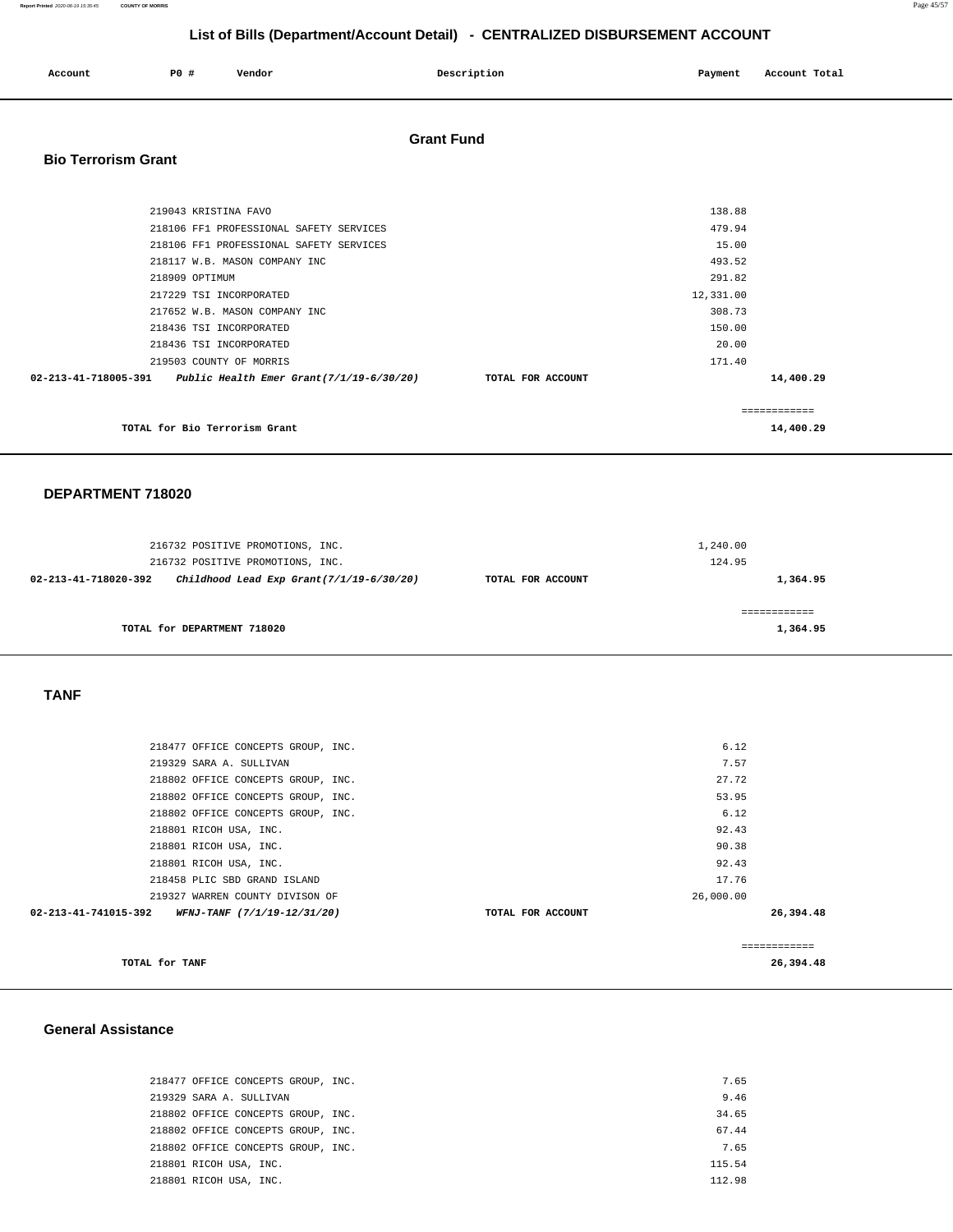| Account<br>. | PO# | Vendor | Description<br>$\sim$ $\sim$ $\sim$ | Payment Account Total<br>. |
|--------------|-----|--------|-------------------------------------|----------------------------|
|              |     |        |                                     |                            |

## **Grant Fund**

## **Bio Terrorism Grant**

| 219043 KRISTINA FAVO                                               |                   | 138.88    |               |
|--------------------------------------------------------------------|-------------------|-----------|---------------|
| 218106 FF1 PROFESSIONAL SAFETY SERVICES                            |                   | 479.94    |               |
| 218106 FF1 PROFESSIONAL SAFETY SERVICES                            |                   | 15.00     |               |
| 218117 W.B. MASON COMPANY INC                                      |                   | 493.52    |               |
| 218909 OPTIMUM                                                     |                   | 291.82    |               |
| 217229 TSI INCORPORATED                                            |                   | 12,331.00 |               |
| 217652 W.B. MASON COMPANY INC                                      |                   | 308.73    |               |
| 218436 TSI INCORPORATED                                            |                   | 150.00    |               |
| 218436 TSI INCORPORATED                                            |                   | 20.00     |               |
| 219503 COUNTY OF MORRIS                                            |                   | 171.40    |               |
| $02-213-41-718005-391$ Public Health Emer Grant $(7/1/19-6/30/20)$ | TOTAL FOR ACCOUNT |           | 14,400.29     |
|                                                                    |                   |           | ------------- |
| TOTAL for Bio Terrorism Grant                                      |                   |           | 14,400.29     |

### **DEPARTMENT 718020**

| 216732 POSITIVE PROMOTIONS, INC.<br>216732 POSITIVE PROMOTIONS, INC. |                   | 1,240.00<br>124.95 |
|----------------------------------------------------------------------|-------------------|--------------------|
| Childhood Lead Exp Grant $(7/1/19-6/30/20)$<br>02-213-41-718020-392  | TOTAL FOR ACCOUNT | 1,364.95           |
| TOTAL for DEPARTMENT 718020                                          |                   | 1,364.95           |

### **TANF**

| TOTAL for TANF                                      |                   |           | 26,394.48 |
|-----------------------------------------------------|-------------------|-----------|-----------|
|                                                     |                   |           |           |
| 02-213-41-741015-392<br>WFNJ-TANF (7/1/19-12/31/20) | TOTAL FOR ACCOUNT |           | 26,394.48 |
| 219327 WARREN COUNTY DIVISON OF                     |                   | 26,000.00 |           |
| 218458 PLIC SBD GRAND ISLAND                        |                   | 17.76     |           |
| 218801 RICOH USA, INC.                              |                   | 92.43     |           |
| 218801 RICOH USA, INC.                              |                   | 90.38     |           |
| 218801 RICOH USA, INC.                              |                   | 92.43     |           |
| 218802 OFFICE CONCEPTS GROUP, INC.                  |                   | 6.12      |           |
| 218802 OFFICE CONCEPTS GROUP, INC.                  |                   | 53.95     |           |
| 218802 OFFICE CONCEPTS GROUP, INC.                  |                   | 27.72     |           |
| 219329 SARA A. SULLIVAN                             |                   | 7.57      |           |
| 218477 OFFICE CONCEPTS GROUP, INC.                  |                   | 6.12      |           |
|                                                     |                   |           |           |

### **General Assistance**

| 218477 OFFICE CONCEPTS GROUP, INC. | 7.65   |
|------------------------------------|--------|
| 219329 SARA A. SULLIVAN            | 9.46   |
| 218802 OFFICE CONCEPTS GROUP, INC. | 34.65  |
| 218802 OFFICE CONCEPTS GROUP, INC. | 67.44  |
| 218802 OFFICE CONCEPTS GROUP, INC. | 7.65   |
| 218801 RICOH USA, INC.             | 115.54 |
| 218801 RICOH USA, INC.             | 112.98 |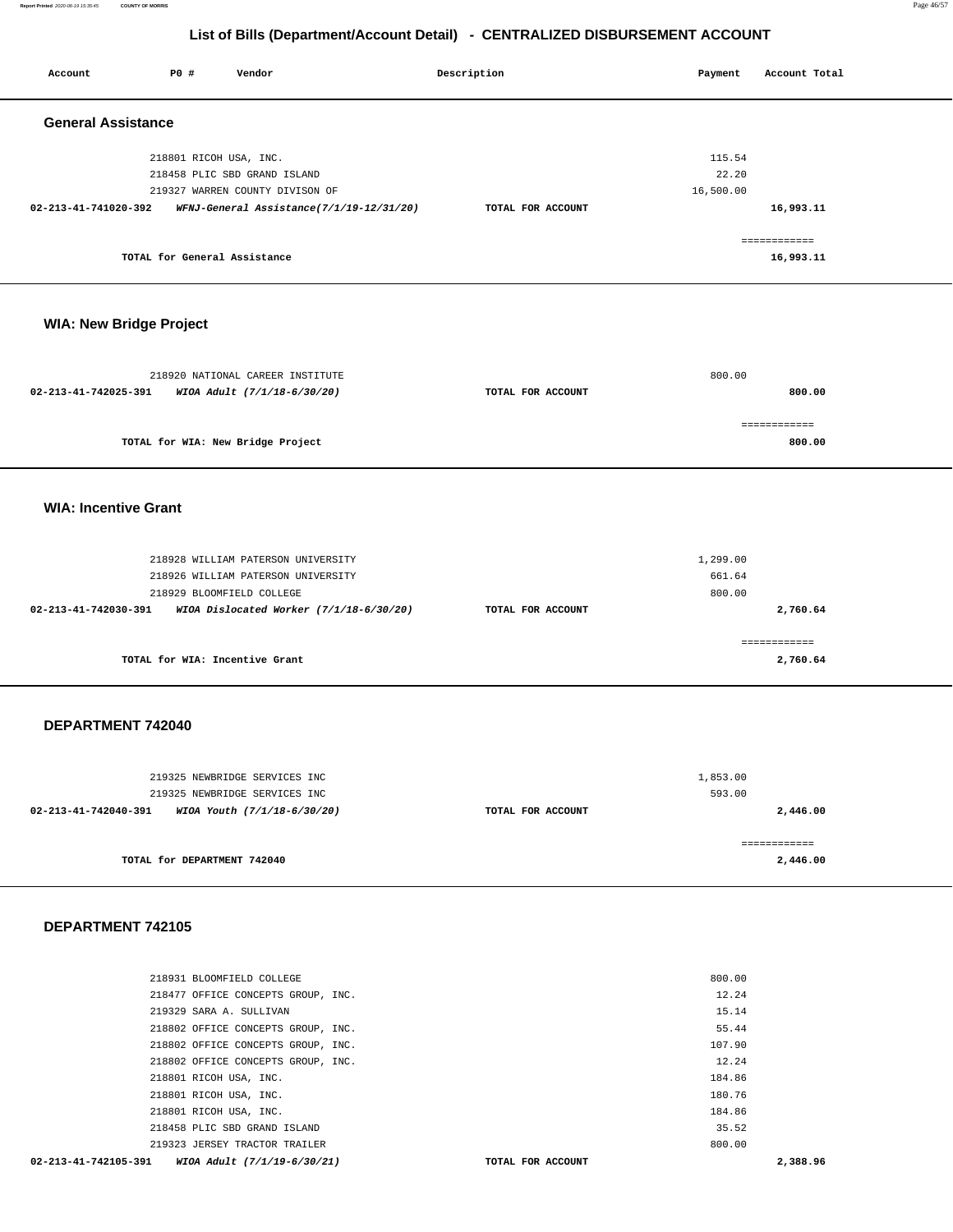**Report Printed** 2020-06-19 15:35:45 **COUNTY OF MORRIS** Page 46/57

|                                |                              |                                                                | List of Bills (Department/Account Detail) - CENTRALIZED DISBURSEMENT ACCOUNT |                    |                           |
|--------------------------------|------------------------------|----------------------------------------------------------------|------------------------------------------------------------------------------|--------------------|---------------------------|
| Account                        | P0 #                         | Vendor                                                         | Description                                                                  | Payment            | Account Total             |
| <b>General Assistance</b>      |                              |                                                                |                                                                              |                    |                           |
|                                | 218801 RICOH USA, INC.       |                                                                |                                                                              | 115.54             |                           |
|                                |                              | 218458 PLIC SBD GRAND ISLAND                                   |                                                                              | 22.20              |                           |
|                                |                              | 219327 WARREN COUNTY DIVISON OF                                |                                                                              | 16,500.00          |                           |
| 02-213-41-741020-392           |                              | WFNJ-General Assistance(7/1/19-12/31/20)                       | TOTAL FOR ACCOUNT                                                            |                    | 16,993.11                 |
|                                | TOTAL for General Assistance |                                                                |                                                                              |                    | ============<br>16,993.11 |
| <b>WIA: New Bridge Project</b> |                              |                                                                |                                                                              |                    |                           |
|                                |                              |                                                                |                                                                              |                    |                           |
|                                |                              | 218920 NATIONAL CAREER INSTITUTE                               |                                                                              | 800.00             |                           |
| 02-213-41-742025-391           |                              | WIOA Adult (7/1/18-6/30/20)                                    | TOTAL FOR ACCOUNT                                                            |                    | 800.00                    |
|                                |                              |                                                                |                                                                              |                    | ============              |
|                                |                              | TOTAL for WIA: New Bridge Project                              |                                                                              |                    | 800.00                    |
| <b>WIA: Incentive Grant</b>    |                              |                                                                |                                                                              |                    |                           |
|                                |                              |                                                                |                                                                              |                    |                           |
|                                |                              | 218928 WILLIAM PATERSON UNIVERSITY                             |                                                                              | 1,299.00           |                           |
|                                |                              | 218926 WILLIAM PATERSON UNIVERSITY                             |                                                                              | 661.64             |                           |
|                                |                              | 218929 BLOOMFIELD COLLEGE                                      |                                                                              | 800.00             |                           |
| 02-213-41-742030-391           |                              | WIOA Dislocated Worker (7/1/18-6/30/20)                        | TOTAL FOR ACCOUNT                                                            |                    | 2,760.64                  |
|                                |                              | TOTAL for WIA: Incentive Grant                                 |                                                                              |                    | ============<br>2,760.64  |
|                                |                              |                                                                |                                                                              |                    |                           |
|                                |                              |                                                                |                                                                              |                    |                           |
| DEPARTMENT 742040              |                              |                                                                |                                                                              |                    |                           |
|                                |                              |                                                                |                                                                              |                    |                           |
|                                |                              | 219325 NEWBRIDGE SERVICES INC<br>219325 NEWBRIDGE SERVICES INC |                                                                              | 1,853.00<br>593.00 |                           |
|                                |                              | 02-213-41-742040-391 WIOA Youth (7/1/18-6/30/20)               | TOTAL FOR ACCOUNT                                                            |                    | 2,446.00                  |
|                                |                              |                                                                |                                                                              |                    | ============              |
|                                | TOTAL for DEPARTMENT 742040  |                                                                |                                                                              |                    | 2,446.00                  |
| DEPARTMENT 742105              |                              |                                                                |                                                                              |                    |                           |
|                                |                              |                                                                |                                                                              |                    |                           |
|                                |                              | 218931 BLOOMFIELD COLLEGE                                      |                                                                              | 800.00             |                           |
|                                |                              | 218477 OFFICE CONCEPTS GROUP, INC.                             |                                                                              | 12.24              |                           |
|                                |                              | 219329 SARA A. SULLIVAN                                        |                                                                              | 15.14              |                           |
|                                |                              | 318883 SERIGE GOVGERES GROUP                                   |                                                                              |                    |                           |

| 219329 SARA A. SULLIVAN                             |                   | 15.14    |
|-----------------------------------------------------|-------------------|----------|
| 218802 OFFICE CONCEPTS GROUP, INC.                  |                   | 55.44    |
| 218802 OFFICE CONCEPTS GROUP, INC.                  |                   | 107.90   |
| 218802 OFFICE CONCEPTS GROUP, INC.                  |                   | 12.24    |
| 218801 RICOH USA, INC.                              |                   | 184.86   |
| 218801 RICOH USA, INC.                              |                   | 180.76   |
| 218801 RICOH USA, INC.                              |                   | 184.86   |
| 218458 PLIC SBD GRAND ISLAND                        |                   | 35.52    |
| 219323 JERSEY TRACTOR TRAILER                       |                   | 800.00   |
| 02-213-41-742105-391<br>WIOA Adult (7/1/19-6/30/21) | TOTAL FOR ACCOUNT | 2,388.96 |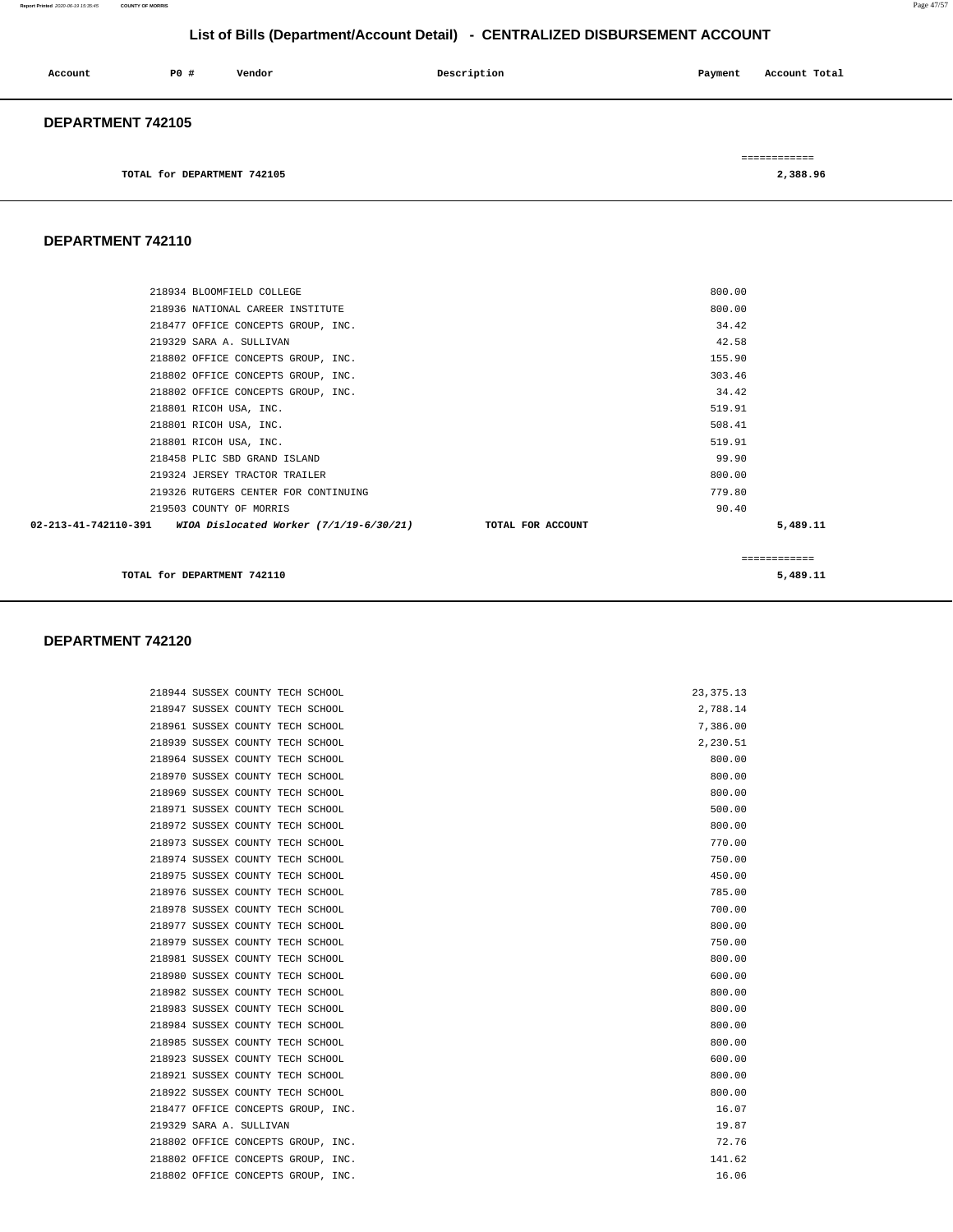#### **Report Printed** 2020-06-19 15:35:45 **COUNTY OF MORRIS** Page 47/57

### **List of Bills (Department/Account Detail) - CENTRALIZED DISBURSEMENT ACCOUNT**

| Account           | P0#                         | Vendor | Description | Payment | Account Total |  |
|-------------------|-----------------------------|--------|-------------|---------|---------------|--|
| DEPARTMENT 742105 |                             |        |             |         |               |  |
|                   |                             |        |             |         | ============  |  |
|                   | TOTAL for DEPARTMENT 742105 |        |             |         | 2,388.96      |  |

**DEPARTMENT 742110** 

| 218934 BLOOMFIELD COLLEGE                                                      | 800.00       |          |
|--------------------------------------------------------------------------------|--------------|----------|
| 218936 NATIONAL CAREER INSTITUTE                                               | 800.00       |          |
| 218477 OFFICE CONCEPTS GROUP, INC.                                             | 34.42        |          |
| 219329 SARA A. SULLIVAN                                                        | 42.58        |          |
| 218802 OFFICE CONCEPTS GROUP, INC.                                             | 155.90       |          |
| 218802 OFFICE CONCEPTS GROUP, INC.                                             | 303.46       |          |
| 218802 OFFICE CONCEPTS GROUP, INC.                                             | 34.42        |          |
| 218801 RICOH USA, INC.                                                         | 519.91       |          |
| 218801 RICOH USA, INC.                                                         | 508.41       |          |
| 218801 RICOH USA, INC.                                                         | 519.91       |          |
| 218458 PLIC SBD GRAND ISLAND                                                   | 99.90        |          |
| 219324 JERSEY TRACTOR TRAILER                                                  | 800.00       |          |
| 219326 RUTGERS CENTER FOR CONTINUING                                           | 779.80       |          |
| 219503 COUNTY OF MORRIS                                                        | 90.40        |          |
| 02-213-41-742110-391 WIOA Dislocated Worker (7/1/19-6/30/21) TOTAL FOR ACCOUNT |              | 5,489.11 |
|                                                                                | ============ |          |
| TOTAL for DEPARTMENT 742110                                                    | 5,489.11     |          |

#### **DEPARTMENT 742120**

218944 SUSSEX COUNTY TECH SCHOOL 218947 SUSSEX COUNTY TECH SCHOOL 218961 SUSSEX COUNTY TECH SCHOOL 218939 SUSSEX COUNTY TECH SCHOOL 218964 SUSSEX COUNTY TECH SCHOOL 218970 SUSSEX COUNTY TECH SCHOOL 218969 SUSSEX COUNTY TECH SCHOOL 218971 SUSSEX COUNTY TECH SCHOOL 218972 SUSSEX COUNTY TECH SCHOOL 218973 SUSSEX COUNTY TECH SCHOOL 218974 SUSSEX COUNTY TECH SCHOOL 218975 SUSSEX COUNTY TECH SCHOOL 218976 SUSSEX COUNTY TECH SCHOOL 218978 SUSSEX COUNTY TECH SCHOOL 218977 SUSSEX COUNTY TECH SCHOOL 218979 SUSSEX COUNTY TECH SCHOOL 218981 SUSSEX COUNTY TECH SCHOOL 218980 SUSSEX COUNTY TECH SCHOOL 218982 SUSSEX COUNTY TECH SCHOOL 218983 SUSSEX COUNTY TECH SCHOOL 218984 SUSSEX COUNTY TECH SCHOOL 218985 SUSSEX COUNTY TECH SCHOOL 218923 SUSSEX COUNTY TECH SCHOOL 218921 SUSSEX COUNTY TECH SCHOOL 218922 SUSSEX COUNTY TECH SCHOOL 218477 OFFICE CONCEPTS GROUP, INC. 219329 SARA A. SULLIVAN 218802 OFFICE CONCEPTS GROUP, INC. 218802 OFFICE CONCEPTS GROUP, INC. 218802 OFFICE CONCEPTS GROUP, INC.

|  | 23, 375.13 |  |  |          |  |
|--|------------|--|--|----------|--|
|  |            |  |  | 2,788.14 |  |
|  |            |  |  | 7.386.00 |  |
|  |            |  |  | 2,230.51 |  |
|  |            |  |  | 800.00   |  |
|  |            |  |  | 800.00   |  |
|  |            |  |  | 800.00   |  |
|  |            |  |  | 500.00   |  |
|  |            |  |  | 800.00   |  |
|  |            |  |  | 770.00   |  |
|  |            |  |  | 750.00   |  |
|  |            |  |  | 450.00   |  |
|  |            |  |  | 785.00   |  |
|  |            |  |  | 700.00   |  |
|  |            |  |  | 800.00   |  |
|  |            |  |  | 750.00   |  |
|  |            |  |  | 800.00   |  |
|  |            |  |  | 600.00   |  |
|  |            |  |  | 800.00   |  |
|  |            |  |  | 800.00   |  |
|  |            |  |  | 800.00   |  |
|  |            |  |  | 800.00   |  |
|  |            |  |  | 600.00   |  |
|  |            |  |  | 800.00   |  |
|  |            |  |  | 800.00   |  |
|  |            |  |  | 16.07    |  |
|  |            |  |  | 19.87    |  |
|  |            |  |  | 72.76    |  |
|  |            |  |  | 141.62   |  |
|  |            |  |  | 16 06    |  |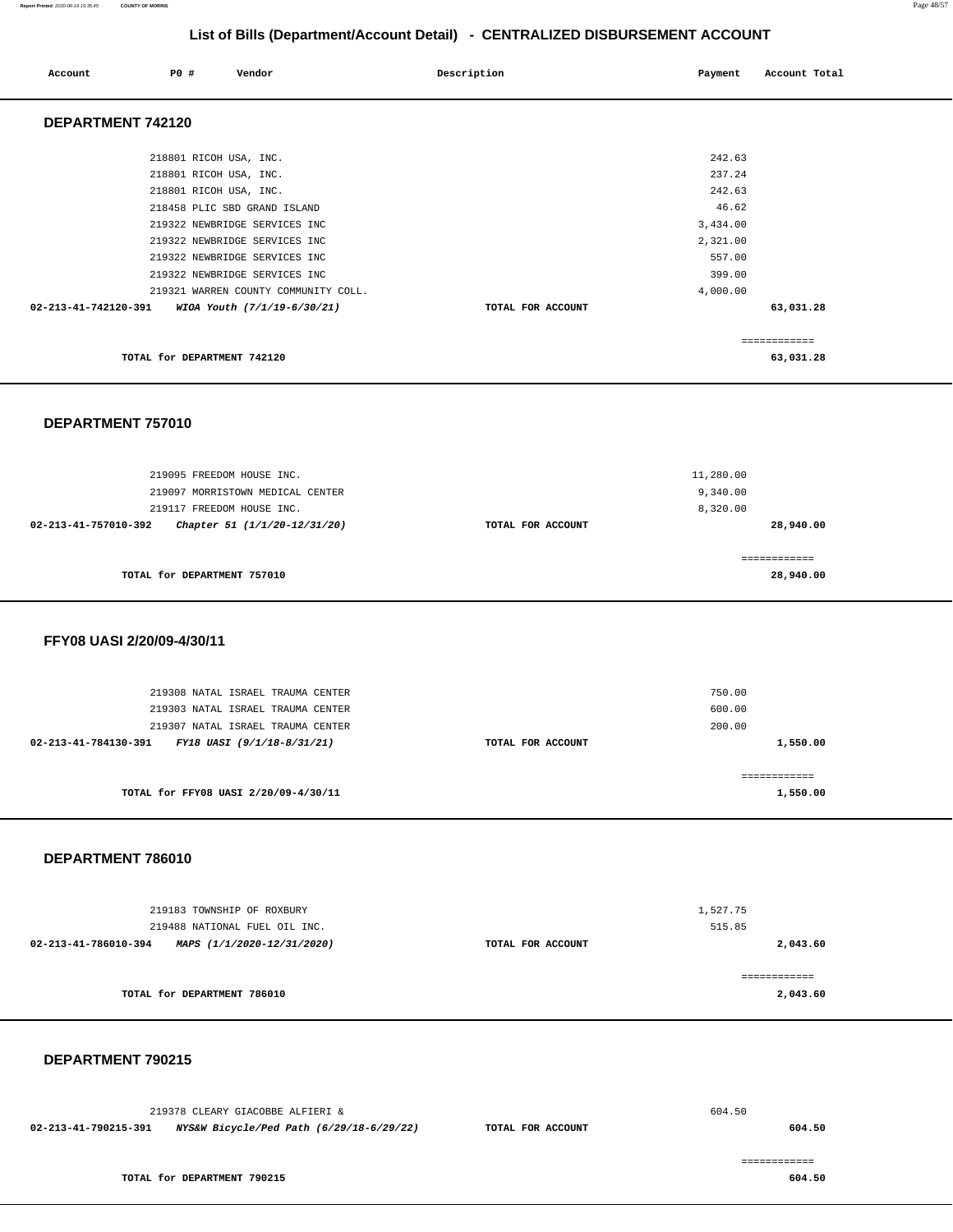#### **Report Printed** 2020-06-19 15:35:45 **COUNTY OF MORRIS** Page 48/57

## **List of Bills (Department/Account Detail) - CENTRALIZED DISBURSEMENT ACCOUNT**

| Account              | <b>PO #</b>                                      | Vendor                                                                | Description       | Payment                        | Account Total             |
|----------------------|--------------------------------------------------|-----------------------------------------------------------------------|-------------------|--------------------------------|---------------------------|
| DEPARTMENT 742120    |                                                  |                                                                       |                   |                                |                           |
|                      | 218801 RICOH USA, INC.<br>218801 RICOH USA, INC. |                                                                       |                   | 242.63<br>237.24               |                           |
|                      | 218801 RICOH USA, INC.                           | 218458 PLIC SBD GRAND ISLAND<br>219322 NEWBRIDGE SERVICES INC         |                   | 242.63<br>46.62                |                           |
|                      |                                                  | 219322 NEWBRIDGE SERVICES INC<br>219322 NEWBRIDGE SERVICES INC        |                   | 3,434.00<br>2,321.00<br>557.00 |                           |
|                      |                                                  | 219322 NEWBRIDGE SERVICES INC<br>219321 WARREN COUNTY COMMUNITY COLL. |                   | 399.00<br>4,000.00             |                           |
| 02-213-41-742120-391 |                                                  | WIOA Youth (7/1/19-6/30/21)                                           | TOTAL FOR ACCOUNT |                                | 63,031.28<br>============ |
|                      | TOTAL for DEPARTMENT 742120                      |                                                                       |                   |                                | 63,031.28                 |

 **DEPARTMENT 757010** 

| 219095 FREEDOM HOUSE INC.                            |                   | 11,280.00    |
|------------------------------------------------------|-------------------|--------------|
| 219097 MORRISTOWN MEDICAL CENTER                     |                   | 9,340.00     |
| 219117 FREEDOM HOUSE INC.                            |                   | 8,320.00     |
| Chapter 51 (1/1/20-12/31/20)<br>02-213-41-757010-392 | TOTAL FOR ACCOUNT | 28,940.00    |
|                                                      |                   |              |
|                                                      |                   | ============ |
| TOTAL for DEPARTMENT 757010                          |                   | 28,940.00    |
|                                                      |                   |              |

### **FFY08 UASI 2/20/09-4/30/11**

| 219308 NATAL ISRAEL TRAUMA CENTER<br>219303 NATAL ISRAEL TRAUMA CENTER<br>219307 NATAL ISRAEL TRAUMA CENTER |                   | 750.00<br>600.00<br>200.00 |
|-------------------------------------------------------------------------------------------------------------|-------------------|----------------------------|
| 02-213-41-784130-391<br>FY18 UASI (9/1/18-8/31/21)                                                          | TOTAL FOR ACCOUNT | 1,550.00                   |
| TOTAL for FFY08 UASI 2/20/09-4/30/11                                                                        |                   | 1,550.00                   |

### **DEPARTMENT 786010**

| 219183 TOWNSHIP OF ROXBURY                         |                   | 1,527.75     |
|----------------------------------------------------|-------------------|--------------|
| 219488 NATIONAL FUEL OIL INC.                      |                   | 515.85       |
| 02-213-41-786010-394<br>MAPS (1/1/2020-12/31/2020) | TOTAL FOR ACCOUNT | 2,043.60     |
|                                                    |                   |              |
|                                                    |                   | ============ |
| TOTAL for DEPARTMENT 786010                        |                   | 2,043.60     |
|                                                    |                   |              |

| 219378 CLEARY GIACOBBE ALFIERI & |                                          |                   | 604.50 |
|----------------------------------|------------------------------------------|-------------------|--------|
| 02-213-41-790215-391             | NYS&W Bicycle/Ped Path (6/29/18-6/29/22) | TOTAL FOR ACCOUNT | 604.50 |
|                                  |                                          |                   |        |
|                                  |                                          |                   |        |
| TOTAL for DEPARTMENT 790215      |                                          |                   | 604.50 |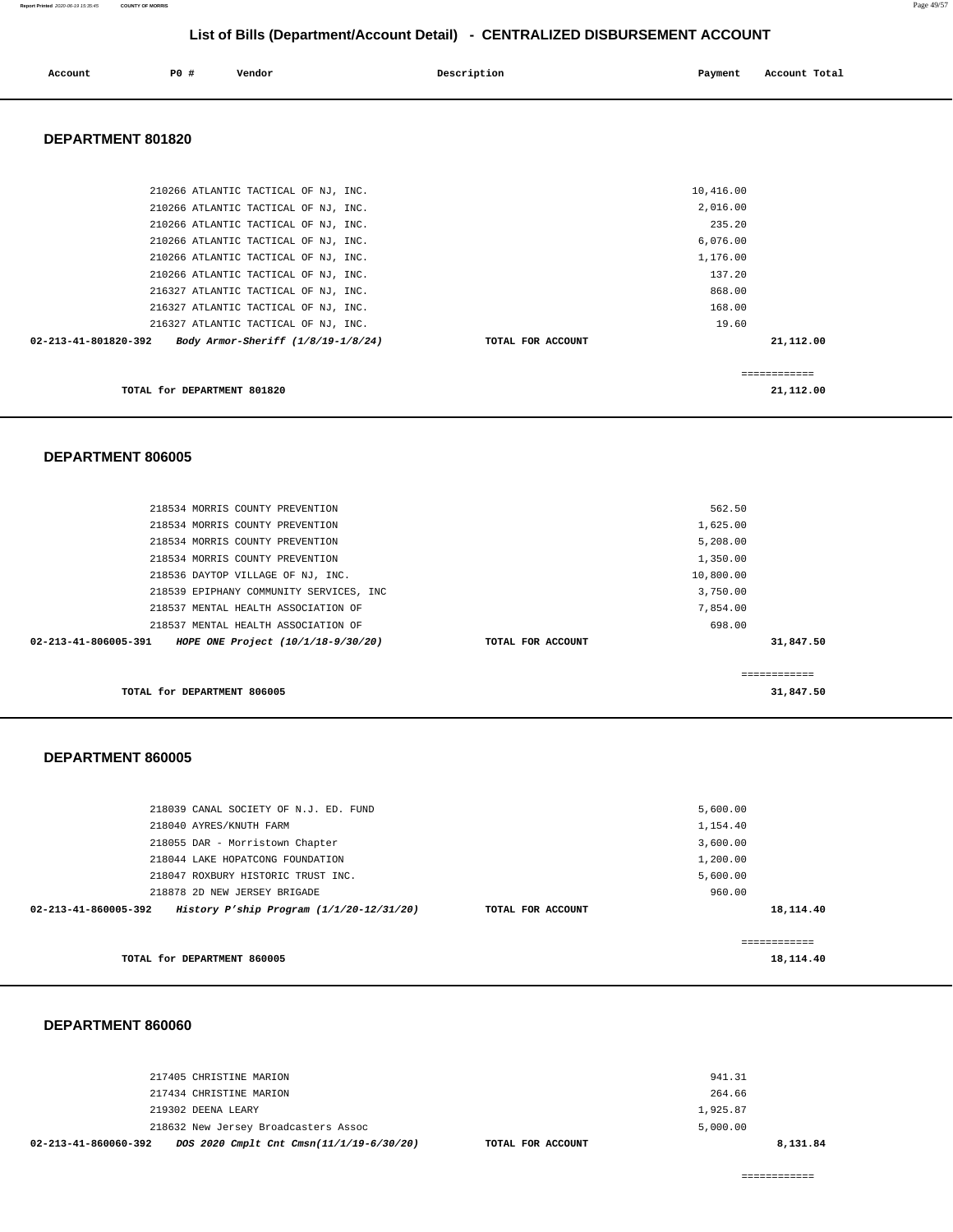| Account | PO# | Vendor | Description | Payment | Account Total |
|---------|-----|--------|-------------|---------|---------------|
|         |     |        |             |         | .             |
|         |     |        |             |         |               |

### **DEPARTMENT 801820**

| Body Armor-Sheriff (1/8/19-1/8/24)                                     | TOTAL FOR ACCOUNT | 21,112.00 |
|------------------------------------------------------------------------|-------------------|-----------|
| 216327 ATLANTIC TACTICAL OF NJ, INC.<br>$02 - 213 - 41 - 801820 - 392$ | 19.60             |           |
| 216327 ATLANTIC TACTICAL OF NJ, INC.                                   | 168.00            |           |
| 216327 ATLANTIC TACTICAL OF NJ, INC.                                   | 868.00            |           |
| 210266 ATLANTIC TACTICAL OF NJ, INC.                                   | 137.20            |           |
| 210266 ATLANTIC TACTICAL OF NJ, INC.                                   | 1,176.00          |           |
| 210266 ATLANTIC TACTICAL OF NJ, INC.                                   | 6,076.00          |           |
| 210266 ATLANTIC TACTICAL OF NJ, INC.                                   | 235.20            |           |
| 210266 ATLANTIC TACTICAL OF NJ, INC.                                   | 2,016.00          |           |
| 210266 ATLANTIC TACTICAL OF NJ, INC.                                   | 10,416.00         |           |

#### **DEPARTMENT 806005**

| 218534 MORRIS COUNTY PREVENTION                                      |                   | 562.50       |
|----------------------------------------------------------------------|-------------------|--------------|
| 218534 MORRIS COUNTY PREVENTION                                      |                   | 1,625.00     |
| 218534 MORRIS COUNTY PREVENTION                                      |                   | 5,208.00     |
| 218534 MORRIS COUNTY PREVENTION                                      |                   | 1,350.00     |
| 218536 DAYTOP VILLAGE OF NJ, INC.                                    |                   | 10,800.00    |
| 218539 EPIPHANY COMMUNITY SERVICES, INC                              |                   | 3,750.00     |
| 218537 MENTAL HEALTH ASSOCIATION OF                                  |                   | 7,854.00     |
| 218537 MENTAL HEALTH ASSOCIATION OF                                  |                   | 698.00       |
| $02 - 213 - 41 - 806005 - 391$<br>HOPE ONE Project (10/1/18-9/30/20) | TOTAL FOR ACCOUNT | 31,847.50    |
|                                                                      |                   |              |
|                                                                      |                   | ------------ |
| TOTAL for DEPARTMENT 806005                                          |                   | 31,847.50    |

### **DEPARTMENT 860005**

| TOTAL for DEPARTMENT 860005                                                  |                   | 18,114.40 |
|------------------------------------------------------------------------------|-------------------|-----------|
|                                                                              |                   |           |
| History P'ship Program $(1/1/20-12/31/20)$<br>$02 - 213 - 41 - 860005 - 392$ | TOTAL FOR ACCOUNT | 18,114.40 |
| 218878 2D NEW JERSEY BRIGADE                                                 |                   | 960.00    |
| 218047 ROXBURY HISTORIC TRUST INC.                                           |                   | 5,600.00  |
| 218044 LAKE HOPATCONG FOUNDATION                                             |                   | 1,200.00  |
| 218055 DAR - Morristown Chapter                                              |                   | 3,600.00  |
| 218040 AYRES/KNUTH FARM                                                      |                   | 1,154.40  |
| 218039 CANAL SOCIETY OF N.J. ED. FUND                                        |                   | 5,600.00  |
|                                                                              |                   |           |

| DOS 2020 Cmplt Cnt Cmsn(11/1/19-6/30/20)<br>02-213-41-860060-392<br>TOTAL FOR ACCOUNT | 8,131.84 |
|---------------------------------------------------------------------------------------|----------|
| 218632 New Jersey Broadcasters Assoc                                                  | 5.000.00 |
| 219302 DEENA LEARY                                                                    | 1,925.87 |
| 217434 CHRISTINE MARION                                                               | 264.66   |
| 217405 CHRISTINE MARION                                                               | 941.31   |
|                                                                                       |          |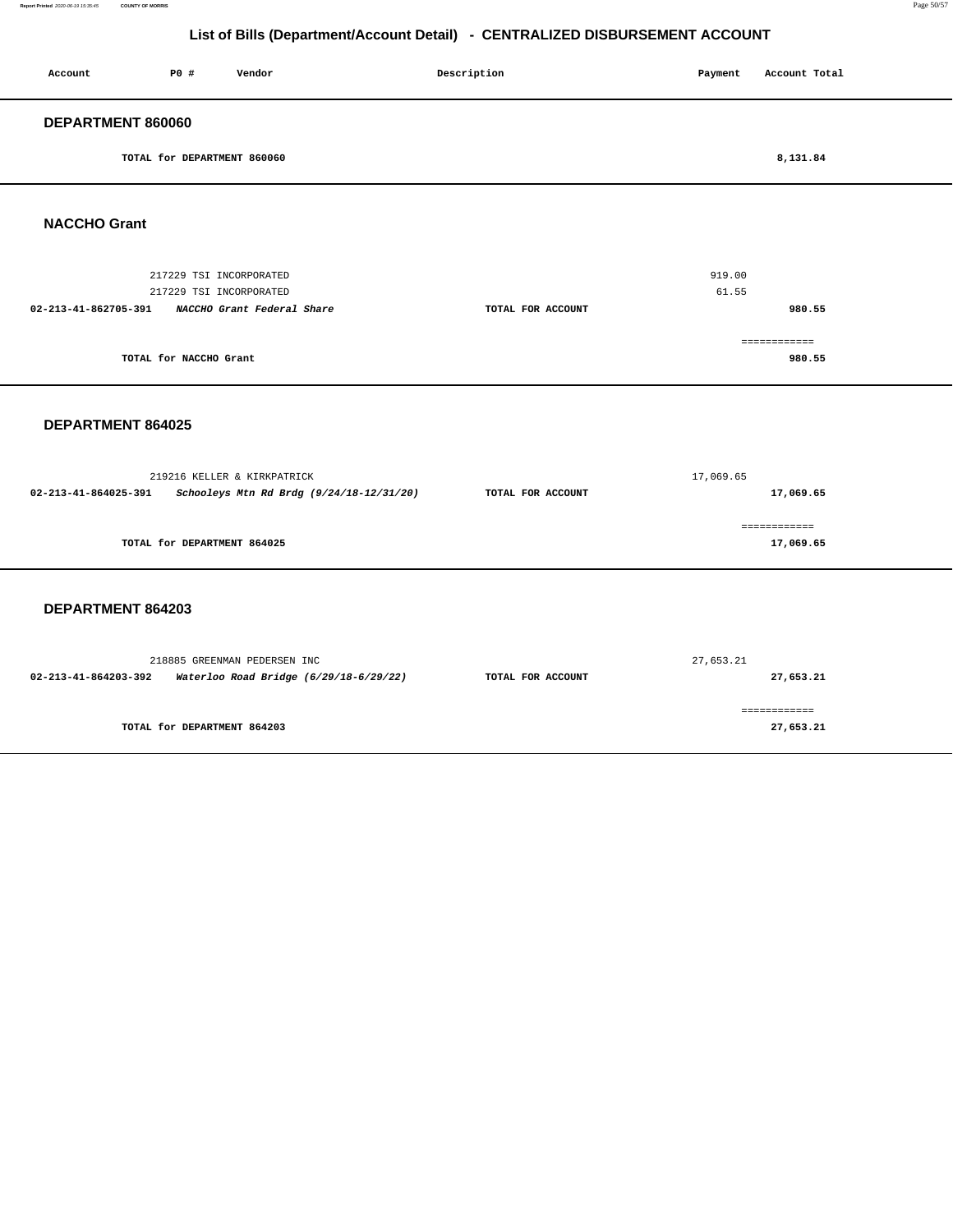#### **Report Printed** 2020-06-19 15:35:45 **COUNTY OF MORRIS** Page 50/57

**980.55**

## **List of Bills (Department/Account Detail) - CENTRALIZED DISBURSEMENT ACCOUNT**

| Account              | <b>PO #</b>                 | Vendor                     | Description       | Payment | Account Total |
|----------------------|-----------------------------|----------------------------|-------------------|---------|---------------|
| DEPARTMENT 860060    |                             |                            |                   |         |               |
|                      | TOTAL for DEPARTMENT 860060 |                            |                   |         | 8,131.84      |
| <b>NACCHO Grant</b>  |                             |                            |                   |         |               |
|                      | 217229 TSI INCORPORATED     |                            |                   | 919.00  |               |
|                      | 217229 TSI INCORPORATED     |                            |                   | 61.55   |               |
| 02-213-41-862705-391 |                             | NACCHO Grant Federal Share | TOTAL FOR ACCOUNT |         | 980.55        |
|                      |                             |                            |                   |         | ============  |

 **DEPARTMENT 864025** 

**TOTAL for NACCHO Grant** 

| 219216 KELLER & KIRKPATRICK |                                          | 17,069.65         |              |  |
|-----------------------------|------------------------------------------|-------------------|--------------|--|
| 02-213-41-864025-391        | Schooleys Mtn Rd Brdg (9/24/18-12/31/20) | TOTAL FOR ACCOUNT | 17,069.65    |  |
|                             |                                          |                   | ------------ |  |
|                             | TOTAL for DEPARTMENT 864025              |                   | 17,069.65    |  |
|                             |                                          |                   |              |  |

|                      | 218885 GREENMAN PEDERSEN INC           | 27,653.21         |           |  |
|----------------------|----------------------------------------|-------------------|-----------|--|
| 02-213-41-864203-392 | Waterloo Road Bridge (6/29/18-6/29/22) | TOTAL FOR ACCOUNT | 27,653.21 |  |
|                      |                                        |                   |           |  |
|                      | TOTAL for DEPARTMENT 864203            |                   | 27,653.21 |  |
|                      |                                        |                   |           |  |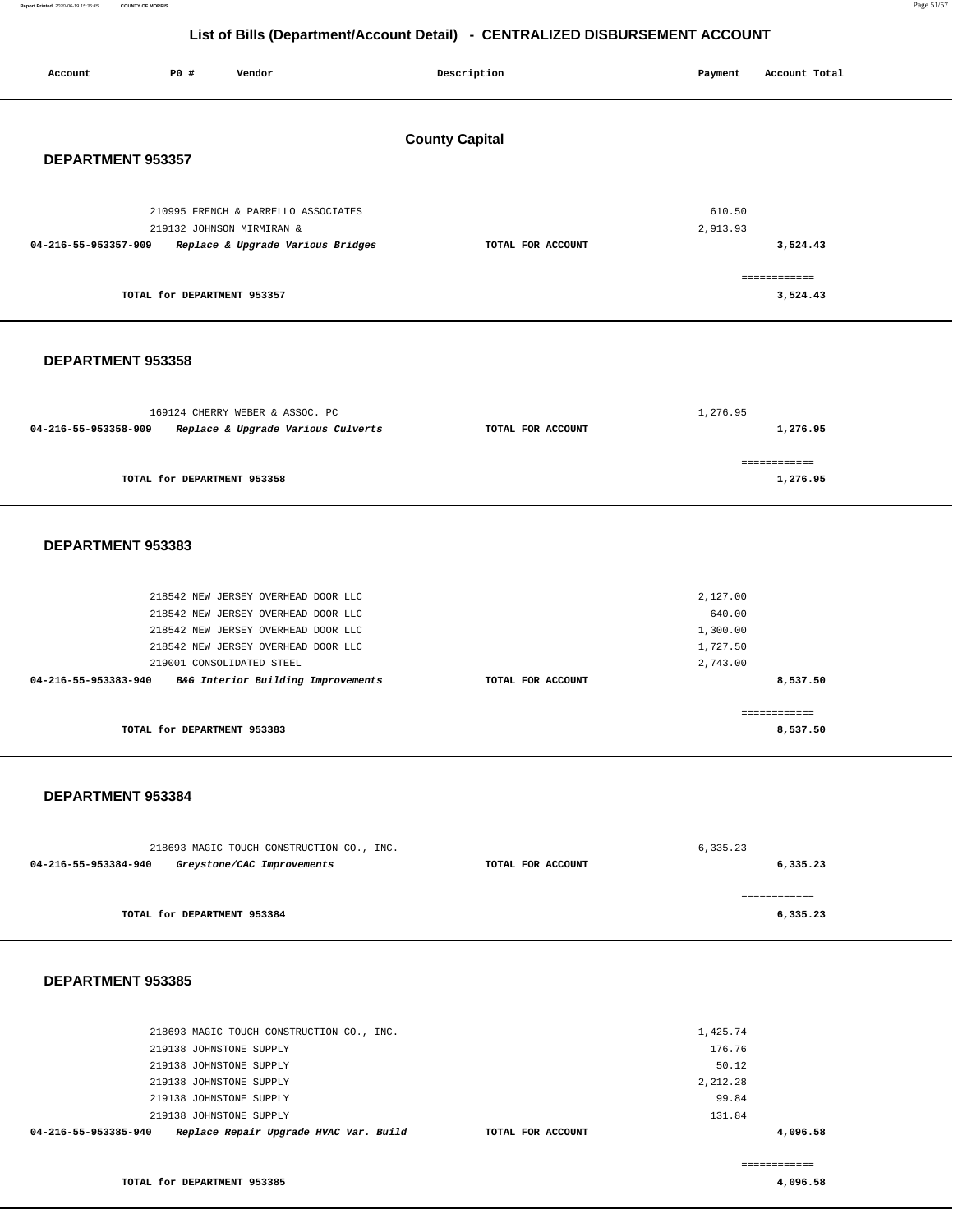**Report Printed** 2020-06-19 15:35:45 **COUNTY OF MORRIS** Page 51/57

## **List of Bills (Department/Account Detail) - CENTRALIZED DISBURSEMENT ACCOUNT**

| Account              | P0 #                        | Vendor                                                                                                                                                                                | Description           | Payment                                                | Account Total                        |
|----------------------|-----------------------------|---------------------------------------------------------------------------------------------------------------------------------------------------------------------------------------|-----------------------|--------------------------------------------------------|--------------------------------------|
| DEPARTMENT 953357    |                             |                                                                                                                                                                                       | <b>County Capital</b> |                                                        |                                      |
| 04-216-55-953357-909 | TOTAL for DEPARTMENT 953357 | 210995 FRENCH & PARRELLO ASSOCIATES<br>219132 JOHNSON MIRMIRAN &<br>Replace & Upgrade Various Bridges                                                                                 | TOTAL FOR ACCOUNT     | 610.50<br>2,913.93                                     | 3,524.43<br>============<br>3,524.43 |
| DEPARTMENT 953358    |                             |                                                                                                                                                                                       |                       |                                                        |                                      |
| 04-216-55-953358-909 |                             | 169124 CHERRY WEBER & ASSOC. PC<br>Replace & Upgrade Various Culverts                                                                                                                 | TOTAL FOR ACCOUNT     | 1,276.95                                               | 1,276.95                             |
|                      | TOTAL for DEPARTMENT 953358 |                                                                                                                                                                                       |                       |                                                        | ============<br>1,276.95             |
| DEPARTMENT 953383    |                             |                                                                                                                                                                                       |                       |                                                        |                                      |
|                      |                             | 218542 NEW JERSEY OVERHEAD DOOR LLC<br>218542 NEW JERSEY OVERHEAD DOOR LLC<br>218542 NEW JERSEY OVERHEAD DOOR LLC<br>218542 NEW JERSEY OVERHEAD DOOR LLC<br>219001 CONSOLIDATED STEEL |                       | 2,127.00<br>640.00<br>1,300.00<br>1,727.50<br>2,743.00 |                                      |
| 04-216-55-953383-940 | TOTAL for DEPARTMENT 953383 | B&G Interior Building Improvements                                                                                                                                                    | TOTAL FOR ACCOUNT     |                                                        | 8,537.50<br>============<br>8,537.50 |
| DEPARTMENT 953384    |                             |                                                                                                                                                                                       |                       |                                                        |                                      |
| 04-216-55-953384-940 |                             | 218693 MAGIC TOUCH CONSTRUCTION CO., INC.<br>Greystone/CAC Improvements                                                                                                               | TOTAL FOR ACCOUNT     | 6,335.23                                               | 6,335.23                             |
|                      | TOTAL for DEPARTMENT 953384 |                                                                                                                                                                                       |                       |                                                        | ============<br>6,335.23             |

| 04-216-55-953385-940 | Replace Repair Upgrade HVAC Var. Build    | TOTAL FOR ACCOUNT |          | 4,096.58 |
|----------------------|-------------------------------------------|-------------------|----------|----------|
|                      | 219138 JOHNSTONE SUPPLY                   |                   | 131.84   |          |
|                      | 219138 JOHNSTONE SUPPLY                   |                   | 99.84    |          |
|                      | 219138 JOHNSTONE SUPPLY                   |                   | 2,212.28 |          |
|                      | 219138 JOHNSTONE SUPPLY                   |                   | 50.12    |          |
|                      | 219138 JOHNSTONE SUPPLY                   |                   | 176.76   |          |
|                      | 218693 MAGIC TOUCH CONSTRUCTION CO., INC. |                   | 1,425.74 |          |
|                      |                                           |                   |          |          |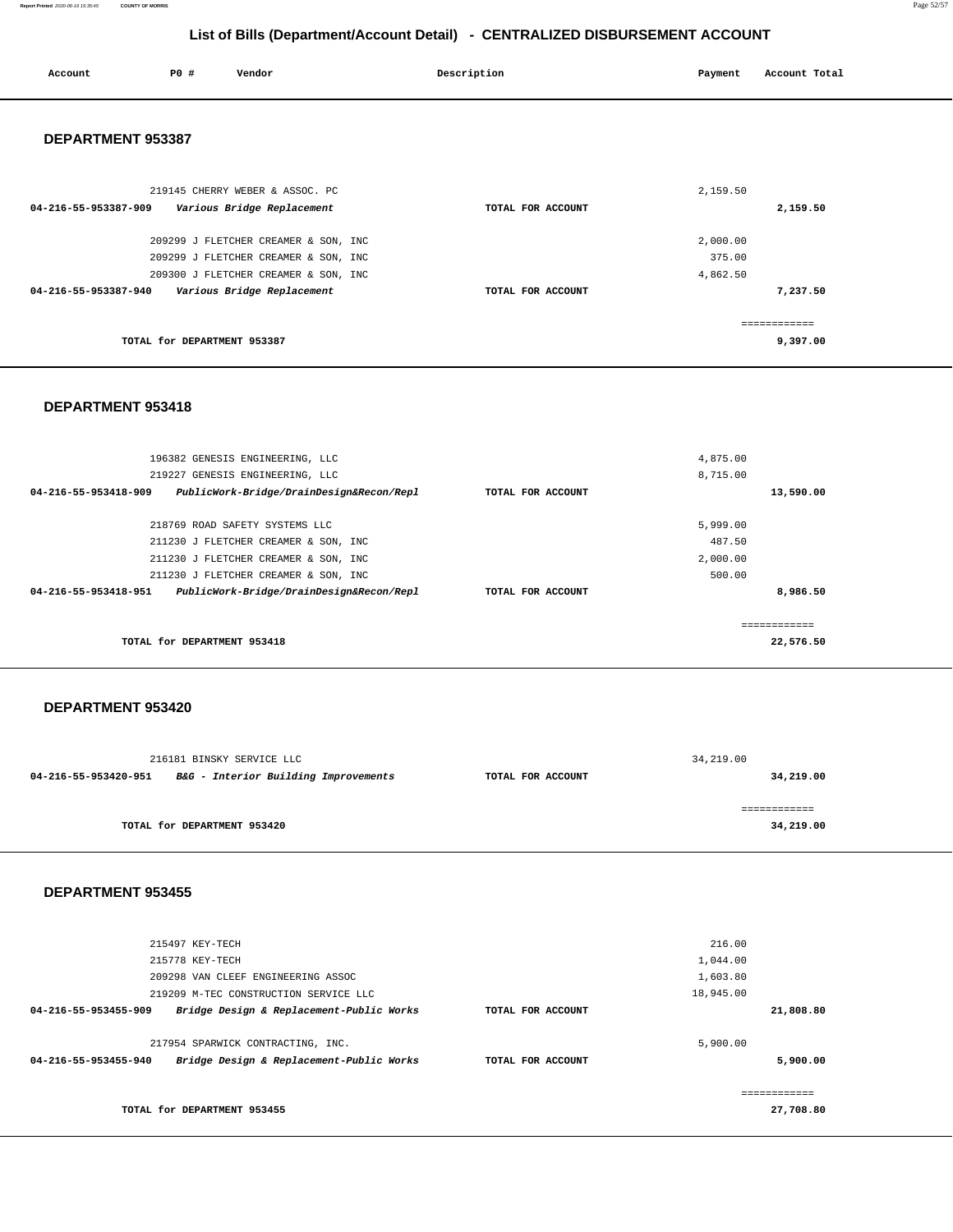**Report Printed** 2020-06-19 15:35:45 **COUNTY OF MORRIS** Page 52/57

# **List of Bills (Department/Account Detail) - CENTRALIZED DISBURSEMENT ACCOUNT**

| Account                                         | P0 #                        | Vendor                               | Description       | Payment  | Account Total |
|-------------------------------------------------|-----------------------------|--------------------------------------|-------------------|----------|---------------|
| DEPARTMENT 953387                               |                             |                                      |                   |          |               |
|                                                 |                             | 219145 CHERRY WEBER & ASSOC. PC      |                   | 2,159.50 |               |
| 04-216-55-953387-909 Various Bridge Replacement |                             |                                      | TOTAL FOR ACCOUNT |          | 2,159.50      |
|                                                 |                             | 209299 J FLETCHER CREAMER & SON, INC |                   | 2,000.00 |               |
|                                                 |                             | 209299 J FLETCHER CREAMER & SON, INC |                   | 375.00   |               |
|                                                 |                             | 209300 J FLETCHER CREAMER & SON, INC |                   | 4,862.50 |               |
| 04-216-55-953387-940 Various Bridge Replacement |                             |                                      | TOTAL FOR ACCOUNT |          | 7,237.50      |
|                                                 |                             |                                      |                   |          | ------------- |
|                                                 | TOTAL for DEPARTMENT 953387 |                                      |                   |          | 9,397.00      |
|                                                 |                             |                                      |                   |          |               |

#### **DEPARTMENT 953418**

|                      | 196382 GENESIS ENGINEERING, LLC          |                   | 4,875.00 |           |
|----------------------|------------------------------------------|-------------------|----------|-----------|
|                      |                                          |                   |          |           |
|                      | 219227 GENESIS ENGINEERING, LLC          |                   | 8,715.00 |           |
| 04-216-55-953418-909 | PublicWork-Bridge/DrainDesign&Recon/Repl | TOTAL FOR ACCOUNT |          | 13,590.00 |
|                      |                                          |                   |          |           |
|                      | 218769 ROAD SAFETY SYSTEMS LLC           |                   | 5,999.00 |           |
|                      | 211230 J FLETCHER CREAMER & SON, INC     |                   | 487.50   |           |
|                      | 211230 J FLETCHER CREAMER & SON, INC     |                   | 2,000.00 |           |
|                      | 211230 J FLETCHER CREAMER & SON, INC     |                   | 500.00   |           |
| 04-216-55-953418-951 | PublicWork-Bridge/DrainDesign&Recon/Repl | TOTAL FOR ACCOUNT |          | 8,986.50  |
|                      |                                          |                   |          |           |
|                      |                                          |                   |          |           |
|                      | TOTAL for DEPARTMENT 953418              |                   |          | 22,576.50 |
|                      |                                          |                   |          |           |

#### **DEPARTMENT 953420**

| 216181 BINSKY SERVICE LLC |                                      | 34,219.00         |           |
|---------------------------|--------------------------------------|-------------------|-----------|
| 04-216-55-953420-951      | B&G - Interior Building Improvements | TOTAL FOR ACCOUNT | 34,219.00 |
|                           |                                      |                   |           |
|                           |                                      |                   |           |
|                           | TOTAL for DEPARTMENT 953420          |                   | 34,219.00 |
|                           |                                      |                   |           |

| 215497 KEY-TECH                                                                                       |                   | 216.00               |
|-------------------------------------------------------------------------------------------------------|-------------------|----------------------|
| 215778 KEY-TECH                                                                                       |                   | 1,044.00             |
| 209298 VAN CLEEF ENGINEERING ASSOC                                                                    |                   | 1,603.80             |
| 219209 M-TEC CONSTRUCTION SERVICE LLC                                                                 |                   | 18,945.00            |
| Bridge Design & Replacement-Public Works<br>04-216-55-953455-909                                      | TOTAL FOR ACCOUNT | 21,808.80            |
| 217954 SPARWICK CONTRACTING, INC.<br>Bridge Design & Replacement-Public Works<br>04-216-55-953455-940 | TOTAL FOR ACCOUNT | 5,900.00<br>5,900.00 |
|                                                                                                       |                   |                      |
| TOTAL for DEPARTMENT 953455                                                                           |                   | 27,708.80            |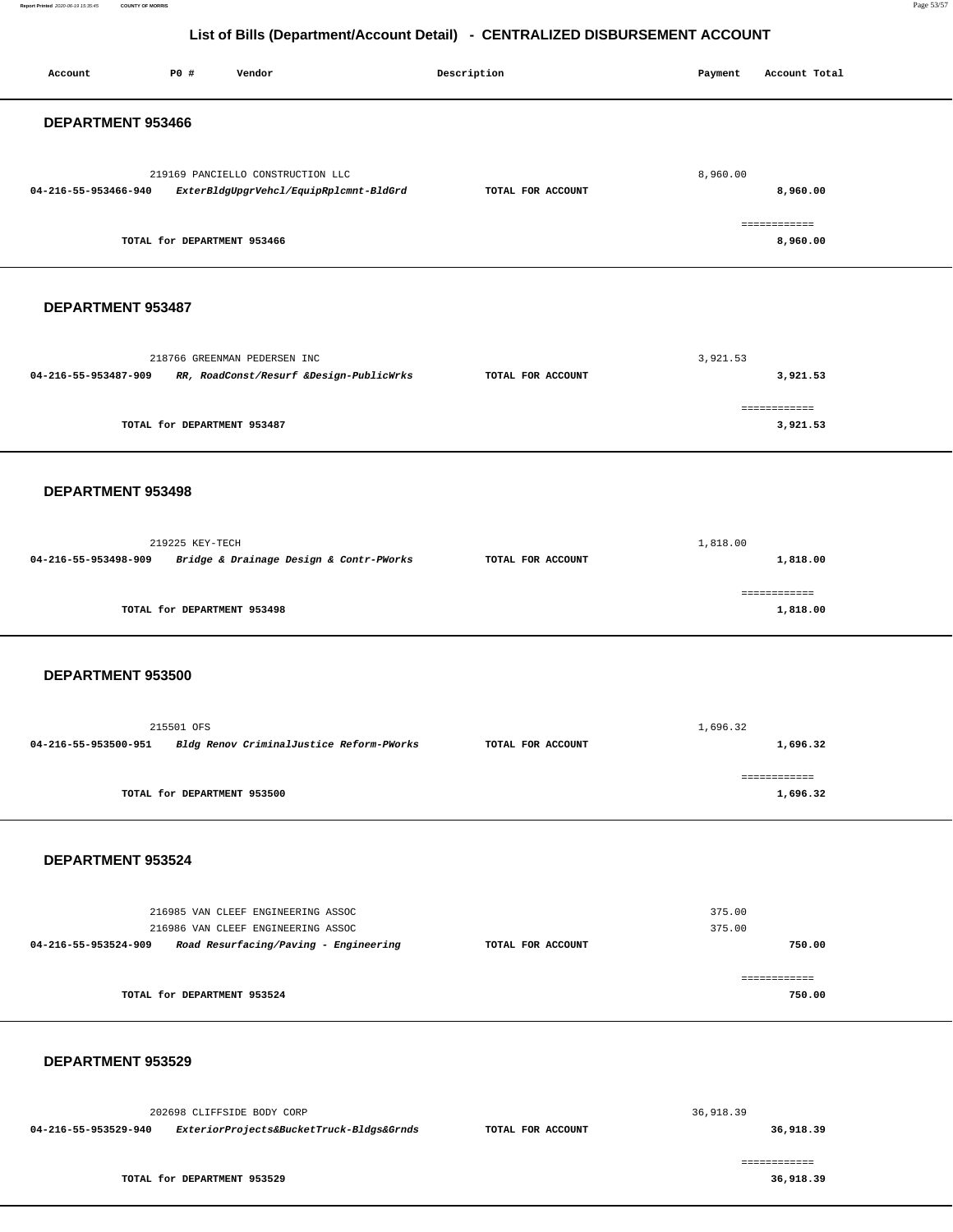**Report Printed** 2020-06-19 15:35:45 **COUNTY OF MORRIS** Page 53/57

## **List of Bills (Department/Account Detail) - CENTRALIZED DISBURSEMENT ACCOUNT**

| Account              | P0 #                        | Vendor                                                                                                            | Description       | Payment          | Account Total             |
|----------------------|-----------------------------|-------------------------------------------------------------------------------------------------------------------|-------------------|------------------|---------------------------|
| DEPARTMENT 953466    |                             |                                                                                                                   |                   |                  |                           |
| 04-216-55-953466-940 |                             | 219169 PANCIELLO CONSTRUCTION LLC<br>ExterBldgUpgrVehcl/EquipRplcmnt-BldGrd                                       | TOTAL FOR ACCOUNT | 8,960.00         | 8,960.00                  |
|                      | TOTAL for DEPARTMENT 953466 |                                                                                                                   |                   |                  | ============<br>8,960.00  |
| DEPARTMENT 953487    |                             |                                                                                                                   |                   |                  |                           |
| 04-216-55-953487-909 |                             | 218766 GREENMAN PEDERSEN INC<br>RR, RoadConst/Resurf &Design-PublicWrks                                           | TOTAL FOR ACCOUNT | 3,921.53         | 3,921.53                  |
|                      | TOTAL for DEPARTMENT 953487 |                                                                                                                   |                   |                  | ============<br>3,921.53  |
| DEPARTMENT 953498    |                             |                                                                                                                   |                   |                  |                           |
| 04-216-55-953498-909 | 219225 KEY-TECH             | Bridge & Drainage Design & Contr-PWorks                                                                           | TOTAL FOR ACCOUNT | 1,818.00         | 1,818.00                  |
|                      | TOTAL for DEPARTMENT 953498 |                                                                                                                   |                   |                  | ============<br>1,818.00  |
| DEPARTMENT 953500    |                             |                                                                                                                   |                   |                  |                           |
| 04-216-55-953500-951 | 215501 OFS                  | Bldg Renov CriminalJustice Reform-PWorks                                                                          | TOTAL FOR ACCOUNT | 1,696.32         | 1,696.32                  |
|                      | TOTAL for DEPARTMENT 953500 |                                                                                                                   |                   |                  | ============<br>1,696.32  |
| DEPARTMENT 953524    |                             |                                                                                                                   |                   |                  |                           |
| 04-216-55-953524-909 |                             | 216985 VAN CLEEF ENGINEERING ASSOC<br>216986 VAN CLEEF ENGINEERING ASSOC<br>Road Resurfacing/Paving - Engineering | TOTAL FOR ACCOUNT | 375.00<br>375.00 | 750.00                    |
|                      | TOTAL for DEPARTMENT 953524 |                                                                                                                   |                   |                  | ------------<br>750.00    |
| DEPARTMENT 953529    |                             |                                                                                                                   |                   |                  |                           |
| 04-216-55-953529-940 |                             | 202698 CLIFFSIDE BODY CORP<br>ExteriorProjects&BucketTruck-Bldgs&Grnds                                            | TOTAL FOR ACCOUNT | 36,918.39        | 36,918.39                 |
|                      | TOTAL for DEPARTMENT 953529 |                                                                                                                   |                   |                  | ------------<br>36,918.39 |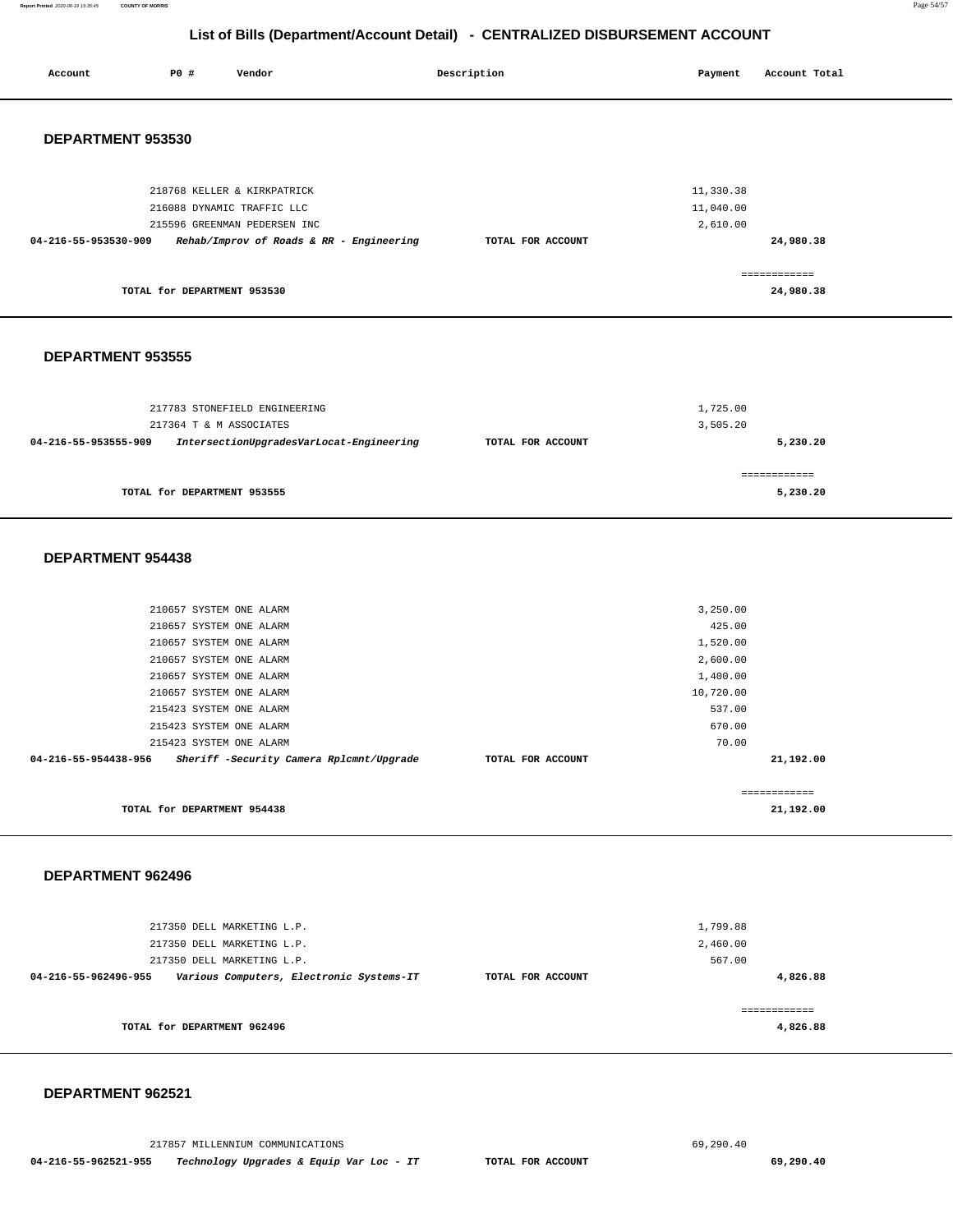**Report Printed** 2020-06-19 15:35:45 **COUNTY OF MORRIS** Page 54/57

## **List of Bills (Departm**

|         |     |        | List of Bills (Department/Account Detail) - CENTRALIZED DISBURSEMENT ACCOUNT |         |               | . . |
|---------|-----|--------|------------------------------------------------------------------------------|---------|---------------|-----|
| Account | PO# | Vendor | Description                                                                  | Payment | Account Total |     |
|         |     |        |                                                                              |         |               |     |

## **DEPARTMENT 953530**

| 218768 KELLER & KIRKPATRICK<br>216088 DYNAMIC TRAFFIC LLC        | 11,330.38<br>11,040.00         |
|------------------------------------------------------------------|--------------------------------|
| 215596 GREENMAN PEDERSEN INC                                     | 2,610.00                       |
| Rehab/Improv of Roads & RR - Engineering<br>04-216-55-953530-909 | 24,980.38<br>TOTAL FOR ACCOUNT |
|                                                                  |                                |
| TOTAL for DEPARTMENT 953530                                      | 24,980.38                      |

#### **DEPARTMENT 953555**

| 217783 STONEFIELD ENGINEERING<br>217364 T & M ASSOCIATES         |                   | 1,725.00<br>3,505.20     |
|------------------------------------------------------------------|-------------------|--------------------------|
| IntersectionUpgradesVarLocat-Engineering<br>04-216-55-953555-909 | TOTAL FOR ACCOUNT | 5,230.20                 |
| TOTAL for DEPARTMENT 953555                                      |                   | ============<br>5,230.20 |

#### **DEPARTMENT 954438**

| 210657 SYSTEM ONE ALARM                                          |                   | 3,250.00     |           |
|------------------------------------------------------------------|-------------------|--------------|-----------|
| 210657 SYSTEM ONE ALARM                                          |                   | 425.00       |           |
| 210657 SYSTEM ONE ALARM                                          |                   | 1,520.00     |           |
| 210657 SYSTEM ONE ALARM                                          |                   | 2,600.00     |           |
| 210657 SYSTEM ONE ALARM                                          |                   | 1,400.00     |           |
| 210657 SYSTEM ONE ALARM                                          |                   | 10,720.00    |           |
| 215423 SYSTEM ONE ALARM                                          |                   | 537.00       |           |
| 215423 SYSTEM ONE ALARM                                          |                   | 670.00       |           |
| 215423 SYSTEM ONE ALARM                                          |                   | 70.00        |           |
| Sheriff -Security Camera Rplcmnt/Upgrade<br>04-216-55-954438-956 | TOTAL FOR ACCOUNT |              | 21,192.00 |
|                                                                  |                   |              |           |
|                                                                  |                   | ============ |           |
| TOTAL for DEPARTMENT 954438                                      |                   |              | 21,192.00 |
|                                                                  |                   |              |           |

#### **DEPARTMENT 962496**

| 217350 DELL MARKETING L.P.<br>217350 DELL MARKETING L.P.         |                   | 1,799.88<br>2,460.00 |
|------------------------------------------------------------------|-------------------|----------------------|
| 217350 DELL MARKETING L.P.                                       |                   | 567.00               |
| Various Computers, Electronic Systems-IT<br>04-216-55-962496-955 | TOTAL FOR ACCOUNT | 4,826.88             |
| TOTAL for DEPARTMENT 962496                                      |                   | 4,826.88             |

#### **DEPARTMENT 962521**

217857 MILLENNIUM COMMUNICATIONS [69,290.40](https://69,290.40)  **04-216-55-962521-955 Technology Upgrades & Equip Var Loc - IT TOTAL FOR ACCOUNT [69,290.40](https://69,290.40)**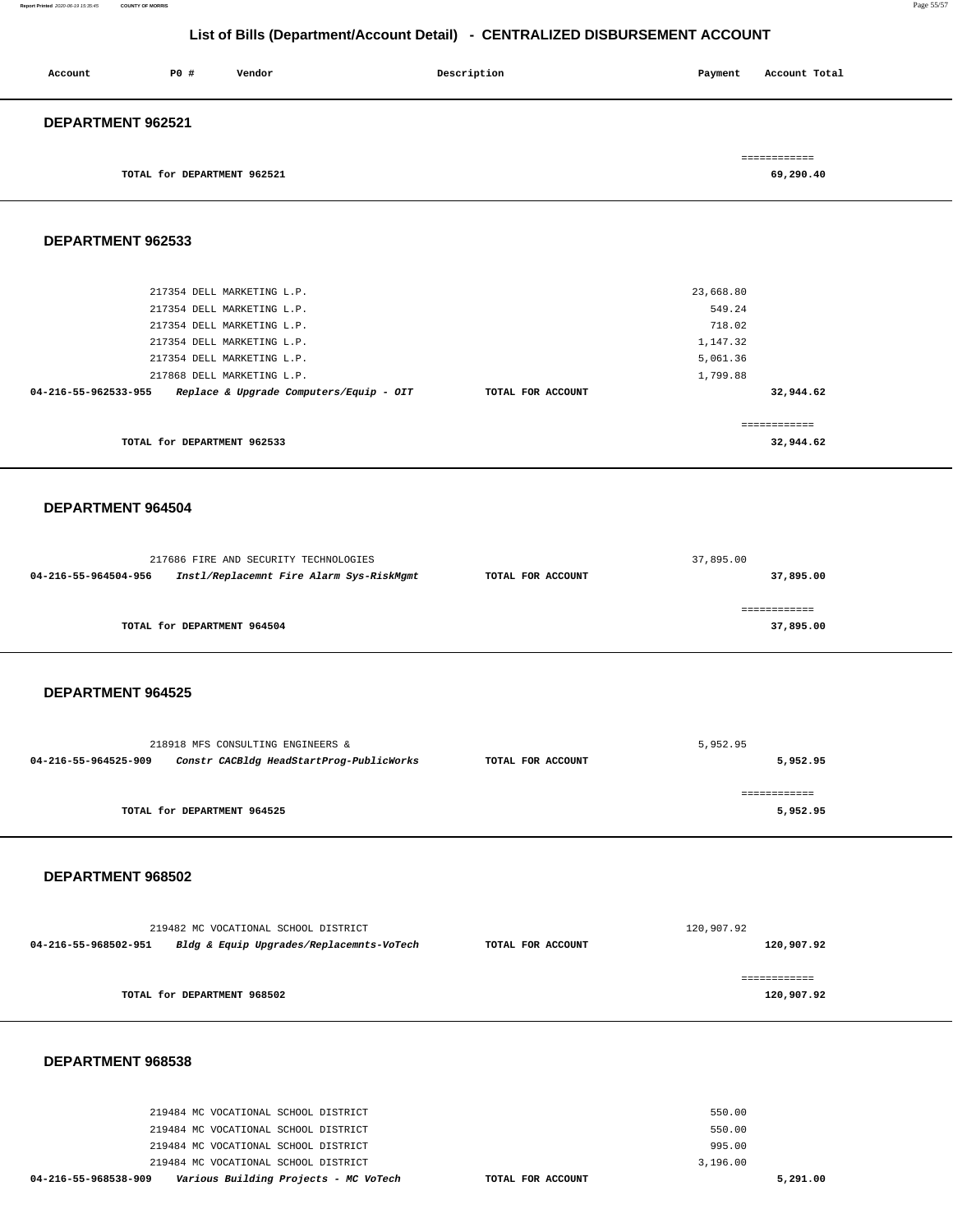| Account           | PO#                         | Vendor | Description | Payment | Account Total |
|-------------------|-----------------------------|--------|-------------|---------|---------------|
| DEPARTMENT 962521 |                             |        |             |         |               |
|                   |                             |        |             |         | ============  |
|                   | TOTAL for DEPARTMENT 962521 |        |             |         | 69,290.40     |

**DEPARTMENT 962533** 

| 217354 DELL MARKETING L.P.                                      |                   | 23,668.80                 |
|-----------------------------------------------------------------|-------------------|---------------------------|
| 217354 DELL MARKETING L.P.                                      |                   | 549.24                    |
| 217354 DELL MARKETING L.P.                                      |                   | 718.02                    |
| 217354 DELL MARKETING L.P.                                      |                   | 1,147.32                  |
| 217354 DELL MARKETING L.P.                                      |                   | 5,061.36                  |
| 217868 DELL MARKETING L.P.                                      |                   | 1,799.88                  |
| Replace & Upgrade Computers/Equip - OIT<br>04-216-55-962533-955 | TOTAL FOR ACCOUNT | 32,944.62                 |
| TOTAL for DEPARTMENT 962533                                     |                   | ============<br>32,944.62 |
|                                                                 |                   |                           |

#### **DEPARTMENT 964504**

|                      | 217686 FIRE AND SECURITY TECHNOLOGIES    | 37,895.00         |             |
|----------------------|------------------------------------------|-------------------|-------------|
| 04-216-55-964504-956 | Instl/Replacemnt Fire Alarm Sys-RiskMgmt | TOTAL FOR ACCOUNT | 37,895.00   |
|                      |                                          |                   | =========== |
|                      | TOTAL for DEPARTMENT 964504              |                   | 37,895.00   |

### **DEPARTMENT 964525**

|                      | 218918 MFS CONSULTING ENGINEERS &        |                   | 5,952.95 |
|----------------------|------------------------------------------|-------------------|----------|
| 04-216-55-964525-909 | Constr CACBldg HeadStartProg-PublicWorks | TOTAL FOR ACCOUNT | 5,952.95 |
|                      |                                          |                   |          |
|                      | TOTAL for DEPARTMENT 964525              |                   | 5,952.95 |

### **DEPARTMENT 968502**

| 219482 MC VOCATIONAL SCHOOL DISTRICT                             |                   | 120,907.92                 |
|------------------------------------------------------------------|-------------------|----------------------------|
| Bldg & Equip Upgrades/Replacemnts-VoTech<br>04-216-55-968502-951 | TOTAL FOR ACCOUNT | 120,907.92                 |
| TOTAL for DEPARTMENT 968502                                      |                   | ============<br>120,907.92 |

| 04-216-55-968538-909 |                                      |  | Various Building Projects - MC VoTech | TOTAL FOR ACCOUNT |  |          | 5,291.00 |
|----------------------|--------------------------------------|--|---------------------------------------|-------------------|--|----------|----------|
|                      | 219484 MC VOCATIONAL SCHOOL DISTRICT |  |                                       |                   |  | 3,196.00 |          |
|                      | 219484 MC VOCATIONAL SCHOOL DISTRICT |  |                                       |                   |  | 995.00   |          |
|                      | 219484 MC VOCATIONAL SCHOOL DISTRICT |  |                                       |                   |  | 550.00   |          |
|                      | 219484 MC VOCATIONAL SCHOOL DISTRICT |  |                                       |                   |  | 550.00   |          |
|                      |                                      |  |                                       |                   |  |          |          |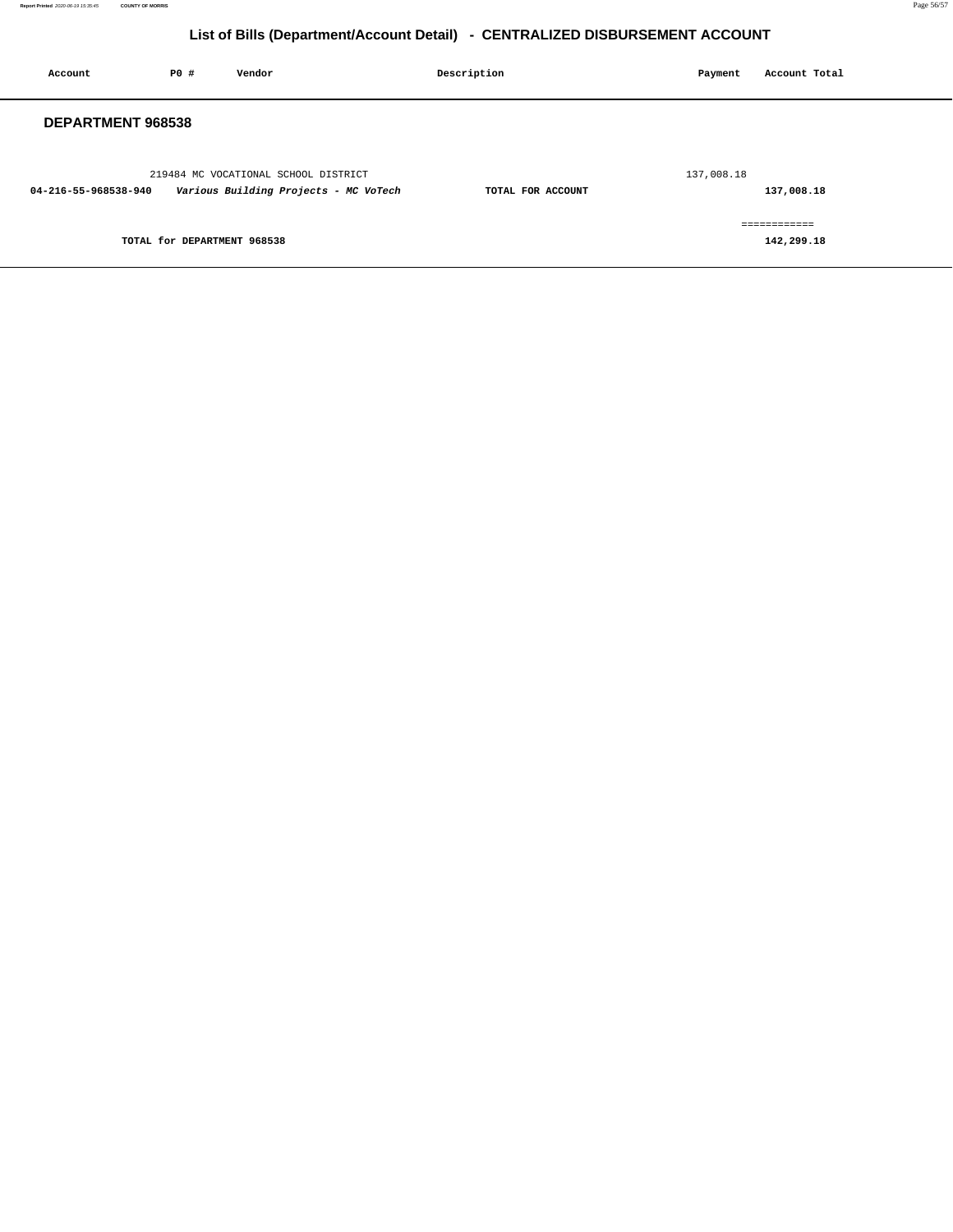| Account              | PO#                         | Vendor                                                                        | Description       | Payment    | Account Total              |
|----------------------|-----------------------------|-------------------------------------------------------------------------------|-------------------|------------|----------------------------|
| DEPARTMENT 968538    |                             |                                                                               |                   |            |                            |
| 04-216-55-968538-940 |                             | 219484 MC VOCATIONAL SCHOOL DISTRICT<br>Various Building Projects - MC VoTech | TOTAL FOR ACCOUNT | 137,008.18 | 137,008.18                 |
|                      | TOTAL for DEPARTMENT 968538 |                                                                               |                   |            | ============<br>142,299.18 |